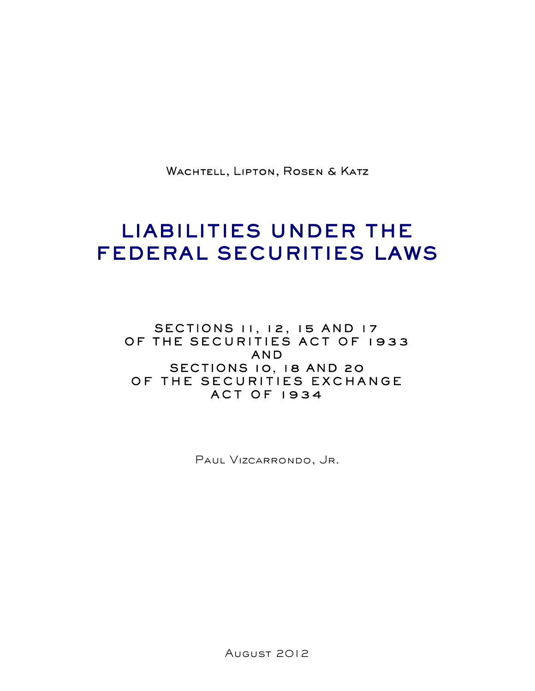WACHTELL, LIPTON, ROSEN & KATZ

# LIABILITIES UNDER THE FEDERAL SECURITIES LAWS

SECTIONS 11, 12, 15 AND 17 OF THE SECURITIES ACT OF 1933 AND SECTIONS 10, 18 AND 20 OF THE SECURITIES EXCHANGE ACT OF 1934

Paul Vizcarrondo, Jr.

August 2012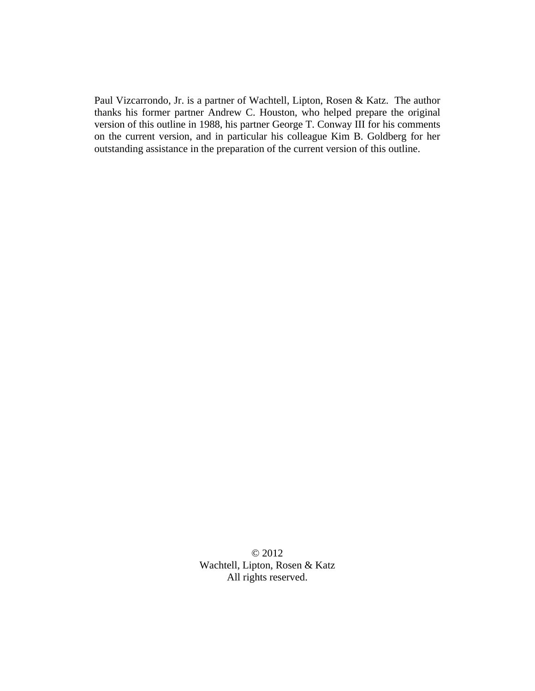Paul Vizcarrondo, Jr. is a partner of Wachtell, Lipton, Rosen & Katz. The author thanks his former partner Andrew C. Houston, who helped prepare the original version of this outline in 1988, his partner George T. Conway III for his comments on the current version, and in particular his colleague Kim B. Goldberg for her outstanding assistance in the preparation of the current version of this outline.

> © 2012 Wachtell, Lipton, Rosen & Katz All rights reserved.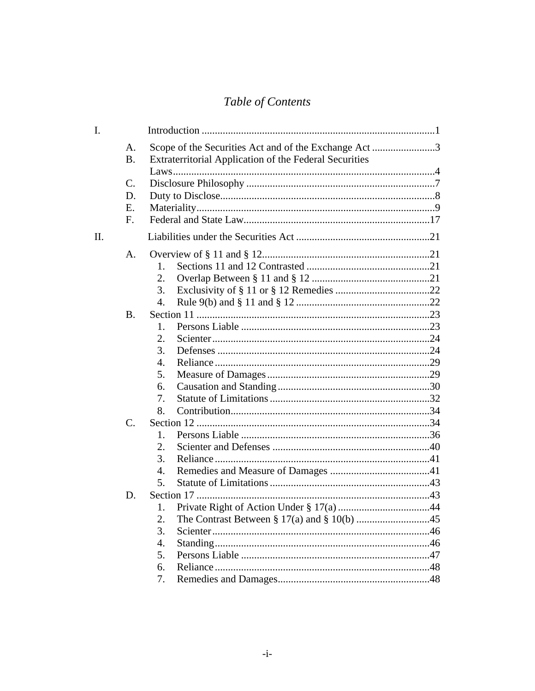# Table of Contents

| Ι.  |                |                                                               |  |
|-----|----------------|---------------------------------------------------------------|--|
|     | A.             | Scope of the Securities Act and of the Exchange Act 3         |  |
|     | <b>B.</b>      | <b>Extraterritorial Application of the Federal Securities</b> |  |
|     |                |                                                               |  |
|     | C.             |                                                               |  |
|     | D.             |                                                               |  |
|     | Ε.             |                                                               |  |
|     | $F_{\cdot}$    |                                                               |  |
| II. |                |                                                               |  |
|     | A.             |                                                               |  |
|     |                | $1_{-}$                                                       |  |
|     |                | 2.                                                            |  |
|     |                | 3.                                                            |  |
|     |                | 4.                                                            |  |
|     | <b>B.</b>      |                                                               |  |
|     |                | 1.                                                            |  |
|     |                | 2.                                                            |  |
|     |                | 3.                                                            |  |
|     |                | 4.                                                            |  |
|     |                | 5.                                                            |  |
|     |                | 6.                                                            |  |
|     |                | 7.                                                            |  |
|     |                | 8.                                                            |  |
|     | $\mathbf{C}$ . |                                                               |  |
|     |                | 1.                                                            |  |
|     |                | 2.                                                            |  |
|     |                | 3.                                                            |  |
|     |                | 4.                                                            |  |
|     |                | 5.                                                            |  |
|     | D.             |                                                               |  |
|     |                | 1.                                                            |  |
|     |                | 2.                                                            |  |
|     |                | 3.                                                            |  |
|     |                | 4.                                                            |  |
|     |                | 5.                                                            |  |
|     |                | 6.                                                            |  |
|     |                | 7.                                                            |  |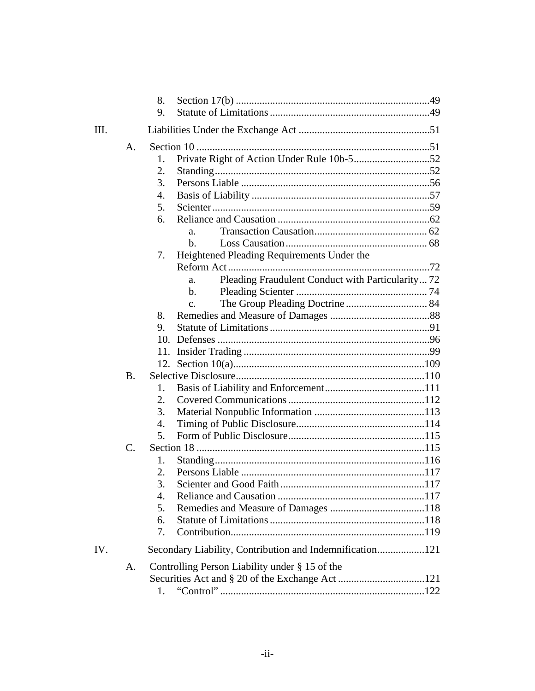|     |                | 8.                                                       |  |
|-----|----------------|----------------------------------------------------------|--|
|     |                | 9.                                                       |  |
| Ш.  |                |                                                          |  |
|     | A.             |                                                          |  |
|     |                | 1.                                                       |  |
|     |                | 2.                                                       |  |
|     |                | 3.                                                       |  |
|     |                | 4.                                                       |  |
|     |                | 5.                                                       |  |
|     |                | 6.                                                       |  |
|     |                | a.                                                       |  |
|     |                | h.                                                       |  |
|     |                | Heightened Pleading Requirements Under the<br>7.         |  |
|     |                |                                                          |  |
|     |                | Pleading Fraudulent Conduct with Particularity 72<br>a.  |  |
|     |                | $\mathbf{b}$ .                                           |  |
|     |                | $\overline{c}$ .                                         |  |
|     |                | 8.                                                       |  |
|     |                | 9.                                                       |  |
|     |                | 10.                                                      |  |
|     |                |                                                          |  |
|     |                |                                                          |  |
|     | $\bf{B}$ .     |                                                          |  |
|     |                | 1.                                                       |  |
|     |                | 2.                                                       |  |
|     |                | 3.                                                       |  |
|     |                | 4.                                                       |  |
|     |                | 5.                                                       |  |
|     | $\mathbf{C}$ . |                                                          |  |
|     |                | 1.                                                       |  |
|     |                | 2.                                                       |  |
|     |                | 3.                                                       |  |
|     |                | 4.                                                       |  |
|     |                | 5.                                                       |  |
|     |                | 6.                                                       |  |
|     |                | 7.                                                       |  |
| IV. |                | Secondary Liability, Contribution and Indemnification121 |  |
|     | A.             | Controlling Person Liability under $\S 15$ of the        |  |
|     |                |                                                          |  |
|     |                |                                                          |  |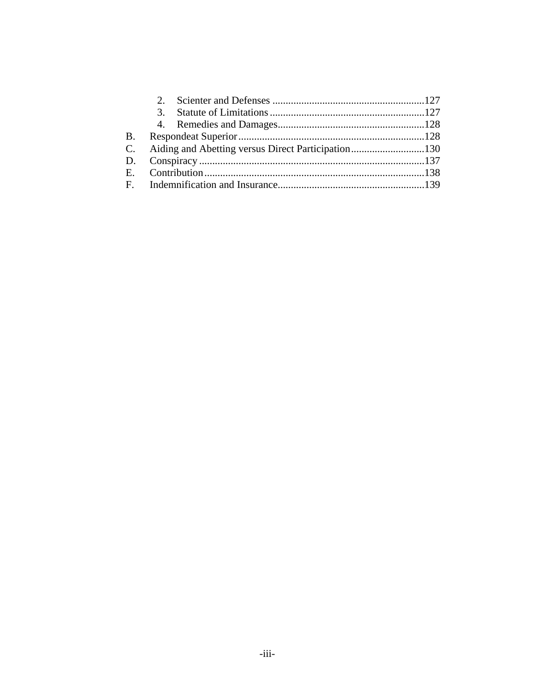|  |  | C. Aiding and Abetting versus Direct Participation130 |
|--|--|-------------------------------------------------------|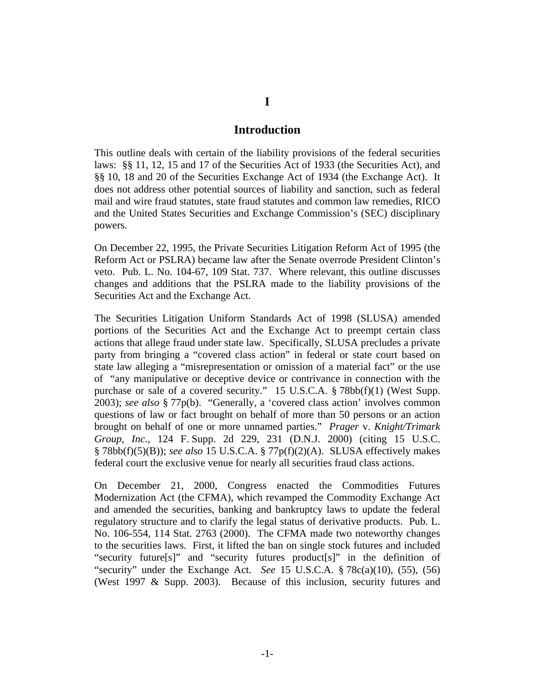#### **Introduction**

This outline deals with certain of the liability provisions of the federal securities laws: §§ 11, 12, 15 and 17 of the Securities Act of 1933 (the Securities Act), and §§ 10, 18 and 20 of the Securities Exchange Act of 1934 (the Exchange Act). It does not address other potential sources of liability and sanction, such as federal mail and wire fraud statutes, state fraud statutes and common law remedies, RICO and the United States Securities and Exchange Commission's (SEC) disciplinary powers.

On December 22, 1995, the Private Securities Litigation Reform Act of 1995 (the Reform Act or PSLRA) became law after the Senate overrode President Clinton's veto. Pub. L. No. 104-67, 109 Stat. 737. Where relevant, this outline discusses changes and additions that the PSLRA made to the liability provisions of the Securities Act and the Exchange Act.

The Securities Litigation Uniform Standards Act of 1998 (SLUSA) amended portions of the Securities Act and the Exchange Act to preempt certain class actions that allege fraud under state law. Specifically, SLUSA precludes a private party from bringing a "covered class action" in federal or state court based on state law alleging a "misrepresentation or omission of a material fact" or the use of "any manipulative or deceptive device or contrivance in connection with the purchase or sale of a covered security." 15 U.S.C.A. § 78bb(f)(1) (West Supp. 2003); *see also* § 77p(b). "Generally, a 'covered class action' involves common questions of law or fact brought on behalf of more than 50 persons or an action brought on behalf of one or more unnamed parties." *Prager* v. *Knight/Trimark Group*, *Inc.*, 124 F. Supp. 2d 229, 231 (D.N.J. 2000) (citing 15 U.S.C. § 78bb(f)(5)(B)); *see also* 15 U.S.C.A. § 77p(f)(2)(A). SLUSA effectively makes federal court the exclusive venue for nearly all securities fraud class actions.

On December 21, 2000, Congress enacted the Commodities Futures Modernization Act (the CFMA), which revamped the Commodity Exchange Act and amended the securities, banking and bankruptcy laws to update the federal regulatory structure and to clarify the legal status of derivative products. Pub. L. No. 106-554, 114 Stat. 2763 (2000). The CFMA made two noteworthy changes to the securities laws. First, it lifted the ban on single stock futures and included "security future[s]" and "security futures product[s]" in the definition of "security" under the Exchange Act. *See* 15 U.S.C.A. § 78c(a)(10), (55), (56) (West 1997 & Supp. 2003). Because of this inclusion, security futures and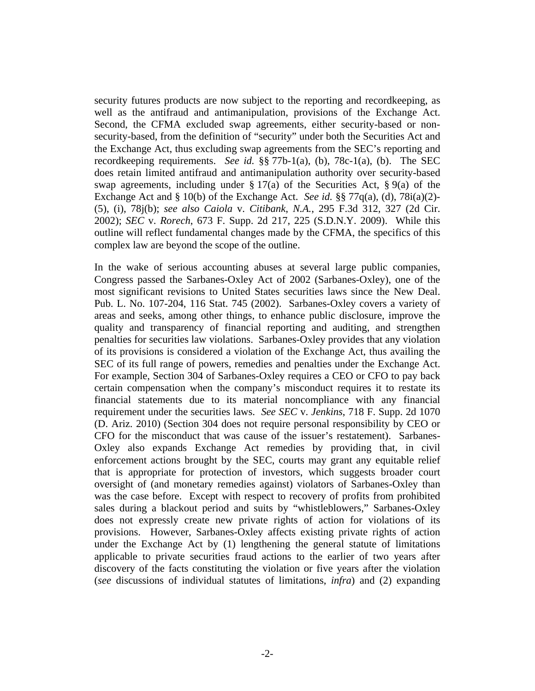security futures products are now subject to the reporting and recordkeeping, as well as the antifraud and antimanipulation, provisions of the Exchange Act. Second, the CFMA excluded swap agreements, either security-based or nonsecurity-based, from the definition of "security" under both the Securities Act and the Exchange Act, thus excluding swap agreements from the SEC's reporting and recordkeeping requirements. *See id.* §§ 77b-1(a), (b), 78c-1(a), (b). The SEC does retain limited antifraud and antimanipulation authority over security-based swap agreements, including under  $\S 17(a)$  of the Securities Act,  $\S 9(a)$  of the Exchange Act and § 10(b) of the Exchange Act. *See id.* §§ 77q(a), (d), 78i(a)(2)- (5), (i), 78j(b); *see also Caiola* v. *Citibank*, *N.A.*, 295 F.3d 312, 327 (2d Cir. 2002); *SEC* v. *Rorech*, 673 F. Supp. 2d 217, 225 (S.D.N.Y. 2009). While this outline will reflect fundamental changes made by the CFMA, the specifics of this complex law are beyond the scope of the outline.

In the wake of serious accounting abuses at several large public companies, Congress passed the Sarbanes-Oxley Act of 2002 (Sarbanes-Oxley), one of the most significant revisions to United States securities laws since the New Deal. Pub. L. No. 107-204, 116 Stat. 745 (2002). Sarbanes-Oxley covers a variety of areas and seeks, among other things, to enhance public disclosure, improve the quality and transparency of financial reporting and auditing, and strengthen penalties for securities law violations. Sarbanes-Oxley provides that any violation of its provisions is considered a violation of the Exchange Act, thus availing the SEC of its full range of powers, remedies and penalties under the Exchange Act. For example, Section 304 of Sarbanes-Oxley requires a CEO or CFO to pay back certain compensation when the company's misconduct requires it to restate its financial statements due to its material noncompliance with any financial requirement under the securities laws. *See SEC* v. *Jenkins*, 718 F. Supp. 2d 1070 (D. Ariz. 2010) (Section 304 does not require personal responsibility by CEO or CFO for the misconduct that was cause of the issuer's restatement). Sarbanes-Oxley also expands Exchange Act remedies by providing that, in civil enforcement actions brought by the SEC, courts may grant any equitable relief that is appropriate for protection of investors, which suggests broader court oversight of (and monetary remedies against) violators of Sarbanes-Oxley than was the case before. Except with respect to recovery of profits from prohibited sales during a blackout period and suits by "whistleblowers," Sarbanes-Oxley does not expressly create new private rights of action for violations of its provisions. However, Sarbanes-Oxley affects existing private rights of action under the Exchange Act by (1) lengthening the general statute of limitations applicable to private securities fraud actions to the earlier of two years after discovery of the facts constituting the violation or five years after the violation (*see* discussions of individual statutes of limitations, *infra*) and (2) expanding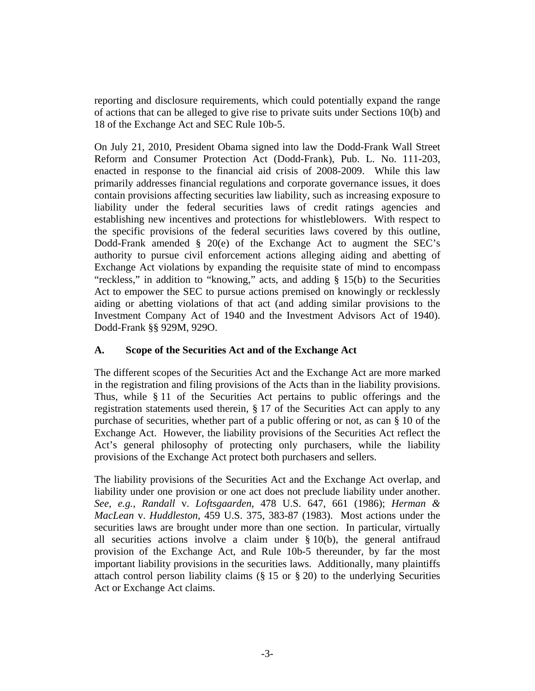reporting and disclosure requirements, which could potentially expand the range of actions that can be alleged to give rise to private suits under Sections 10(b) and 18 of the Exchange Act and SEC Rule 10b-5.

On July 21, 2010, President Obama signed into law the Dodd-Frank Wall Street Reform and Consumer Protection Act (Dodd-Frank), Pub. L. No. 111-203, enacted in response to the financial aid crisis of 2008-2009. While this law primarily addresses financial regulations and corporate governance issues, it does contain provisions affecting securities law liability, such as increasing exposure to liability under the federal securities laws of credit ratings agencies and establishing new incentives and protections for whistleblowers. With respect to the specific provisions of the federal securities laws covered by this outline, Dodd-Frank amended § 20(e) of the Exchange Act to augment the SEC's authority to pursue civil enforcement actions alleging aiding and abetting of Exchange Act violations by expanding the requisite state of mind to encompass "reckless," in addition to "knowing," acts, and adding § 15(b) to the Securities Act to empower the SEC to pursue actions premised on knowingly or recklessly aiding or abetting violations of that act (and adding similar provisions to the Investment Company Act of 1940 and the Investment Advisors Act of 1940). Dodd-Frank §§ 929M, 929O.

# **A. Scope of the Securities Act and of the Exchange Act**

The different scopes of the Securities Act and the Exchange Act are more marked in the registration and filing provisions of the Acts than in the liability provisions. Thus, while § 11 of the Securities Act pertains to public offerings and the registration statements used therein, § 17 of the Securities Act can apply to any purchase of securities, whether part of a public offering or not, as can § 10 of the Exchange Act. However, the liability provisions of the Securities Act reflect the Act's general philosophy of protecting only purchasers, while the liability provisions of the Exchange Act protect both purchasers and sellers.

The liability provisions of the Securities Act and the Exchange Act overlap, and liability under one provision or one act does not preclude liability under another. *See*, *e.g.*, *Randall* v. *Loftsgaarden*, 478 U.S. 647, 661 (1986); *Herman & MacLean* v. *Huddleston*, 459 U.S. 375, 383-87 (1983). Most actions under the securities laws are brought under more than one section. In particular, virtually all securities actions involve a claim under § 10(b), the general antifraud provision of the Exchange Act, and Rule 10b-5 thereunder, by far the most important liability provisions in the securities laws. Additionally, many plaintiffs attach control person liability claims (§ 15 or § 20) to the underlying Securities Act or Exchange Act claims.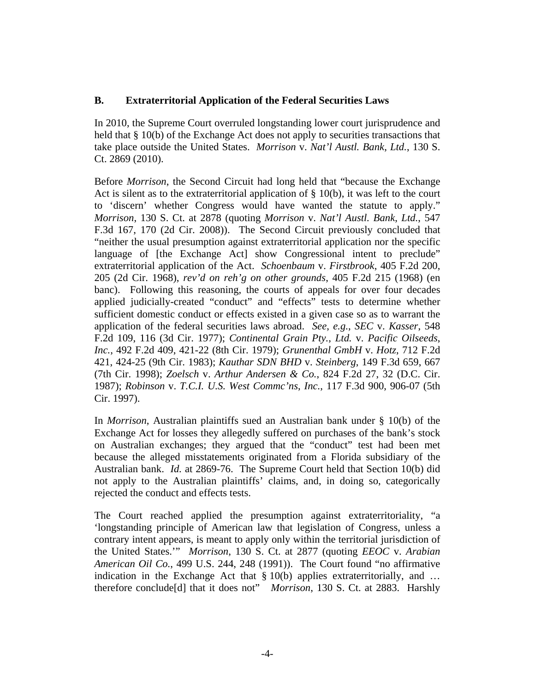# **B. Extraterritorial Application of the Federal Securities Laws**

In 2010, the Supreme Court overruled longstanding lower court jurisprudence and held that § 10(b) of the Exchange Act does not apply to securities transactions that take place outside the United States. *Morrison* v. *Nat'l Austl. Bank*, *Ltd.*, 130 S. Ct. 2869 (2010).

Before *Morrison*, the Second Circuit had long held that "because the Exchange Act is silent as to the extraterritorial application of  $\S$  10(b), it was left to the court to 'discern' whether Congress would have wanted the statute to apply." *Morrison*, 130 S. Ct. at 2878 (quoting *Morrison* v. *Nat'l Austl. Bank*, *Ltd.*, 547 F.3d 167, 170 (2d Cir. 2008)). The Second Circuit previously concluded that "neither the usual presumption against extraterritorial application nor the specific language of [the Exchange Act] show Congressional intent to preclude" extraterritorial application of the Act. *Schoenbaum* v. *Firstbrook*, 405 F.2d 200, 205 (2d Cir. 1968), *rev'd on reh'g on other grounds*, 405 F.2d 215 (1968) (en banc). Following this reasoning, the courts of appeals for over four decades applied judicially-created "conduct" and "effects" tests to determine whether sufficient domestic conduct or effects existed in a given case so as to warrant the application of the federal securities laws abroad. *See*, *e.g.*, *SEC* v. *Kasser*, 548 F.2d 109, 116 (3d Cir. 1977); *Continental Grain Pty.*, *Ltd.* v. *Pacific Oilseeds*, *Inc.*, 492 F.2d 409, 421-22 (8th Cir. 1979); *Grunenthal GmbH* v. *Hotz*, 712 F.2d 421, 424-25 (9th Cir. 1983); *Kauthar SDN BHD* v. *Steinberg*, 149 F.3d 659, 667 (7th Cir. 1998); *Zoelsch* v. *Arthur Andersen & Co.*, 824 F.2d 27, 32 (D.C. Cir. 1987); *Robinson* v. *T.C.I. U.S. West Commc'ns*, *Inc.*, 117 F.3d 900, 906-07 (5th Cir. 1997).

In *Morrison*, Australian plaintiffs sued an Australian bank under § 10(b) of the Exchange Act for losses they allegedly suffered on purchases of the bank's stock on Australian exchanges; they argued that the "conduct" test had been met because the alleged misstatements originated from a Florida subsidiary of the Australian bank. *Id.* at 2869-76. The Supreme Court held that Section 10(b) did not apply to the Australian plaintiffs' claims, and, in doing so, categorically rejected the conduct and effects tests.

The Court reached applied the presumption against extraterritoriality, "a 'longstanding principle of American law that legislation of Congress, unless a contrary intent appears, is meant to apply only within the territorial jurisdiction of the United States.'" *Morrison*, 130 S. Ct. at 2877 (quoting *EEOC* v. *Arabian American Oil Co.*, 499 U.S. 244, 248 (1991)). The Court found "no affirmative indication in the Exchange Act that § 10(b) applies extraterritorially, and … therefore conclude[d] that it does not" *Morrison*, 130 S. Ct. at 2883. Harshly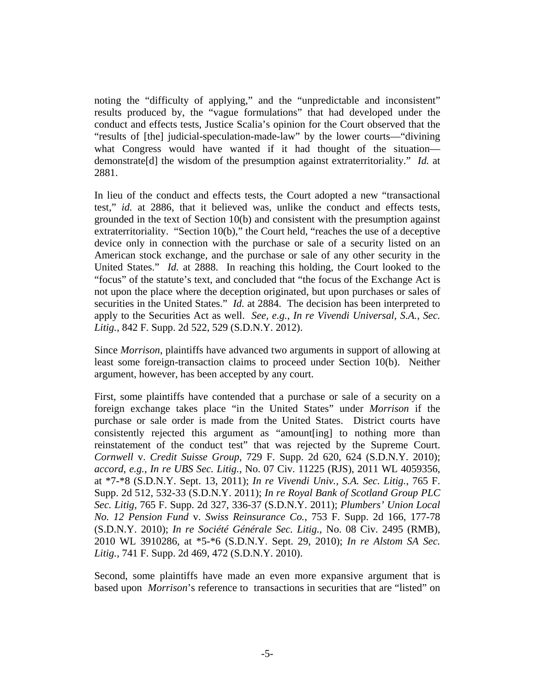noting the "difficulty of applying," and the "unpredictable and inconsistent" results produced by, the "vague formulations" that had developed under the conduct and effects tests, Justice Scalia's opinion for the Court observed that the "results of [the] judicial-speculation-made-law" by the lower courts—"divining what Congress would have wanted if it had thought of the situation demonstrate[d] the wisdom of the presumption against extraterritoriality." *Id.* at 2881.

In lieu of the conduct and effects tests, the Court adopted a new "transactional test," *id.* at 2886, that it believed was, unlike the conduct and effects tests, grounded in the text of Section 10(b) and consistent with the presumption against extraterritoriality. "Section 10(b)," the Court held, "reaches the use of a deceptive device only in connection with the purchase or sale of a security listed on an American stock exchange, and the purchase or sale of any other security in the United States." *Id.* at 2888. In reaching this holding, the Court looked to the "focus" of the statute's text, and concluded that "the focus of the Exchange Act is not upon the place where the deception originated, but upon purchases or sales of securities in the United States." *Id.* at 2884. The decision has been interpreted to apply to the Securities Act as well. *See, e.g.*, *In re Vivendi Universal, S.A., Sec. Litig.*, 842 F. Supp. 2d 522, 529 (S.D.N.Y. 2012).

Since *Morrison*, plaintiffs have advanced two arguments in support of allowing at least some foreign-transaction claims to proceed under Section 10(b). Neither argument, however, has been accepted by any court.

First, some plaintiffs have contended that a purchase or sale of a security on a foreign exchange takes place "in the United States" under *Morrison* if the purchase or sale order is made from the United States. District courts have consistently rejected this argument as "amount[ing] to nothing more than reinstatement of the conduct test" that was rejected by the Supreme Court. *Cornwell* v. *Credit Suisse Group*, 729 F. Supp. 2d 620, 624 (S.D.N.Y. 2010); *accord*, *e.g.*, *In re UBS Sec. Litig.*, No. 07 Civ. 11225 (RJS), 2011 WL 4059356, at \*7-\*8 (S.D.N.Y. Sept. 13, 2011); *In re Vivendi Univ., S.A. Sec. Litig.*, 765 F. Supp. 2d 512, 532-33 (S.D.N.Y. 2011); *In re Royal Bank of Scotland Group PLC Sec. Litig*, 765 F. Supp. 2d 327, 336-37 (S.D.N.Y. 2011); *Plumbers' Union Local No. 12 Pension Fund* v. *Swiss Reinsurance Co.*, 753 F. Supp. 2d 166, 177-78 (S.D.N.Y. 2010); *In re Société Générale Sec. Litig.*, No. 08 Civ. 2495 (RMB), 2010 WL 3910286, at \*5-\*6 (S.D.N.Y. Sept. 29, 2010); *In re Alstom SA Sec. Litig.*, 741 F. Supp. 2d 469, 472 (S.D.N.Y. 2010).

Second, some plaintiffs have made an even more expansive argument that is based upon *Morrison*'s reference to transactions in securities that are "listed" on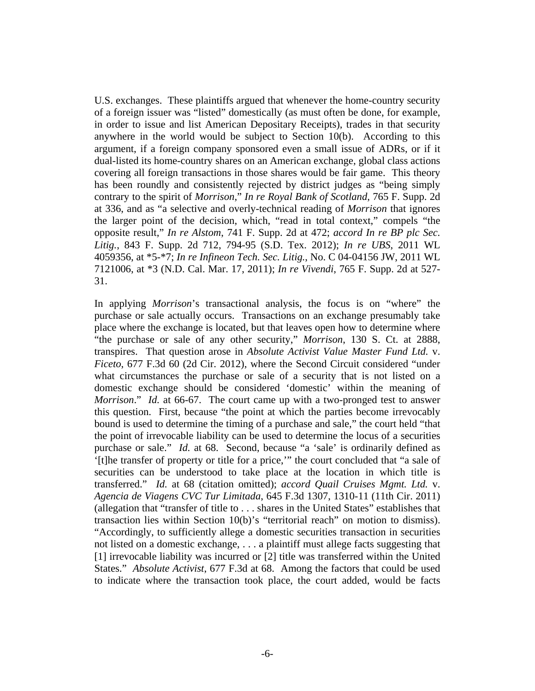U.S. exchanges. These plaintiffs argued that whenever the home-country security of a foreign issuer was "listed" domestically (as must often be done, for example, in order to issue and list American Depositary Receipts), trades in that security anywhere in the world would be subject to Section  $10(b)$ . According to this argument, if a foreign company sponsored even a small issue of ADRs, or if it dual-listed its home-country shares on an American exchange, global class actions covering all foreign transactions in those shares would be fair game. This theory has been roundly and consistently rejected by district judges as "being simply contrary to the spirit of *Morrison*," *In re Royal Bank of Scotland*, 765 F. Supp. 2d at 336, and as "a selective and overly-technical reading of *Morrison* that ignores the larger point of the decision, which, "read in total context," compels "the opposite result," *In re Alstom*, 741 F. Supp. 2d at 472; *accord In re BP plc Sec. Litig.*, 843 F. Supp. 2d 712, 794-95 (S.D. Tex. 2012); *In re UBS*, 2011 WL 4059356, at \*5-\*7; *In re Infineon Tech. Sec. Litig.*, No. C 04-04156 JW, 2011 WL 7121006, at \*3 (N.D. Cal. Mar. 17, 2011); *In re Vivendi*, 765 F. Supp. 2d at 527- 31.

In applying *Morrison*'s transactional analysis, the focus is on "where" the purchase or sale actually occurs. Transactions on an exchange presumably take place where the exchange is located, but that leaves open how to determine where "the purchase or sale of any other security," *Morrison*, 130 S. Ct. at 2888, transpires. That question arose in *Absolute Activist Value Master Fund Ltd.* v. *Ficeto*, 677 F.3d 60 (2d Cir. 2012), where the Second Circuit considered "under what circumstances the purchase or sale of a security that is not listed on a domestic exchange should be considered 'domestic' within the meaning of *Morrison*." *Id.* at 66-67. The court came up with a two-pronged test to answer this question. First, because "the point at which the parties become irrevocably bound is used to determine the timing of a purchase and sale," the court held "that the point of irrevocable liability can be used to determine the locus of a securities purchase or sale." *Id.* at 68. Second, because "a 'sale' is ordinarily defined as '[t]he transfer of property or title for a price,'" the court concluded that "a sale of securities can be understood to take place at the location in which title is transferred." *Id.* at 68 (citation omitted); *accord Quail Cruises Mgmt. Ltd.* v. *Agencia de Viagens CVC Tur Limitada*, 645 F.3d 1307, 1310-11 (11th Cir. 2011) (allegation that "transfer of title to . . . shares in the United States" establishes that transaction lies within Section 10(b)'s "territorial reach" on motion to dismiss). "Accordingly, to sufficiently allege a domestic securities transaction in securities not listed on a domestic exchange, . . . a plaintiff must allege facts suggesting that [1] irrevocable liability was incurred or [2] title was transferred within the United States." *Absolute Activist*, 677 F.3d at 68. Among the factors that could be used to indicate where the transaction took place, the court added, would be facts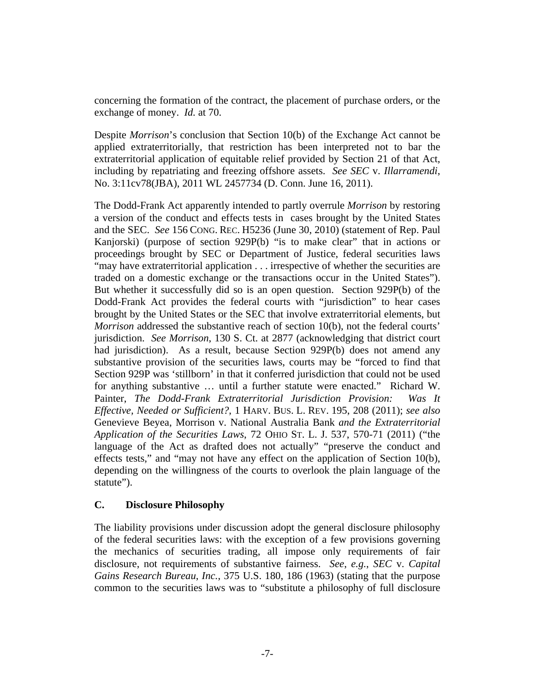concerning the formation of the contract, the placement of purchase orders, or the exchange of money. *Id.* at 70.

Despite *Morrison*'s conclusion that Section 10(b) of the Exchange Act cannot be applied extraterritorially, that restriction has been interpreted not to bar the extraterritorial application of equitable relief provided by Section 21 of that Act, including by repatriating and freezing offshore assets. *See SEC* v. *Illarramendi*, No. 3:11cv78(JBA), 2011 WL 2457734 (D. Conn. June 16, 2011).

The Dodd-Frank Act apparently intended to partly overrule *Morrison* by restoring a version of the conduct and effects tests in cases brought by the United States and the SEC. *See* 156 CONG. REC. H5236 (June 30, 2010) (statement of Rep. Paul Kanjorski) (purpose of section 929P(b) "is to make clear" that in actions or proceedings brought by SEC or Department of Justice, federal securities laws "may have extraterritorial application . . . irrespective of whether the securities are traded on a domestic exchange or the transactions occur in the United States"). But whether it successfully did so is an open question. Section 929P(b) of the Dodd-Frank Act provides the federal courts with "jurisdiction" to hear cases brought by the United States or the SEC that involve extraterritorial elements, but *Morrison* addressed the substantive reach of section 10(b), not the federal courts' jurisdiction. *See Morrison*, 130 S. Ct. at 2877 (acknowledging that district court had jurisdiction). As a result, because Section 929P(b) does not amend any substantive provision of the securities laws, courts may be "forced to find that Section 929P was 'stillborn' in that it conferred jurisdiction that could not be used for anything substantive … until a further statute were enacted." Richard W. Painter, *The Dodd-Frank Extraterritorial Jurisdiction Provision: Was It Effective, Needed or Sufficient?*, 1 HARV. BUS. L. REV. 195, 208 (2011); *see also* Genevieve Beyea, Morrison v. National Australia Bank *and the Extraterritorial Application of the Securities Laws*, 72 OHIO ST. L. J. 537, 570-71 (2011) ("the language of the Act as drafted does not actually" "preserve the conduct and effects tests," and "may not have any effect on the application of Section 10(b), depending on the willingness of the courts to overlook the plain language of the statute").

# **C. Disclosure Philosophy**

The liability provisions under discussion adopt the general disclosure philosophy of the federal securities laws: with the exception of a few provisions governing the mechanics of securities trading, all impose only requirements of fair disclosure, not requirements of substantive fairness. *See*, *e.g.*, *SEC* v. *Capital Gains Research Bureau*, *Inc.*, 375 U.S. 180, 186 (1963) (stating that the purpose common to the securities laws was to "substitute a philosophy of full disclosure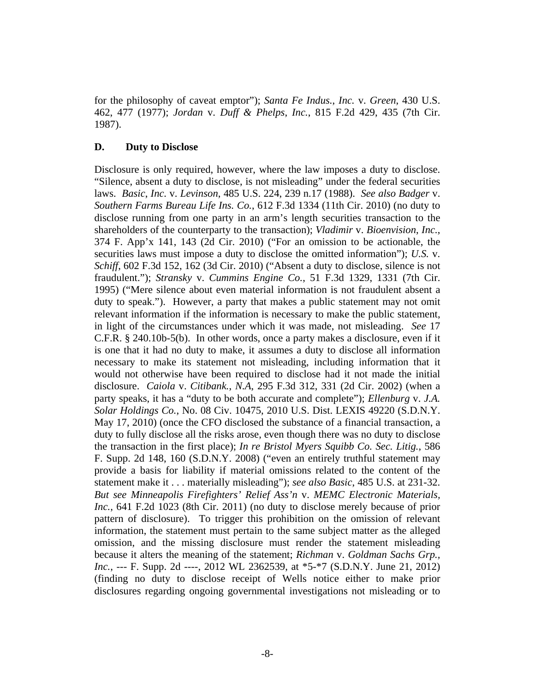for the philosophy of caveat emptor"); *Santa Fe Indus.*, *Inc.* v. *Green*, 430 U.S. 462, 477 (1977); *Jordan* v. *Duff & Phelps*, *Inc.*, 815 F.2d 429, 435 (7th Cir. 1987).

#### **D. Duty to Disclose**

Disclosure is only required, however, where the law imposes a duty to disclose. "Silence, absent a duty to disclose, is not misleading" under the federal securities laws. *Basic*, *Inc.* v. *Levinson*, 485 U.S. 224, 239 n.17 (1988). *See also Badger* v. *Southern Farms Bureau Life Ins. Co.*, 612 F.3d 1334 (11th Cir. 2010) (no duty to disclose running from one party in an arm's length securities transaction to the shareholders of the counterparty to the transaction); *Vladimir* v. *Bioenvision*, *Inc.*, 374 F. App'x 141, 143 (2d Cir. 2010) ("For an omission to be actionable, the securities laws must impose a duty to disclose the omitted information"); *U.S.* v. *Schiff*, 602 F.3d 152, 162 (3d Cir. 2010) ("Absent a duty to disclose, silence is not fraudulent."); *Stransky* v. *Cummins Engine Co.*, 51 F.3d 1329, 1331 (7th Cir. 1995) ("Mere silence about even material information is not fraudulent absent a duty to speak."). However, a party that makes a public statement may not omit relevant information if the information is necessary to make the public statement, in light of the circumstances under which it was made, not misleading. *See* 17 C.F.R. § 240.10b-5(b). In other words, once a party makes a disclosure, even if it is one that it had no duty to make, it assumes a duty to disclose all information necessary to make its statement not misleading, including information that it would not otherwise have been required to disclose had it not made the initial disclosure. *Caiola* v. *Citibank.*, *N.A*, 295 F.3d 312, 331 (2d Cir. 2002) (when a party speaks, it has a "duty to be both accurate and complete"); *Ellenburg* v. *J.A. Solar Holdings Co.*, No. 08 Civ. 10475, 2010 U.S. Dist. LEXIS 49220 (S.D.N.Y. May 17, 2010) (once the CFO disclosed the substance of a financial transaction, a duty to fully disclose all the risks arose, even though there was no duty to disclose the transaction in the first place); *In re Bristol Myers Squibb Co. Sec. Litig.*, 586 F. Supp. 2d 148, 160 (S.D.N.Y. 2008) ("even an entirely truthful statement may provide a basis for liability if material omissions related to the content of the statement make it . . . materially misleading"); *see also Basic*, 485 U.S. at 231-32. *But see Minneapolis Firefighters' Relief Ass'n* v. *MEMC Electronic Materials, Inc.*, 641 F.2d 1023 (8th Cir. 2011) (no duty to disclose merely because of prior pattern of disclosure). To trigger this prohibition on the omission of relevant information, the statement must pertain to the same subject matter as the alleged omission, and the missing disclosure must render the statement misleading because it alters the meaning of the statement; *Richman* v. *Goldman Sachs Grp., Inc.*, --- F. Supp. 2d ----, 2012 WL 2362539, at \*5-\*7 (S.D.N.Y. June 21, 2012) (finding no duty to disclose receipt of Wells notice either to make prior disclosures regarding ongoing governmental investigations not misleading or to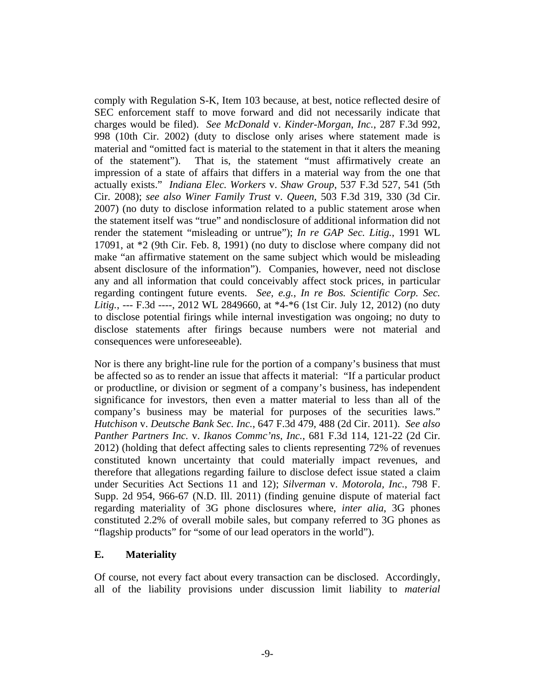comply with Regulation S-K, Item 103 because, at best, notice reflected desire of SEC enforcement staff to move forward and did not necessarily indicate that charges would be filed). *See McDonald* v. *Kinder-Morgan*, *Inc.*, 287 F.3d 992, 998 (10th Cir. 2002) (duty to disclose only arises where statement made is material and "omitted fact is material to the statement in that it alters the meaning of the statement"). That is, the statement "must affirmatively create an impression of a state of affairs that differs in a material way from the one that actually exists." *Indiana Elec. Workers* v. *Shaw Group*, 537 F.3d 527, 541 (5th Cir. 2008); *see also Winer Family Trust* v. *Queen*, 503 F.3d 319, 330 (3d Cir. 2007) (no duty to disclose information related to a public statement arose when the statement itself was "true" and nondisclosure of additional information did not render the statement "misleading or untrue"); *In re GAP Sec. Litig.*, 1991 WL 17091, at \*2 (9th Cir. Feb. 8, 1991) (no duty to disclose where company did not make "an affirmative statement on the same subject which would be misleading absent disclosure of the information"). Companies, however, need not disclose any and all information that could conceivably affect stock prices, in particular regarding contingent future events. *See, e.g.*, *In re Bos. Scientific Corp. Sec. Litig.*, --- F.3d ----, 2012 WL 2849660, at \*4-\*6 (1st Cir. July 12, 2012) (no duty to disclose potential firings while internal investigation was ongoing; no duty to disclose statements after firings because numbers were not material and consequences were unforeseeable).

Nor is there any bright-line rule for the portion of a company's business that must be affected so as to render an issue that affects it material: "If a particular product or productline, or division or segment of a company's business, has independent significance for investors, then even a matter material to less than all of the company's business may be material for purposes of the securities laws." *Hutchison* v. *Deutsche Bank Sec. Inc.*, 647 F.3d 479, 488 (2d Cir. 2011). *See also Panther Partners Inc.* v. *Ikanos Commc'ns, Inc.*, 681 F.3d 114, 121-22 (2d Cir. 2012) (holding that defect affecting sales to clients representing 72% of revenues constituted known uncertainty that could materially impact revenues, and therefore that allegations regarding failure to disclose defect issue stated a claim under Securities Act Sections 11 and 12); *Silverman* v. *Motorola, Inc.*, 798 F. Supp. 2d 954, 966-67 (N.D. Ill. 2011) (finding genuine dispute of material fact regarding materiality of 3G phone disclosures where, *inter alia*, 3G phones constituted 2.2% of overall mobile sales, but company referred to 3G phones as "flagship products" for "some of our lead operators in the world").

### **E. Materiality**

Of course, not every fact about every transaction can be disclosed. Accordingly, all of the liability provisions under discussion limit liability to *material*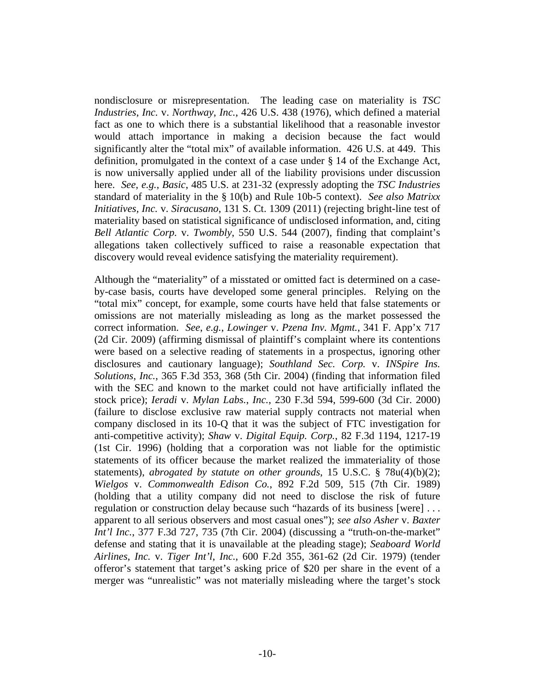nondisclosure or misrepresentation. The leading case on materiality is *TSC Industries*, *Inc.* v. *Northway*, *Inc.*, 426 U.S. 438 (1976), which defined a material fact as one to which there is a substantial likelihood that a reasonable investor would attach importance in making a decision because the fact would significantly alter the "total mix" of available information. 426 U.S. at 449. This definition, promulgated in the context of a case under § 14 of the Exchange Act, is now universally applied under all of the liability provisions under discussion here. *See*, *e.g.*, *Basic*, 485 U.S. at 231-32 (expressly adopting the *TSC Industries* standard of materiality in the § 10(b) and Rule 10b-5 context). *See also Matrixx Initiatives, Inc.* v. *Siracusano*, 131 S. Ct. 1309 (2011) (rejecting bright-line test of materiality based on statistical significance of undisclosed information, and, citing *Bell Atlantic Corp.* v. *Twombly*, 550 U.S. 544 (2007), finding that complaint's allegations taken collectively sufficed to raise a reasonable expectation that discovery would reveal evidence satisfying the materiality requirement).

Although the "materiality" of a misstated or omitted fact is determined on a caseby-case basis, courts have developed some general principles. Relying on the "total mix" concept, for example, some courts have held that false statements or omissions are not materially misleading as long as the market possessed the correct information. *See*, *e.g.*, *Lowinger* v. *Pzena Inv. Mgmt.*, 341 F. App'x 717 (2d Cir. 2009) (affirming dismissal of plaintiff's complaint where its contentions were based on a selective reading of statements in a prospectus, ignoring other disclosures and cautionary language); *Southland Sec. Corp.* v. *INSpire Ins. Solutions*, *Inc.*, 365 F.3d 353, 368 (5th Cir. 2004) (finding that information filed with the SEC and known to the market could not have artificially inflated the stock price); *Ieradi* v. *Mylan Labs.*, *Inc.*, 230 F.3d 594, 599-600 (3d Cir. 2000) (failure to disclose exclusive raw material supply contracts not material when company disclosed in its 10-Q that it was the subject of FTC investigation for anti-competitive activity); *Shaw* v. *Digital Equip. Corp.*, 82 F.3d 1194, 1217-19 (1st Cir. 1996) (holding that a corporation was not liable for the optimistic statements of its officer because the market realized the immateriality of those statements), *abrogated by statute on other grounds*, 15 U.S.C. § 78u(4)(b)(2); *Wielgos* v. *Commonwealth Edison Co.*, 892 F.2d 509, 515 (7th Cir. 1989) (holding that a utility company did not need to disclose the risk of future regulation or construction delay because such "hazards of its business [were] . . . apparent to all serious observers and most casual ones"); *see also Asher* v. *Baxter Int'l Inc.*, 377 F.3d 727, 735 (7th Cir. 2004) (discussing a "truth-on-the-market" defense and stating that it is unavailable at the pleading stage); *Seaboard World Airlines*, *Inc.* v. *Tiger Int'l*, *Inc.*, 600 F.2d 355, 361-62 (2d Cir. 1979) (tender offeror's statement that target's asking price of \$20 per share in the event of a merger was "unrealistic" was not materially misleading where the target's stock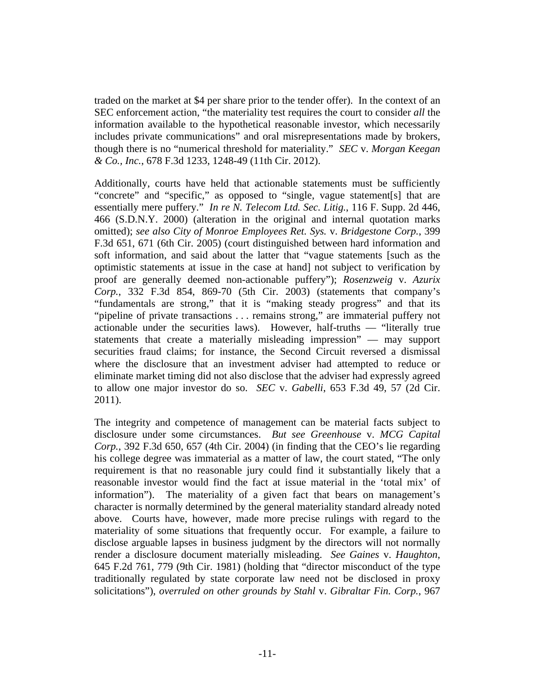traded on the market at \$4 per share prior to the tender offer). In the context of an SEC enforcement action, "the materiality test requires the court to consider *all* the information available to the hypothetical reasonable investor, which necessarily includes private communications" and oral misrepresentations made by brokers, though there is no "numerical threshold for materiality." *SEC* v. *Morgan Keegan & Co., Inc.*, 678 F.3d 1233, 1248-49 (11th Cir. 2012).

Additionally, courts have held that actionable statements must be sufficiently "concrete" and "specific," as opposed to "single, vague statement[s] that are essentially mere puffery." *In re N. Telecom Ltd. Sec. Litig.*, 116 F. Supp. 2d 446, 466 (S.D.N.Y. 2000) (alteration in the original and internal quotation marks omitted); *see also City of Monroe Employees Ret. Sys.* v. *Bridgestone Corp.*, 399 F.3d 651, 671 (6th Cir. 2005) (court distinguished between hard information and soft information, and said about the latter that "vague statements [such as the optimistic statements at issue in the case at hand] not subject to verification by proof are generally deemed non-actionable puffery"); *Rosenzweig* v. *Azurix Corp.*, 332 F.3d 854, 869-70 (5th Cir. 2003) (statements that company's "fundamentals are strong," that it is "making steady progress" and that its "pipeline of private transactions . . . remains strong," are immaterial puffery not actionable under the securities laws). However, half-truths — "literally true statements that create a materially misleading impression" — may support securities fraud claims; for instance, the Second Circuit reversed a dismissal where the disclosure that an investment adviser had attempted to reduce or eliminate market timing did not also disclose that the adviser had expressly agreed to allow one major investor do so. *SEC* v. *Gabelli*, 653 F.3d 49, 57 (2d Cir. 2011).

The integrity and competence of management can be material facts subject to disclosure under some circumstances. *But see Greenhouse* v. *MCG Capital Corp.*, 392 F.3d 650, 657 (4th Cir. 2004) (in finding that the CEO's lie regarding his college degree was immaterial as a matter of law, the court stated, "The only requirement is that no reasonable jury could find it substantially likely that a reasonable investor would find the fact at issue material in the 'total mix' of information"). The materiality of a given fact that bears on management's character is normally determined by the general materiality standard already noted above. Courts have, however, made more precise rulings with regard to the materiality of some situations that frequently occur. For example, a failure to disclose arguable lapses in business judgment by the directors will not normally render a disclosure document materially misleading. *See Gaines* v. *Haughton*, 645 F.2d 761, 779 (9th Cir. 1981) (holding that "director misconduct of the type traditionally regulated by state corporate law need not be disclosed in proxy solicitations"), *overruled on other grounds by Stahl* v. *Gibraltar Fin. Corp.*, 967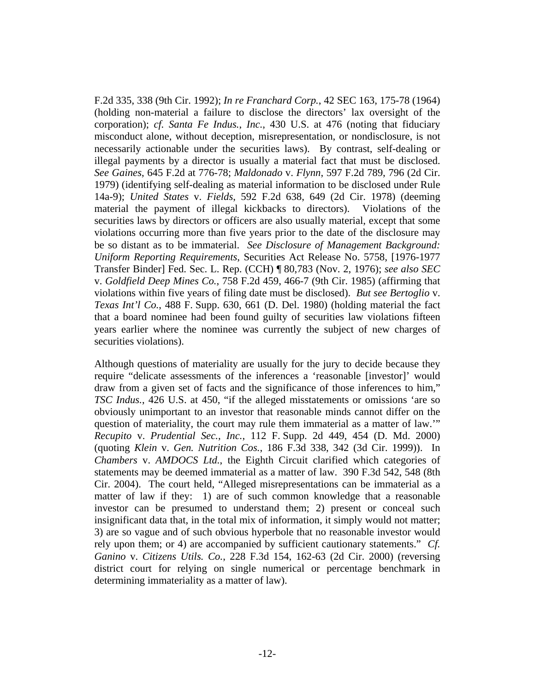F.2d 335, 338 (9th Cir. 1992); *In re Franchard Corp.*, 42 SEC 163, 175-78 (1964) (holding non-material a failure to disclose the directors' lax oversight of the corporation); *cf. Santa Fe Indus.*, *Inc.*, 430 U.S. at 476 (noting that fiduciary misconduct alone, without deception, misrepresentation, or nondisclosure, is not necessarily actionable under the securities laws). By contrast, self-dealing or illegal payments by a director is usually a material fact that must be disclosed. *See Gaines*, 645 F.2d at 776-78; *Maldonado* v. *Flynn*, 597 F.2d 789, 796 (2d Cir. 1979) (identifying self-dealing as material information to be disclosed under Rule 14a-9); *United States* v. *Fields*, 592 F.2d 638, 649 (2d Cir. 1978) (deeming material the payment of illegal kickbacks to directors). Violations of the securities laws by directors or officers are also usually material, except that some violations occurring more than five years prior to the date of the disclosure may be so distant as to be immaterial. *See Disclosure of Management Background: Uniform Reporting Requirements*, Securities Act Release No. 5758, [1976-1977 Transfer Binder] Fed. Sec. L. Rep. (CCH) ¶ 80,783 (Nov. 2, 1976); *see also SEC* v. *Goldfield Deep Mines Co.*, 758 F.2d 459, 466-7 (9th Cir. 1985) (affirming that violations within five years of filing date must be disclosed). *But see Bertoglio* v. *Texas Int'l Co.*, 488 F. Supp. 630, 661 (D. Del. 1980) (holding material the fact that a board nominee had been found guilty of securities law violations fifteen years earlier where the nominee was currently the subject of new charges of securities violations).

Although questions of materiality are usually for the jury to decide because they require "delicate assessments of the inferences a 'reasonable [investor]' would draw from a given set of facts and the significance of those inferences to him," *TSC Indus.*, 426 U.S. at 450, "if the alleged misstatements or omissions 'are so obviously unimportant to an investor that reasonable minds cannot differ on the question of materiality, the court may rule them immaterial as a matter of law.'" *Recupito* v. *Prudential Sec.*, *Inc.*, 112 F. Supp. 2d 449, 454 (D. Md. 2000) (quoting *Klein* v. *Gen. Nutrition Cos.*, 186 F.3d 338, 342 (3d Cir. 1999)). In *Chambers* v. *AMDOCS Ltd.*, the Eighth Circuit clarified which categories of statements may be deemed immaterial as a matter of law. 390 F.3d 542, 548 (8th Cir. 2004). The court held, "Alleged misrepresentations can be immaterial as a matter of law if they: 1) are of such common knowledge that a reasonable investor can be presumed to understand them; 2) present or conceal such insignificant data that, in the total mix of information, it simply would not matter; 3) are so vague and of such obvious hyperbole that no reasonable investor would rely upon them; or 4) are accompanied by sufficient cautionary statements." *Cf. Ganino* v. *Citizens Utils. Co.*, 228 F.3d 154, 162-63 (2d Cir. 2000) (reversing district court for relying on single numerical or percentage benchmark in determining immateriality as a matter of law).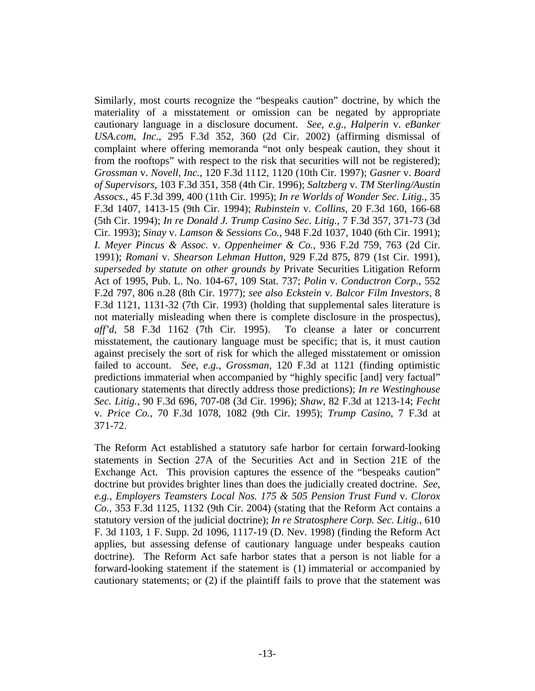Similarly, most courts recognize the "bespeaks caution" doctrine, by which the materiality of a misstatement or omission can be negated by appropriate cautionary language in a disclosure document. *See*, *e.g.*, *Halperin* v. *eBanker USA.com*, *Inc.*, 295 F.3d 352, 360 (2d Cir. 2002) (affirming dismissal of complaint where offering memoranda "not only bespeak caution, they shout it from the rooftops" with respect to the risk that securities will not be registered); *Grossman* v. *Novell*, *Inc.*, 120 F.3d 1112, 1120 (10th Cir. 1997); *Gasner* v. *Board of Supervisors*, 103 F.3d 351, 358 (4th Cir. 1996); *Saltzberg* v. *TM Sterling/Austin Assocs.*, 45 F.3d 399, 400 (11th Cir. 1995); *In re Worlds of Wonder Sec. Litig.*, 35 F.3d 1407, 1413-15 (9th Cir. 1994); *Rubinstein* v. *Collins*, 20 F.3d 160, 166-68 (5th Cir. 1994); *In re Donald J. Trump Casino Sec. Litig.*, 7 F.3d 357, 371-73 (3d Cir. 1993); *Sinay* v. *Lamson & Sessions Co.*, 948 F.2d 1037, 1040 (6th Cir. 1991); *I. Meyer Pincus & Assoc.* v. *Oppenheimer & Co.*, 936 F.2d 759, 763 (2d Cir. 1991); *Romani* v. *Shearson Lehman Hutton*, 929 F.2d 875, 879 (1st Cir. 1991), *superseded by statute on other grounds by* Private Securities Litigation Reform Act of 1995, Pub. L. No. 104-67, 109 Stat. 737; *Polin* v. *Conductron Corp.*, 552 F.2d 797, 806 n.28 (8th Cir. 1977); *see also Eckstein* v. *Balcor Film Investors*, 8 F.3d 1121, 1131-32 (7th Cir. 1993) (holding that supplemental sales literature is not materially misleading when there is complete disclosure in the prospectus), *aff'd*, 58 F.3d 1162 (7th Cir. 1995). To cleanse a later or concurrent misstatement, the cautionary language must be specific; that is, it must caution against precisely the sort of risk for which the alleged misstatement or omission failed to account. *See*, *e.g.*, *Grossman*, 120 F.3d at 1121 (finding optimistic predictions immaterial when accompanied by "highly specific [and] very factual" cautionary statements that directly address those predictions); *In re Westinghouse Sec. Litig.*, 90 F.3d 696, 707-08 (3d Cir. 1996); *Shaw*, 82 F.3d at 1213-14; *Fecht* v. *Price Co.*, 70 F.3d 1078, 1082 (9th Cir. 1995); *Trump Casino*, 7 F.3d at 371-72.

The Reform Act established a statutory safe harbor for certain forward-looking statements in Section 27A of the Securities Act and in Section 21E of the Exchange Act. This provision captures the essence of the "bespeaks caution" doctrine but provides brighter lines than does the judicially created doctrine. *See*, *e.g.*, *Employers Teamsters Local Nos. 175 & 505 Pension Trust Fund* v. *Clorox Co.*, 353 F.3d 1125, 1132 (9th Cir. 2004) (stating that the Reform Act contains a statutory version of the judicial doctrine); *In re Stratosphere Corp. Sec. Litig.*, 610 F. 3d 1103, 1 F. Supp. 2d 1096, 1117-19 (D. Nev. 1998) (finding the Reform Act applies, but assessing defense of cautionary language under bespeaks caution doctrine). The Reform Act safe harbor states that a person is not liable for a forward-looking statement if the statement is (1) immaterial or accompanied by cautionary statements; or (2) if the plaintiff fails to prove that the statement was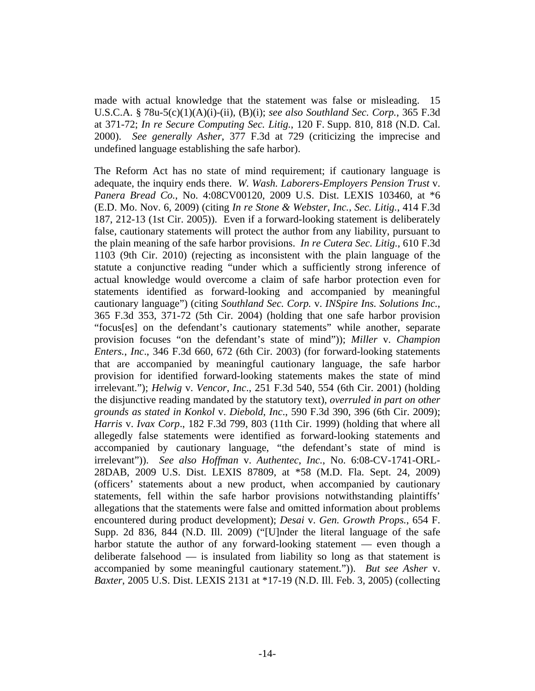made with actual knowledge that the statement was false or misleading. 15 U.S.C.A. § 78u-5(c)(1)(A)(i)-(ii), (B)(i); *see also Southland Sec. Corp.*, 365 F.3d at 371-72; *In re Secure Computing Sec. Litig.*, 120 F. Supp. 810, 818 (N.D. Cal. 2000). *See generally Asher*, 377 F.3d at 729 (criticizing the imprecise and undefined language establishing the safe harbor).

The Reform Act has no state of mind requirement; if cautionary language is adequate, the inquiry ends there. *W. Wash. Laborers-Employers Pension Trust* v. *Panera Bread Co.*, No. 4:08CV00120, 2009 U.S. Dist. LEXIS 103460, at \*6 (E.D. Mo. Nov. 6, 2009) (citing *In re Stone & Webster*, *Inc.*, *Sec. Litig.*, 414 F.3d 187, 212-13 (1st Cir. 2005)). Even if a forward-looking statement is deliberately false, cautionary statements will protect the author from any liability, pursuant to the plain meaning of the safe harbor provisions. *In re Cutera Sec. Litig.*, 610 F.3d 1103 (9th Cir. 2010) (rejecting as inconsistent with the plain language of the statute a conjunctive reading "under which a sufficiently strong inference of actual knowledge would overcome a claim of safe harbor protection even for statements identified as forward-looking and accompanied by meaningful cautionary language") (citing *Southland Sec. Corp.* v. *INSpire Ins. Solutions Inc.*, 365 F.3d 353, 371-72 (5th Cir. 2004) (holding that one safe harbor provision "focus[es] on the defendant's cautionary statements" while another, separate provision focuses "on the defendant's state of mind")); *Miller* v. *Champion Enters.*, *Inc*., 346 F.3d 660, 672 (6th Cir. 2003) (for forward-looking statements that are accompanied by meaningful cautionary language, the safe harbor provision for identified forward-looking statements makes the state of mind irrelevant."); *Helwig* v. *Vencor*, *Inc*., 251 F.3d 540, 554 (6th Cir. 2001) (holding the disjunctive reading mandated by the statutory text), *overruled in part on other grounds as stated in Konkol* v. *Diebold*, *Inc*., 590 F.3d 390, 396 (6th Cir. 2009); *Harris* v. *Ivax Corp*., 182 F.3d 799, 803 (11th Cir. 1999) (holding that where all allegedly false statements were identified as forward-looking statements and accompanied by cautionary language, "the defendant's state of mind is irrelevant")). *See also Hoffman* v. *Authentec*, *Inc.*, No. 6:08-CV-1741-ORL-28DAB, 2009 U.S. Dist. LEXIS 87809, at \*58 (M.D. Fla. Sept. 24, 2009) (officers' statements about a new product, when accompanied by cautionary statements, fell within the safe harbor provisions notwithstanding plaintiffs' allegations that the statements were false and omitted information about problems encountered during product development); *Desai* v. *Gen. Growth Props.*, 654 F. Supp. 2d 836, 844 (N.D. Ill. 2009) ("[U]nder the literal language of the safe harbor statute the author of any forward-looking statement — even though a deliberate falsehood — is insulated from liability so long as that statement is accompanied by some meaningful cautionary statement.")). *But see Asher* v. *Baxter*, 2005 U.S. Dist. LEXIS 2131 at \*17-19 (N.D. Ill. Feb. 3, 2005) (collecting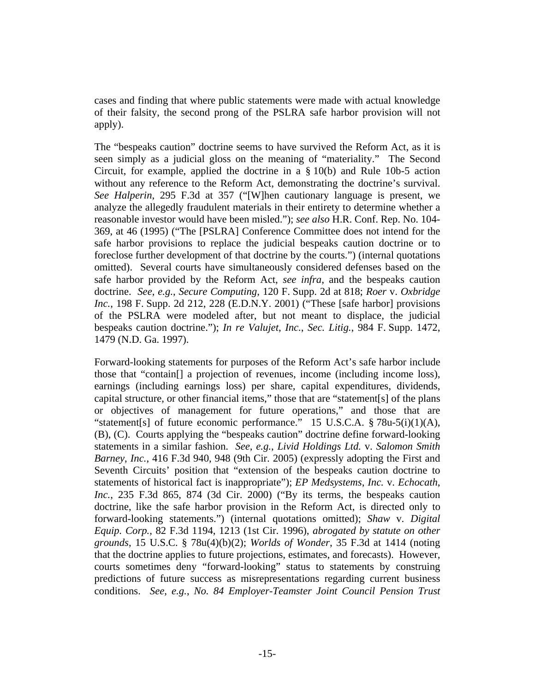cases and finding that where public statements were made with actual knowledge of their falsity, the second prong of the PSLRA safe harbor provision will not apply).

The "bespeaks caution" doctrine seems to have survived the Reform Act, as it is seen simply as a judicial gloss on the meaning of "materiality." The Second Circuit, for example, applied the doctrine in a § 10(b) and Rule 10b-5 action without any reference to the Reform Act, demonstrating the doctrine's survival. *See Halperin*, 295 F.3d at 357 ("[W]hen cautionary language is present, we analyze the allegedly fraudulent materials in their entirety to determine whether a reasonable investor would have been misled."); *see also* H.R. Conf. Rep. No. 104- 369, at 46 (1995) ("The [PSLRA] Conference Committee does not intend for the safe harbor provisions to replace the judicial bespeaks caution doctrine or to foreclose further development of that doctrine by the courts.") (internal quotations omitted). Several courts have simultaneously considered defenses based on the safe harbor provided by the Reform Act, *see infra*, and the bespeaks caution doctrine. *See*, *e.g.*, *Secure Computing*, 120 F. Supp. 2d at 818; *Roer* v. *Oxbridge Inc.*, 198 F. Supp. 2d 212, 228 (E.D.N.Y. 2001) ("These [safe harbor] provisions of the PSLRA were modeled after, but not meant to displace, the judicial bespeaks caution doctrine."); *In re Valujet*, *Inc.*, *Sec. Litig.*, 984 F. Supp. 1472, 1479 (N.D. Ga. 1997).

Forward-looking statements for purposes of the Reform Act's safe harbor include those that "contain[] a projection of revenues, income (including income loss), earnings (including earnings loss) per share, capital expenditures, dividends, capital structure, or other financial items," those that are "statement[s] of the plans or objectives of management for future operations," and those that are "statement[s] of future economic performance." 15 U.S.C.A. § 78u-5(i)(1)(A), (B), (C). Courts applying the "bespeaks caution" doctrine define forward-looking statements in a similar fashion. *See*, *e.g.*, *Livid Holdings Ltd.* v. *Salomon Smith Barney*, *Inc.*, 416 F.3d 940, 948 (9th Cir. 2005) (expressly adopting the First and Seventh Circuits' position that "extension of the bespeaks caution doctrine to statements of historical fact is inappropriate"); *EP Medsystems*, *Inc.* v. *Echocath*, *Inc.*, 235 F.3d 865, 874 (3d Cir. 2000) ("By its terms, the bespeaks caution doctrine, like the safe harbor provision in the Reform Act, is directed only to forward-looking statements.") (internal quotations omitted); *Shaw* v. *Digital Equip. Corp.*, 82 F.3d 1194, 1213 (1st Cir. 1996), *abrogated by statute on other grounds*, 15 U.S.C. § 78u(4)(b)(2); *Worlds of Wonder*, 35 F.3d at 1414 (noting that the doctrine applies to future projections, estimates, and forecasts). However, courts sometimes deny "forward-looking" status to statements by construing predictions of future success as misrepresentations regarding current business conditions. *See*, *e.g.*, *No. 84 Employer-Teamster Joint Council Pension Trust*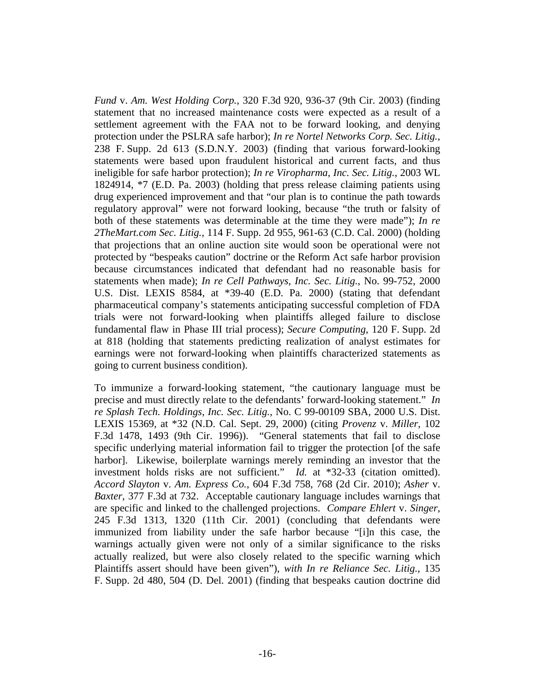*Fund* v. *Am. West Holding Corp.*, 320 F.3d 920, 936-37 (9th Cir. 2003) (finding statement that no increased maintenance costs were expected as a result of a settlement agreement with the FAA not to be forward looking, and denying protection under the PSLRA safe harbor); *In re Nortel Networks Corp. Sec. Litig.*, 238 F. Supp. 2d 613 (S.D.N.Y. 2003) (finding that various forward-looking statements were based upon fraudulent historical and current facts, and thus ineligible for safe harbor protection); *In re Viropharma*, *Inc. Sec. Litig.*, 2003 WL 1824914, \*7 (E.D. Pa. 2003) (holding that press release claiming patients using drug experienced improvement and that "our plan is to continue the path towards regulatory approval" were not forward looking, because "the truth or falsity of both of these statements was determinable at the time they were made"); *In re 2TheMart.com Sec. Litig.*, 114 F. Supp. 2d 955, 961-63 (C.D. Cal. 2000) (holding that projections that an online auction site would soon be operational were not protected by "bespeaks caution" doctrine or the Reform Act safe harbor provision because circumstances indicated that defendant had no reasonable basis for statements when made); *In re Cell Pathways*, *Inc. Sec. Litig.*, No. 99-752, 2000 U.S. Dist. LEXIS 8584, at \*39-40 (E.D. Pa. 2000) (stating that defendant pharmaceutical company's statements anticipating successful completion of FDA trials were not forward-looking when plaintiffs alleged failure to disclose fundamental flaw in Phase III trial process); *Secure Computing*, 120 F. Supp. 2d at 818 (holding that statements predicting realization of analyst estimates for earnings were not forward-looking when plaintiffs characterized statements as going to current business condition).

To immunize a forward-looking statement, "the cautionary language must be precise and must directly relate to the defendants' forward-looking statement." *In re Splash Tech. Holdings*, *Inc. Sec. Litig.*, No. C 99-00109 SBA, 2000 U.S. Dist. LEXIS 15369, at \*32 (N.D. Cal. Sept. 29, 2000) (citing *Provenz* v. *Miller*, 102 F.3d 1478, 1493 (9th Cir. 1996)). "General statements that fail to disclose specific underlying material information fail to trigger the protection [of the safe harbor]. Likewise, boilerplate warnings merely reminding an investor that the investment holds risks are not sufficient." *Id.* at \*32-33 (citation omitted). *Accord Slayton* v. *Am. Express Co.*, 604 F.3d 758, 768 (2d Cir. 2010); *Asher* v. *Baxter*, 377 F.3d at 732. Acceptable cautionary language includes warnings that are specific and linked to the challenged projections. *Compare Ehlert* v. *Singer*, 245 F.3d 1313, 1320 (11th Cir. 2001) (concluding that defendants were immunized from liability under the safe harbor because "[i]n this case, the warnings actually given were not only of a similar significance to the risks actually realized, but were also closely related to the specific warning which Plaintiffs assert should have been given"), *with In re Reliance Sec. Litig.*, 135 F. Supp. 2d 480, 504 (D. Del. 2001) (finding that bespeaks caution doctrine did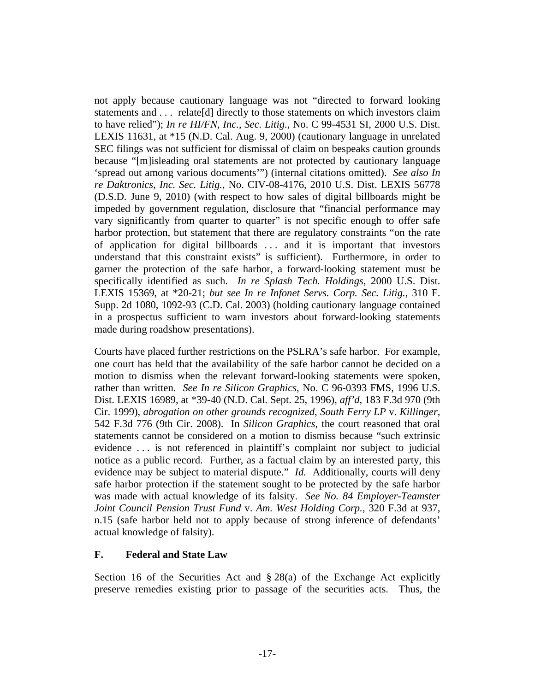not apply because cautionary language was not "directed to forward looking statements and . . . relate[d] directly to those statements on which investors claim to have relied"); *In re HI/FN*, *Inc.*, *Sec. Litig.*, No. C 99-4531 SI, 2000 U.S. Dist. LEXIS 11631, at \*15 (N.D. Cal. Aug. 9, 2000) (cautionary language in unrelated SEC filings was not sufficient for dismissal of claim on bespeaks caution grounds because "[m]isleading oral statements are not protected by cautionary language 'spread out among various documents'") (internal citations omitted). *See also In re Daktronics*, *Inc. Sec. Litig.*, No. CIV-08-4176, 2010 U.S. Dist. LEXIS 56778 (D.S.D. June 9, 2010) (with respect to how sales of digital billboards might be impeded by government regulation, disclosure that "financial performance may vary significantly from quarter to quarter" is not specific enough to offer safe harbor protection, but statement that there are regulatory constraints "on the rate of application for digital billboards . . . and it is important that investors understand that this constraint exists" is sufficient). Furthermore, in order to garner the protection of the safe harbor, a forward-looking statement must be specifically identified as such. *In re Splash Tech. Holdings*, 2000 U.S. Dist. LEXIS 15369, at \*20-21; *but see In re Infonet Servs. Corp. Sec. Litig.*, 310 F. Supp. 2d 1080, 1092-93 (C.D. Cal. 2003) (holding cautionary language contained in a prospectus sufficient to warn investors about forward-looking statements made during roadshow presentations).

Courts have placed further restrictions on the PSLRA's safe harbor. For example, one court has held that the availability of the safe harbor cannot be decided on a motion to dismiss when the relevant forward-looking statements were spoken, rather than written. *See In re Silicon Graphics*, No. C 96-0393 FMS, 1996 U.S. Dist. LEXIS 16989, at \*39-40 (N.D. Cal. Sept. 25, 1996), *aff'd*, 183 F.3d 970 (9th Cir. 1999), *abrogation on other grounds recognized*, *South Ferry LP* v. *Killinger*, 542 F.3d 776 (9th Cir. 2008). In *Silicon Graphics*, the court reasoned that oral statements cannot be considered on a motion to dismiss because "such extrinsic evidence . . . is not referenced in plaintiff's complaint nor subject to judicial notice as a public record. Further, as a factual claim by an interested party, this evidence may be subject to material dispute." *Id.* Additionally, courts will deny safe harbor protection if the statement sought to be protected by the safe harbor was made with actual knowledge of its falsity. *See No. 84 Employer-Teamster Joint Council Pension Trust Fund* v. *Am. West Holding Corp.*, 320 F.3d at 937, n.15 (safe harbor held not to apply because of strong inference of defendants' actual knowledge of falsity).

### **F. Federal and State Law**

Section 16 of the Securities Act and  $\S 28(a)$  of the Exchange Act explicitly preserve remedies existing prior to passage of the securities acts. Thus, the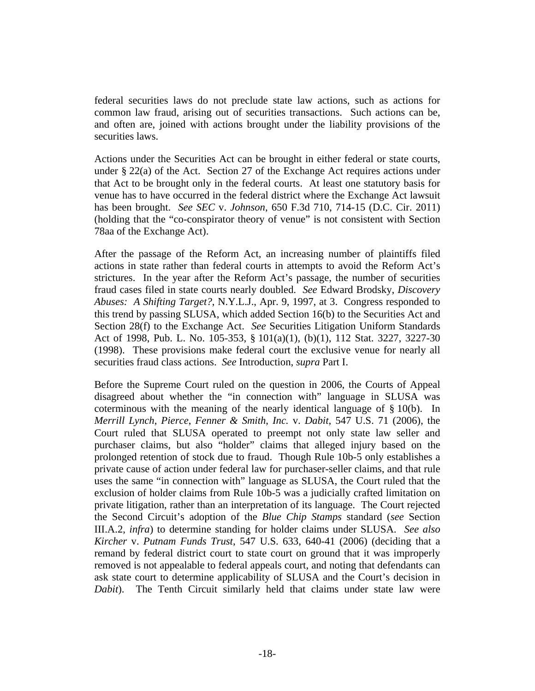federal securities laws do not preclude state law actions, such as actions for common law fraud, arising out of securities transactions. Such actions can be, and often are, joined with actions brought under the liability provisions of the securities laws.

Actions under the Securities Act can be brought in either federal or state courts, under § 22(a) of the Act. Section 27 of the Exchange Act requires actions under that Act to be brought only in the federal courts. At least one statutory basis for venue has to have occurred in the federal district where the Exchange Act lawsuit has been brought. *See SEC* v. *Johnson*, 650 F.3d 710, 714-15 (D.C. Cir. 2011) (holding that the "co-conspirator theory of venue" is not consistent with Section 78aa of the Exchange Act).

After the passage of the Reform Act, an increasing number of plaintiffs filed actions in state rather than federal courts in attempts to avoid the Reform Act's strictures. In the year after the Reform Act's passage, the number of securities fraud cases filed in state courts nearly doubled. *See* Edward Brodsky, *Discovery Abuses: A Shifting Target?*, N.Y.L.J., Apr. 9, 1997, at 3. Congress responded to this trend by passing SLUSA, which added Section 16(b) to the Securities Act and Section 28(f) to the Exchange Act. *See* Securities Litigation Uniform Standards Act of 1998, Pub. L. No. 105-353, § 101(a)(1), (b)(1), 112 Stat. 3227, 3227-30 (1998). These provisions make federal court the exclusive venue for nearly all securities fraud class actions. *See* Introduction, *supra* Part I.

Before the Supreme Court ruled on the question in 2006, the Courts of Appeal disagreed about whether the "in connection with" language in SLUSA was coterminous with the meaning of the nearly identical language of § 10(b). In *Merrill Lynch*, *Pierce*, *Fenner & Smith*, *Inc.* v. *Dabit*, 547 U.S. 71 (2006), the Court ruled that SLUSA operated to preempt not only state law seller and purchaser claims, but also "holder" claims that alleged injury based on the prolonged retention of stock due to fraud. Though Rule 10b-5 only establishes a private cause of action under federal law for purchaser-seller claims, and that rule uses the same "in connection with" language as SLUSA, the Court ruled that the exclusion of holder claims from Rule 10b-5 was a judicially crafted limitation on private litigation, rather than an interpretation of its language. The Court rejected the Second Circuit's adoption of the *Blue Chip Stamps* standard (*see* Section III.A.2, *infra*) to determine standing for holder claims under SLUSA. *See also Kircher* v. *Putnam Funds Trust*, 547 U.S. 633, 640-41 (2006) (deciding that a remand by federal district court to state court on ground that it was improperly removed is not appealable to federal appeals court, and noting that defendants can ask state court to determine applicability of SLUSA and the Court's decision in *Dabit*). The Tenth Circuit similarly held that claims under state law were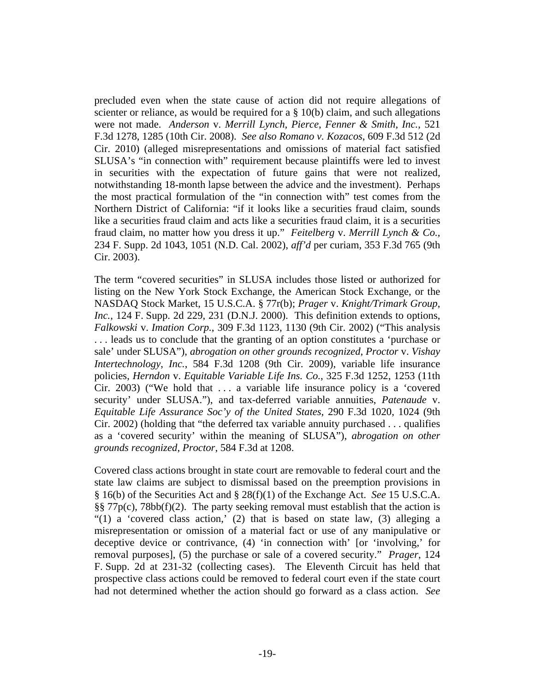precluded even when the state cause of action did not require allegations of scienter or reliance, as would be required for a  $\S$  10(b) claim, and such allegations were not made. *Anderson* v. *Merrill Lynch*, *Pierce*, *Fenner & Smith*, *Inc.*, 521 F.3d 1278, 1285 (10th Cir. 2008). *See also Romano v. Kozacos*, 609 F.3d 512 (2d Cir. 2010) (alleged misrepresentations and omissions of material fact satisfied SLUSA's "in connection with" requirement because plaintiffs were led to invest in securities with the expectation of future gains that were not realized, notwithstanding 18-month lapse between the advice and the investment). Perhaps the most practical formulation of the "in connection with" test comes from the Northern District of California: "if it looks like a securities fraud claim, sounds like a securities fraud claim and acts like a securities fraud claim, it is a securities fraud claim, no matter how you dress it up." *Feitelberg* v. *Merrill Lynch & Co.*, 234 F. Supp. 2d 1043, 1051 (N.D. Cal. 2002), *aff'd* per curiam, 353 F.3d 765 (9th Cir. 2003).

The term "covered securities" in SLUSA includes those listed or authorized for listing on the New York Stock Exchange, the American Stock Exchange, or the NASDAQ Stock Market, 15 U.S.C.A. § 77r(b); *Prager* v. *Knight/Trimark Group*, *Inc.*, 124 F. Supp. 2d 229, 231 (D.N.J. 2000). This definition extends to options, *Falkowski* v. *Imation Corp.*, 309 F.3d 1123, 1130 (9th Cir. 2002) ("This analysis . . . leads us to conclude that the granting of an option constitutes a 'purchase or sale' under SLUSA"), *abrogation on other grounds recognized*, *Proctor* v. *Vishay Intertechnology*, *Inc.*, 584 F.3d 1208 (9th Cir. 2009), variable life insurance policies, *Herndon* v. *Equitable Variable Life Ins. Co.*, 325 F.3d 1252, 1253 (11th Cir. 2003) ("We hold that  $\dots$  a variable life insurance policy is a 'covered security' under SLUSA."), and tax-deferred variable annuities, *Patenaude* v. *Equitable Life Assurance Soc'y of the United States*, 290 F.3d 1020, 1024 (9th Cir. 2002) (holding that "the deferred tax variable annuity purchased . . . qualifies as a 'covered security' within the meaning of SLUSA"), *abrogation on other grounds recognized*, *Proctor*, 584 F.3d at 1208.

Covered class actions brought in state court are removable to federal court and the state law claims are subject to dismissal based on the preemption provisions in § 16(b) of the Securities Act and § 28(f)(1) of the Exchange Act. *See* 15 U.S.C.A.  $\S$ § 77p(c), 78bb(f)(2). The party seeking removal must establish that the action is "(1) a 'covered class action,' (2) that is based on state law, (3) alleging a misrepresentation or omission of a material fact or use of any manipulative or deceptive device or contrivance, (4) 'in connection with' [or 'involving,' for removal purposes], (5) the purchase or sale of a covered security." *Prager*, 124 F. Supp. 2d at 231-32 (collecting cases). The Eleventh Circuit has held that prospective class actions could be removed to federal court even if the state court had not determined whether the action should go forward as a class action. *See*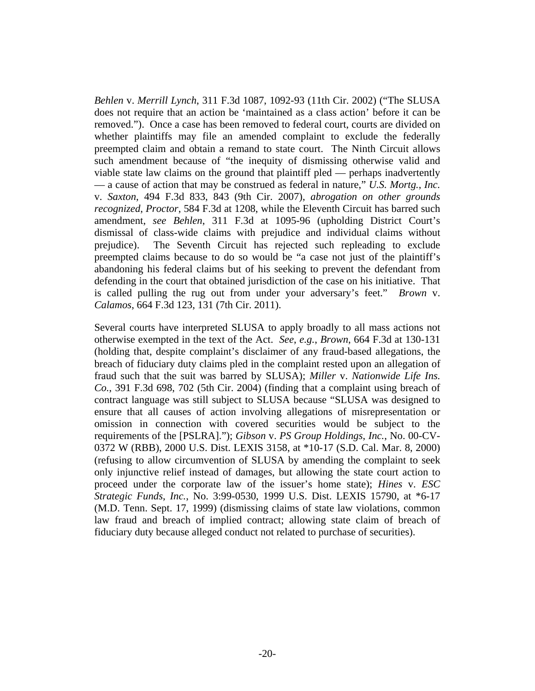*Behlen* v. *Merrill Lynch*, 311 F.3d 1087, 1092-93 (11th Cir. 2002) ("The SLUSA does not require that an action be 'maintained as a class action' before it can be removed."). Once a case has been removed to federal court, courts are divided on whether plaintiffs may file an amended complaint to exclude the federally preempted claim and obtain a remand to state court. The Ninth Circuit allows such amendment because of "the inequity of dismissing otherwise valid and viable state law claims on the ground that plaintiff pled — perhaps inadvertently — a cause of action that may be construed as federal in nature," *U.S. Mortg.*, *Inc.* v. *Saxton*, 494 F.3d 833, 843 (9th Cir. 2007), *abrogation on other grounds recognized*, *Proctor*, 584 F.3d at 1208, while the Eleventh Circuit has barred such amendment, *see Behlen*, 311 F.3d at 1095-96 (upholding District Court's dismissal of class-wide claims with prejudice and individual claims without prejudice). The Seventh Circuit has rejected such repleading to exclude preempted claims because to do so would be "a case not just of the plaintiff's abandoning his federal claims but of his seeking to prevent the defendant from defending in the court that obtained jurisdiction of the case on his initiative. That is called pulling the rug out from under your adversary's feet." *Brown* v. *Calamos*, 664 F.3d 123, 131 (7th Cir. 2011).

Several courts have interpreted SLUSA to apply broadly to all mass actions not otherwise exempted in the text of the Act. *See*, *e.g.*, *Brown*, 664 F.3d at 130-131 (holding that, despite complaint's disclaimer of any fraud-based allegations, the breach of fiduciary duty claims pled in the complaint rested upon an allegation of fraud such that the suit was barred by SLUSA); *Miller* v. *Nationwide Life Ins. Co.*, 391 F.3d 698, 702 (5th Cir. 2004) (finding that a complaint using breach of contract language was still subject to SLUSA because "SLUSA was designed to ensure that all causes of action involving allegations of misrepresentation or omission in connection with covered securities would be subject to the requirements of the [PSLRA]."); *Gibson* v. *PS Group Holdings*, *Inc.*, No. 00-CV-0372 W (RBB), 2000 U.S. Dist. LEXIS 3158, at \*10-17 (S.D. Cal. Mar. 8, 2000) (refusing to allow circumvention of SLUSA by amending the complaint to seek only injunctive relief instead of damages, but allowing the state court action to proceed under the corporate law of the issuer's home state); *Hines* v. *ESC Strategic Funds*, *Inc.*, No. 3:99-0530, 1999 U.S. Dist. LEXIS 15790, at \*6-17 (M.D. Tenn. Sept. 17, 1999) (dismissing claims of state law violations, common law fraud and breach of implied contract; allowing state claim of breach of fiduciary duty because alleged conduct not related to purchase of securities).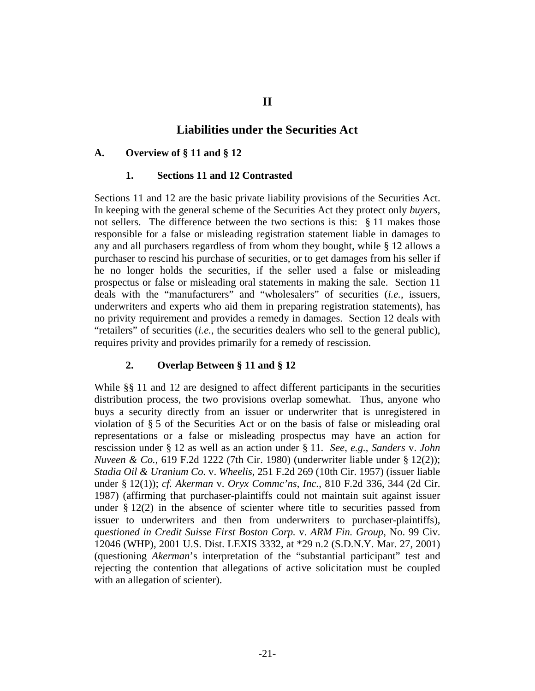# **Liabilities under the Securities Act**

#### **A. Overview of § 11 and § 12**

#### **1. Sections 11 and 12 Contrasted**

Sections 11 and 12 are the basic private liability provisions of the Securities Act. In keeping with the general scheme of the Securities Act they protect only *buyers*, not sellers. The difference between the two sections is this: § 11 makes those responsible for a false or misleading registration statement liable in damages to any and all purchasers regardless of from whom they bought, while § 12 allows a purchaser to rescind his purchase of securities, or to get damages from his seller if he no longer holds the securities, if the seller used a false or misleading prospectus or false or misleading oral statements in making the sale. Section 11 deals with the "manufacturers" and "wholesalers" of securities (*i.e.*, issuers, underwriters and experts who aid them in preparing registration statements), has no privity requirement and provides a remedy in damages. Section 12 deals with "retailers" of securities (*i.e.*, the securities dealers who sell to the general public), requires privity and provides primarily for a remedy of rescission.

## **2. Overlap Between § 11 and § 12**

While §§ 11 and 12 are designed to affect different participants in the securities distribution process, the two provisions overlap somewhat. Thus, anyone who buys a security directly from an issuer or underwriter that is unregistered in violation of § 5 of the Securities Act or on the basis of false or misleading oral representations or a false or misleading prospectus may have an action for rescission under § 12 as well as an action under § 11. *See*, *e.g.*, *Sanders* v. *John Nuveen & Co.*, 619 F.2d 1222 (7th Cir. 1980) (underwriter liable under § 12(2)); *Stadia Oil & Uranium Co.* v. *Wheelis*, 251 F.2d 269 (10th Cir. 1957) (issuer liable under § 12(1)); *cf. Akerman* v. *Oryx Commc'ns*, *Inc.*, 810 F.2d 336, 344 (2d Cir. 1987) (affirming that purchaser-plaintiffs could not maintain suit against issuer under  $\S 12(2)$  in the absence of scienter where title to securities passed from issuer to underwriters and then from underwriters to purchaser-plaintiffs), *questioned in Credit Suisse First Boston Corp.* v. *ARM Fin. Group*, No. 99 Civ. 12046 (WHP), 2001 U.S. Dist. LEXIS 3332, at \*29 n.2 (S.D.N.Y. Mar. 27, 2001) (questioning *Akerman*'s interpretation of the "substantial participant" test and rejecting the contention that allegations of active solicitation must be coupled with an allegation of scienter).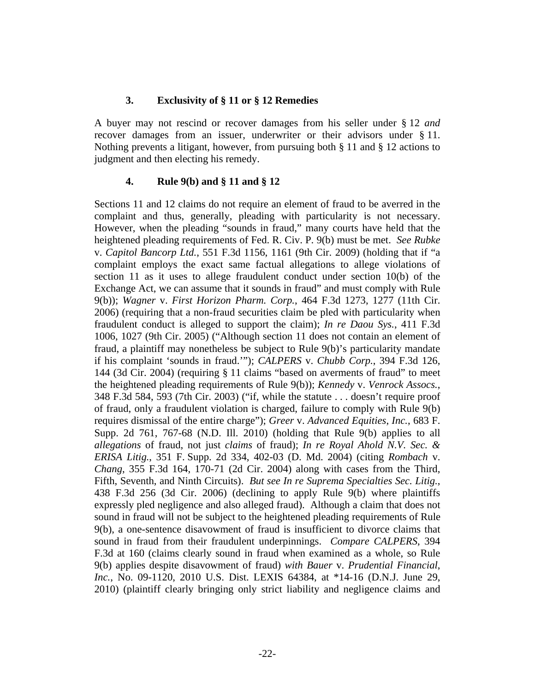## **3. Exclusivity of § 11 or § 12 Remedies**

A buyer may not rescind or recover damages from his seller under § 12 *and* recover damages from an issuer, underwriter or their advisors under § 11. Nothing prevents a litigant, however, from pursuing both § 11 and § 12 actions to judgment and then electing his remedy.

# **4. Rule 9(b) and § 11 and § 12**

Sections 11 and 12 claims do not require an element of fraud to be averred in the complaint and thus, generally, pleading with particularity is not necessary. However, when the pleading "sounds in fraud," many courts have held that the heightened pleading requirements of Fed. R. Civ. P. 9(b) must be met. *See Rubke* v. *Capitol Bancorp Ltd.*, 551 F.3d 1156, 1161 (9th Cir. 2009) (holding that if "a complaint employs the exact same factual allegations to allege violations of section 11 as it uses to allege fraudulent conduct under section 10(b) of the Exchange Act, we can assume that it sounds in fraud" and must comply with Rule 9(b)); *Wagner* v. *First Horizon Pharm. Corp.*, 464 F.3d 1273, 1277 (11th Cir. 2006) (requiring that a non-fraud securities claim be pled with particularity when fraudulent conduct is alleged to support the claim); *In re Daou Sys.*, 411 F.3d 1006, 1027 (9th Cir. 2005) ("Although section 11 does not contain an element of fraud, a plaintiff may nonetheless be subject to Rule 9(b)'s particularity mandate if his complaint 'sounds in fraud.'"); *CALPERS* v. *Chubb Corp.*, 394 F.3d 126, 144 (3d Cir. 2004) (requiring § 11 claims "based on averments of fraud" to meet the heightened pleading requirements of Rule 9(b)); *Kennedy* v. *Venrock Assocs.*, 348 F.3d 584, 593 (7th Cir. 2003) ("if, while the statute . . . doesn't require proof of fraud, only a fraudulent violation is charged, failure to comply with Rule 9(b) requires dismissal of the entire charge"); *Greer* v. *Advanced Equities*, *Inc.*, 683 F. Supp. 2d 761, 767-68 (N.D. Ill. 2010) (holding that Rule 9(b) applies to all *allegations* of fraud, not just *claims* of fraud); *In re Royal Ahold N.V. Sec. & ERISA Litig.*, 351 F. Supp. 2d 334, 402-03 (D. Md. 2004) (citing *Rombach* v. *Chang*, 355 F.3d 164, 170-71 (2d Cir. 2004) along with cases from the Third, Fifth, Seventh, and Ninth Circuits). *But see In re Suprema Specialties Sec. Litig.*, 438 F.3d 256 (3d Cir. 2006) (declining to apply Rule 9(b) where plaintiffs expressly pled negligence and also alleged fraud). Although a claim that does not sound in fraud will not be subject to the heightened pleading requirements of Rule 9(b), a one-sentence disavowment of fraud is insufficient to divorce claims that sound in fraud from their fraudulent underpinnings. *Compare CALPERS*, 394 F.3d at 160 (claims clearly sound in fraud when examined as a whole, so Rule 9(b) applies despite disavowment of fraud) *with Bauer* v. *Prudential Financial*, *Inc.*, No. 09-1120, 2010 U.S. Dist. LEXIS 64384, at \*14-16 (D.N.J. June 29, 2010) (plaintiff clearly bringing only strict liability and negligence claims and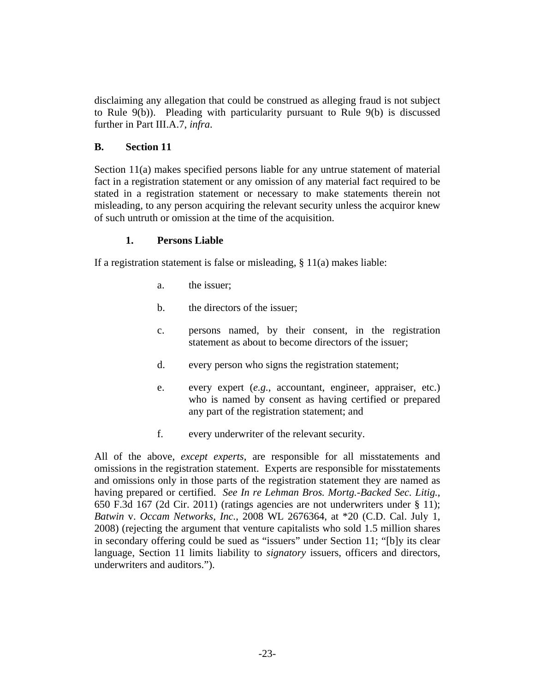disclaiming any allegation that could be construed as alleging fraud is not subject to Rule 9(b)). Pleading with particularity pursuant to Rule 9(b) is discussed further in Part III.A.7, *infra*.

### **B. Section 11**

Section 11(a) makes specified persons liable for any untrue statement of material fact in a registration statement or any omission of any material fact required to be stated in a registration statement or necessary to make statements therein not misleading, to any person acquiring the relevant security unless the acquiror knew of such untruth or omission at the time of the acquisition.

#### **1. Persons Liable**

If a registration statement is false or misleading, § 11(a) makes liable:

- a. the issuer;
- b. the directors of the issuer;
- c. persons named, by their consent, in the registration statement as about to become directors of the issuer;
- d. every person who signs the registration statement;
- e. every expert (*e.g.*, accountant, engineer, appraiser, etc.) who is named by consent as having certified or prepared any part of the registration statement; and
- f. every underwriter of the relevant security.

All of the above, *except experts*, are responsible for all misstatements and omissions in the registration statement. Experts are responsible for misstatements and omissions only in those parts of the registration statement they are named as having prepared or certified. *See In re Lehman Bros. Mortg.-Backed Sec. Litig.*, 650 F.3d 167 (2d Cir. 2011) (ratings agencies are not underwriters under § 11); *Batwin* v. *Occam Networks*, *Inc.*, 2008 WL 2676364, at \*20 (C.D. Cal. July 1, 2008) (rejecting the argument that venture capitalists who sold 1.5 million shares in secondary offering could be sued as "issuers" under Section 11; "[b]y its clear language, Section 11 limits liability to *signatory* issuers, officers and directors, underwriters and auditors.").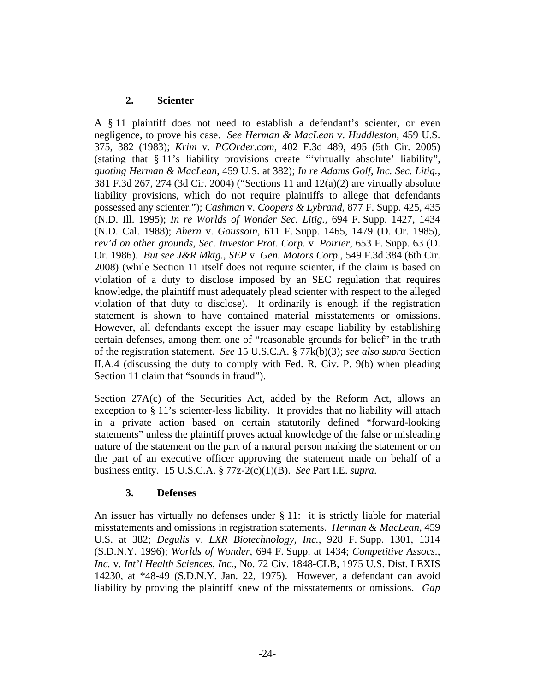# **2. Scienter**

A § 11 plaintiff does not need to establish a defendant's scienter, or even negligence, to prove his case. *See Herman & MacLean* v. *Huddleston*, 459 U.S. 375, 382 (1983); *Krim* v. *PCOrder.com*, 402 F.3d 489, 495 (5th Cir. 2005) (stating that § 11's liability provisions create "'virtually absolute' liability", *quoting Herman & MacLean*, 459 U.S. at 382); *In re Adams Golf*, *Inc. Sec. Litig.*, 381 F.3d 267, 274 (3d Cir. 2004) ("Sections 11 and 12(a)(2) are virtually absolute liability provisions, which do not require plaintiffs to allege that defendants possessed any scienter."); *Cashman* v. *Coopers & Lybrand*, 877 F. Supp. 425, 435 (N.D. Ill. 1995); *In re Worlds of Wonder Sec. Litig.*, 694 F. Supp. 1427, 1434 (N.D. Cal. 1988); *Ahern* v. *Gaussoin*, 611 F. Supp. 1465, 1479 (D. Or. 1985), *rev'd on other grounds*, *Sec. Investor Prot. Corp.* v. *Poirier*, 653 F. Supp. 63 (D. Or. 1986). *But see J&R Mktg.*, *SEP* v. *Gen. Motors Corp.*, 549 F.3d 384 (6th Cir. 2008) (while Section 11 itself does not require scienter, if the claim is based on violation of a duty to disclose imposed by an SEC regulation that requires knowledge, the plaintiff must adequately plead scienter with respect to the alleged violation of that duty to disclose). It ordinarily is enough if the registration statement is shown to have contained material misstatements or omissions. However, all defendants except the issuer may escape liability by establishing certain defenses, among them one of "reasonable grounds for belief" in the truth of the registration statement. *See* 15 U.S.C.A. § 77k(b)(3); *see also supra* Section II.A.4 (discussing the duty to comply with Fed. R. Civ. P. 9(b) when pleading Section 11 claim that "sounds in fraud").

Section 27A(c) of the Securities Act, added by the Reform Act, allows an exception to § 11's scienter-less liability. It provides that no liability will attach in a private action based on certain statutorily defined "forward-looking statements" unless the plaintiff proves actual knowledge of the false or misleading nature of the statement on the part of a natural person making the statement or on the part of an executive officer approving the statement made on behalf of a business entity. 15 U.S.C.A. § 77z-2(c)(1)(B). *See* Part I.E. *supra*.

### **3. Defenses**

An issuer has virtually no defenses under § 11: it is strictly liable for material misstatements and omissions in registration statements. *Herman & MacLean*, 459 U.S. at 382; *Degulis* v. *LXR Biotechnology*, *Inc.*, 928 F. Supp. 1301, 1314 (S.D.N.Y. 1996); *Worlds of Wonder*, 694 F. Supp. at 1434; *Competitive Assocs.*, *Inc.* v. *Int'l Health Sciences*, *Inc.*, No. 72 Civ. 1848-CLB, 1975 U.S. Dist. LEXIS 14230, at \*48-49 (S.D.N.Y. Jan. 22, 1975). However, a defendant can avoid liability by proving the plaintiff knew of the misstatements or omissions. *Gap*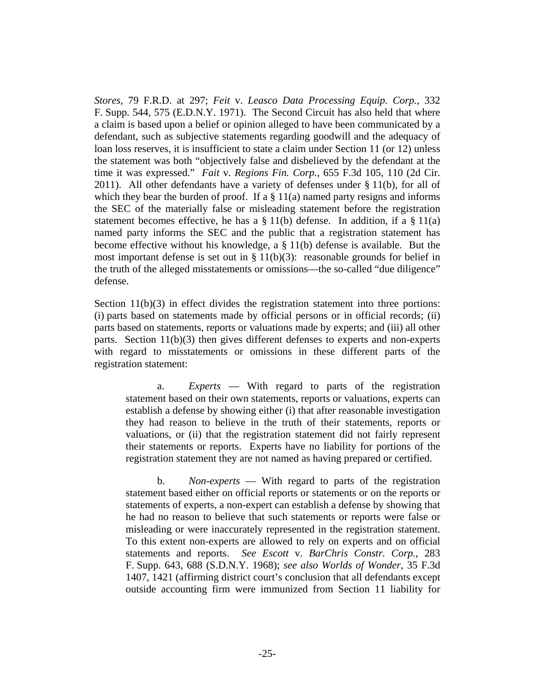*Stores*, 79 F.R.D. at 297; *Feit* v. *Leasco Data Processing Equip. Corp.*, 332 F. Supp. 544, 575 (E.D.N.Y. 1971). The Second Circuit has also held that where a claim is based upon a belief or opinion alleged to have been communicated by a defendant, such as subjective statements regarding goodwill and the adequacy of loan loss reserves, it is insufficient to state a claim under Section 11 (or 12) unless the statement was both "objectively false and disbelieved by the defendant at the time it was expressed." *Fait* v. *Regions Fin. Corp.*, 655 F.3d 105, 110 (2d Cir. 2011). All other defendants have a variety of defenses under § 11(b), for all of which they bear the burden of proof. If a  $\S$  11(a) named party resigns and informs the SEC of the materially false or misleading statement before the registration statement becomes effective, he has a  $\S 11(b)$  defense. In addition, if a  $\S 11(a)$ named party informs the SEC and the public that a registration statement has become effective without his knowledge, a § 11(b) defense is available. But the most important defense is set out in §  $11(b)(3)$ : reasonable grounds for belief in the truth of the alleged misstatements or omissions—the so-called "due diligence" defense.

Section  $11(b)(3)$  in effect divides the registration statement into three portions: (i) parts based on statements made by official persons or in official records; (ii) parts based on statements, reports or valuations made by experts; and (iii) all other parts. Section 11(b)(3) then gives different defenses to experts and non-experts with regard to misstatements or omissions in these different parts of the registration statement:

a. *Experts* — With regard to parts of the registration statement based on their own statements, reports or valuations, experts can establish a defense by showing either (i) that after reasonable investigation they had reason to believe in the truth of their statements, reports or valuations, or (ii) that the registration statement did not fairly represent their statements or reports. Experts have no liability for portions of the registration statement they are not named as having prepared or certified.

b. *Non-experts* — With regard to parts of the registration statement based either on official reports or statements or on the reports or statements of experts, a non-expert can establish a defense by showing that he had no reason to believe that such statements or reports were false or misleading or were inaccurately represented in the registration statement. To this extent non-experts are allowed to rely on experts and on official statements and reports. *See Escott* v. *BarChris Constr. Corp.*, 283 F. Supp. 643, 688 (S.D.N.Y. 1968); *see also Worlds of Wonder*, 35 F.3d 1407, 1421 (affirming district court's conclusion that all defendants except outside accounting firm were immunized from Section 11 liability for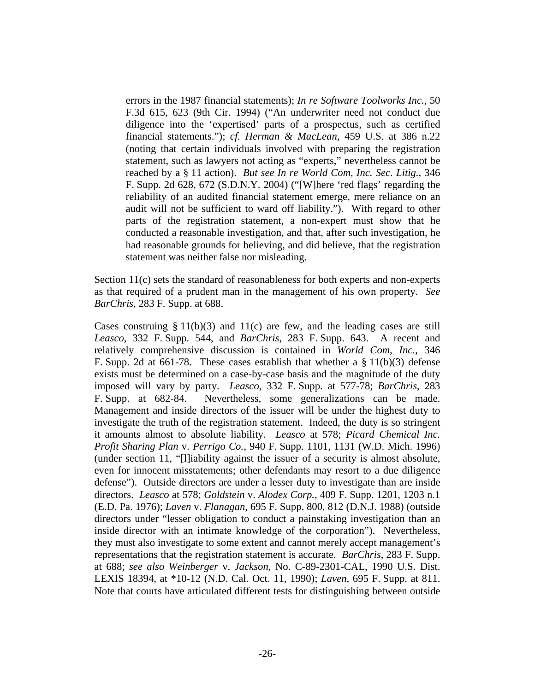errors in the 1987 financial statements); *In re Software Toolworks Inc.*, 50 F.3d 615, 623 (9th Cir. 1994) ("An underwriter need not conduct due diligence into the 'expertised' parts of a prospectus, such as certified financial statements."); *cf. Herman & MacLean*, 459 U.S. at 386 n.22 (noting that certain individuals involved with preparing the registration statement, such as lawyers not acting as "experts," nevertheless cannot be reached by a § 11 action). *But see In re World Com*, *Inc. Sec. Litig.*, 346 F. Supp. 2d 628, 672 (S.D.N.Y. 2004) ("[W]here 'red flags' regarding the reliability of an audited financial statement emerge, mere reliance on an audit will not be sufficient to ward off liability."). With regard to other parts of the registration statement, a non-expert must show that he conducted a reasonable investigation, and that, after such investigation, he had reasonable grounds for believing, and did believe, that the registration statement was neither false nor misleading.

Section 11(c) sets the standard of reasonableness for both experts and non-experts as that required of a prudent man in the management of his own property. *See BarChris*, 283 F. Supp. at 688.

Cases construing  $\S 11(b)(3)$  and  $11(c)$  are few, and the leading cases are still *Leasco*, 332 F. Supp. 544, and *BarChris*, 283 F. Supp. 643. A recent and relatively comprehensive discussion is contained in *World Com*, *Inc.*, 346 F. Supp. 2d at 661-78. These cases establish that whether a  $\S 11(b)(3)$  defense exists must be determined on a case-by-case basis and the magnitude of the duty imposed will vary by party. *Leasco*, 332 F. Supp. at 577-78; *BarChris*, 283 F. Supp. at 682-84. Nevertheless, some generalizations can be made. Management and inside directors of the issuer will be under the highest duty to investigate the truth of the registration statement. Indeed, the duty is so stringent it amounts almost to absolute liability. *Leasco* at 578; *Picard Chemical Inc. Profit Sharing Plan* v. *Perrigo Co.*, 940 F. Supp. 1101, 1131 (W.D. Mich. 1996) (under section 11, "[l]iability against the issuer of a security is almost absolute, even for innocent misstatements; other defendants may resort to a due diligence defense"). Outside directors are under a lesser duty to investigate than are inside directors. *Leasco* at 578; *Goldstein* v. *Alodex Corp.*, 409 F. Supp. 1201, 1203 n.1 (E.D. Pa. 1976); *Laven* v. *Flanagan*, 695 F. Supp. 800, 812 (D.N.J. 1988) (outside directors under "lesser obligation to conduct a painstaking investigation than an inside director with an intimate knowledge of the corporation"). Nevertheless, they must also investigate to some extent and cannot merely accept management's representations that the registration statement is accurate. *BarChris*, 283 F. Supp. at 688; *see also Weinberger* v. *Jackson*, No. C-89-2301-CAL, 1990 U.S. Dist. LEXIS 18394, at \*10-12 (N.D. Cal. Oct. 11, 1990); *Laven*, 695 F. Supp. at 811. Note that courts have articulated different tests for distinguishing between outside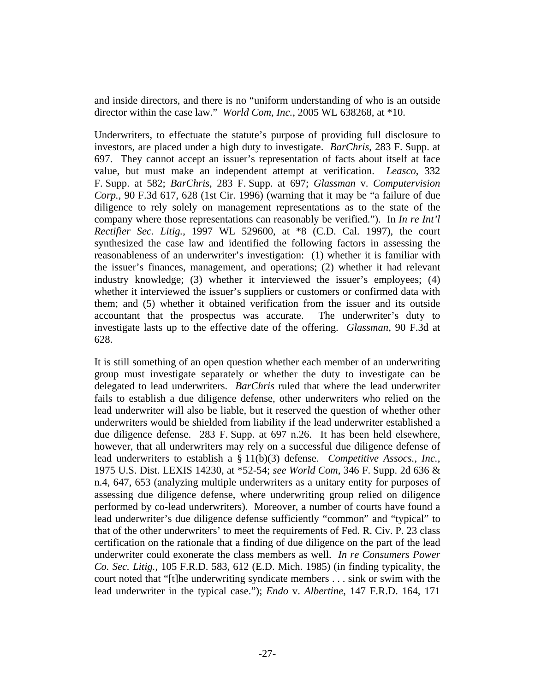and inside directors, and there is no "uniform understanding of who is an outside director within the case law." *World Com*, *Inc.*, 2005 WL 638268, at \*10.

Underwriters, to effectuate the statute's purpose of providing full disclosure to investors, are placed under a high duty to investigate. *BarChris*, 283 F. Supp. at 697. They cannot accept an issuer's representation of facts about itself at face value, but must make an independent attempt at verification. *Leasco*, 332 F. Supp. at 582; *BarChris*, 283 F. Supp. at 697; *Glassman* v. *Computervision Corp.*, 90 F.3d 617, 628 (1st Cir. 1996) (warning that it may be "a failure of due diligence to rely solely on management representations as to the state of the company where those representations can reasonably be verified."). In *In re Int'l Rectifier Sec. Litig.*, 1997 WL 529600, at \*8 (C.D. Cal. 1997), the court synthesized the case law and identified the following factors in assessing the reasonableness of an underwriter's investigation: (1) whether it is familiar with the issuer's finances, management, and operations; (2) whether it had relevant industry knowledge; (3) whether it interviewed the issuer's employees; (4) whether it interviewed the issuer's suppliers or customers or confirmed data with them; and (5) whether it obtained verification from the issuer and its outside accountant that the prospectus was accurate. The underwriter's duty to investigate lasts up to the effective date of the offering. *Glassman*, 90 F.3d at 628.

It is still something of an open question whether each member of an underwriting group must investigate separately or whether the duty to investigate can be delegated to lead underwriters. *BarChris* ruled that where the lead underwriter fails to establish a due diligence defense, other underwriters who relied on the lead underwriter will also be liable, but it reserved the question of whether other underwriters would be shielded from liability if the lead underwriter established a due diligence defense. 283 F. Supp. at 697 n.26. It has been held elsewhere, however, that all underwriters may rely on a successful due diligence defense of lead underwriters to establish a § 11(b)(3) defense. *Competitive Assocs.*, *Inc.*, 1975 U.S. Dist. LEXIS 14230, at \*52-54; *see World Com*, 346 F. Supp. 2d 636 & n.4, 647, 653 (analyzing multiple underwriters as a unitary entity for purposes of assessing due diligence defense, where underwriting group relied on diligence performed by co-lead underwriters). Moreover, a number of courts have found a lead underwriter's due diligence defense sufficiently "common" and "typical" to that of the other underwriters' to meet the requirements of Fed. R. Civ. P. 23 class certification on the rationale that a finding of due diligence on the part of the lead underwriter could exonerate the class members as well. *In re Consumers Power Co. Sec. Litig.*, 105 F.R.D. 583, 612 (E.D. Mich. 1985) (in finding typicality, the court noted that "[t]he underwriting syndicate members . . . sink or swim with the lead underwriter in the typical case."); *Endo* v. *Albertine*, 147 F.R.D. 164, 171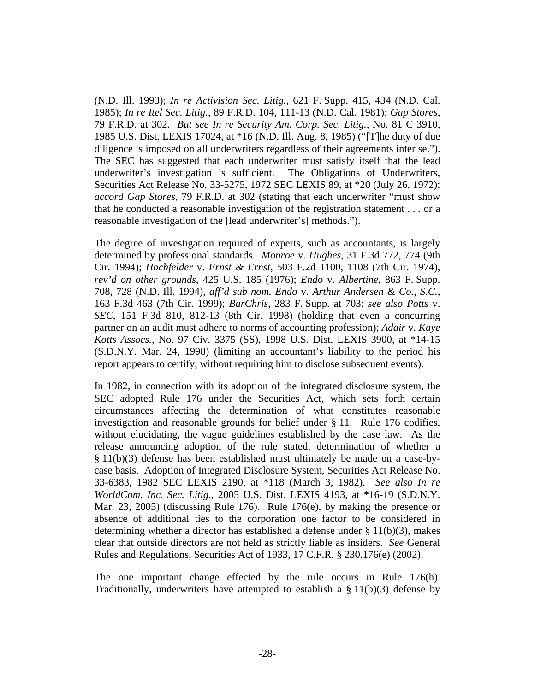(N.D. Ill. 1993); *In re Activision Sec. Litig.*, 621 F. Supp. 415, 434 (N.D. Cal. 1985); *In re Itel Sec. Litig.*, 89 F.R.D. 104, 111-13 (N.D. Cal. 1981); *Gap Stores*, 79 F.R.D. at 302. *But see In re Security Am. Corp. Sec. Litig.*, No. 81 C 3910, 1985 U.S. Dist. LEXIS 17024, at \*16 (N.D. Ill. Aug. 8, 1985) ("[T]he duty of due diligence is imposed on all underwriters regardless of their agreements inter se."). The SEC has suggested that each underwriter must satisfy itself that the lead underwriter's investigation is sufficient. The Obligations of Underwriters, Securities Act Release No. 33-5275, 1972 SEC LEXIS 89, at \*20 (July 26, 1972); *accord Gap Stores*, 79 F.R.D. at 302 (stating that each underwriter "must show that he conducted a reasonable investigation of the registration statement . . . or a reasonable investigation of the [lead underwriter's] methods.").

The degree of investigation required of experts, such as accountants, is largely determined by professional standards. *Monroe* v. *Hughes*, 31 F.3d 772, 774 (9th Cir. 1994); *Hochfelder* v. *Ernst & Ernst*, 503 F.2d 1100, 1108 (7th Cir. 1974), *rev'd on other grounds*, 425 U.S. 185 (1976); *Endo* v. *Albertine*, 863 F. Supp. 708, 728 (N.D. Ill. 1994), *aff'd sub nom. Endo* v. *Arthur Andersen & Co.*, *S.C.*, 163 F.3d 463 (7th Cir. 1999); *BarChris*, 283 F. Supp. at 703; *see also Potts* v. *SEC*, 151 F.3d 810, 812-13 (8th Cir. 1998) (holding that even a concurring partner on an audit must adhere to norms of accounting profession); *Adair* v. *Kaye Kotts Assocs.*, No. 97 Civ. 3375 (SS), 1998 U.S. Dist. LEXIS 3900, at \*14-15 (S.D.N.Y. Mar. 24, 1998) (limiting an accountant's liability to the period his report appears to certify, without requiring him to disclose subsequent events).

In 1982, in connection with its adoption of the integrated disclosure system, the SEC adopted Rule 176 under the Securities Act, which sets forth certain circumstances affecting the determination of what constitutes reasonable investigation and reasonable grounds for belief under § 11. Rule 176 codifies, without elucidating, the vague guidelines established by the case law. As the release announcing adoption of the rule stated, determination of whether a § 11(b)(3) defense has been established must ultimately be made on a case-bycase basis. Adoption of Integrated Disclosure System, Securities Act Release No. 33-6383, 1982 SEC LEXIS 2190, at \*118 (March 3, 1982). *See also In re WorldCom*, *Inc. Sec. Litig.*, 2005 U.S. Dist. LEXIS 4193, at \*16-19 (S.D.N.Y. Mar. 23, 2005) (discussing Rule 176). Rule 176(e), by making the presence or absence of additional ties to the corporation one factor to be considered in determining whether a director has established a defense under § 11(b)(3), makes clear that outside directors are not held as strictly liable as insiders. *See* General Rules and Regulations, Securities Act of 1933, 17 C.F.R. § 230.176(e) (2002).

The one important change effected by the rule occurs in Rule 176(h). Traditionally, underwriters have attempted to establish a  $\S 11(b)(3)$  defense by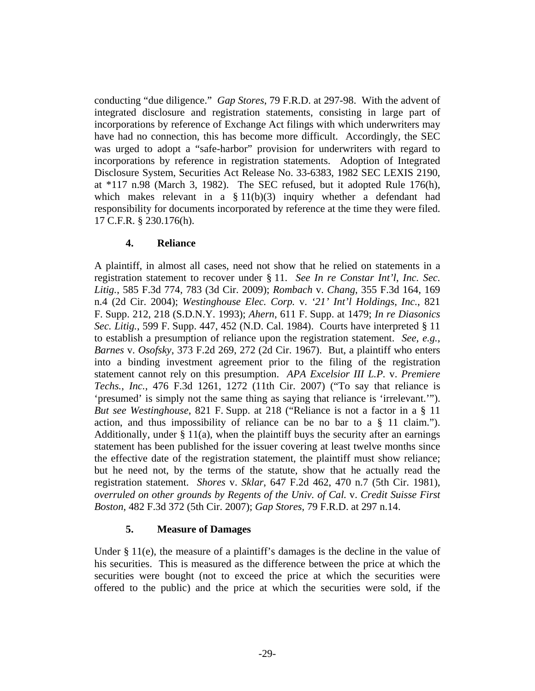conducting "due diligence." *Gap Stores*, 79 F.R.D. at 297-98. With the advent of integrated disclosure and registration statements, consisting in large part of incorporations by reference of Exchange Act filings with which underwriters may have had no connection, this has become more difficult. Accordingly, the SEC was urged to adopt a "safe-harbor" provision for underwriters with regard to incorporations by reference in registration statements. Adoption of Integrated Disclosure System, Securities Act Release No. 33-6383, 1982 SEC LEXIS 2190, at \*117 n.98 (March 3, 1982). The SEC refused, but it adopted Rule 176(h), which makes relevant in a  $\S 11(b)(3)$  inquiry whether a defendant had responsibility for documents incorporated by reference at the time they were filed. 17 C.F.R. § 230.176(h).

## **4. Reliance**

A plaintiff, in almost all cases, need not show that he relied on statements in a registration statement to recover under § 11. *See In re Constar Int'l*, *Inc. Sec. Litig.*, 585 F.3d 774, 783 (3d Cir. 2009); *Rombach* v. *Chang*, 355 F.3d 164, 169 n.4 (2d Cir. 2004); *Westinghouse Elec. Corp.* v. *'21' Int'l Holdings*, *Inc.*, 821 F. Supp. 212, 218 (S.D.N.Y. 1993); *Ahern*, 611 F. Supp. at 1479; *In re Diasonics Sec. Litig.*, 599 F. Supp. 447, 452 (N.D. Cal. 1984). Courts have interpreted § 11 to establish a presumption of reliance upon the registration statement. *See*, *e.g.*, *Barnes* v. *Osofsky*, 373 F.2d 269, 272 (2d Cir. 1967). But, a plaintiff who enters into a binding investment agreement prior to the filing of the registration statement cannot rely on this presumption. *APA Excelsior III L.P.* v. *Premiere Techs.*, *Inc.*, 476 F.3d 1261, 1272 (11th Cir. 2007) ("To say that reliance is 'presumed' is simply not the same thing as saying that reliance is 'irrelevant.'"). *But see Westinghouse*, 821 F. Supp. at 218 ("Reliance is not a factor in a § 11 action, and thus impossibility of reliance can be no bar to a § 11 claim."). Additionally, under  $\S 11(a)$ , when the plaintiff buys the security after an earnings statement has been published for the issuer covering at least twelve months since the effective date of the registration statement, the plaintiff must show reliance; but he need not, by the terms of the statute, show that he actually read the registration statement. *Shores* v. *Sklar*, 647 F.2d 462, 470 n.7 (5th Cir. 1981), *overruled on other grounds by Regents of the Univ. of Cal.* v. *Credit Suisse First Boston*, 482 F.3d 372 (5th Cir. 2007); *Gap Stores*, 79 F.R.D. at 297 n.14.

# **5. Measure of Damages**

Under § 11(e), the measure of a plaintiff's damages is the decline in the value of his securities. This is measured as the difference between the price at which the securities were bought (not to exceed the price at which the securities were offered to the public) and the price at which the securities were sold, if the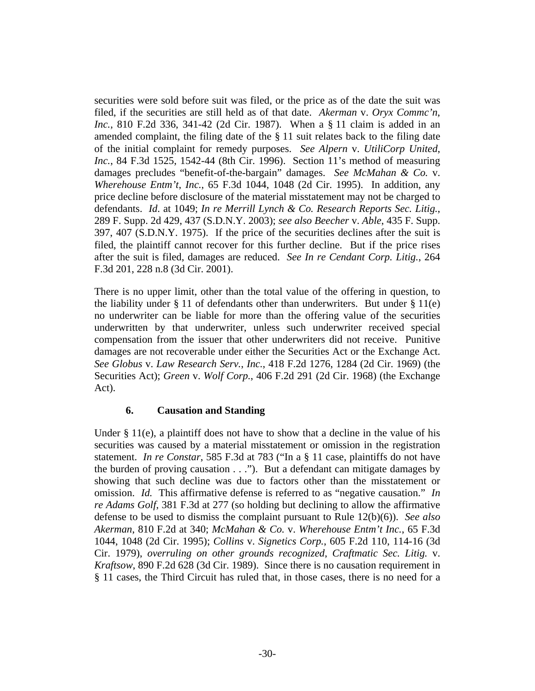securities were sold before suit was filed, or the price as of the date the suit was filed, if the securities are still held as of that date. *Akerman* v. *Oryx Commc'n*, *Inc.*, 810 F.2d 336, 341-42 (2d Cir. 1987). When a § 11 claim is added in an amended complaint, the filing date of the  $\S$  11 suit relates back to the filing date of the initial complaint for remedy purposes. *See Alpern* v. *UtiliCorp United*, *Inc.*, 84 F.3d 1525, 1542-44 (8th Cir. 1996). Section 11's method of measuring damages precludes "benefit-of-the-bargain" damages. *See McMahan & Co.* v. *Wherehouse Entm't*, *Inc.*, 65 F.3d 1044, 1048 (2d Cir. 1995). In addition, any price decline before disclosure of the material misstatement may not be charged to defendants. *Id*. at 1049; *In re Merrill Lynch & Co. Research Reports Sec. Litig.*, 289 F. Supp. 2d 429, 437 (S.D.N.Y. 2003); *see also Beecher* v. *Able*, 435 F. Supp. 397, 407 (S.D.N.Y. 1975). If the price of the securities declines after the suit is filed, the plaintiff cannot recover for this further decline. But if the price rises after the suit is filed, damages are reduced. *See In re Cendant Corp. Litig.*, 264 F.3d 201, 228 n.8 (3d Cir. 2001).

There is no upper limit, other than the total value of the offering in question, to the liability under  $\S 11$  of defendants other than underwriters. But under  $\S 11(e)$ no underwriter can be liable for more than the offering value of the securities underwritten by that underwriter, unless such underwriter received special compensation from the issuer that other underwriters did not receive. Punitive damages are not recoverable under either the Securities Act or the Exchange Act. *See Globus* v. *Law Research Serv.*, *Inc.*, 418 F.2d 1276, 1284 (2d Cir. 1969) (the Securities Act); *Green* v. *Wolf Corp.*, 406 F.2d 291 (2d Cir. 1968) (the Exchange Act).

#### **6. Causation and Standing**

Under  $\S 11(e)$ , a plaintiff does not have to show that a decline in the value of his securities was caused by a material misstatement or omission in the registration statement. *In re Constar*, 585 F.3d at 783 ("In a § 11 case, plaintiffs do not have the burden of proving causation . . ."). But a defendant can mitigate damages by showing that such decline was due to factors other than the misstatement or omission. *Id.* This affirmative defense is referred to as "negative causation." *In re Adams Golf*, 381 F.3d at 277 (so holding but declining to allow the affirmative defense to be used to dismiss the complaint pursuant to Rule 12(b)(6)). *See also Akerman*, 810 F.2d at 340; *McMahan & Co.* v. *Wherehouse Entm't Inc.*, 65 F.3d 1044, 1048 (2d Cir. 1995); *Collins* v. *Signetics Corp.*, 605 F.2d 110, 114-16 (3d Cir. 1979), *overruling on other grounds recognized*, *Craftmatic Sec. Litig.* v. *Kraftsow*, 890 F.2d 628 (3d Cir. 1989). Since there is no causation requirement in § 11 cases, the Third Circuit has ruled that, in those cases, there is no need for a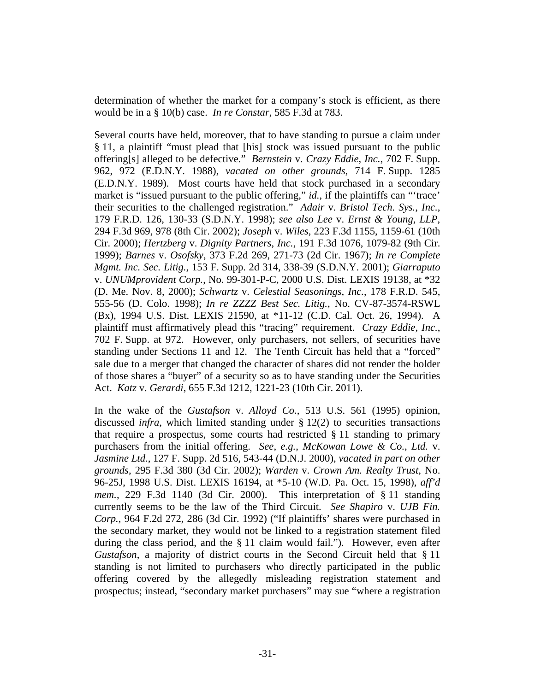determination of whether the market for a company's stock is efficient, as there would be in a § 10(b) case. *In re Constar*, 585 F.3d at 783.

Several courts have held, moreover, that to have standing to pursue a claim under § 11, a plaintiff "must plead that [his] stock was issued pursuant to the public offering[s] alleged to be defective." *Bernstein* v. *Crazy Eddie*, *Inc.*, 702 F. Supp. 962, 972 (E.D.N.Y. 1988), *vacated on other grounds*, 714 F. Supp. 1285 (E.D.N.Y. 1989). Most courts have held that stock purchased in a secondary market is "issued pursuant to the public offering," *id.*, if the plaintiffs can "'trace' their securities to the challenged registration." *Adair* v. *Bristol Tech. Sys.*, *Inc.*, 179 F.R.D. 126, 130-33 (S.D.N.Y. 1998); *see also Lee* v. *Ernst & Young*, *LLP*, 294 F.3d 969, 978 (8th Cir. 2002); *Joseph* v. *Wiles*, 223 F.3d 1155, 1159-61 (10th Cir. 2000); *Hertzberg* v. *Dignity Partners*, *Inc.*, 191 F.3d 1076, 1079-82 (9th Cir. 1999); *Barnes* v. *Osofsky*, 373 F.2d 269, 271-73 (2d Cir. 1967); *In re Complete Mgmt. Inc. Sec. Litig.*, 153 F. Supp. 2d 314, 338-39 (S.D.N.Y. 2001); *Giarraputo* v. *UNUMprovident Corp.*, No. 99-301-P-C, 2000 U.S. Dist. LEXIS 19138, at \*32 (D. Me. Nov. 8, 2000); *Schwartz* v. *Celestial Seasonings*, *Inc.*, 178 F.R.D. 545, 555-56 (D. Colo. 1998); *In re ZZZZ Best Sec. Litig.*, No. CV-87-3574-RSWL (Bx), 1994 U.S. Dist. LEXIS 21590, at \*11-12 (C.D. Cal. Oct. 26, 1994). A plaintiff must affirmatively plead this "tracing" requirement. *Crazy Eddie*, *Inc.*, 702 F. Supp. at 972. However, only purchasers, not sellers, of securities have standing under Sections 11 and 12. The Tenth Circuit has held that a "forced" sale due to a merger that changed the character of shares did not render the holder of those shares a "buyer" of a security so as to have standing under the Securities Act. *Katz* v. *Gerardi*, 655 F.3d 1212, 1221-23 (10th Cir. 2011).

In the wake of the *Gustafson* v. *Alloyd Co.*, 513 U.S. 561 (1995) opinion, discussed *infra*, which limited standing under § 12(2) to securities transactions that require a prospectus, some courts had restricted  $\S 11$  standing to primary purchasers from the initial offering. *See*, *e.g.*, *McKowan Lowe & Co.*, *Ltd.* v. *Jasmine Ltd.*, 127 F. Supp. 2d 516, 543-44 (D.N.J. 2000), *vacated in part on other grounds*, 295 F.3d 380 (3d Cir. 2002); *Warden* v. *Crown Am. Realty Trust*, No. 96-25J, 1998 U.S. Dist. LEXIS 16194, at \*5-10 (W.D. Pa. Oct. 15, 1998), *aff'd mem.*, 229 F.3d 1140 (3d Cir. 2000). This interpretation of § 11 standing currently seems to be the law of the Third Circuit. *See Shapiro* v. *UJB Fin. Corp.*, 964 F.2d 272, 286 (3d Cir. 1992) ("If plaintiffs' shares were purchased in the secondary market, they would not be linked to a registration statement filed during the class period, and the § 11 claim would fail."). However, even after *Gustafson*, a majority of district courts in the Second Circuit held that § 11 standing is not limited to purchasers who directly participated in the public offering covered by the allegedly misleading registration statement and prospectus; instead, "secondary market purchasers" may sue "where a registration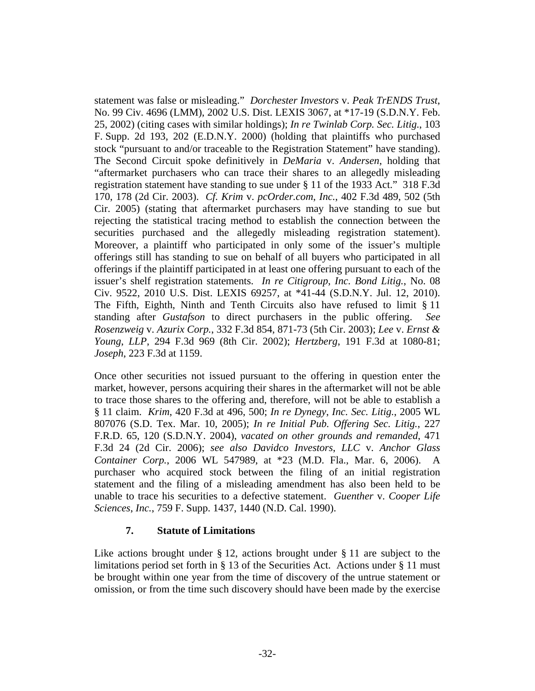statement was false or misleading." *Dorchester Investors* v. *Peak TrENDS Trust*, No. 99 Civ. 4696 (LMM), 2002 U.S. Dist. LEXIS 3067, at \*17-19 (S.D.N.Y. Feb. 25, 2002) (citing cases with similar holdings); *In re Twinlab Corp. Sec. Litig.*, 103 F. Supp. 2d 193, 202 (E.D.N.Y. 2000) (holding that plaintiffs who purchased stock "pursuant to and/or traceable to the Registration Statement" have standing). The Second Circuit spoke definitively in *DeMaria* v. *Andersen*, holding that "aftermarket purchasers who can trace their shares to an allegedly misleading registration statement have standing to sue under § 11 of the 1933 Act." 318 F.3d 170, 178 (2d Cir. 2003). *Cf. Krim* v. *pcOrder.com*, *Inc.*, 402 F.3d 489, 502 (5th Cir. 2005) (stating that aftermarket purchasers may have standing to sue but rejecting the statistical tracing method to establish the connection between the securities purchased and the allegedly misleading registration statement). Moreover, a plaintiff who participated in only some of the issuer's multiple offerings still has standing to sue on behalf of all buyers who participated in all offerings if the plaintiff participated in at least one offering pursuant to each of the issuer's shelf registration statements. *In re Citigroup*, *Inc. Bond Litig.*, No. 08 Civ. 9522, 2010 U.S. Dist. LEXIS 69257, at \*41-44 (S.D.N.Y. Jul. 12, 2010). The Fifth, Eighth, Ninth and Tenth Circuits also have refused to limit § 11 standing after *Gustafson* to direct purchasers in the public offering. *See Rosenzweig* v. *Azurix Corp.*, 332 F.3d 854, 871-73 (5th Cir. 2003); *Lee* v. *Ernst & Young*, *LLP*, 294 F.3d 969 (8th Cir. 2002); *Hertzberg*, 191 F.3d at 1080-81; *Joseph*, 223 F.3d at 1159.

Once other securities not issued pursuant to the offering in question enter the market, however, persons acquiring their shares in the aftermarket will not be able to trace those shares to the offering and, therefore, will not be able to establish a § 11 claim. *Krim*, 420 F.3d at 496, 500; *In re Dynegy*, *Inc. Sec. Litig.*, 2005 WL 807076 (S.D. Tex. Mar. 10, 2005); *In re Initial Pub. Offering Sec. Litig.*, 227 F.R.D. 65, 120 (S.D.N.Y. 2004), *vacated on other grounds and remanded*, 471 F.3d 24 (2d Cir. 2006); *see also Davidco Investors*, *LLC* v. *Anchor Glass Container Corp.*, 2006 WL 547989, at \*23 (M.D. Fla., Mar. 6, 2006). A purchaser who acquired stock between the filing of an initial registration statement and the filing of a misleading amendment has also been held to be unable to trace his securities to a defective statement. *Guenther* v. *Cooper Life Sciences*, *Inc.*, 759 F. Supp. 1437, 1440 (N.D. Cal. 1990).

#### **7. Statute of Limitations**

Like actions brought under  $\S 12$ , actions brought under  $\S 11$  are subject to the limitations period set forth in § 13 of the Securities Act. Actions under § 11 must be brought within one year from the time of discovery of the untrue statement or omission, or from the time such discovery should have been made by the exercise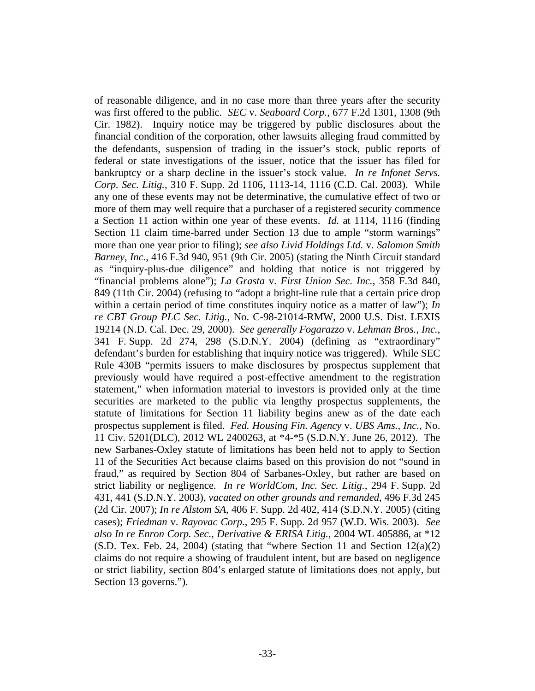of reasonable diligence, and in no case more than three years after the security was first offered to the public. *SEC* v. *Seaboard Corp.*, 677 F.2d 1301, 1308 (9th Cir. 1982). Inquiry notice may be triggered by public disclosures about the financial condition of the corporation, other lawsuits alleging fraud committed by the defendants, suspension of trading in the issuer's stock, public reports of federal or state investigations of the issuer, notice that the issuer has filed for bankruptcy or a sharp decline in the issuer's stock value. *In re Infonet Servs. Corp. Sec. Litig.*, 310 F. Supp. 2d 1106, 1113-14, 1116 (C.D. Cal. 2003). While any one of these events may not be determinative, the cumulative effect of two or more of them may well require that a purchaser of a registered security commence a Section 11 action within one year of these events. *Id.* at 1114, 1116 (finding Section 11 claim time-barred under Section 13 due to ample "storm warnings" more than one year prior to filing); *see also Livid Holdings Ltd.* v. *Salomon Smith Barney*, *Inc.*, 416 F.3d 940, 951 (9th Cir. 2005) (stating the Ninth Circuit standard as "inquiry-plus-due diligence" and holding that notice is not triggered by "financial problems alone"); *La Grasta* v. *First Union Sec. Inc.*, 358 F.3d 840, 849 (11th Cir. 2004) (refusing to "adopt a bright-line rule that a certain price drop within a certain period of time constitutes inquiry notice as a matter of law"); *In re CBT Group PLC Sec. Litig.*, No. C-98-21014-RMW, 2000 U.S. Dist. LEXIS 19214 (N.D. Cal. Dec. 29, 2000). *See generally Fogarazzo* v. *Lehman Bros.*, *Inc.*, 341 F. Supp. 2d 274, 298 (S.D.N.Y. 2004) (defining as "extraordinary" defendant's burden for establishing that inquiry notice was triggered). While SEC Rule 430B "permits issuers to make disclosures by prospectus supplement that previously would have required a post-effective amendment to the registration statement," when information material to investors is provided only at the time securities are marketed to the public via lengthy prospectus supplements, the statute of limitations for Section 11 liability begins anew as of the date each prospectus supplement is filed. *Fed. Housing Fin. Agency* v. *UBS Ams., Inc.*, No. 11 Civ. 5201(DLC), 2012 WL 2400263, at \*4-\*5 (S.D.N.Y. June 26, 2012). The new Sarbanes-Oxley statute of limitations has been held not to apply to Section 11 of the Securities Act because claims based on this provision do not "sound in fraud," as required by Section 804 of Sarbanes-Oxley, but rather are based on strict liability or negligence. *In re WorldCom*, *Inc. Sec. Litig.*, 294 F. Supp. 2d 431, 441 (S.D.N.Y. 2003)*, vacated on other grounds and remanded*, 496 F.3d 245 (2d Cir. 2007); *In re Alstom SA*, 406 F. Supp. 2d 402, 414 (S.D.N.Y. 2005) (citing cases); *Friedman* v. *Rayovac Corp.*, 295 F. Supp. 2d 957 (W.D. Wis. 2003). *See also In re Enron Corp. Sec.*, *Derivative & ERISA Litig.*, 2004 WL 405886, at \*12  $(S.D.$  Tex. Feb. 24, 2004) (stating that "where Section 11 and Section  $12(a)(2)$ claims do not require a showing of fraudulent intent, but are based on negligence or strict liability, section 804's enlarged statute of limitations does not apply, but Section 13 governs.").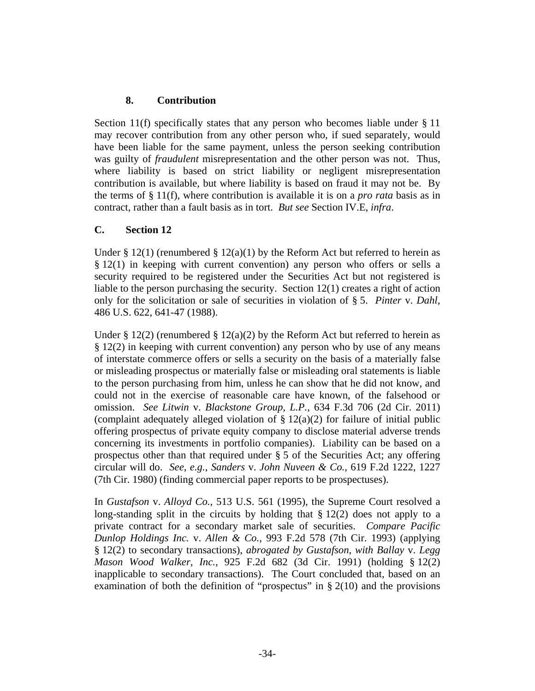# **8. Contribution**

Section 11(f) specifically states that any person who becomes liable under § 11 may recover contribution from any other person who, if sued separately, would have been liable for the same payment, unless the person seeking contribution was guilty of *fraudulent* misrepresentation and the other person was not. Thus, where liability is based on strict liability or negligent misrepresentation contribution is available, but where liability is based on fraud it may not be. By the terms of § 11(f), where contribution is available it is on a *pro rata* basis as in contract, rather than a fault basis as in tort. *But see* Section IV.E, *infra*.

# **C. Section 12**

Under § 12(1) (renumbered § 12(a)(1) by the Reform Act but referred to herein as § 12(1) in keeping with current convention) any person who offers or sells a security required to be registered under the Securities Act but not registered is liable to the person purchasing the security. Section 12(1) creates a right of action only for the solicitation or sale of securities in violation of § 5. *Pinter* v. *Dahl*, 486 U.S. 622, 641-47 (1988).

Under § 12(2) (renumbered § 12(a)(2) by the Reform Act but referred to herein as § 12(2) in keeping with current convention) any person who by use of any means of interstate commerce offers or sells a security on the basis of a materially false or misleading prospectus or materially false or misleading oral statements is liable to the person purchasing from him, unless he can show that he did not know, and could not in the exercise of reasonable care have known, of the falsehood or omission. *See Litwin* v. *Blackstone Group, L.P.*, 634 F.3d 706 (2d Cir. 2011) (complaint adequately alleged violation of  $\S 12(a)(2)$  for failure of initial public offering prospectus of private equity company to disclose material adverse trends concerning its investments in portfolio companies). Liability can be based on a prospectus other than that required under § 5 of the Securities Act; any offering circular will do. *See*, *e.g.*, *Sanders* v. *John Nuveen & Co.*, 619 F.2d 1222, 1227 (7th Cir. 1980) (finding commercial paper reports to be prospectuses).

In *Gustafson* v. *Alloyd Co.*, 513 U.S. 561 (1995), the Supreme Court resolved a long-standing split in the circuits by holding that  $\S 12(2)$  does not apply to a private contract for a secondary market sale of securities. *Compare Pacific Dunlop Holdings Inc.* v. *Allen & Co.*, 993 F.2d 578 (7th Cir. 1993) (applying § 12(2) to secondary transactions), *abrogated by Gustafson*, *with Ballay* v. *Legg Mason Wood Walker*, *Inc.*, 925 F.2d 682 (3d Cir. 1991) (holding § 12(2) inapplicable to secondary transactions). The Court concluded that, based on an examination of both the definition of "prospectus" in  $\S 2(10)$  and the provisions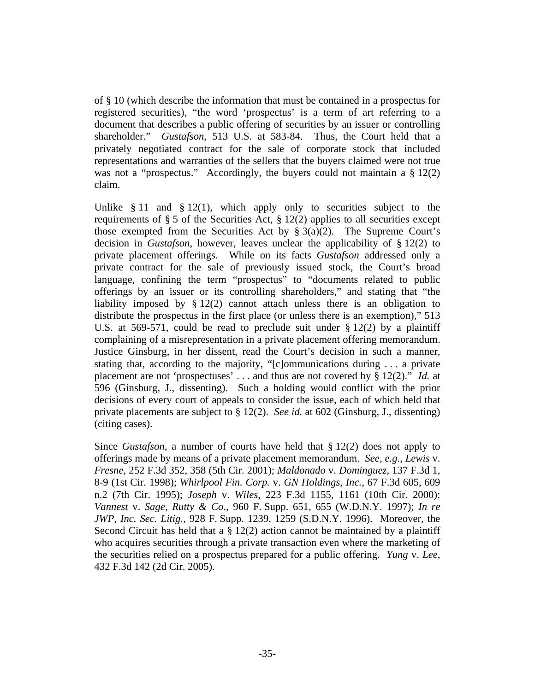of § 10 (which describe the information that must be contained in a prospectus for registered securities), "the word 'prospectus' is a term of art referring to a document that describes a public offering of securities by an issuer or controlling shareholder." *Gustafson*, 513 U.S. at 583-84. Thus, the Court held that a privately negotiated contract for the sale of corporate stock that included representations and warranties of the sellers that the buyers claimed were not true was not a "prospectus." Accordingly, the buyers could not maintain a  $\S 12(2)$ claim.

Unlike § 11 and § 12(1), which apply only to securities subject to the requirements of  $\S 5$  of the Securities Act,  $\S 12(2)$  applies to all securities except those exempted from the Securities Act by  $\S 3(a)(2)$ . The Supreme Court's decision in *Gustafson*, however, leaves unclear the applicability of § 12(2) to private placement offerings. While on its facts *Gustafson* addressed only a private contract for the sale of previously issued stock, the Court's broad language, confining the term "prospectus" to "documents related to public offerings by an issuer or its controlling shareholders," and stating that "the liability imposed by § 12(2) cannot attach unless there is an obligation to distribute the prospectus in the first place (or unless there is an exemption)," 513 U.S. at 569-571, could be read to preclude suit under  $\S 12(2)$  by a plaintiff complaining of a misrepresentation in a private placement offering memorandum. Justice Ginsburg, in her dissent, read the Court's decision in such a manner, stating that, according to the majority, "[c]ommunications during . . . a private placement are not 'prospectuses' . . . and thus are not covered by § 12(2)." *Id.* at 596 (Ginsburg, J., dissenting). Such a holding would conflict with the prior decisions of every court of appeals to consider the issue, each of which held that private placements are subject to § 12(2). *See id.* at 602 (Ginsburg, J., dissenting) (citing cases).

Since *Gustafson*, a number of courts have held that § 12(2) does not apply to offerings made by means of a private placement memorandum. *See*, *e.g.*, *Lewis* v. *Fresne*, 252 F.3d 352, 358 (5th Cir. 2001); *Maldonado* v. *Dominguez*, 137 F.3d 1, 8-9 (1st Cir. 1998); *Whirlpool Fin. Corp.* v. *GN Holdings*, *Inc.*, 67 F.3d 605, 609 n.2 (7th Cir. 1995); *Joseph* v. *Wiles*, 223 F.3d 1155, 1161 (10th Cir. 2000); *Vannest* v. *Sage*, *Rutty & Co.*, 960 F. Supp. 651, 655 (W.D.N.Y. 1997); *In re JWP*, *Inc. Sec. Litig.*, 928 F. Supp. 1239, 1259 (S.D.N.Y. 1996). Moreover, the Second Circuit has held that a  $\S 12(2)$  action cannot be maintained by a plaintiff who acquires securities through a private transaction even where the marketing of the securities relied on a prospectus prepared for a public offering. *Yung* v. *Lee*, 432 F.3d 142 (2d Cir. 2005).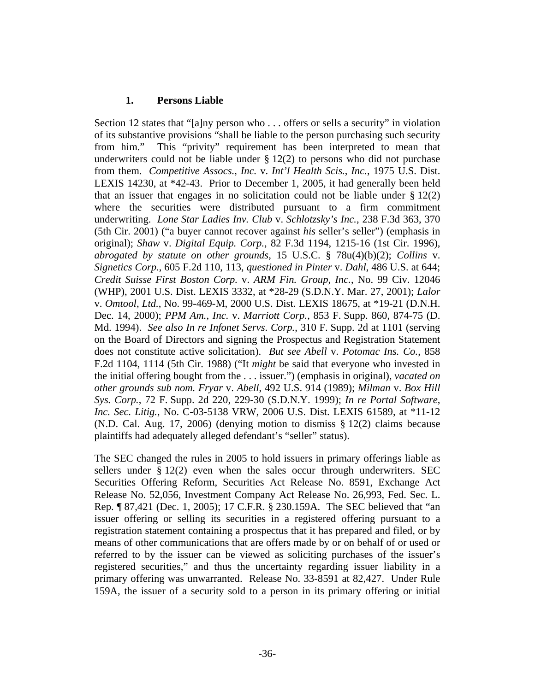### **1. Persons Liable**

Section 12 states that "[a]ny person who . . . offers or sells a security" in violation of its substantive provisions "shall be liable to the person purchasing such security from him." This "privity" requirement has been interpreted to mean that underwriters could not be liable under  $\S 12(2)$  to persons who did not purchase from them. *Competitive Assocs.*, *Inc.* v. *Int'l Health Scis.*, *Inc.*, 1975 U.S. Dist. LEXIS 14230, at \*42-43. Prior to December 1, 2005, it had generally been held that an issuer that engages in no solicitation could not be liable under  $\S 12(2)$ where the securities were distributed pursuant to a firm commitment underwriting. *Lone Star Ladies Inv. Club* v. *Schlotzsky's Inc.*, 238 F.3d 363, 370 (5th Cir. 2001) ("a buyer cannot recover against *his* seller's seller") (emphasis in original); *Shaw* v. *Digital Equip. Corp.*, 82 F.3d 1194, 1215-16 (1st Cir. 1996), *abrogated by statute on other grounds*, 15 U.S.C. § 78u(4)(b)(2); *Collins* v. *Signetics Corp.*, 605 F.2d 110, 113, *questioned in Pinter* v. *Dahl*, 486 U.S. at 644; *Credit Suisse First Boston Corp.* v. *ARM Fin. Group*, *Inc.*, No. 99 Civ. 12046 (WHP), 2001 U.S. Dist. LEXIS 3332, at \*28-29 (S.D.N.Y. Mar. 27, 2001); *Lalor* v. *Omtool*, *Ltd.*, No. 99-469-M, 2000 U.S. Dist. LEXIS 18675, at \*19-21 (D.N.H. Dec. 14, 2000); *PPM Am.*, *Inc.* v. *Marriott Corp.*, 853 F. Supp. 860, 874-75 (D. Md. 1994). *See also In re Infonet Servs*. *Corp.*, 310 F. Supp. 2d at 1101 (serving on the Board of Directors and signing the Prospectus and Registration Statement does not constitute active solicitation). *But see Abell* v. *Potomac Ins. Co.*, 858 F.2d 1104, 1114 (5th Cir. 1988) ("It *might* be said that everyone who invested in the initial offering bought from the . . . issuer.") (emphasis in original), *vacated on other grounds sub nom. Fryar* v. *Abell*, 492 U.S. 914 (1989); *Milman* v. *Box Hill Sys. Corp.*, 72 F. Supp. 2d 220, 229-30 (S.D.N.Y. 1999); *In re Portal Software*, *Inc. Sec. Litig.*, No. C-03-5138 VRW, 2006 U.S. Dist. LEXIS 61589, at \*11-12 (N.D. Cal. Aug. 17, 2006) (denying motion to dismiss § 12(2) claims because plaintiffs had adequately alleged defendant's "seller" status).

The SEC changed the rules in 2005 to hold issuers in primary offerings liable as sellers under § 12(2) even when the sales occur through underwriters. SEC Securities Offering Reform, Securities Act Release No. 8591, Exchange Act Release No. 52,056, Investment Company Act Release No. 26,993, Fed. Sec. L. Rep. ¶ 87,421 (Dec. 1, 2005); 17 C.F.R. § 230.159A. The SEC believed that "an issuer offering or selling its securities in a registered offering pursuant to a registration statement containing a prospectus that it has prepared and filed, or by means of other communications that are offers made by or on behalf of or used or referred to by the issuer can be viewed as soliciting purchases of the issuer's registered securities," and thus the uncertainty regarding issuer liability in a primary offering was unwarranted. Release No. 33-8591 at 82,427. Under Rule 159A, the issuer of a security sold to a person in its primary offering or initial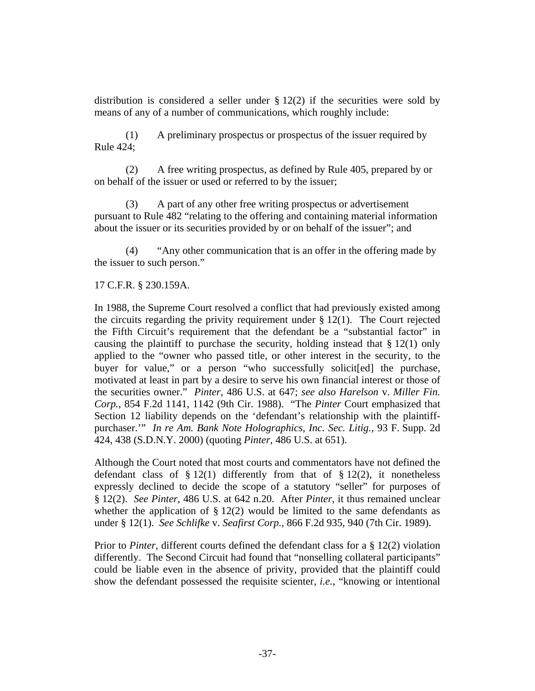distribution is considered a seller under  $\S 12(2)$  if the securities were sold by means of any of a number of communications, which roughly include:

(1) A preliminary prospectus or prospectus of the issuer required by Rule 424;

(2) A free writing prospectus, as defined by Rule 405, prepared by or on behalf of the issuer or used or referred to by the issuer;

(3) A part of any other free writing prospectus or advertisement pursuant to Rule 482 "relating to the offering and containing material information about the issuer or its securities provided by or on behalf of the issuer"; and

(4) "Any other communication that is an offer in the offering made by the issuer to such person."

#### 17 C.F.R. § 230.159A.

In 1988, the Supreme Court resolved a conflict that had previously existed among the circuits regarding the privity requirement under  $\S 12(1)$ . The Court rejected the Fifth Circuit's requirement that the defendant be a "substantial factor" in causing the plaintiff to purchase the security, holding instead that  $\S 12(1)$  only applied to the "owner who passed title, or other interest in the security, to the buyer for value," or a person "who successfully solicit[ed] the purchase, motivated at least in part by a desire to serve his own financial interest or those of the securities owner." *Pinter*, 486 U.S. at 647; *see also Harelson* v. *Miller Fin. Corp.*, 854 F.2d 1141, 1142 (9th Cir. 1988). "The *Pinter* Court emphasized that Section 12 liability depends on the 'defendant's relationship with the plaintiffpurchaser.'" *In re Am. Bank Note Holographics*, *Inc. Sec. Litig.*, 93 F. Supp. 2d 424, 438 (S.D.N.Y. 2000) (quoting *Pinter*, 486 U.S. at 651).

Although the Court noted that most courts and commentators have not defined the defendant class of  $\S 12(1)$  differently from that of  $\S 12(2)$ , it nonetheless expressly declined to decide the scope of a statutory "seller" for purposes of § 12(2). *See Pinter*, 486 U.S. at 642 n.20. After *Pinter*, it thus remained unclear whether the application of  $\S 12(2)$  would be limited to the same defendants as under § 12(1). *See Schlifke* v. *Seafirst Corp.*, 866 F.2d 935, 940 (7th Cir. 1989).

Prior to *Pinter*, different courts defined the defendant class for a § 12(2) violation differently. The Second Circuit had found that "nonselling collateral participants" could be liable even in the absence of privity, provided that the plaintiff could show the defendant possessed the requisite scienter, *i.e.*, "knowing or intentional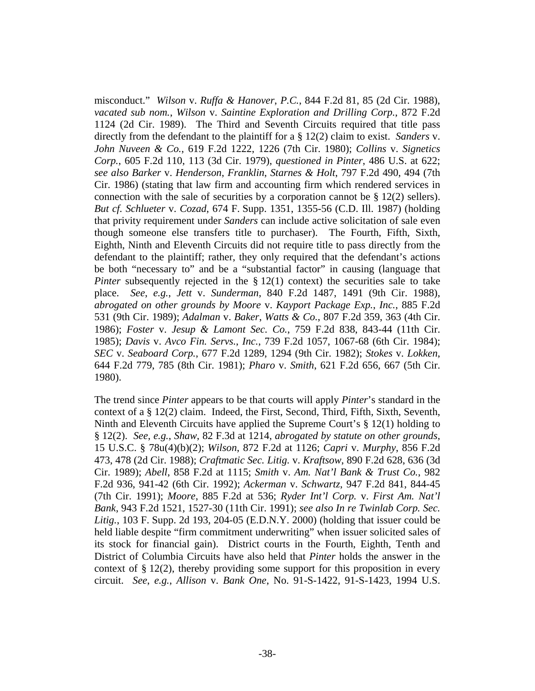misconduct." *Wilson* v. *Ruffa & Hanover*, *P.C.*, 844 F.2d 81, 85 (2d Cir. 1988), *vacated sub nom.*, *Wilson* v. *Saintine Exploration and Drilling Corp.*, 872 F.2d 1124 (2d Cir. 1989). The Third and Seventh Circuits required that title pass directly from the defendant to the plaintiff for a § 12(2) claim to exist. *Sanders* v. *John Nuveen & Co.*, 619 F.2d 1222, 1226 (7th Cir. 1980); *Collins* v. *Signetics Corp.*, 605 F.2d 110, 113 (3d Cir. 1979), *questioned in Pinter*, 486 U.S. at 622; *see also Barker* v. *Henderson*, *Franklin*, *Starnes & Holt*, 797 F.2d 490, 494 (7th Cir. 1986) (stating that law firm and accounting firm which rendered services in connection with the sale of securities by a corporation cannot be § 12(2) sellers). *But cf. Schlueter* v. *Cozad*, 674 F. Supp. 1351, 1355-56 (C.D. Ill. 1987) (holding that privity requirement under *Sanders* can include active solicitation of sale even though someone else transfers title to purchaser). The Fourth, Fifth, Sixth, Eighth, Ninth and Eleventh Circuits did not require title to pass directly from the defendant to the plaintiff; rather, they only required that the defendant's actions be both "necessary to" and be a "substantial factor" in causing (language that *Pinter* subsequently rejected in the § 12(1) context) the securities sale to take place. *See*, *e.g.*, *Jett* v. *Sunderman*, 840 F.2d 1487, 1491 (9th Cir. 1988), *abrogated on other grounds by Moore* v. *Kayport Package Exp.*, *Inc.*, 885 F.2d 531 (9th Cir. 1989); *Adalman* v. *Baker*, *Watts & Co.*, 807 F.2d 359, 363 (4th Cir. 1986); *Foster* v. *Jesup & Lamont Sec. Co.*, 759 F.2d 838, 843-44 (11th Cir. 1985); *Davis* v. *Avco Fin. Servs.*, *Inc.*, 739 F.2d 1057, 1067-68 (6th Cir. 1984); *SEC* v. *Seaboard Corp.*, 677 F.2d 1289, 1294 (9th Cir. 1982); *Stokes* v. *Lokken*, 644 F.2d 779, 785 (8th Cir. 1981); *Pharo* v. *Smith*, 621 F.2d 656, 667 (5th Cir. 1980).

The trend since *Pinter* appears to be that courts will apply *Pinter*'s standard in the context of a § 12(2) claim. Indeed, the First, Second, Third, Fifth, Sixth, Seventh, Ninth and Eleventh Circuits have applied the Supreme Court's  $\S 12(1)$  holding to § 12(2). *See*, *e.g.*, *Shaw*, 82 F.3d at 1214, *abrogated by statute on other grounds*, 15 U.S.C. § 78u(4)(b)(2); *Wilson*, 872 F.2d at 1126; *Capri* v. *Murphy*, 856 F.2d 473, 478 (2d Cir. 1988); *Craftmatic Sec. Litig.* v. *Kraftsow*, 890 F.2d 628, 636 (3d Cir. 1989); *Abell*, 858 F.2d at 1115; *Smith* v. *Am. Nat'l Bank & Trust Co.*, 982 F.2d 936, 941-42 (6th Cir. 1992); *Ackerman* v. *Schwartz*, 947 F.2d 841, 844-45 (7th Cir. 1991); *Moore*, 885 F.2d at 536; *Ryder Int'l Corp.* v. *First Am. Nat'l Bank*, 943 F.2d 1521, 1527-30 (11th Cir. 1991); *see also In re Twinlab Corp. Sec. Litig.*, 103 F. Supp. 2d 193, 204-05 (E.D.N.Y. 2000) (holding that issuer could be held liable despite "firm commitment underwriting" when issuer solicited sales of its stock for financial gain). District courts in the Fourth, Eighth, Tenth and District of Columbia Circuits have also held that *Pinter* holds the answer in the context of  $\S 12(2)$ , thereby providing some support for this proposition in every circuit. *See*, *e.g.*, *Allison* v. *Bank One*, No. 91-S-1422, 91-S-1423, 1994 U.S.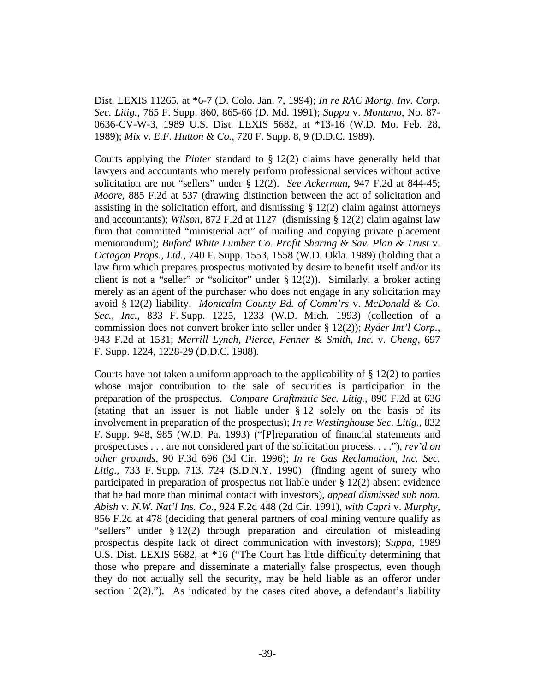Dist. LEXIS 11265, at \*6-7 (D. Colo. Jan. 7, 1994); *In re RAC Mortg. Inv. Corp. Sec. Litig.*, 765 F. Supp. 860, 865-66 (D. Md. 1991); *Suppa* v. *Montano*, No. 87- 0636-CV-W-3, 1989 U.S. Dist. LEXIS 5682, at \*13-16 (W.D. Mo. Feb. 28, 1989); *Mix* v. *E.F. Hutton & Co.*, 720 F. Supp. 8, 9 (D.D.C. 1989).

Courts applying the *Pinter* standard to § 12(2) claims have generally held that lawyers and accountants who merely perform professional services without active solicitation are not "sellers" under § 12(2). *See Ackerman*, 947 F.2d at 844-45; *Moore*, 885 F.2d at 537 (drawing distinction between the act of solicitation and assisting in the solicitation effort, and dismissing  $\S 12(2)$  claim against attorneys and accountants); *Wilson*, 872 F.2d at 1127 (dismissing § 12(2) claim against law firm that committed "ministerial act" of mailing and copying private placement memorandum); *Buford White Lumber Co. Profit Sharing & Sav. Plan & Trust* v. *Octagon Props.*, *Ltd.*, 740 F. Supp. 1553, 1558 (W.D. Okla. 1989) (holding that a law firm which prepares prospectus motivated by desire to benefit itself and/or its client is not a "seller" or "solicitor" under § 12(2)). Similarly, a broker acting merely as an agent of the purchaser who does not engage in any solicitation may avoid § 12(2) liability. *Montcalm County Bd. of Comm'rs* v. *McDonald & Co. Sec.*, *Inc.*, 833 F. Supp. 1225, 1233 (W.D. Mich. 1993) (collection of a commission does not convert broker into seller under § 12(2)); *Ryder Int'l Corp.*, 943 F.2d at 1531; *Merrill Lynch*, *Pierce*, *Fenner & Smith*, *Inc.* v. *Cheng*, 697 F. Supp. 1224, 1228-29 (D.D.C. 1988).

Courts have not taken a uniform approach to the applicability of  $\S 12(2)$  to parties whose major contribution to the sale of securities is participation in the preparation of the prospectus. *Compare Craftmatic Sec. Litig.*, 890 F.2d at 636 (stating that an issuer is not liable under § 12 solely on the basis of its involvement in preparation of the prospectus); *In re Westinghouse Sec. Litig.*, 832 F. Supp. 948, 985 (W.D. Pa. 1993) ("[P]reparation of financial statements and prospectuses . . . are not considered part of the solicitation process. . . ."), *rev'd on other grounds*, 90 F.3d 696 (3d Cir. 1996); *In re Gas Reclamation*, *Inc. Sec. Litig.*, 733 F. Supp. 713, 724 (S.D.N.Y. 1990) (finding agent of surety who participated in preparation of prospectus not liable under § 12(2) absent evidence that he had more than minimal contact with investors), *appeal dismissed sub nom. Abish* v. *N.W. Nat'l Ins. Co.*, 924 F.2d 448 (2d Cir. 1991), *with Capri* v. *Murphy*, 856 F.2d at 478 (deciding that general partners of coal mining venture qualify as "sellers" under § 12(2) through preparation and circulation of misleading prospectus despite lack of direct communication with investors); *Suppa*, 1989 U.S. Dist. LEXIS 5682, at \*16 ("The Court has little difficulty determining that those who prepare and disseminate a materially false prospectus, even though they do not actually sell the security, may be held liable as an offeror under section 12(2)."). As indicated by the cases cited above, a defendant's liability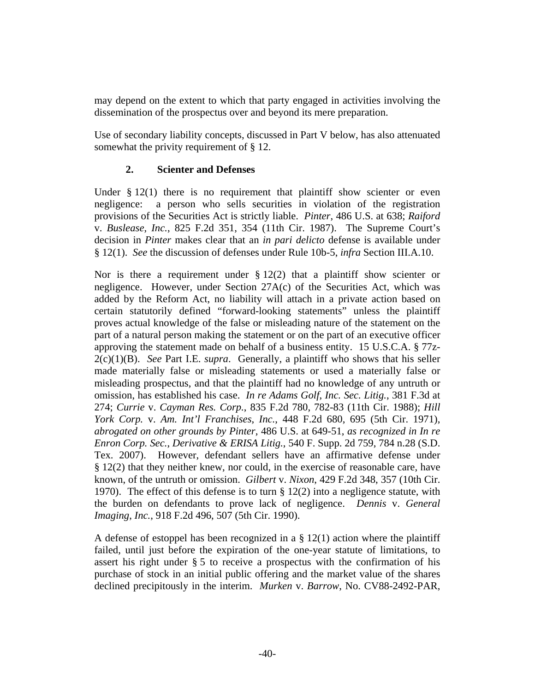may depend on the extent to which that party engaged in activities involving the dissemination of the prospectus over and beyond its mere preparation.

Use of secondary liability concepts, discussed in Part V below, has also attenuated somewhat the privity requirement of § 12.

## **2. Scienter and Defenses**

Under  $\S 12(1)$  there is no requirement that plaintiff show scienter or even negligence: a person who sells securities in violation of the registration provisions of the Securities Act is strictly liable. *Pinter*, 486 U.S. at 638; *Raiford* v. *Buslease*, *Inc.*, 825 F.2d 351, 354 (11th Cir. 1987). The Supreme Court's decision in *Pinter* makes clear that an *in pari delicto* defense is available under § 12(1). *See* the discussion of defenses under Rule 10b-5, *infra* Section III.A.10.

Nor is there a requirement under  $\S 12(2)$  that a plaintiff show scienter or negligence. However, under Section 27A(c) of the Securities Act, which was added by the Reform Act, no liability will attach in a private action based on certain statutorily defined "forward-looking statements" unless the plaintiff proves actual knowledge of the false or misleading nature of the statement on the part of a natural person making the statement or on the part of an executive officer approving the statement made on behalf of a business entity. 15 U.S.C.A. § 77z-2(c)(1)(B). *See* Part I.E. *supra*. Generally, a plaintiff who shows that his seller made materially false or misleading statements or used a materially false or misleading prospectus, and that the plaintiff had no knowledge of any untruth or omission, has established his case. *In re Adams Golf*, *Inc. Sec. Litig.*, 381 F.3d at 274; *Currie* v. *Cayman Res. Corp.*, 835 F.2d 780, 782-83 (11th Cir. 1988); *Hill York Corp.* v. *Am. Int'l Franchises*, *Inc.*, 448 F.2d 680, 695 (5th Cir. 1971), *abrogated on other grounds by Pinter*, 486 U.S. at 649-51, *as recognized in In re Enron Corp. Sec.*, *Derivative & ERISA Litig.*, 540 F. Supp. 2d 759, 784 n.28 (S.D. Tex. 2007). However, defendant sellers have an affirmative defense under § 12(2) that they neither knew, nor could, in the exercise of reasonable care, have known, of the untruth or omission. *Gilbert* v. *Nixon*, 429 F.2d 348, 357 (10th Cir. 1970). The effect of this defense is to turn § 12(2) into a negligence statute, with the burden on defendants to prove lack of negligence. *Dennis* v. *General Imaging*, *Inc.*, 918 F.2d 496, 507 (5th Cir. 1990).

A defense of estoppel has been recognized in a  $\S 12(1)$  action where the plaintiff failed, until just before the expiration of the one-year statute of limitations, to assert his right under § 5 to receive a prospectus with the confirmation of his purchase of stock in an initial public offering and the market value of the shares declined precipitously in the interim. *Murken* v. *Barrow*, No. CV88-2492-PAR,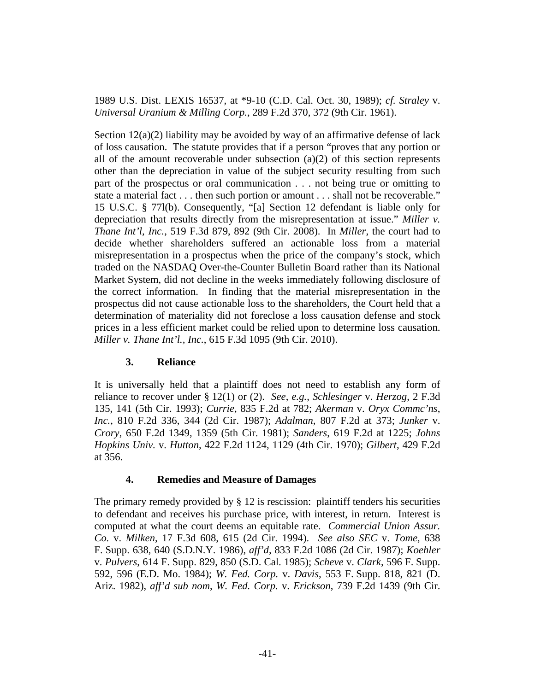1989 U.S. Dist. LEXIS 16537, at \*9-10 (C.D. Cal. Oct. 30, 1989); *cf. Straley* v. *Universal Uranium & Milling Corp.*, 289 F.2d 370, 372 (9th Cir. 1961).

Section  $12(a)(2)$  liability may be avoided by way of an affirmative defense of lack of loss causation. The statute provides that if a person "proves that any portion or all of the amount recoverable under subsection  $(a)(2)$  of this section represents other than the depreciation in value of the subject security resulting from such part of the prospectus or oral communication . . . not being true or omitting to state a material fact . . . then such portion or amount . . . shall not be recoverable." 15 U.S.C. § 77l(b). Consequently, "[a] Section 12 defendant is liable only for depreciation that results directly from the misrepresentation at issue." *Miller v. Thane Int'l, Inc.*, 519 F.3d 879, 892 (9th Cir. 2008). In *Miller*, the court had to decide whether shareholders suffered an actionable loss from a material misrepresentation in a prospectus when the price of the company's stock, which traded on the NASDAQ Over-the-Counter Bulletin Board rather than its National Market System, did not decline in the weeks immediately following disclosure of the correct information. In finding that the material misrepresentation in the prospectus did not cause actionable loss to the shareholders, the Court held that a determination of materiality did not foreclose a loss causation defense and stock prices in a less efficient market could be relied upon to determine loss causation. *Miller v. Thane Int'l., Inc.*, 615 F.3d 1095 (9th Cir. 2010).

#### **3. Reliance**

It is universally held that a plaintiff does not need to establish any form of reliance to recover under § 12(1) or (2). *See*, *e.g.*, *Schlesinger* v. *Herzog*, 2 F.3d 135, 141 (5th Cir. 1993); *Currie*, 835 F.2d at 782; *Akerman* v. *Oryx Commc'ns*, *Inc.*, 810 F.2d 336, 344 (2d Cir. 1987); *Adalman*, 807 F.2d at 373; *Junker* v. *Crory*, 650 F.2d 1349, 1359 (5th Cir. 1981); *Sanders*, 619 F.2d at 1225; *Johns Hopkins Univ.* v. *Hutton*, 422 F.2d 1124, 1129 (4th Cir. 1970); *Gilbert*, 429 F.2d at 356.

# **4. Remedies and Measure of Damages**

The primary remedy provided by § 12 is rescission: plaintiff tenders his securities to defendant and receives his purchase price, with interest, in return. Interest is computed at what the court deems an equitable rate. *Commercial Union Assur. Co.* v. *Milken*, 17 F.3d 608, 615 (2d Cir. 1994). *See also SEC* v. *Tome*, 638 F. Supp. 638, 640 (S.D.N.Y. 1986), *aff'd*, 833 F.2d 1086 (2d Cir. 1987); *Koehler* v. *Pulvers*, 614 F. Supp. 829, 850 (S.D. Cal. 1985); *Scheve* v. *Clark*, 596 F. Supp. 592, 596 (E.D. Mo. 1984); *W. Fed. Corp.* v. *Davis*, 553 F. Supp. 818, 821 (D. Ariz. 1982), *aff'd sub nom*, *W. Fed. Corp.* v. *Erickson*, 739 F.2d 1439 (9th Cir.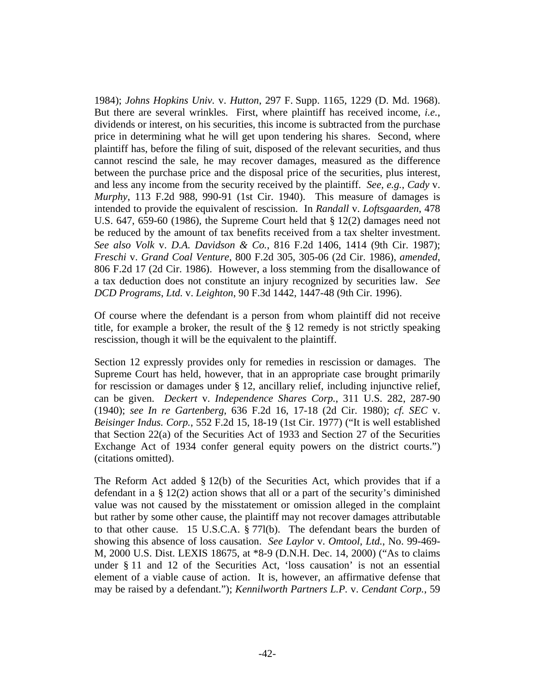1984); *Johns Hopkins Univ.* v. *Hutton*, 297 F. Supp. 1165, 1229 (D. Md. 1968). But there are several wrinkles. First, where plaintiff has received income, *i.e.*, dividends or interest, on his securities, this income is subtracted from the purchase price in determining what he will get upon tendering his shares. Second, where plaintiff has, before the filing of suit, disposed of the relevant securities, and thus cannot rescind the sale, he may recover damages, measured as the difference between the purchase price and the disposal price of the securities, plus interest, and less any income from the security received by the plaintiff. *See*, *e.g.*, *Cady* v. *Murphy*, 113 F.2d 988, 990-91 (1st Cir. 1940). This measure of damages is intended to provide the equivalent of rescission. In *Randall* v. *Loftsgaarden*, 478 U.S. 647, 659-60 (1986), the Supreme Court held that § 12(2) damages need not be reduced by the amount of tax benefits received from a tax shelter investment. *See also Volk* v. *D.A. Davidson & Co.*, 816 F.2d 1406, 1414 (9th Cir. 1987); *Freschi* v. *Grand Coal Venture*, 800 F.2d 305, 305-06 (2d Cir. 1986), *amended*, 806 F.2d 17 (2d Cir. 1986). However, a loss stemming from the disallowance of a tax deduction does not constitute an injury recognized by securities law. *See DCD Programs*, *Ltd.* v. *Leighton*, 90 F.3d 1442, 1447-48 (9th Cir. 1996).

Of course where the defendant is a person from whom plaintiff did not receive title, for example a broker, the result of the  $\S$  12 remedy is not strictly speaking rescission, though it will be the equivalent to the plaintiff.

Section 12 expressly provides only for remedies in rescission or damages. The Supreme Court has held, however, that in an appropriate case brought primarily for rescission or damages under § 12, ancillary relief, including injunctive relief, can be given. *Deckert* v. *Independence Shares Corp.*, 311 U.S. 282, 287-90 (1940); *see In re Gartenberg*, 636 F.2d 16, 17-18 (2d Cir. 1980); *cf. SEC* v. *Beisinger Indus. Corp.*, 552 F.2d 15, 18-19 (1st Cir. 1977) ("It is well established that Section 22(a) of the Securities Act of 1933 and Section 27 of the Securities Exchange Act of 1934 confer general equity powers on the district courts.") (citations omitted).

The Reform Act added § 12(b) of the Securities Act, which provides that if a defendant in a § 12(2) action shows that all or a part of the security's diminished value was not caused by the misstatement or omission alleged in the complaint but rather by some other cause, the plaintiff may not recover damages attributable to that other cause. 15 U.S.C.A. § 77l(b). The defendant bears the burden of showing this absence of loss causation. *See Laylor* v. *Omtool*, *Ltd.*, No. 99-469- M, 2000 U.S. Dist. LEXIS 18675, at \*8-9 (D.N.H. Dec. 14, 2000) ("As to claims under § 11 and 12 of the Securities Act, 'loss causation' is not an essential element of a viable cause of action. It is, however, an affirmative defense that may be raised by a defendant."); *Kennilworth Partners L.P.* v. *Cendant Corp.*, 59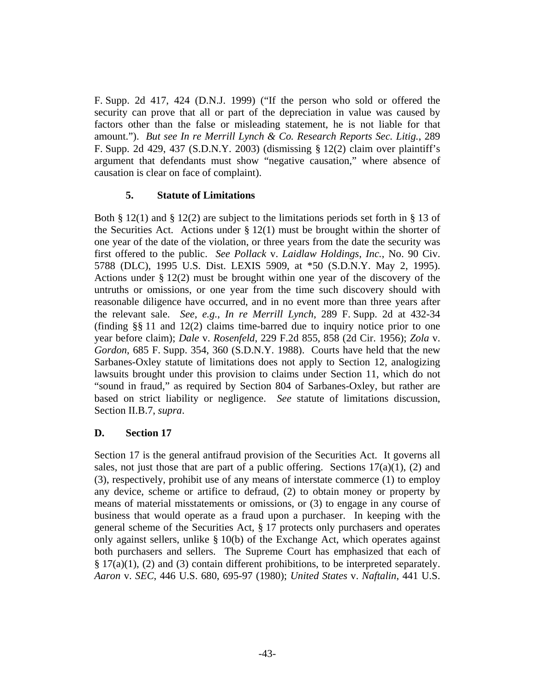F. Supp. 2d 417, 424 (D.N.J. 1999) ("If the person who sold or offered the security can prove that all or part of the depreciation in value was caused by factors other than the false or misleading statement, he is not liable for that amount."). *But see In re Merrill Lynch & Co. Research Reports Sec. Litig.*, 289 F. Supp. 2d 429, 437 (S.D.N.Y. 2003) (dismissing § 12(2) claim over plaintiff's argument that defendants must show "negative causation," where absence of causation is clear on face of complaint).

## **5. Statute of Limitations**

Both § 12(1) and § 12(2) are subject to the limitations periods set forth in § 13 of the Securities Act. Actions under  $\S 12(1)$  must be brought within the shorter of one year of the date of the violation, or three years from the date the security was first offered to the public. *See Pollack* v. *Laidlaw Holdings*, *Inc.*, No. 90 Civ. 5788 (DLC), 1995 U.S. Dist. LEXIS 5909, at \*50 (S.D.N.Y. May 2, 1995). Actions under § 12(2) must be brought within one year of the discovery of the untruths or omissions, or one year from the time such discovery should with reasonable diligence have occurred, and in no event more than three years after the relevant sale. *See*, *e.g.*, *In re Merrill Lynch*, 289 F. Supp. 2d at 432-34 (finding §§ 11 and 12(2) claims time-barred due to inquiry notice prior to one year before claim); *Dale* v. *Rosenfeld*, 229 F.2d 855, 858 (2d Cir. 1956); *Zola* v. *Gordon*, 685 F. Supp. 354, 360 (S.D.N.Y. 1988). Courts have held that the new Sarbanes-Oxley statute of limitations does not apply to Section 12, analogizing lawsuits brought under this provision to claims under Section 11, which do not "sound in fraud," as required by Section 804 of Sarbanes-Oxley, but rather are based on strict liability or negligence. *See* statute of limitations discussion, Section II.B.7, *supra*.

# **D. Section 17**

Section 17 is the general antifraud provision of the Securities Act. It governs all sales, not just those that are part of a public offering. Sections  $17(a)(1)$ , (2) and (3), respectively, prohibit use of any means of interstate commerce (1) to employ any device, scheme or artifice to defraud, (2) to obtain money or property by means of material misstatements or omissions, or (3) to engage in any course of business that would operate as a fraud upon a purchaser. In keeping with the general scheme of the Securities Act, § 17 protects only purchasers and operates only against sellers, unlike  $\S 10(b)$  of the Exchange Act, which operates against both purchasers and sellers. The Supreme Court has emphasized that each of  $\S 17(a)(1)$ , (2) and (3) contain different prohibitions, to be interpreted separately. *Aaron* v. *SEC*, 446 U.S. 680, 695-97 (1980); *United States* v. *Naftalin*, 441 U.S.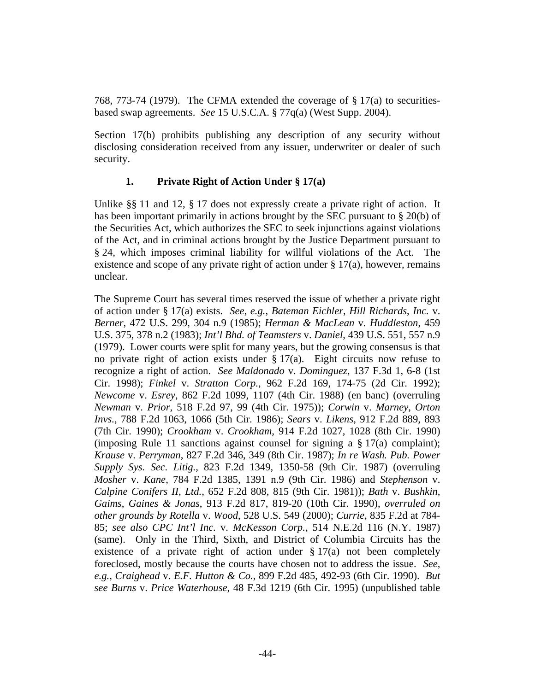768, 773-74 (1979). The CFMA extended the coverage of § 17(a) to securitiesbased swap agreements. *See* 15 U.S.C.A. § 77q(a) (West Supp. 2004).

Section 17(b) prohibits publishing any description of any security without disclosing consideration received from any issuer, underwriter or dealer of such security.

# **1. Private Right of Action Under § 17(a)**

Unlike §§ 11 and 12, § 17 does not expressly create a private right of action. It has been important primarily in actions brought by the SEC pursuant to § 20(b) of the Securities Act, which authorizes the SEC to seek injunctions against violations of the Act, and in criminal actions brought by the Justice Department pursuant to § 24, which imposes criminal liability for willful violations of the Act. The existence and scope of any private right of action under  $\S 17(a)$ , however, remains unclear.

The Supreme Court has several times reserved the issue of whether a private right of action under § 17(a) exists. *See*, *e.g.*, *Bateman Eichler*, *Hill Richards*, *Inc.* v. *Berner*, 472 U.S. 299, 304 n.9 (1985); *Herman & MacLean* v. *Huddleston*, 459 U.S. 375, 378 n.2 (1983); *Int'l Bhd. of Teamsters* v. *Daniel*, 439 U.S. 551, 557 n.9 (1979). Lower courts were split for many years, but the growing consensus is that no private right of action exists under  $\S 17(a)$ . Eight circuits now refuse to recognize a right of action. *See Maldonado* v. *Dominguez*, 137 F.3d 1, 6-8 (1st Cir. 1998); *Finkel* v. *Stratton Corp.*, 962 F.2d 169, 174-75 (2d Cir. 1992); *Newcome* v. *Esrey*, 862 F.2d 1099, 1107 (4th Cir. 1988) (en banc) (overruling *Newman* v. *Prior*, 518 F.2d 97, 99 (4th Cir. 1975)); *Corwin* v. *Marney*, *Orton Invs.*, 788 F.2d 1063, 1066 (5th Cir. 1986); *Sears* v. *Likens*, 912 F.2d 889, 893 (7th Cir. 1990); *Crookham* v. *Crookham*, 914 F.2d 1027, 1028 (8th Cir. 1990) (imposing Rule 11 sanctions against counsel for signing a  $\S 17(a)$  complaint); *Krause* v. *Perryman*, 827 F.2d 346, 349 (8th Cir. 1987); *In re Wash. Pub. Power Supply Sys. Sec. Litig.*, 823 F.2d 1349, 1350-58 (9th Cir. 1987) (overruling *Mosher* v. *Kane*, 784 F.2d 1385, 1391 n.9 (9th Cir. 1986) and *Stephenson* v. *Calpine Conifers II*, *Ltd.*, 652 F.2d 808, 815 (9th Cir. 1981)); *Bath* v. *Bushkin*, *Gaims*, *Gaines & Jonas*, 913 F.2d 817, 819-20 (10th Cir. 1990), *overruled on other grounds by Rotella* v. *Wood*, 528 U.S. 549 (2000); *Currie*, 835 F.2d at 784- 85; *see also CPC Int'l Inc.* v. *McKesson Corp.*, 514 N.E.2d 116 (N.Y. 1987) (same). Only in the Third, Sixth, and District of Columbia Circuits has the existence of a private right of action under  $\S 17(a)$  not been completely foreclosed, mostly because the courts have chosen not to address the issue. *See*, *e.g.*, *Craighead* v. *E.F. Hutton & Co.*, 899 F.2d 485, 492-93 (6th Cir. 1990). *But see Burns* v. *Price Waterhouse*, 48 F.3d 1219 (6th Cir. 1995) (unpublished table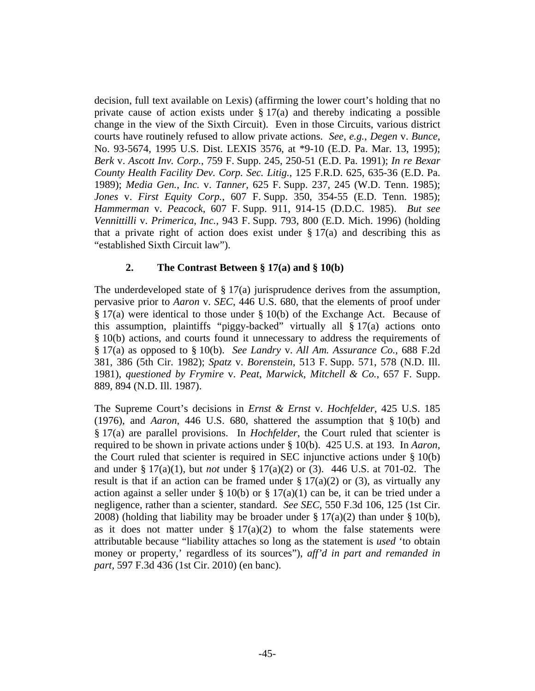decision, full text available on Lexis) (affirming the lower court's holding that no private cause of action exists under  $\S 17(a)$  and thereby indicating a possible change in the view of the Sixth Circuit). Even in those Circuits, various district courts have routinely refused to allow private actions. *See*, *e.g.*, *Degen* v. *Bunce*, No. 93-5674, 1995 U.S. Dist. LEXIS 3576, at \*9-10 (E.D. Pa. Mar. 13, 1995); *Berk* v. *Ascott Inv. Corp.*, 759 F. Supp. 245, 250-51 (E.D. Pa. 1991); *In re Bexar County Health Facility Dev. Corp. Sec. Litig.*, 125 F.R.D. 625, 635-36 (E.D. Pa. 1989); *Media Gen.*, *Inc.* v. *Tanner*, 625 F. Supp. 237, 245 (W.D. Tenn. 1985); *Jones* v. *First Equity Corp.*, 607 F. Supp. 350, 354-55 (E.D. Tenn. 1985); *Hammerman* v. *Peacock*, 607 F. Supp. 911, 914-15 (D.D.C. 1985). *But see Vennittilli* v. *Primerica*, *Inc.*, 943 F. Supp. 793, 800 (E.D. Mich. 1996) (holding that a private right of action does exist under  $\S 17(a)$  and describing this as "established Sixth Circuit law").

# **2. The Contrast Between § 17(a) and § 10(b)**

The underdeveloped state of  $\S 17(a)$  jurisprudence derives from the assumption, pervasive prior to *Aaron* v. *SEC*, 446 U.S. 680, that the elements of proof under § 17(a) were identical to those under § 10(b) of the Exchange Act. Because of this assumption, plaintiffs "piggy-backed" virtually all § 17(a) actions onto § 10(b) actions, and courts found it unnecessary to address the requirements of § 17(a) as opposed to § 10(b). *See Landry* v. *All Am. Assurance Co.*, 688 F.2d 381, 386 (5th Cir. 1982); *Spatz* v. *Borenstein*, 513 F. Supp. 571, 578 (N.D. Ill. 1981), *questioned by Frymire* v. *Peat*, *Marwick*, *Mitchell & Co.*, 657 F. Supp. 889, 894 (N.D. Ill. 1987).

The Supreme Court's decisions in *Ernst & Ernst* v. *Hochfelder*, 425 U.S. 185 (1976), and *Aaron*, 446 U.S. 680, shattered the assumption that § 10(b) and § 17(a) are parallel provisions. In *Hochfelder*, the Court ruled that scienter is required to be shown in private actions under § 10(b). 425 U.S. at 193. In *Aaron*, the Court ruled that scienter is required in SEC injunctive actions under  $\S 10(b)$ and under § 17(a)(1), but *not* under § 17(a)(2) or (3). 446 U.S. at 701-02. The result is that if an action can be framed under  $\S 17(a)(2)$  or (3), as virtually any action against a seller under  $\S 10(b)$  or  $\S 17(a)(1)$  can be, it can be tried under a negligence, rather than a scienter, standard. *See SEC*, 550 F.3d 106, 125 (1st Cir. 2008) (holding that liability may be broader under  $\S 17(a)(2)$  than under  $\S 10(b)$ , as it does not matter under  $\S 17(a)(2)$  to whom the false statements were attributable because "liability attaches so long as the statement is *used* 'to obtain money or property,' regardless of its sources"), *aff'd in part and remanded in part*, 597 F.3d 436 (1st Cir. 2010) (en banc).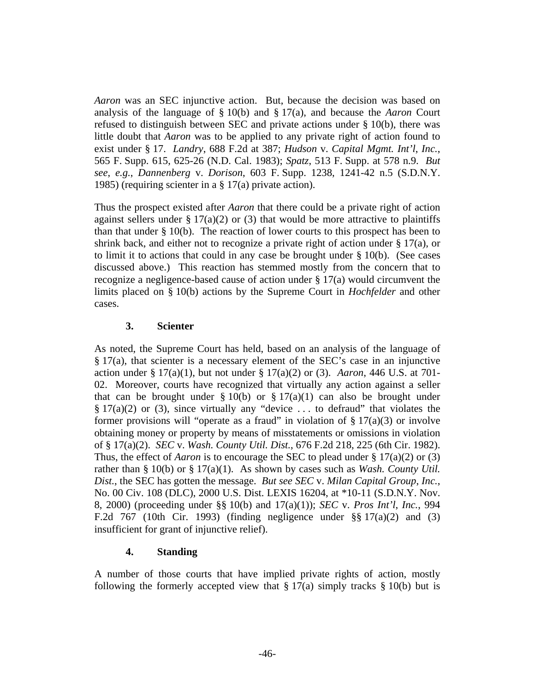*Aaron* was an SEC injunctive action. But, because the decision was based on analysis of the language of § 10(b) and § 17(a), and because the *Aaron* Court refused to distinguish between SEC and private actions under § 10(b), there was little doubt that *Aaron* was to be applied to any private right of action found to exist under § 17. *Landry*, 688 F.2d at 387; *Hudson* v. *Capital Mgmt. Int'l*, *Inc.*, 565 F. Supp. 615, 625-26 (N.D. Cal. 1983); *Spatz*, 513 F. Supp. at 578 n.9. *But see*, *e.g.*, *Dannenberg* v. *Dorison*, 603 F. Supp. 1238, 1241-42 n.5 (S.D.N.Y. 1985) (requiring scienter in a § 17(a) private action).

Thus the prospect existed after *Aaron* that there could be a private right of action against sellers under  $\S 17(a)(2)$  or (3) that would be more attractive to plaintiffs than that under  $\S$  10(b). The reaction of lower courts to this prospect has been to shrink back, and either not to recognize a private right of action under § 17(a), or to limit it to actions that could in any case be brought under § 10(b). (See cases discussed above.) This reaction has stemmed mostly from the concern that to recognize a negligence-based cause of action under § 17(a) would circumvent the limits placed on § 10(b) actions by the Supreme Court in *Hochfelder* and other cases.

#### **3. Scienter**

As noted, the Supreme Court has held, based on an analysis of the language of § 17(a), that scienter is a necessary element of the SEC's case in an injunctive action under § 17(a)(1), but not under § 17(a)(2) or (3). *Aaron*, 446 U.S. at 701- 02. Moreover, courts have recognized that virtually any action against a seller that can be brought under  $\S 10(b)$  or  $\S 17(a)(1)$  can also be brought under  $\S 17(a)(2)$  or (3), since virtually any "device ... to defraud" that violates the former provisions will "operate as a fraud" in violation of  $\S 17(a)(3)$  or involve obtaining money or property by means of misstatements or omissions in violation of § 17(a)(2). *SEC* v. *Wash. County Util. Dist.*, 676 F.2d 218, 225 (6th Cir. 1982). Thus, the effect of *Aaron* is to encourage the SEC to plead under § 17(a)(2) or (3) rather than § 10(b) or § 17(a)(1). As shown by cases such as *Wash. County Util. Dist.*, the SEC has gotten the message. *But see SEC* v. *Milan Capital Group*, *Inc.*, No. 00 Civ. 108 (DLC), 2000 U.S. Dist. LEXIS 16204, at \*10-11 (S.D.N.Y. Nov. 8, 2000) (proceeding under §§ 10(b) and 17(a)(1)); *SEC* v. *Pros Int'l*, *Inc.*, 994 F.2d 767 (10th Cir. 1993) (finding negligence under §§ 17(a)(2) and (3) insufficient for grant of injunctive relief).

#### **4. Standing**

A number of those courts that have implied private rights of action, mostly following the formerly accepted view that  $\S 17(a)$  simply tracks  $\S 10(b)$  but is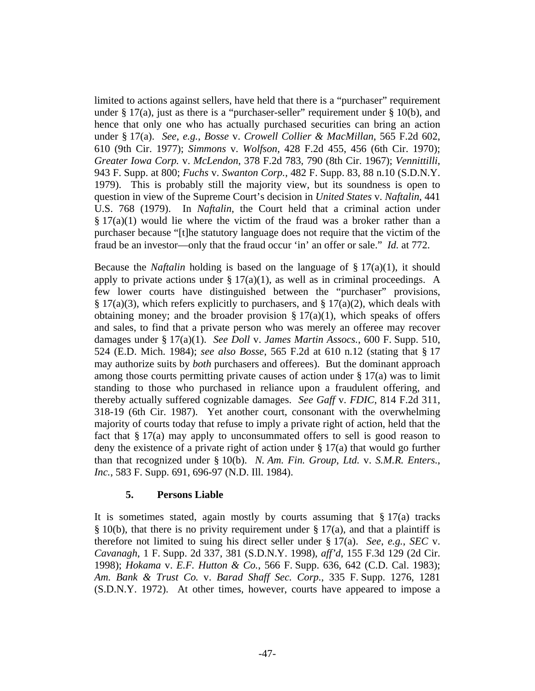limited to actions against sellers, have held that there is a "purchaser" requirement under  $\S 17(a)$ , just as there is a "purchaser-seller" requirement under  $\S 10(b)$ , and hence that only one who has actually purchased securities can bring an action under § 17(a). *See*, *e.g.*, *Bosse* v. *Crowell Collier & MacMillan*, 565 F.2d 602, 610 (9th Cir. 1977); *Simmons* v. *Wolfson*, 428 F.2d 455, 456 (6th Cir. 1970); *Greater Iowa Corp.* v. *McLendon*, 378 F.2d 783, 790 (8th Cir. 1967); *Vennittilli*, 943 F. Supp. at 800; *Fuchs* v. *Swanton Corp.*, 482 F. Supp. 83, 88 n.10 (S.D.N.Y. 1979). This is probably still the majority view, but its soundness is open to question in view of the Supreme Court's decision in *United States* v. *Naftalin*, 441 U.S. 768 (1979). In *Naftalin*, the Court held that a criminal action under  $\S 17(a)(1)$  would lie where the victim of the fraud was a broker rather than a purchaser because "[t]he statutory language does not require that the victim of the fraud be an investor—only that the fraud occur 'in' an offer or sale." *Id.* at 772.

Because the *Naftalin* holding is based on the language of  $\S 17(a)(1)$ , it should apply to private actions under  $\S 17(a)(1)$ , as well as in criminal proceedings. A few lower courts have distinguished between the "purchaser" provisions, § 17(a)(3), which refers explicitly to purchasers, and § 17(a)(2), which deals with obtaining money; and the broader provision  $\S 17(a)(1)$ , which speaks of offers and sales, to find that a private person who was merely an offeree may recover damages under § 17(a)(1). *See Doll* v. *James Martin Assocs.*, 600 F. Supp. 510, 524 (E.D. Mich. 1984); *see also Bosse*, 565 F.2d at 610 n.12 (stating that § 17 may authorize suits by *both* purchasers and offerees). But the dominant approach among those courts permitting private causes of action under  $\S 17(a)$  was to limit standing to those who purchased in reliance upon a fraudulent offering, and thereby actually suffered cognizable damages. *See Gaff* v. *FDIC*, 814 F.2d 311, 318-19 (6th Cir. 1987). Yet another court, consonant with the overwhelming majority of courts today that refuse to imply a private right of action, held that the fact that § 17(a) may apply to unconsummated offers to sell is good reason to deny the existence of a private right of action under § 17(a) that would go further than that recognized under § 10(b). *N. Am. Fin. Group*, *Ltd.* v. *S.M.R. Enters.*, *Inc.*, 583 F. Supp. 691, 696-97 (N.D. Ill. 1984).

#### **5. Persons Liable**

It is sometimes stated, again mostly by courts assuming that  $\S 17(a)$  tracks  $§ 10(b)$ , that there is no privity requirement under  $§ 17(a)$ , and that a plaintiff is therefore not limited to suing his direct seller under § 17(a). *See*, *e.g.*, *SEC* v. *Cavanagh*, 1 F. Supp. 2d 337, 381 (S.D.N.Y. 1998), *aff'd*, 155 F.3d 129 (2d Cir. 1998); *Hokama* v. *E.F. Hutton & Co.*, 566 F. Supp. 636, 642 (C.D. Cal. 1983); *Am. Bank & Trust Co.* v. *Barad Shaff Sec. Corp.*, 335 F. Supp. 1276, 1281 (S.D.N.Y. 1972). At other times, however, courts have appeared to impose a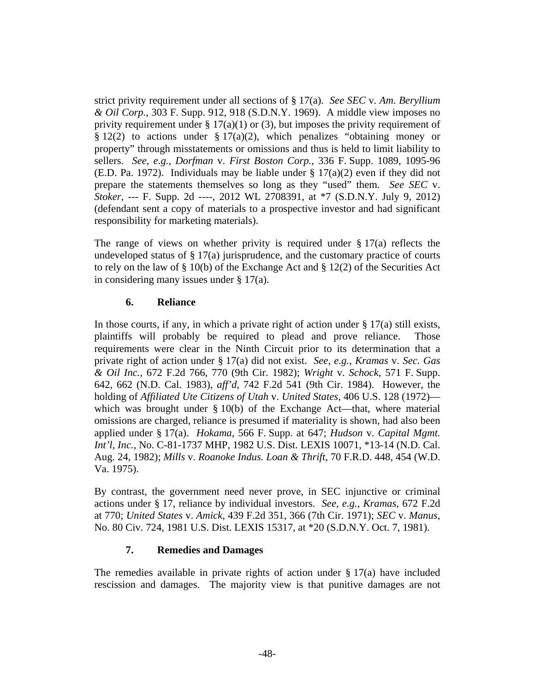strict privity requirement under all sections of § 17(a). *See SEC* v. *Am. Beryllium & Oil Corp.*, 303 F. Supp. 912, 918 (S.D.N.Y. 1969). A middle view imposes no privity requirement under  $\S 17(a)(1)$  or (3), but imposes the privity requirement of  $\S 12(2)$  to actions under  $\S 17(a)(2)$ , which penalizes "obtaining money or property" through misstatements or omissions and thus is held to limit liability to sellers. *See*, *e.g.*, *Dorfman* v. *First Boston Corp.*, 336 F. Supp. 1089, 1095-96 (E.D. Pa. 1972). Individuals may be liable under  $\S 17(a)(2)$  even if they did not prepare the statements themselves so long as they "used" them. *See SEC* v. *Stoker*, --- F. Supp. 2d ----, 2012 WL 2708391, at \*7 (S.D.N.Y. July 9, 2012) (defendant sent a copy of materials to a prospective investor and had significant responsibility for marketing materials).

The range of views on whether privity is required under  $\S 17(a)$  reflects the undeveloped status of  $\S 17(a)$  jurisprudence, and the customary practice of courts to rely on the law of § 10(b) of the Exchange Act and § 12(2) of the Securities Act in considering many issues under § 17(a).

## **6. Reliance**

In those courts, if any, in which a private right of action under  $\S 17(a)$  still exists, plaintiffs will probably be required to plead and prove reliance. Those requirements were clear in the Ninth Circuit prior to its determination that a private right of action under § 17(a) did not exist. *See*, *e.g.*, *Kramas* v. *Sec. Gas & Oil Inc.*, 672 F.2d 766, 770 (9th Cir. 1982); *Wright* v. *Schock*, 571 F. Supp. 642, 662 (N.D. Cal. 1983), *aff'd*, 742 F.2d 541 (9th Cir. 1984). However, the holding of *Affiliated Ute Citizens of Utah* v. *United States*, 406 U.S. 128 (1972) which was brought under § 10(b) of the Exchange Act—that, where material omissions are charged, reliance is presumed if materiality is shown, had also been applied under § 17(a). *Hokama*, 566 F. Supp. at 647; *Hudson* v. *Capital Mgmt. Int'l*, *Inc.*, No. C-81-1737 MHP, 1982 U.S. Dist. LEXIS 10071, \*13-14 (N.D. Cal. Aug. 24, 1982); *Mills* v. *Roanoke Indus. Loan & Thrift*, 70 F.R.D. 448, 454 (W.D. Va. 1975).

By contrast, the government need never prove, in SEC injunctive or criminal actions under § 17, reliance by individual investors. *See*, *e.g.*, *Kramas*, 672 F.2d at 770; *United States* v. *Amick*, 439 F.2d 351, 366 (7th Cir. 1971); *SEC* v. *Manus*, No. 80 Civ. 724, 1981 U.S. Dist. LEXIS 15317, at \*20 (S.D.N.Y. Oct. 7, 1981).

#### **7. Remedies and Damages**

The remedies available in private rights of action under  $\S 17(a)$  have included rescission and damages. The majority view is that punitive damages are not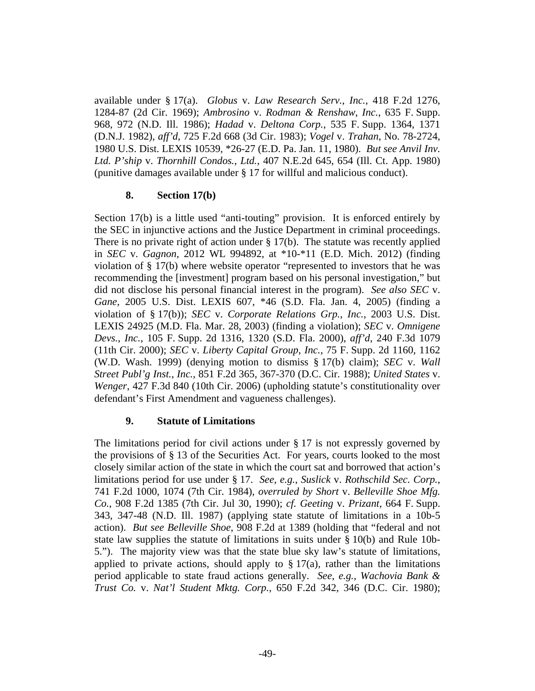available under § 17(a). *Globus* v. *Law Research Serv.*, *Inc.*, 418 F.2d 1276, 1284-87 (2d Cir. 1969); *Ambrosino* v. *Rodman & Renshaw*, *Inc.*, 635 F. Supp. 968, 972 (N.D. Ill. 1986); *Hadad* v. *Deltona Corp.*, 535 F. Supp. 1364, 1371 (D.N.J. 1982), *aff'd*, 725 F.2d 668 (3d Cir. 1983); *Vogel* v. *Trahan*, No. 78-2724, 1980 U.S. Dist. LEXIS 10539, \*26-27 (E.D. Pa. Jan. 11, 1980). *But see Anvil Inv. Ltd. P'ship* v. *Thornhill Condos.*, *Ltd.*, 407 N.E.2d 645, 654 (Ill. Ct. App. 1980) (punitive damages available under § 17 for willful and malicious conduct).

#### **8. Section 17(b)**

Section 17(b) is a little used "anti-touting" provision. It is enforced entirely by the SEC in injunctive actions and the Justice Department in criminal proceedings. There is no private right of action under  $\S 17(b)$ . The statute was recently applied in *SEC* v. *Gagnon*, 2012 WL 994892, at \*10-\*11 (E.D. Mich. 2012) (finding violation of § 17(b) where website operator "represented to investors that he was recommending the [investment] program based on his personal investigation," but did not disclose his personal financial interest in the program). *See also SEC* v. *Gane*, 2005 U.S. Dist. LEXIS 607, \*46 (S.D. Fla. Jan. 4, 2005) (finding a violation of § 17(b)); *SEC* v. *Corporate Relations Grp.*, *Inc.*, 2003 U.S. Dist. LEXIS 24925 (M.D. Fla. Mar. 28, 2003) (finding a violation); *SEC* v. *Omnigene Devs.*, *Inc.*, 105 F. Supp. 2d 1316, 1320 (S.D. Fla. 2000), *aff'd*, 240 F.3d 1079 (11th Cir. 2000); *SEC* v. *Liberty Capital Group*, *Inc.*, 75 F. Supp. 2d 1160, 1162 (W.D. Wash. 1999) (denying motion to dismiss § 17(b) claim); *SEC* v. *Wall Street Publ'g Inst.*, *Inc.*, 851 F.2d 365, 367-370 (D.C. Cir. 1988); *United States* v. *Wenger*, 427 F.3d 840 (10th Cir. 2006) (upholding statute's constitutionality over defendant's First Amendment and vagueness challenges).

# **9. Statute of Limitations**

The limitations period for civil actions under § 17 is not expressly governed by the provisions of § 13 of the Securities Act. For years, courts looked to the most closely similar action of the state in which the court sat and borrowed that action's limitations period for use under § 17. *See*, *e.g.*, *Suslick* v. *Rothschild Sec. Corp.*, 741 F.2d 1000, 1074 (7th Cir. 1984), *overruled by Short* v. *Belleville Shoe Mfg. Co.*, 908 F.2d 1385 (7th Cir. Jul 30, 1990); *cf. Geeting* v. *Prizant*, 664 F. Supp. 343, 347-48 (N.D. Ill. 1987) (applying state statute of limitations in a 10b-5 action). *But see Belleville Shoe*, 908 F.2d at 1389 (holding that "federal and not state law supplies the statute of limitations in suits under  $\S 10(b)$  and Rule 10b-5."). The majority view was that the state blue sky law's statute of limitations, applied to private actions, should apply to  $\S 17(a)$ , rather than the limitations period applicable to state fraud actions generally. *See*, *e.g.*, *Wachovia Bank & Trust Co.* v. *Nat'l Student Mktg. Corp.*, 650 F.2d 342, 346 (D.C. Cir. 1980);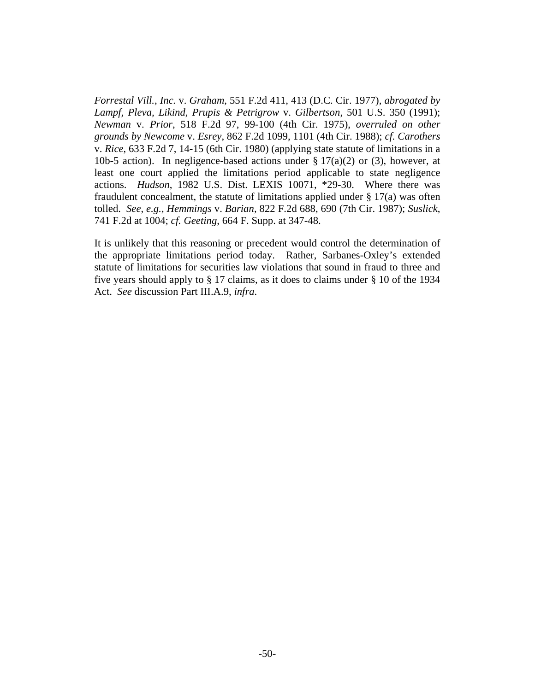*Forrestal Vill.*, *Inc.* v. *Graham*, 551 F.2d 411, 413 (D.C. Cir. 1977), *abrogated by Lampf, Pleva, Likind, Prupis & Petrigrow* v. *Gilbertson*, 501 U.S. 350 (1991); *Newman* v. *Prior*, 518 F.2d 97, 99-100 (4th Cir. 1975), *overruled on other grounds by Newcome* v. *Esrey*, 862 F.2d 1099, 1101 (4th Cir. 1988); *cf. Carothers* v. *Rice*, 633 F.2d 7, 14-15 (6th Cir. 1980) (applying state statute of limitations in a 10b-5 action). In negligence-based actions under  $\S 17(a)(2)$  or (3), however, at least one court applied the limitations period applicable to state negligence actions. *Hudson*, 1982 U.S. Dist. LEXIS 10071, \*29-30. Where there was fraudulent concealment, the statute of limitations applied under  $\S 17(a)$  was often tolled. *See*, *e.g.*, *Hemmings* v. *Barian*, 822 F.2d 688, 690 (7th Cir. 1987); *Suslick*, 741 F.2d at 1004; *cf. Geeting*, 664 F. Supp. at 347-48.

It is unlikely that this reasoning or precedent would control the determination of the appropriate limitations period today. Rather, Sarbanes-Oxley's extended statute of limitations for securities law violations that sound in fraud to three and five years should apply to § 17 claims, as it does to claims under § 10 of the 1934 Act. *See* discussion Part III.A.9, *infra*.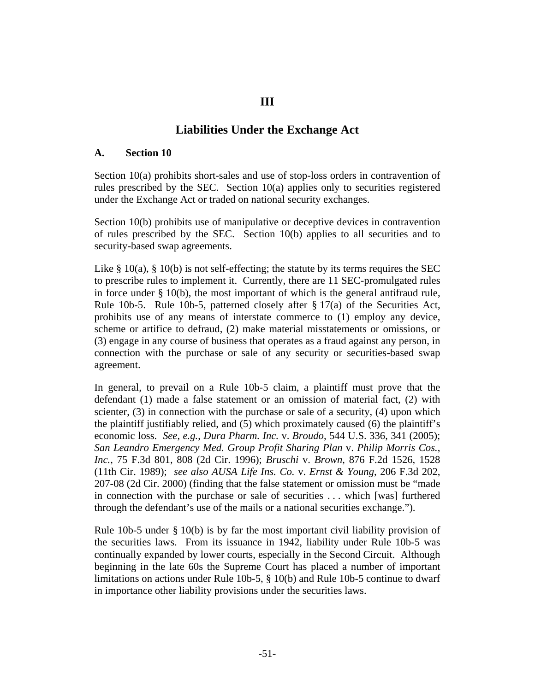# **III**

# **Liabilities Under the Exchange Act**

#### **A. Section 10**

Section 10(a) prohibits short-sales and use of stop-loss orders in contravention of rules prescribed by the SEC. Section 10(a) applies only to securities registered under the Exchange Act or traded on national security exchanges.

Section 10(b) prohibits use of manipulative or deceptive devices in contravention of rules prescribed by the SEC. Section 10(b) applies to all securities and to security-based swap agreements.

Like  $\S$  10(a),  $\S$  10(b) is not self-effecting; the statute by its terms requires the SEC to prescribe rules to implement it. Currently, there are 11 SEC-promulgated rules in force under  $\S$  10(b), the most important of which is the general antifraud rule, Rule 10b-5. Rule 10b-5, patterned closely after  $\S 17(a)$  of the Securities Act, prohibits use of any means of interstate commerce to (1) employ any device, scheme or artifice to defraud, (2) make material misstatements or omissions, or (3) engage in any course of business that operates as a fraud against any person, in connection with the purchase or sale of any security or securities-based swap agreement.

In general, to prevail on a Rule 10b-5 claim, a plaintiff must prove that the defendant (1) made a false statement or an omission of material fact, (2) with scienter, (3) in connection with the purchase or sale of a security, (4) upon which the plaintiff justifiably relied, and (5) which proximately caused (6) the plaintiff's economic loss. *See*, *e.g.*, *Dura Pharm. Inc.* v. *Broudo*, 544 U.S. 336, 341 (2005); *San Leandro Emergency Med. Group Profit Sharing Plan* v. *Philip Morris Cos.*, *Inc.*, 75 F.3d 801, 808 (2d Cir. 1996); *Bruschi* v. *Brown*, 876 F.2d 1526, 1528 (11th Cir. 1989); *see also AUSA Life Ins. Co.* v. *Ernst & Young*, 206 F.3d 202, 207-08 (2d Cir. 2000) (finding that the false statement or omission must be "made in connection with the purchase or sale of securities . . . which [was] furthered through the defendant's use of the mails or a national securities exchange.").

Rule 10b-5 under § 10(b) is by far the most important civil liability provision of the securities laws. From its issuance in 1942, liability under Rule 10b-5 was continually expanded by lower courts, especially in the Second Circuit. Although beginning in the late 60s the Supreme Court has placed a number of important limitations on actions under Rule 10b-5, § 10(b) and Rule 10b-5 continue to dwarf in importance other liability provisions under the securities laws.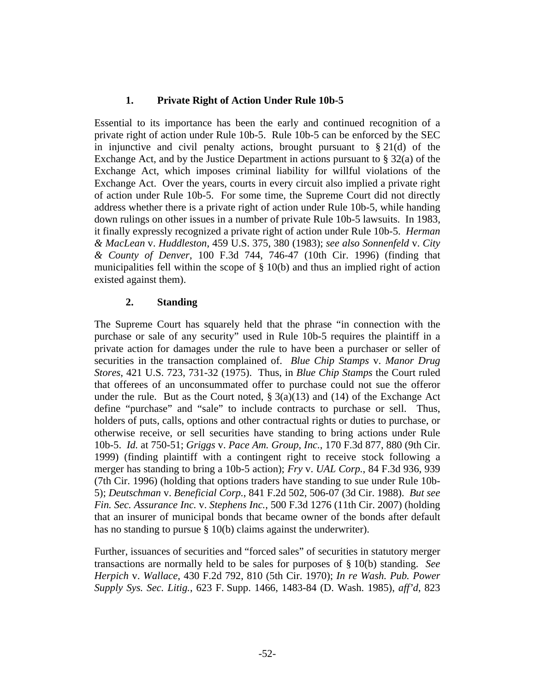## **1. Private Right of Action Under Rule 10b-5**

Essential to its importance has been the early and continued recognition of a private right of action under Rule 10b-5. Rule 10b-5 can be enforced by the SEC in injunctive and civil penalty actions, brought pursuant to  $\S 21(d)$  of the Exchange Act, and by the Justice Department in actions pursuant to § 32(a) of the Exchange Act, which imposes criminal liability for willful violations of the Exchange Act. Over the years, courts in every circuit also implied a private right of action under Rule 10b-5. For some time, the Supreme Court did not directly address whether there is a private right of action under Rule 10b-5, while handing down rulings on other issues in a number of private Rule 10b-5 lawsuits. In 1983, it finally expressly recognized a private right of action under Rule 10b-5. *Herman & MacLean* v. *Huddleston*, 459 U.S. 375, 380 (1983); *see also Sonnenfeld* v. *City & County of Denver*, 100 F.3d 744, 746-47 (10th Cir. 1996) (finding that municipalities fell within the scope of § 10(b) and thus an implied right of action existed against them).

## **2. Standing**

The Supreme Court has squarely held that the phrase "in connection with the purchase or sale of any security" used in Rule 10b-5 requires the plaintiff in a private action for damages under the rule to have been a purchaser or seller of securities in the transaction complained of. *Blue Chip Stamps* v. *Manor Drug Stores*, 421 U.S. 723, 731-32 (1975). Thus, in *Blue Chip Stamps* the Court ruled that offerees of an unconsummated offer to purchase could not sue the offeror under the rule. But as the Court noted,  $\S 3(a)(13)$  and (14) of the Exchange Act define "purchase" and "sale" to include contracts to purchase or sell. Thus, holders of puts, calls, options and other contractual rights or duties to purchase, or otherwise receive, or sell securities have standing to bring actions under Rule 10b-5. *Id.* at 750-51; *Griggs* v. *Pace Am. Group*, *Inc.*, 170 F.3d 877, 880 (9th Cir. 1999) (finding plaintiff with a contingent right to receive stock following a merger has standing to bring a 10b-5 action); *Fry* v. *UAL Corp.*, 84 F.3d 936, 939 (7th Cir. 1996) (holding that options traders have standing to sue under Rule 10b-5); *Deutschman* v. *Beneficial Corp.*, 841 F.2d 502, 506-07 (3d Cir. 1988). *But see Fin. Sec. Assurance Inc.* v. *Stephens Inc.*, 500 F.3d 1276 (11th Cir. 2007) (holding that an insurer of municipal bonds that became owner of the bonds after default has no standing to pursue § 10(b) claims against the underwriter).

Further, issuances of securities and "forced sales" of securities in statutory merger transactions are normally held to be sales for purposes of § 10(b) standing. *See Herpich* v. *Wallace*, 430 F.2d 792, 810 (5th Cir. 1970); *In re Wash. Pub. Power Supply Sys. Sec. Litig.*, 623 F. Supp. 1466, 1483-84 (D. Wash. 1985), *aff'd*, 823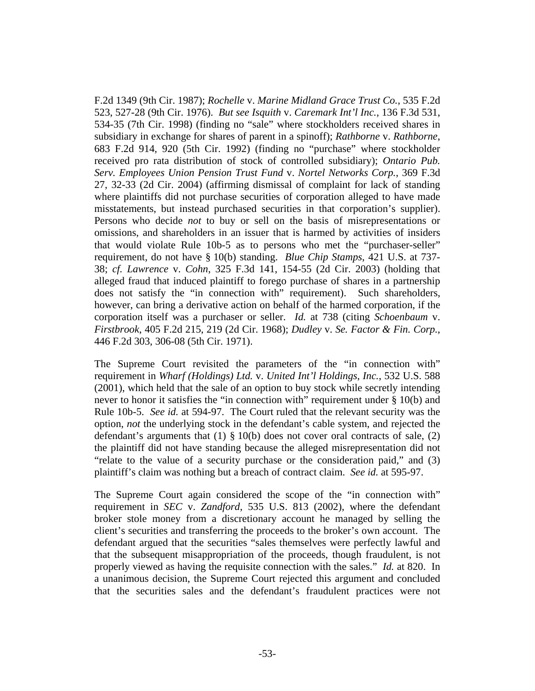F.2d 1349 (9th Cir. 1987); *Rochelle* v. *Marine Midland Grace Trust Co.*, 535 F.2d 523, 527-28 (9th Cir. 1976). *But see Isquith* v. *Caremark Int'l Inc.*, 136 F.3d 531, 534-35 (7th Cir. 1998) (finding no "sale" where stockholders received shares in subsidiary in exchange for shares of parent in a spinoff); *Rathborne* v. *Rathborne*, 683 F.2d 914, 920 (5th Cir. 1992) (finding no "purchase" where stockholder received pro rata distribution of stock of controlled subsidiary); *Ontario Pub. Serv. Employees Union Pension Trust Fund* v. *Nortel Networks Corp.*, 369 F.3d 27, 32-33 (2d Cir. 2004) (affirming dismissal of complaint for lack of standing where plaintiffs did not purchase securities of corporation alleged to have made misstatements, but instead purchased securities in that corporation's supplier). Persons who decide *not* to buy or sell on the basis of misrepresentations or omissions, and shareholders in an issuer that is harmed by activities of insiders that would violate Rule 10b-5 as to persons who met the "purchaser-seller" requirement, do not have § 10(b) standing. *Blue Chip Stamps*, 421 U.S. at 737- 38; *cf. Lawrence* v. *Cohn*, 325 F.3d 141, 154-55 (2d Cir. 2003) (holding that alleged fraud that induced plaintiff to forego purchase of shares in a partnership does not satisfy the "in connection with" requirement). Such shareholders, however, can bring a derivative action on behalf of the harmed corporation, if the corporation itself was a purchaser or seller. *Id.* at 738 (citing *Schoenbaum* v. *Firstbrook*, 405 F.2d 215, 219 (2d Cir. 1968); *Dudley* v. *Se. Factor & Fin. Corp.*, 446 F.2d 303, 306-08 (5th Cir. 1971).

The Supreme Court revisited the parameters of the "in connection with" requirement in *Wharf (Holdings) Ltd.* v. *United Int'l Holdings*, *Inc.*, 532 U.S. 588 (2001), which held that the sale of an option to buy stock while secretly intending never to honor it satisfies the "in connection with" requirement under § 10(b) and Rule 10b-5. *See id.* at 594-97. The Court ruled that the relevant security was the option, *not* the underlying stock in the defendant's cable system, and rejected the defendant's arguments that  $(1) \S 10(b)$  does not cover oral contracts of sale,  $(2)$ the plaintiff did not have standing because the alleged misrepresentation did not "relate to the value of a security purchase or the consideration paid," and (3) plaintiff's claim was nothing but a breach of contract claim. *See id.* at 595-97.

The Supreme Court again considered the scope of the "in connection with" requirement in *SEC* v. *Zandford*, 535 U.S. 813 (2002), where the defendant broker stole money from a discretionary account he managed by selling the client's securities and transferring the proceeds to the broker's own account. The defendant argued that the securities "sales themselves were perfectly lawful and that the subsequent misappropriation of the proceeds, though fraudulent, is not properly viewed as having the requisite connection with the sales." *Id.* at 820. In a unanimous decision, the Supreme Court rejected this argument and concluded that the securities sales and the defendant's fraudulent practices were not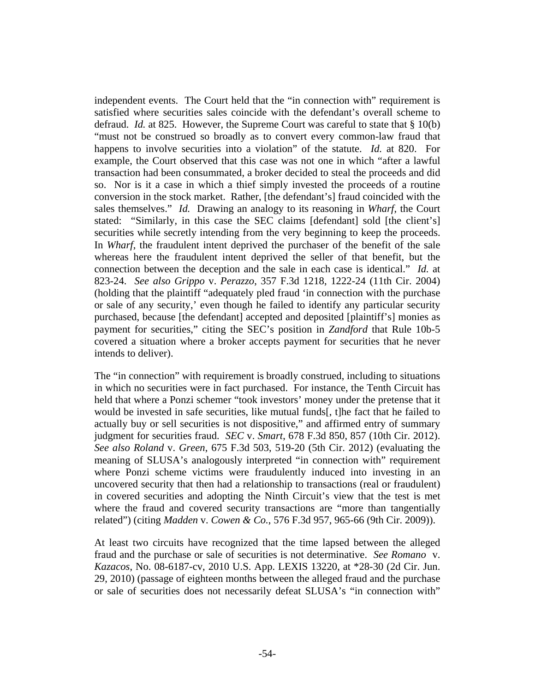independent events. The Court held that the "in connection with" requirement is satisfied where securities sales coincide with the defendant's overall scheme to defraud. *Id.* at 825. However, the Supreme Court was careful to state that § 10(b) "must not be construed so broadly as to convert every common-law fraud that happens to involve securities into a violation" of the statute. *Id.* at 820. For example, the Court observed that this case was not one in which "after a lawful transaction had been consummated, a broker decided to steal the proceeds and did so. Nor is it a case in which a thief simply invested the proceeds of a routine conversion in the stock market. Rather, [the defendant's] fraud coincided with the sales themselves." *Id.* Drawing an analogy to its reasoning in *Wharf*, the Court stated: "Similarly, in this case the SEC claims [defendant] sold [the client's] securities while secretly intending from the very beginning to keep the proceeds. In *Wharf*, the fraudulent intent deprived the purchaser of the benefit of the sale whereas here the fraudulent intent deprived the seller of that benefit, but the connection between the deception and the sale in each case is identical." *Id.* at 823-24. *See also Grippo* v. *Perazzo*, 357 F.3d 1218, 1222-24 (11th Cir. 2004) (holding that the plaintiff "adequately pled fraud 'in connection with the purchase or sale of any security,' even though he failed to identify any particular security purchased, because [the defendant] accepted and deposited [plaintiff's] monies as payment for securities," citing the SEC's position in *Zandford* that Rule 10b-5 covered a situation where a broker accepts payment for securities that he never intends to deliver).

The "in connection" with requirement is broadly construed, including to situations in which no securities were in fact purchased. For instance, the Tenth Circuit has held that where a Ponzi schemer "took investors' money under the pretense that it would be invested in safe securities, like mutual funds[, t]he fact that he failed to actually buy or sell securities is not dispositive," and affirmed entry of summary judgment for securities fraud. *SEC* v. *Smart*, 678 F.3d 850, 857 (10th Cir. 2012). *See also Roland* v. *Green*, 675 F.3d 503, 519-20 (5th Cir. 2012) (evaluating the meaning of SLUSA's analogously interpreted "in connection with" requirement where Ponzi scheme victims were fraudulently induced into investing in an uncovered security that then had a relationship to transactions (real or fraudulent) in covered securities and adopting the Ninth Circuit's view that the test is met where the fraud and covered security transactions are "more than tangentially related") (citing *Madden* v. *Cowen & Co.*, 576 F.3d 957, 965-66 (9th Cir. 2009)).

At least two circuits have recognized that the time lapsed between the alleged fraud and the purchase or sale of securities is not determinative. *See Romano* v. *Kazacos*, No. 08-6187-cv, 2010 U.S. App. LEXIS 13220, at \*28-30 (2d Cir. Jun. 29, 2010) (passage of eighteen months between the alleged fraud and the purchase or sale of securities does not necessarily defeat SLUSA's "in connection with"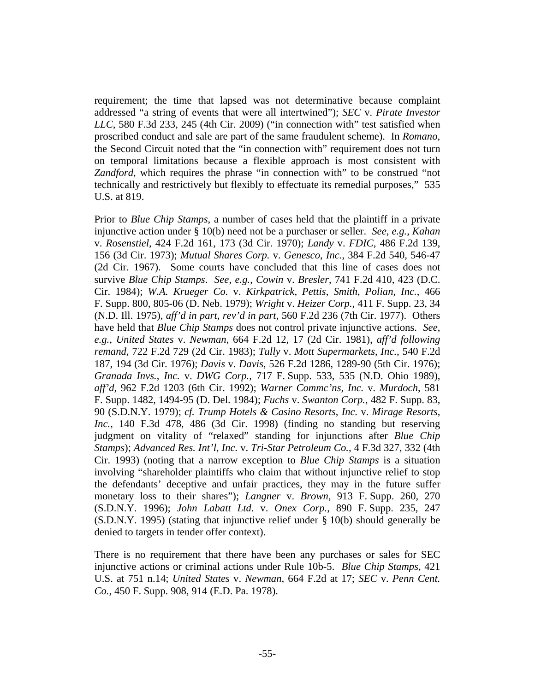requirement; the time that lapsed was not determinative because complaint addressed "a string of events that were all intertwined"); *SEC* v. *Pirate Investor LLC*, 580 F.3d 233, 245 (4th Cir. 2009) ("in connection with" test satisfied when proscribed conduct and sale are part of the same fraudulent scheme). In *Romano*, the Second Circuit noted that the "in connection with" requirement does not turn on temporal limitations because a flexible approach is most consistent with *Zandford*, which requires the phrase "in connection with" to be construed "not technically and restrictively but flexibly to effectuate its remedial purposes," 535 U.S. at 819.

Prior to *Blue Chip Stamps*, a number of cases held that the plaintiff in a private injunctive action under § 10(b) need not be a purchaser or seller. *See*, *e.g.*, *Kahan* v. *Rosenstiel*, 424 F.2d 161, 173 (3d Cir. 1970); *Landy* v. *FDIC*, 486 F.2d 139, 156 (3d Cir. 1973); *Mutual Shares Corp.* v. *Genesco*, *Inc.*, 384 F.2d 540, 546-47 (2d Cir. 1967). Some courts have concluded that this line of cases does not survive *Blue Chip Stamps*. *See*, *e.g.*, *Cowin* v. *Bresler*, 741 F.2d 410, 423 (D.C. Cir. 1984); *W.A. Krueger Co.* v. *Kirkpatrick*, *Pettis*, *Smith*, *Polian*, *Inc.*, 466 F. Supp. 800, 805-06 (D. Neb. 1979); *Wright* v. *Heizer Corp.*, 411 F. Supp. 23, 34 (N.D. Ill. 1975), *aff'd in part*, *rev'd in part*, 560 F.2d 236 (7th Cir. 1977). Others have held that *Blue Chip Stamps* does not control private injunctive actions. *See*, *e.g.*, *United States* v. *Newman*, 664 F.2d 12, 17 (2d Cir. 1981), *aff'd following remand*, 722 F.2d 729 (2d Cir. 1983); *Tully* v. *Mott Supermarkets*, *Inc.*, 540 F.2d 187, 194 (3d Cir. 1976); *Davis* v. *Davis*, 526 F.2d 1286, 1289-90 (5th Cir. 1976); *Granada Invs.*, *Inc.* v. *DWG Corp.*, 717 F. Supp. 533, 535 (N.D. Ohio 1989), *aff'd*, 962 F.2d 1203 (6th Cir. 1992); *Warner Commc'ns*, *Inc.* v. *Murdoch*, 581 F. Supp. 1482, 1494-95 (D. Del. 1984); *Fuchs* v. *Swanton Corp.*, 482 F. Supp. 83, 90 (S.D.N.Y. 1979); *cf. Trump Hotels & Casino Resorts*, *Inc.* v. *Mirage Resorts*, *Inc.*, 140 F.3d 478, 486 (3d Cir. 1998) (finding no standing but reserving judgment on vitality of "relaxed" standing for injunctions after *Blue Chip Stamps*); *Advanced Res. Int'l*, *Inc.* v. *Tri-Star Petroleum Co.*, 4 F.3d 327, 332 (4th Cir. 1993) (noting that a narrow exception to *Blue Chip Stamps* is a situation involving "shareholder plaintiffs who claim that without injunctive relief to stop the defendants' deceptive and unfair practices, they may in the future suffer monetary loss to their shares"); *Langner* v. *Brown*, 913 F. Supp. 260, 270 (S.D.N.Y. 1996); *John Labatt Ltd.* v. *Onex Corp.*, 890 F. Supp. 235, 247 (S.D.N.Y. 1995) (stating that injunctive relief under § 10(b) should generally be denied to targets in tender offer context).

There is no requirement that there have been any purchases or sales for SEC injunctive actions or criminal actions under Rule 10b-5. *Blue Chip Stamps*, 421 U.S. at 751 n.14; *United States* v. *Newman*, 664 F.2d at 17; *SEC* v. *Penn Cent. Co.*, 450 F. Supp. 908, 914 (E.D. Pa. 1978).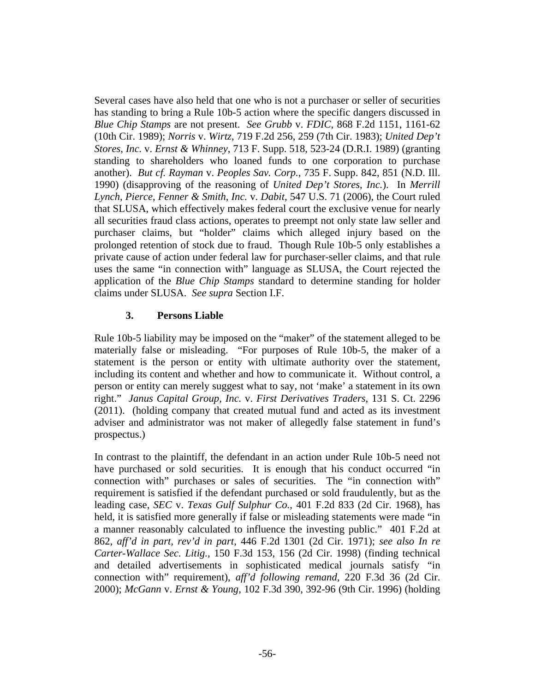Several cases have also held that one who is not a purchaser or seller of securities has standing to bring a Rule 10b-5 action where the specific dangers discussed in *Blue Chip Stamps* are not present. *See Grubb* v. *FDIC*, 868 F.2d 1151, 1161-62 (10th Cir. 1989); *Norris* v. *Wirtz*, 719 F.2d 256, 259 (7th Cir. 1983); *United Dep't Stores*, *Inc.* v. *Ernst & Whinney*, 713 F. Supp. 518, 523-24 (D.R.I. 1989) (granting standing to shareholders who loaned funds to one corporation to purchase another). *But cf. Rayman* v. *Peoples Sav. Corp.*, 735 F. Supp. 842, 851 (N.D. Ill. 1990) (disapproving of the reasoning of *United Dep't Stores*, *Inc.*). In *Merrill Lynch*, *Pierce*, *Fenner & Smith*, *Inc.* v. *Dabit*, 547 U.S. 71 (2006), the Court ruled that SLUSA, which effectively makes federal court the exclusive venue for nearly all securities fraud class actions, operates to preempt not only state law seller and purchaser claims, but "holder" claims which alleged injury based on the prolonged retention of stock due to fraud. Though Rule 10b-5 only establishes a private cause of action under federal law for purchaser-seller claims, and that rule uses the same "in connection with" language as SLUSA, the Court rejected the application of the *Blue Chip Stamps* standard to determine standing for holder claims under SLUSA. *See supra* Section I.F.

# **3. Persons Liable**

Rule 10b-5 liability may be imposed on the "maker" of the statement alleged to be materially false or misleading. "For purposes of Rule 10b-5, the maker of a statement is the person or entity with ultimate authority over the statement, including its content and whether and how to communicate it. Without control, a person or entity can merely suggest what to say, not 'make' a statement in its own right." *Janus Capital Group, Inc.* v. *First Derivatives Traders*, 131 S. Ct. 2296 (2011). (holding company that created mutual fund and acted as its investment adviser and administrator was not maker of allegedly false statement in fund's prospectus.)

In contrast to the plaintiff, the defendant in an action under Rule 10b-5 need not have purchased or sold securities. It is enough that his conduct occurred "in connection with" purchases or sales of securities. The "in connection with" requirement is satisfied if the defendant purchased or sold fraudulently, but as the leading case, *SEC* v. *Texas Gulf Sulphur Co.*, 401 F.2d 833 (2d Cir. 1968), has held, it is satisfied more generally if false or misleading statements were made "in a manner reasonably calculated to influence the investing public." 401 F.2d at 862, *aff'd in part, rev'd in part*, 446 F.2d 1301 (2d Cir. 1971); *see also In re Carter-Wallace Sec. Litig.*, 150 F.3d 153, 156 (2d Cir. 1998) (finding technical and detailed advertisements in sophisticated medical journals satisfy "in connection with" requirement), *aff'd following remand*, 220 F.3d 36 (2d Cir. 2000); *McGann* v. *Ernst & Young*, 102 F.3d 390, 392-96 (9th Cir. 1996) (holding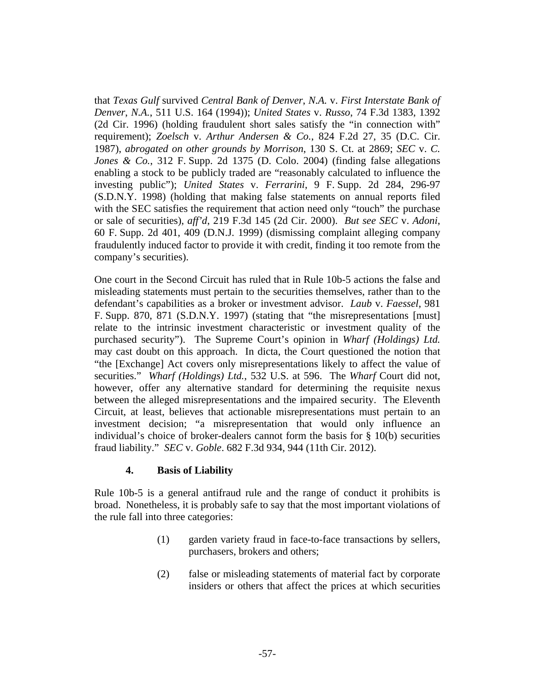that *Texas Gulf* survived *Central Bank of Denver*, *N.A.* v. *First Interstate Bank of Denver*, *N.A.*, 511 U.S. 164 (1994)); *United States* v. *Russo*, 74 F.3d 1383, 1392 (2d Cir. 1996) (holding fraudulent short sales satisfy the "in connection with" requirement); *Zoelsch* v. *Arthur Andersen & Co.*, 824 F.2d 27, 35 (D.C. Cir. 1987), *abrogated on other grounds by Morrison*, 130 S. Ct. at 2869; *SEC* v. *C. Jones & Co.*, 312 F. Supp. 2d 1375 (D. Colo. 2004) (finding false allegations enabling a stock to be publicly traded are "reasonably calculated to influence the investing public"); *United States* v. *Ferrarini*, 9 F. Supp. 2d 284, 296-97 (S.D.N.Y. 1998) (holding that making false statements on annual reports filed with the SEC satisfies the requirement that action need only "touch" the purchase or sale of securities), *aff'd*, 219 F.3d 145 (2d Cir. 2000). *But see SEC* v. *Adoni*, 60 F. Supp. 2d 401, 409 (D.N.J. 1999) (dismissing complaint alleging company fraudulently induced factor to provide it with credit, finding it too remote from the company's securities).

One court in the Second Circuit has ruled that in Rule 10b-5 actions the false and misleading statements must pertain to the securities themselves, rather than to the defendant's capabilities as a broker or investment advisor. *Laub* v. *Faessel*, 981 F. Supp. 870, 871 (S.D.N.Y. 1997) (stating that "the misrepresentations [must] relate to the intrinsic investment characteristic or investment quality of the purchased security"). The Supreme Court's opinion in *Wharf (Holdings) Ltd.* may cast doubt on this approach. In dicta, the Court questioned the notion that "the [Exchange] Act covers only misrepresentations likely to affect the value of securities." *Wharf (Holdings) Ltd.*, 532 U.S. at 596. The *Wharf* Court did not, however, offer any alternative standard for determining the requisite nexus between the alleged misrepresentations and the impaired security. The Eleventh Circuit, at least, believes that actionable misrepresentations must pertain to an investment decision; "a misrepresentation that would only influence an individual's choice of broker-dealers cannot form the basis for § 10(b) securities fraud liability." *SEC* v. *Goble*. 682 F.3d 934, 944 (11th Cir. 2012).

# **4. Basis of Liability**

Rule 10b-5 is a general antifraud rule and the range of conduct it prohibits is broad. Nonetheless, it is probably safe to say that the most important violations of the rule fall into three categories:

- (1) garden variety fraud in face-to-face transactions by sellers, purchasers, brokers and others;
- (2) false or misleading statements of material fact by corporate insiders or others that affect the prices at which securities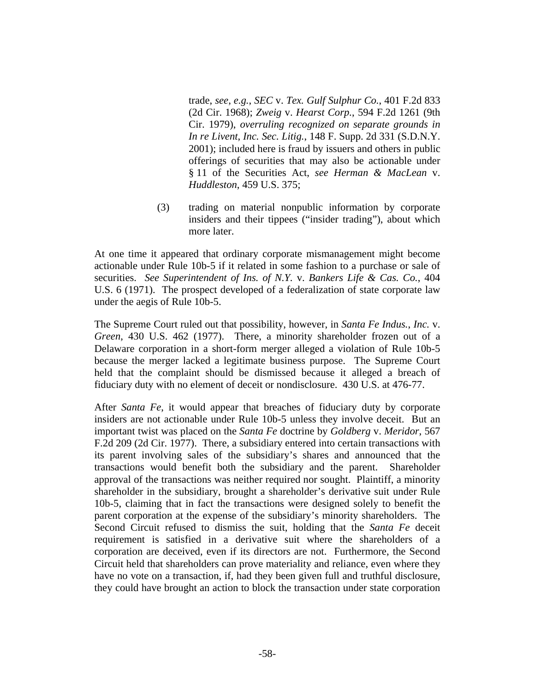trade, *see*, *e.g.*, *SEC* v. *Tex. Gulf Sulphur Co.*, 401 F.2d 833 (2d Cir. 1968); *Zweig* v. *Hearst Corp.*, 594 F.2d 1261 (9th Cir. 1979), *overruling recognized on separate grounds in In re Livent*, *Inc. Sec. Litig.*, 148 F. Supp. 2d 331 (S.D.N.Y. 2001); included here is fraud by issuers and others in public offerings of securities that may also be actionable under § 11 of the Securities Act, *see Herman & MacLean* v. *Huddleston*, 459 U.S. 375;

(3) trading on material nonpublic information by corporate insiders and their tippees ("insider trading"), about which more later.

At one time it appeared that ordinary corporate mismanagement might become actionable under Rule 10b-5 if it related in some fashion to a purchase or sale of securities. *See Superintendent of Ins. of N.Y.* v. *Bankers Life & Cas. Co.*, 404 U.S. 6 (1971). The prospect developed of a federalization of state corporate law under the aegis of Rule 10b-5.

The Supreme Court ruled out that possibility, however, in *Santa Fe Indus.*, *Inc.* v. *Green*, 430 U.S. 462 (1977). There, a minority shareholder frozen out of a Delaware corporation in a short-form merger alleged a violation of Rule 10b-5 because the merger lacked a legitimate business purpose. The Supreme Court held that the complaint should be dismissed because it alleged a breach of fiduciary duty with no element of deceit or nondisclosure. 430 U.S. at 476-77.

After *Santa Fe*, it would appear that breaches of fiduciary duty by corporate insiders are not actionable under Rule 10b-5 unless they involve deceit. But an important twist was placed on the *Santa Fe* doctrine by *Goldberg* v. *Meridor*, 567 F.2d 209 (2d Cir. 1977). There, a subsidiary entered into certain transactions with its parent involving sales of the subsidiary's shares and announced that the transactions would benefit both the subsidiary and the parent. Shareholder approval of the transactions was neither required nor sought. Plaintiff, a minority shareholder in the subsidiary, brought a shareholder's derivative suit under Rule 10b-5, claiming that in fact the transactions were designed solely to benefit the parent corporation at the expense of the subsidiary's minority shareholders. The Second Circuit refused to dismiss the suit, holding that the *Santa Fe* deceit requirement is satisfied in a derivative suit where the shareholders of a corporation are deceived, even if its directors are not. Furthermore, the Second Circuit held that shareholders can prove materiality and reliance, even where they have no vote on a transaction, if, had they been given full and truthful disclosure, they could have brought an action to block the transaction under state corporation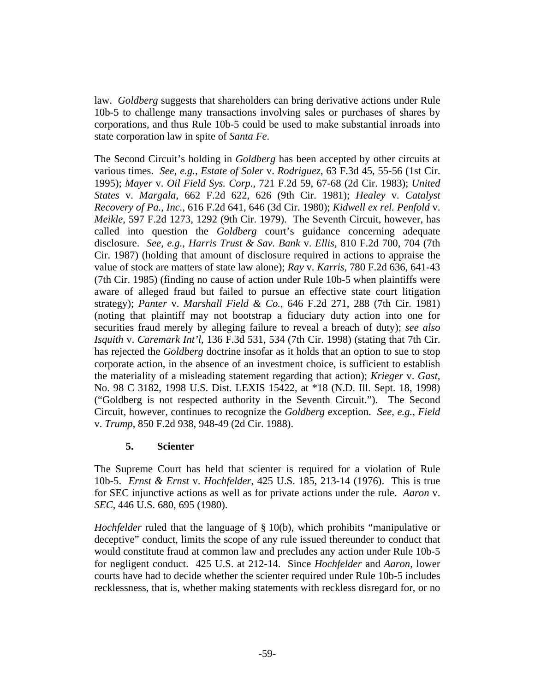law. *Goldberg* suggests that shareholders can bring derivative actions under Rule 10b-5 to challenge many transactions involving sales or purchases of shares by corporations, and thus Rule 10b-5 could be used to make substantial inroads into state corporation law in spite of *Santa Fe*.

The Second Circuit's holding in *Goldberg* has been accepted by other circuits at various times. *See*, *e.g.*, *Estate of Soler* v. *Rodriguez*, 63 F.3d 45, 55-56 (1st Cir. 1995); *Mayer* v. *Oil Field Sys. Corp.*, 721 F.2d 59, 67-68 (2d Cir. 1983); *United States* v. *Margala*, 662 F.2d 622, 626 (9th Cir. 1981); *Healey* v. *Catalyst Recovery of Pa.*, *Inc.*, 616 F.2d 641, 646 (3d Cir. 1980); *Kidwell ex rel. Penfold* v. *Meikle*, 597 F.2d 1273, 1292 (9th Cir. 1979). The Seventh Circuit, however, has called into question the *Goldberg* court's guidance concerning adequate disclosure. *See*, *e.g.*, *Harris Trust & Sav. Bank* v. *Ellis*, 810 F.2d 700, 704 (7th Cir. 1987) (holding that amount of disclosure required in actions to appraise the value of stock are matters of state law alone); *Ray* v. *Karris*, 780 F.2d 636, 641-43 (7th Cir. 1985) (finding no cause of action under Rule 10b-5 when plaintiffs were aware of alleged fraud but failed to pursue an effective state court litigation strategy); *Panter* v. *Marshall Field & Co.*, 646 F.2d 271, 288 (7th Cir. 1981) (noting that plaintiff may not bootstrap a fiduciary duty action into one for securities fraud merely by alleging failure to reveal a breach of duty); *see also Isquith* v. *Caremark Int'l*, 136 F.3d 531, 534 (7th Cir. 1998) (stating that 7th Cir. has rejected the *Goldberg* doctrine insofar as it holds that an option to sue to stop corporate action, in the absence of an investment choice, is sufficient to establish the materiality of a misleading statement regarding that action); *Krieger* v. *Gast*, No. 98 C 3182, 1998 U.S. Dist. LEXIS 15422, at \*18 (N.D. Ill. Sept. 18, 1998) ("Goldberg is not respected authority in the Seventh Circuit."). The Second Circuit, however, continues to recognize the *Goldberg* exception. *See*, *e.g.*, *Field* v. *Trump*, 850 F.2d 938, 948-49 (2d Cir. 1988).

# **5. Scienter**

The Supreme Court has held that scienter is required for a violation of Rule 10b-5. *Ernst & Ernst* v. *Hochfelder*, 425 U.S. 185, 213-14 (1976). This is true for SEC injunctive actions as well as for private actions under the rule. *Aaron* v. *SEC*, 446 U.S. 680, 695 (1980).

*Hochfelder* ruled that the language of § 10(b), which prohibits "manipulative or deceptive" conduct, limits the scope of any rule issued thereunder to conduct that would constitute fraud at common law and precludes any action under Rule 10b-5 for negligent conduct. 425 U.S. at 212-14. Since *Hochfelder* and *Aaron*, lower courts have had to decide whether the scienter required under Rule 10b-5 includes recklessness, that is, whether making statements with reckless disregard for, or no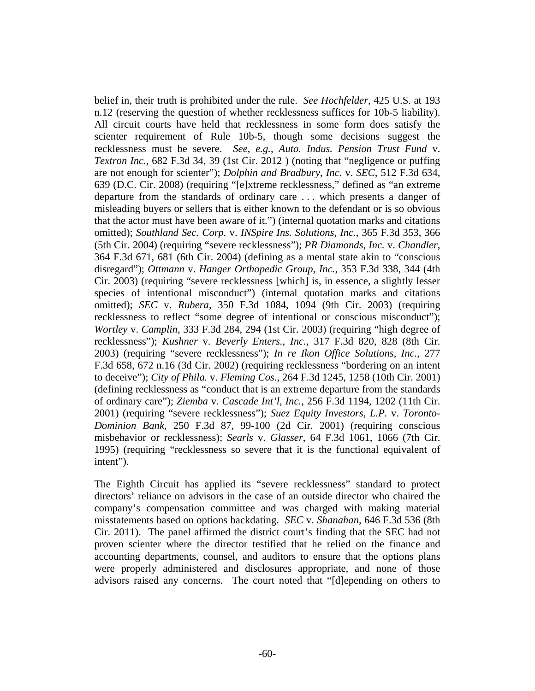belief in, their truth is prohibited under the rule. *See Hochfelder*, 425 U.S. at 193 n.12 (reserving the question of whether recklessness suffices for 10b-5 liability). All circuit courts have held that recklessness in some form does satisfy the scienter requirement of Rule 10b-5, though some decisions suggest the recklessness must be severe. *See*, *e.g.*, *Auto. Indus. Pension Trust Fund* v. *Textron Inc.*, 682 F.3d 34, 39 (1st Cir. 2012 ) (noting that "negligence or puffing are not enough for scienter"); *Dolphin and Bradbury*, *Inc.* v. *SEC*, 512 F.3d 634, 639 (D.C. Cir. 2008) (requiring "[e]xtreme recklessness," defined as "an extreme departure from the standards of ordinary care . . . which presents a danger of misleading buyers or sellers that is either known to the defendant or is so obvious that the actor must have been aware of it.") (internal quotation marks and citations omitted); *Southland Sec. Corp.* v. *INSpire Ins. Solutions*, *Inc.*, 365 F.3d 353, 366 (5th Cir. 2004) (requiring "severe recklessness"); *PR Diamonds*, *Inc.* v. *Chandler*, 364 F.3d 671, 681 (6th Cir. 2004) (defining as a mental state akin to "conscious disregard"); *Ottmann* v. *Hanger Orthopedic Group*, *Inc.*, 353 F.3d 338, 344 (4th Cir. 2003) (requiring "severe recklessness [which] is, in essence, a slightly lesser species of intentional misconduct") (internal quotation marks and citations omitted); *SEC* v. *Rubera*, 350 F.3d 1084, 1094 (9th Cir. 2003) (requiring recklessness to reflect "some degree of intentional or conscious misconduct"); *Wortley* v. *Camplin*, 333 F.3d 284, 294 (1st Cir. 2003) (requiring "high degree of recklessness"); *Kushner* v. *Beverly Enters.*, *Inc.*, 317 F.3d 820, 828 (8th Cir. 2003) (requiring "severe recklessness"); *In re Ikon Office Solutions*, *Inc.*, 277 F.3d 658, 672 n.16 (3d Cir. 2002) (requiring recklessness "bordering on an intent to deceive"); *City of Phila.* v. *Fleming Cos.*, 264 F.3d 1245, 1258 (10th Cir. 2001) (defining recklessness as "conduct that is an extreme departure from the standards of ordinary care"); *Ziemba* v. *Cascade Int'l*, *Inc.*, 256 F.3d 1194, 1202 (11th Cir. 2001) (requiring "severe recklessness"); *Suez Equity Investors*, *L.P.* v. *Toronto-Dominion Bank*, 250 F.3d 87, 99-100 (2d Cir. 2001) (requiring conscious misbehavior or recklessness); *Searls* v. *Glasser*, 64 F.3d 1061, 1066 (7th Cir. 1995) (requiring "recklessness so severe that it is the functional equivalent of intent").

The Eighth Circuit has applied its "severe recklessness" standard to protect directors' reliance on advisors in the case of an outside director who chaired the company's compensation committee and was charged with making material misstatements based on options backdating. *SEC* v. *Shanahan*, 646 F.3d 536 (8th Cir. 2011). The panel affirmed the district court's finding that the SEC had not proven scienter where the director testified that he relied on the finance and accounting departments, counsel, and auditors to ensure that the options plans were properly administered and disclosures appropriate, and none of those advisors raised any concerns. The court noted that "[d]epending on others to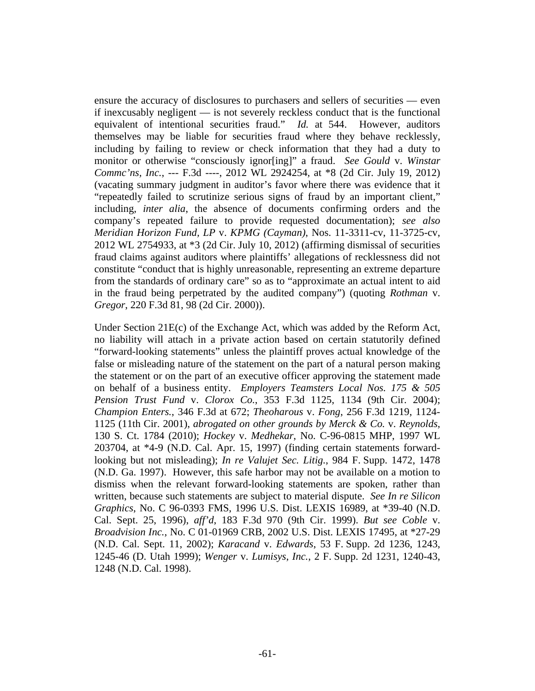ensure the accuracy of disclosures to purchasers and sellers of securities — even if inexcusably negligent — is not severely reckless conduct that is the functional equivalent of intentional securities fraud." *Id.* at 544. However, auditors themselves may be liable for securities fraud where they behave recklessly, including by failing to review or check information that they had a duty to monitor or otherwise "consciously ignor[ing]" a fraud. *See Gould* v. *Winstar Commc'ns, Inc.*, --- F.3d ----, 2012 WL 2924254, at \*8 (2d Cir. July 19, 2012) (vacating summary judgment in auditor's favor where there was evidence that it "repeatedly failed to scrutinize serious signs of fraud by an important client," including, *inter alia*, the absence of documents confirming orders and the company's repeated failure to provide requested documentation); *see also Meridian Horizon Fund, LP* v. *KPMG (Cayman)*, Nos. 11-3311-cv, 11-3725-cv, 2012 WL 2754933, at \*3 (2d Cir. July 10, 2012) (affirming dismissal of securities fraud claims against auditors where plaintiffs' allegations of recklessness did not constitute "conduct that is highly unreasonable, representing an extreme departure from the standards of ordinary care" so as to "approximate an actual intent to aid in the fraud being perpetrated by the audited company") (quoting *Rothman* v. *Gregor*, 220 F.3d 81, 98 (2d Cir. 2000)).

Under Section 21E(c) of the Exchange Act, which was added by the Reform Act, no liability will attach in a private action based on certain statutorily defined "forward-looking statements" unless the plaintiff proves actual knowledge of the false or misleading nature of the statement on the part of a natural person making the statement or on the part of an executive officer approving the statement made on behalf of a business entity. *Employers Teamsters Local Nos. 175 & 505 Pension Trust Fund* v. *Clorox Co.*, 353 F.3d 1125, 1134 (9th Cir. 2004); *Champion Enters.*, 346 F.3d at 672; *Theoharous* v. *Fong*, 256 F.3d 1219, 1124- 1125 (11th Cir. 2001), *abrogated on other grounds by Merck & Co.* v. *Reynolds*, 130 S. Ct. 1784 (2010); *Hockey* v. *Medhekar*, No. C-96-0815 MHP, 1997 WL 203704, at \*4-9 (N.D. Cal. Apr. 15, 1997) (finding certain statements forwardlooking but not misleading); *In re Valujet Sec. Litig.*, 984 F. Supp. 1472, 1478 (N.D. Ga. 1997). However, this safe harbor may not be available on a motion to dismiss when the relevant forward-looking statements are spoken, rather than written, because such statements are subject to material dispute. *See In re Silicon Graphics*, No. C 96-0393 FMS, 1996 U.S. Dist. LEXIS 16989, at \*39-40 (N.D. Cal. Sept. 25, 1996), *aff'd*, 183 F.3d 970 (9th Cir. 1999). *But see Coble* v. *Broadvision Inc.*, No. C 01-01969 CRB, 2002 U.S. Dist. LEXIS 17495, at \*27-29 (N.D. Cal. Sept. 11, 2002); *Karacand* v. *Edwards*, 53 F. Supp. 2d 1236, 1243, 1245-46 (D. Utah 1999); *Wenger* v. *Lumisys*, *Inc.*, 2 F. Supp. 2d 1231, 1240-43, 1248 (N.D. Cal. 1998).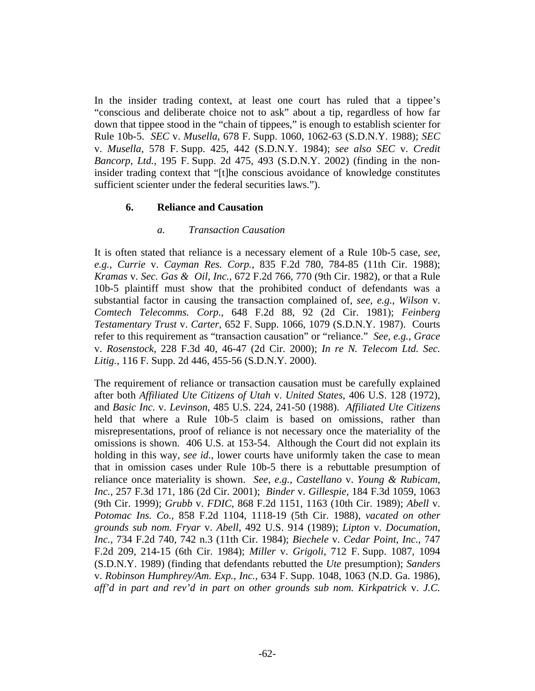In the insider trading context, at least one court has ruled that a tippee's "conscious and deliberate choice not to ask" about a tip, regardless of how far down that tippee stood in the "chain of tippees," is enough to establish scienter for Rule 10b-5. *SEC* v. *Musella*, 678 F. Supp. 1060, 1062-63 (S.D.N.Y. 1988); *SEC* v. *Musella*, 578 F. Supp. 425, 442 (S.D.N.Y. 1984); *see also SEC* v. *Credit Bancorp*, *Ltd.*, 195 F. Supp. 2d 475, 493 (S.D.N.Y. 2002) (finding in the noninsider trading context that "[t]he conscious avoidance of knowledge constitutes sufficient scienter under the federal securities laws.").

#### **6. Reliance and Causation**

#### *a. Transaction Causation*

It is often stated that reliance is a necessary element of a Rule 10b-5 case, *see*, *e.g.*, *Currie* v. *Cayman Res. Corp.*, 835 F.2d 780, 784-85 (11th Cir. 1988); *Kramas* v. *Sec. Gas & Oil*, *Inc.*, 672 F.2d 766, 770 (9th Cir. 1982), or that a Rule 10b-5 plaintiff must show that the prohibited conduct of defendants was a substantial factor in causing the transaction complained of, *see*, *e.g.*, *Wilson* v. *Comtech Telecomms. Corp.*, 648 F.2d 88, 92 (2d Cir. 1981); *Feinberg Testamentary Trust* v. *Carter*, 652 F. Supp. 1066, 1079 (S.D.N.Y. 1987). Courts refer to this requirement as "transaction causation" or "reliance." *See*, *e.g.*, *Grace* v. *Rosenstock*, 228 F.3d 40, 46-47 (2d Cir. 2000); *In re N. Telecom Ltd. Sec. Litig.*, 116 F. Supp. 2d 446, 455-56 (S.D.N.Y. 2000).

The requirement of reliance or transaction causation must be carefully explained after both *Affiliated Ute Citizens of Utah* v. *United States*, 406 U.S. 128 (1972), and *Basic Inc.* v. *Levinson*, 485 U.S. 224, 241-50 (1988). *Affiliated Ute Citizens* held that where a Rule 10b-5 claim is based on omissions, rather than misrepresentations, proof of reliance is not necessary once the materiality of the omissions is shown. 406 U.S. at 153-54. Although the Court did not explain its holding in this way, *see id.*, lower courts have uniformly taken the case to mean that in omission cases under Rule 10b-5 there is a rebuttable presumption of reliance once materiality is shown. *See*, *e.g.*, *Castellano* v. *Young & Rubicam*, *Inc.*, 257 F.3d 171, 186 (2d Cir. 2001); *Binder* v. *Gillespie*, 184 F.3d 1059, 1063 (9th Cir. 1999); *Grubb* v. *FDIC*, 868 F.2d 1151, 1163 (10th Cir. 1989); *Abell* v. *Potomac Ins. Co.*, 858 F.2d 1104, 1118-19 (5th Cir. 1988), *vacated on other grounds sub nom. Fryar* v. *Abell*, 492 U.S. 914 (1989); *Lipton* v. *Documation*, *Inc.*, 734 F.2d 740, 742 n.3 (11th Cir. 1984); *Biechele* v. *Cedar Point*, *Inc.*, 747 F.2d 209, 214-15 (6th Cir. 1984); *Miller* v. *Grigoli*, 712 F. Supp. 1087, 1094 (S.D.N.Y. 1989) (finding that defendants rebutted the *Ute* presumption); *Sanders* v. *Robinson Humphrey/Am. Exp.*, *Inc.*, 634 F. Supp. 1048, 1063 (N.D. Ga. 1986), *aff'd in part and rev'd in part on other grounds sub nom. Kirkpatrick* v. *J.C.*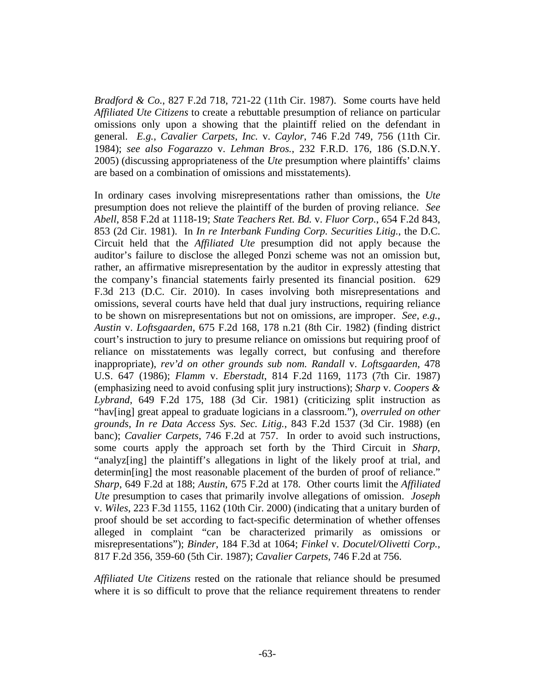*Bradford & Co.*, 827 F.2d 718, 721-22 (11th Cir. 1987). Some courts have held *Affiliated Ute Citizens* to create a rebuttable presumption of reliance on particular omissions only upon a showing that the plaintiff relied on the defendant in general. *E.g.*, *Cavalier Carpets*, *Inc.* v. *Caylor*, 746 F.2d 749, 756 (11th Cir. 1984); *see also Fogarazzo* v. *Lehman Bros.*, 232 F.R.D. 176, 186 (S.D.N.Y. 2005) (discussing appropriateness of the *Ute* presumption where plaintiffs' claims are based on a combination of omissions and misstatements).

In ordinary cases involving misrepresentations rather than omissions, the *Ute* presumption does not relieve the plaintiff of the burden of proving reliance. *See Abell*, 858 F.2d at 1118-19; *State Teachers Ret. Bd.* v. *Fluor Corp.*, 654 F.2d 843, 853 (2d Cir. 1981). In *In re Interbank Funding Corp. Securities Litig.*, the D.C. Circuit held that the *Affiliated Ute* presumption did not apply because the auditor's failure to disclose the alleged Ponzi scheme was not an omission but, rather, an affirmative misrepresentation by the auditor in expressly attesting that the company's financial statements fairly presented its financial position. 629 F.3d 213 (D.C. Cir. 2010). In cases involving both misrepresentations and omissions, several courts have held that dual jury instructions, requiring reliance to be shown on misrepresentations but not on omissions, are improper. *See*, *e.g.*, *Austin* v. *Loftsgaarden*, 675 F.2d 168, 178 n.21 (8th Cir. 1982) (finding district court's instruction to jury to presume reliance on omissions but requiring proof of reliance on misstatements was legally correct, but confusing and therefore inappropriate), *rev'd on other grounds sub nom. Randall* v. *Loftsgaarden*, 478 U.S. 647 (1986); *Flamm* v. *Eberstadt*, 814 F.2d 1169, 1173 (7th Cir. 1987) (emphasizing need to avoid confusing split jury instructions); *Sharp* v. *Coopers & Lybrand*, 649 F.2d 175, 188 (3d Cir. 1981) (criticizing split instruction as "hav[ing] great appeal to graduate logicians in a classroom."), *overruled on other grounds*, *In re Data Access Sys. Sec. Litig.*, 843 F.2d 1537 (3d Cir. 1988) (en banc); *Cavalier Carpets*, 746 F.2d at 757. In order to avoid such instructions, some courts apply the approach set forth by the Third Circuit in *Sharp*, "analyz[ing] the plaintiff's allegations in light of the likely proof at trial, and determin[ing] the most reasonable placement of the burden of proof of reliance." *Sharp*, 649 F.2d at 188; *Austin*, 675 F.2d at 178. Other courts limit the *Affiliated Ute* presumption to cases that primarily involve allegations of omission. *Joseph* v. *Wiles*, 223 F.3d 1155, 1162 (10th Cir. 2000) (indicating that a unitary burden of proof should be set according to fact-specific determination of whether offenses alleged in complaint "can be characterized primarily as omissions or misrepresentations"); *Binder*, 184 F.3d at 1064; *Finkel* v. *Docutel/Olivetti Corp.*, 817 F.2d 356, 359-60 (5th Cir. 1987); *Cavalier Carpets*, 746 F.2d at 756.

*Affiliated Ute Citizens* rested on the rationale that reliance should be presumed where it is so difficult to prove that the reliance requirement threatens to render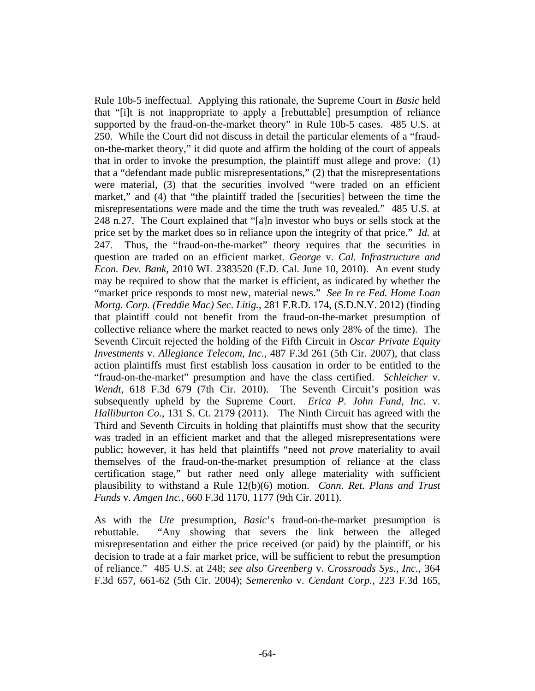Rule 10b-5 ineffectual. Applying this rationale, the Supreme Court in *Basic* held that "[i]t is not inappropriate to apply a [rebuttable] presumption of reliance supported by the fraud-on-the-market theory" in Rule 10b-5 cases. 485 U.S. at 250. While the Court did not discuss in detail the particular elements of a "fraudon-the-market theory," it did quote and affirm the holding of the court of appeals that in order to invoke the presumption, the plaintiff must allege and prove: (1) that a "defendant made public misrepresentations," (2) that the misrepresentations were material, (3) that the securities involved "were traded on an efficient market," and (4) that "the plaintiff traded the [securities] between the time the misrepresentations were made and the time the truth was revealed." 485 U.S. at 248 n.27. The Court explained that "[a]n investor who buys or sells stock at the price set by the market does so in reliance upon the integrity of that price." *Id.* at 247. Thus, the "fraud-on-the-market" theory requires that the securities in question are traded on an efficient market. *George* v. *Cal. Infrastructure and Econ. Dev. Bank*, 2010 WL 2383520 (E.D. Cal. June 10, 2010). An event study may be required to show that the market is efficient, as indicated by whether the "market price responds to most new, material news." *See In re Fed. Home Loan Mortg. Corp. (Freddie Mac) Sec. Litig.*, 281 F.R.D. 174, (S.D.N.Y. 2012) (finding that plaintiff could not benefit from the fraud-on-the-market presumption of collective reliance where the market reacted to news only 28% of the time).The Seventh Circuit rejected the holding of the Fifth Circuit in *Oscar Private Equity Investments* v. *Allegiance Telecom, Inc.*, 487 F.3d 261 (5th Cir. 2007), that class action plaintiffs must first establish loss causation in order to be entitled to the "fraud-on-the-market" presumption and have the class certified. *Schleicher* v. *Wendt*, 618 F.3d 679 (7th Cir. 2010). The Seventh Circuit's position was subsequently upheld by the Supreme Court. *Erica P. John Fund, Inc.* v. *Halliburton Co.*, 131 S. Ct. 2179 (2011). The Ninth Circuit has agreed with the Third and Seventh Circuits in holding that plaintiffs must show that the security was traded in an efficient market and that the alleged misrepresentations were public; however, it has held that plaintiffs "need not *prove* materiality to avail themselves of the fraud-on-the-market presumption of reliance at the class certification stage," but rather need only allege materiality with sufficient plausibility to withstand a Rule 12(b)(6) motion. *Conn. Ret. Plans and Trust Funds* v. *Amgen Inc.*, 660 F.3d 1170, 1177 (9th Cir. 2011).

As with the *Ute* presumption, *Basic*'s fraud-on-the-market presumption is rebuttable. "Any showing that severs the link between the alleged misrepresentation and either the price received (or paid) by the plaintiff, or his decision to trade at a fair market price, will be sufficient to rebut the presumption of reliance." 485 U.S. at 248; *see also Greenberg* v. *Crossroads Sys.*, *Inc.*, 364 F.3d 657, 661-62 (5th Cir. 2004); *Semerenko* v. *Cendant Corp.*, 223 F.3d 165,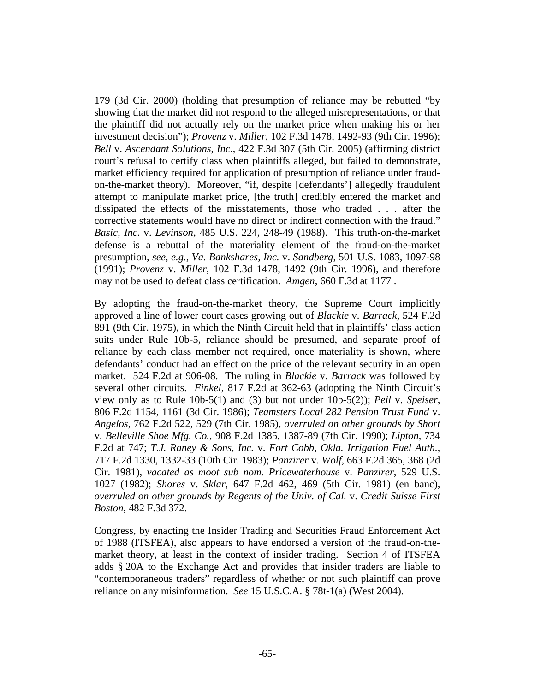179 (3d Cir. 2000) (holding that presumption of reliance may be rebutted "by showing that the market did not respond to the alleged misrepresentations, or that the plaintiff did not actually rely on the market price when making his or her investment decision"); *Provenz* v. *Miller*, 102 F.3d 1478, 1492-93 (9th Cir. 1996); *Bell* v. *Ascendant Solutions*, *Inc.*, 422 F.3d 307 (5th Cir. 2005) (affirming district court's refusal to certify class when plaintiffs alleged, but failed to demonstrate, market efficiency required for application of presumption of reliance under fraudon-the-market theory). Moreover, "if, despite [defendants'] allegedly fraudulent attempt to manipulate market price, [the truth] credibly entered the market and dissipated the effects of the misstatements, those who traded . . . after the corrective statements would have no direct or indirect connection with the fraud." *Basic, Inc.* v. *Levinson*, 485 U.S. 224, 248-49 (1988). This truth-on-the-market defense is a rebuttal of the materiality element of the fraud-on-the-market presumption, *see, e.g.*, *Va. Bankshares, Inc.* v. *Sandberg*, 501 U.S. 1083, 1097-98 (1991); *Provenz* v. *Miller*, 102 F.3d 1478, 1492 (9th Cir. 1996), and therefore may not be used to defeat class certification. *Amgen*, 660 F.3d at 1177 .

By adopting the fraud-on-the-market theory, the Supreme Court implicitly approved a line of lower court cases growing out of *Blackie* v. *Barrack*, 524 F.2d 891 (9th Cir. 1975), in which the Ninth Circuit held that in plaintiffs' class action suits under Rule 10b-5, reliance should be presumed, and separate proof of reliance by each class member not required, once materiality is shown, where defendants' conduct had an effect on the price of the relevant security in an open market. 524 F.2d at 906-08. The ruling in *Blackie* v. *Barrack* was followed by several other circuits. *Finkel*, 817 F.2d at 362-63 (adopting the Ninth Circuit's view only as to Rule 10b-5(1) and (3) but not under 10b-5(2)); *Peil* v. *Speiser*, 806 F.2d 1154, 1161 (3d Cir. 1986); *Teamsters Local 282 Pension Trust Fund* v. *Angelos*, 762 F.2d 522, 529 (7th Cir. 1985), *overruled on other grounds by Short*  v. *Belleville Shoe Mfg. Co.*, 908 F.2d 1385, 1387-89 (7th Cir. 1990); *Lipton*, 734 F.2d at 747; *T.J. Raney & Sons*, *Inc.* v. *Fort Cobb*, *Okla. Irrigation Fuel Auth.*, 717 F.2d 1330, 1332-33 (10th Cir. 1983); *Panzirer* v. *Wolf*, 663 F.2d 365, 368 (2d Cir. 1981), *vacated as moot sub nom. Pricewaterhouse* v. *Panzirer*, 529 U.S. 1027 (1982); *Shores* v. *Sklar*, 647 F.2d 462, 469 (5th Cir. 1981) (en banc), *overruled on other grounds by Regents of the Univ. of Cal.* v. *Credit Suisse First Boston*, 482 F.3d 372.

Congress, by enacting the Insider Trading and Securities Fraud Enforcement Act of 1988 (ITSFEA), also appears to have endorsed a version of the fraud-on-themarket theory, at least in the context of insider trading. Section 4 of ITSFEA adds § 20A to the Exchange Act and provides that insider traders are liable to "contemporaneous traders" regardless of whether or not such plaintiff can prove reliance on any misinformation. *See* 15 U.S.C.A. § 78t-1(a) (West 2004).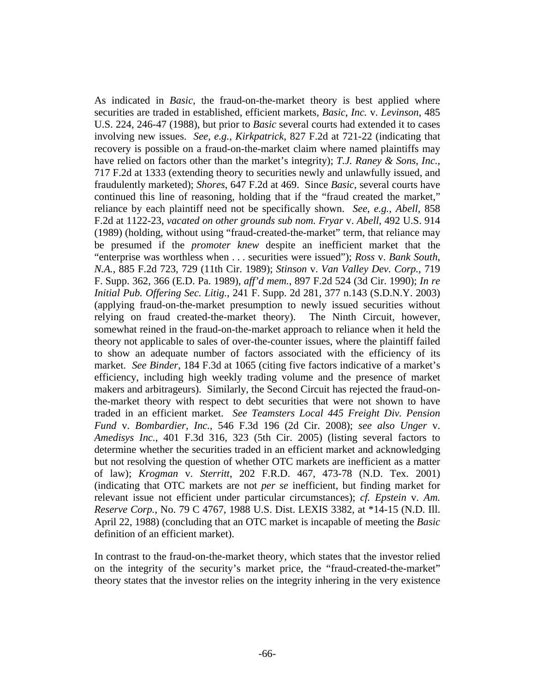As indicated in *Basic*, the fraud-on-the-market theory is best applied where securities are traded in established, efficient markets, *Basic*, *Inc.* v. *Levinson*, 485 U.S. 224, 246-47 (1988), but prior to *Basic* several courts had extended it to cases involving new issues. *See*, *e.g.*, *Kirkpatrick*, 827 F.2d at 721-22 (indicating that recovery is possible on a fraud-on-the-market claim where named plaintiffs may have relied on factors other than the market's integrity); *T.J. Raney & Sons*, *Inc.*, 717 F.2d at 1333 (extending theory to securities newly and unlawfully issued, and fraudulently marketed); *Shores*, 647 F.2d at 469. Since *Basic*, several courts have continued this line of reasoning, holding that if the "fraud created the market," reliance by each plaintiff need not be specifically shown. *See*, *e.g.*, *Abell*, 858 F.2d at 1122-23, *vacated on other grounds sub nom. Fryar* v. *Abell*, 492 U.S. 914 (1989) (holding, without using "fraud-created-the-market" term, that reliance may be presumed if the *promoter knew* despite an inefficient market that the "enterprise was worthless when . . . securities were issued"); *Ross* v. *Bank South*, *N.A.*, 885 F.2d 723, 729 (11th Cir. 1989); *Stinson* v. *Van Valley Dev. Corp.*, 719 F. Supp. 362, 366 (E.D. Pa. 1989), *aff'd mem.*, 897 F.2d 524 (3d Cir. 1990); *In re Initial Pub. Offering Sec. Litig.*, 241 F. Supp. 2d 281, 377 n.143 (S.D.N.Y. 2003) (applying fraud-on-the-market presumption to newly issued securities without relying on fraud created-the-market theory). The Ninth Circuit, however, somewhat reined in the fraud-on-the-market approach to reliance when it held the theory not applicable to sales of over-the-counter issues, where the plaintiff failed to show an adequate number of factors associated with the efficiency of its market. *See Binder*, 184 F.3d at 1065 (citing five factors indicative of a market's efficiency, including high weekly trading volume and the presence of market makers and arbitrageurs). Similarly, the Second Circuit has rejected the fraud-onthe-market theory with respect to debt securities that were not shown to have traded in an efficient market. *See Teamsters Local 445 Freight Div. Pension Fund* v. *Bombardier*, *Inc.*, 546 F.3d 196 (2d Cir. 2008); *see also Unger* v. *Amedisys Inc.*, 401 F.3d 316, 323 (5th Cir. 2005) (listing several factors to determine whether the securities traded in an efficient market and acknowledging but not resolving the question of whether OTC markets are inefficient as a matter of law); *Krogman* v. *Sterritt*, 202 F.R.D. 467, 473-78 (N.D. Tex. 2001) (indicating that OTC markets are not *per se* inefficient, but finding market for relevant issue not efficient under particular circumstances); *cf. Epstein* v. *Am. Reserve Corp.*, No. 79 C 4767, 1988 U.S. Dist. LEXIS 3382, at \*14-15 (N.D. Ill. April 22, 1988) (concluding that an OTC market is incapable of meeting the *Basic* definition of an efficient market).

In contrast to the fraud-on-the-market theory, which states that the investor relied on the integrity of the security's market price, the "fraud-created-the-market" theory states that the investor relies on the integrity inhering in the very existence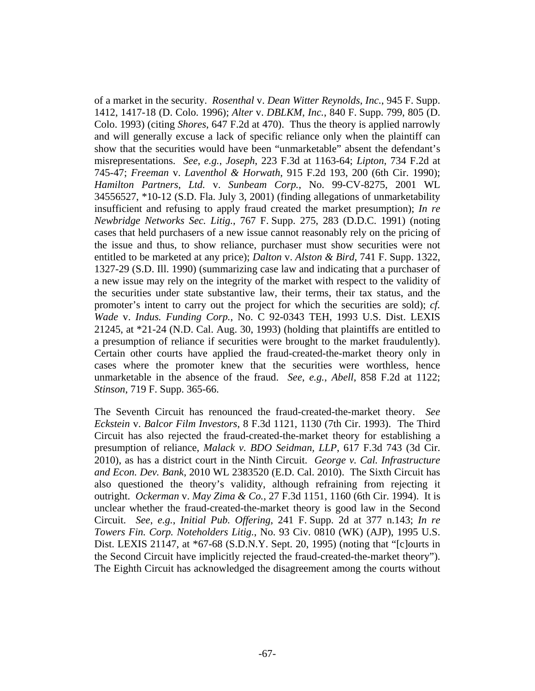of a market in the security. *Rosenthal* v. *Dean Witter Reynolds*, *Inc.*, 945 F. Supp. 1412, 1417-18 (D. Colo. 1996); *Alter* v. *DBLKM*, *Inc.*, 840 F. Supp. 799, 805 (D. Colo. 1993) (citing *Shores*, 647 F.2d at 470). Thus the theory is applied narrowly and will generally excuse a lack of specific reliance only when the plaintiff can show that the securities would have been "unmarketable" absent the defendant's misrepresentations. *See*, *e.g.*, *Joseph*, 223 F.3d at 1163-64; *Lipton*, 734 F.2d at 745-47; *Freeman* v. *Laventhol & Horwath*, 915 F.2d 193, 200 (6th Cir. 1990); *Hamilton Partners*, *Ltd.* v. *Sunbeam Corp.*, No. 99-CV-8275, 2001 WL 34556527, \*10-12 (S.D. Fla. July 3, 2001) (finding allegations of unmarketability insufficient and refusing to apply fraud created the market presumption); *In re Newbridge Networks Sec. Litig.*, 767 F. Supp. 275, 283 (D.D.C. 1991) (noting cases that held purchasers of a new issue cannot reasonably rely on the pricing of the issue and thus, to show reliance, purchaser must show securities were not entitled to be marketed at any price); *Dalton* v. *Alston & Bird*, 741 F. Supp. 1322, 1327-29 (S.D. Ill. 1990) (summarizing case law and indicating that a purchaser of a new issue may rely on the integrity of the market with respect to the validity of the securities under state substantive law, their terms, their tax status, and the promoter's intent to carry out the project for which the securities are sold); *cf. Wade* v. *Indus. Funding Corp.*, No. C 92-0343 TEH, 1993 U.S. Dist. LEXIS 21245, at \*21-24 (N.D. Cal. Aug. 30, 1993) (holding that plaintiffs are entitled to a presumption of reliance if securities were brought to the market fraudulently). Certain other courts have applied the fraud-created-the-market theory only in cases where the promoter knew that the securities were worthless, hence unmarketable in the absence of the fraud. *See*, *e.g.*, *Abell*, 858 F.2d at 1122; *Stinson*, 719 F. Supp. 365-66.

The Seventh Circuit has renounced the fraud-created-the-market theory. *See Eckstein* v. *Balcor Film Investors*, 8 F.3d 1121, 1130 (7th Cir. 1993). The Third Circuit has also rejected the fraud-created-the-market theory for establishing a presumption of reliance, *Malack v. BDO Seidman, LLP*, 617 F.3d 743 (3d Cir. 2010), as has a district court in the Ninth Circuit. *George v. Cal. Infrastructure and Econ. Dev. Bank*, 2010 WL 2383520 (E.D. Cal. 2010). The Sixth Circuit has also questioned the theory's validity, although refraining from rejecting it outright. *Ockerman* v. *May Zima & Co.*, 27 F.3d 1151, 1160 (6th Cir. 1994). It is unclear whether the fraud-created-the-market theory is good law in the Second Circuit. *See*, *e.g.*, *Initial Pub. Offering*, 241 F. Supp. 2d at 377 n.143; *In re Towers Fin. Corp. Noteholders Litig.*, No. 93 Civ. 0810 (WK) (AJP), 1995 U.S. Dist. LEXIS 21147, at \*67-68 (S.D.N.Y. Sept. 20, 1995) (noting that "[c]ourts in the Second Circuit have implicitly rejected the fraud-created-the-market theory"). The Eighth Circuit has acknowledged the disagreement among the courts without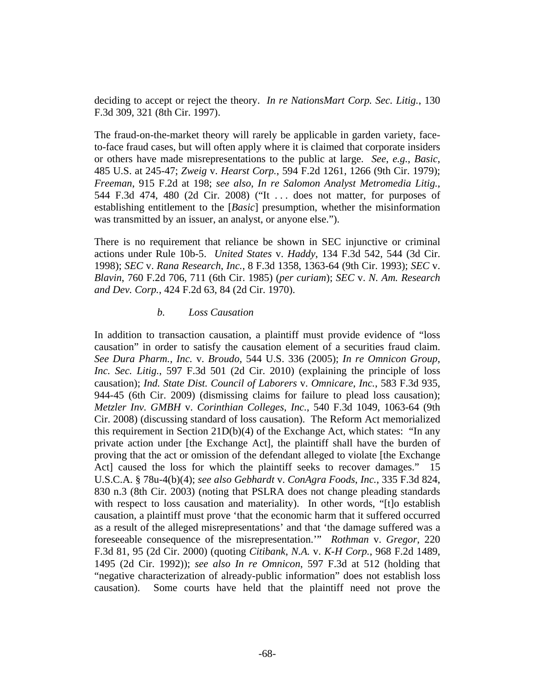deciding to accept or reject the theory. *In re NationsMart Corp. Sec. Litig.*, 130 F.3d 309, 321 (8th Cir. 1997).

The fraud-on-the-market theory will rarely be applicable in garden variety, faceto-face fraud cases, but will often apply where it is claimed that corporate insiders or others have made misrepresentations to the public at large. *See*, *e.g.*, *Basic*, 485 U.S. at 245-47; *Zweig* v. *Hearst Corp.*, 594 F.2d 1261, 1266 (9th Cir. 1979); *Freeman*, 915 F.2d at 198; *see also*, *In re Salomon Analyst Metromedia Litig.*, 544 F.3d 474, 480 (2d Cir. 2008) ("It . . . does not matter, for purposes of establishing entitlement to the [*Basic*] presumption, whether the misinformation was transmitted by an issuer, an analyst, or anyone else.").

There is no requirement that reliance be shown in SEC injunctive or criminal actions under Rule 10b-5. *United States* v. *Haddy*, 134 F.3d 542, 544 (3d Cir. 1998); *SEC* v. *Rana Research*, *Inc.*, 8 F.3d 1358, 1363-64 (9th Cir. 1993); *SEC* v. *Blavin*, 760 F.2d 706, 711 (6th Cir. 1985) (*per curiam*); *SEC* v. *N. Am. Research and Dev. Corp.*, 424 F.2d 63, 84 (2d Cir. 1970).

### *b. Loss Causation*

In addition to transaction causation, a plaintiff must provide evidence of "loss causation" in order to satisfy the causation element of a securities fraud claim. *See Dura Pharm.*, *Inc.* v. *Broudo*, 544 U.S. 336 (2005); *In re Omnicon Group*, *Inc. Sec. Litig.*, 597 F.3d 501 (2d Cir. 2010) (explaining the principle of loss causation); *Ind. State Dist. Council of Laborers* v. *Omnicare*, *Inc.*, 583 F.3d 935, 944-45 (6th Cir. 2009) (dismissing claims for failure to plead loss causation); *Metzler Inv. GMBH* v. *Corinthian Colleges*, *Inc.*, 540 F.3d 1049, 1063-64 (9th Cir. 2008) (discussing standard of loss causation). The Reform Act memorialized this requirement in Section 21D(b)(4) of the Exchange Act, which states: "In any private action under [the Exchange Act], the plaintiff shall have the burden of proving that the act or omission of the defendant alleged to violate [the Exchange Act] caused the loss for which the plaintiff seeks to recover damages." 15 U.S.C.A. § 78u-4(b)(4); *see also Gebhardt* v. *ConAgra Foods*, *Inc.*, 335 F.3d 824, 830 n.3 (8th Cir. 2003) (noting that PSLRA does not change pleading standards with respect to loss causation and materiality). In other words, "[t]o establish causation, a plaintiff must prove 'that the economic harm that it suffered occurred as a result of the alleged misrepresentations' and that 'the damage suffered was a foreseeable consequence of the misrepresentation.'" *Rothman* v. *Gregor*, 220 F.3d 81, 95 (2d Cir. 2000) (quoting *Citibank*, *N.A.* v. *K-H Corp.*, 968 F.2d 1489, 1495 (2d Cir. 1992)); *see also In re Omnicon*, 597 F.3d at 512 (holding that "negative characterization of already-public information" does not establish loss causation). Some courts have held that the plaintiff need not prove the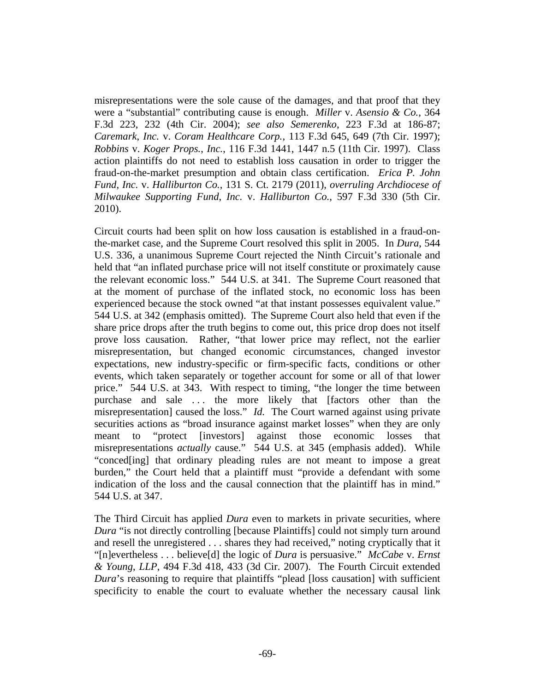misrepresentations were the sole cause of the damages, and that proof that they were a "substantial" contributing cause is enough. *Miller* v. *Asensio & Co.*, 364 F.3d 223, 232 (4th Cir. 2004); *see also Semerenko*, 223 F.3d at 186-87; *Caremark*, *Inc.* v. *Coram Healthcare Corp.*, 113 F.3d 645, 649 (7th Cir. 1997); *Robbins* v. *Koger Props.*, *Inc.*, 116 F.3d 1441, 1447 n.5 (11th Cir. 1997). Class action plaintiffs do not need to establish loss causation in order to trigger the fraud-on-the-market presumption and obtain class certification. *Erica P. John Fund*, *Inc.* v. *Halliburton Co.*, 131 S. Ct. 2179 (2011), *overruling Archdiocese of Milwaukee Supporting Fund*, *Inc.* v. *Halliburton Co.*, 597 F.3d 330 (5th Cir. 2010).

Circuit courts had been split on how loss causation is established in a fraud-onthe-market case, and the Supreme Court resolved this split in 2005. In *Dura*, 544 U.S. 336, a unanimous Supreme Court rejected the Ninth Circuit's rationale and held that "an inflated purchase price will not itself constitute or proximately cause the relevant economic loss." 544 U.S. at 341. The Supreme Court reasoned that at the moment of purchase of the inflated stock, no economic loss has been experienced because the stock owned "at that instant possesses equivalent value." 544 U.S. at 342 (emphasis omitted). The Supreme Court also held that even if the share price drops after the truth begins to come out, this price drop does not itself prove loss causation. Rather, "that lower price may reflect, not the earlier misrepresentation, but changed economic circumstances, changed investor expectations, new industry-specific or firm-specific facts, conditions or other events, which taken separately or together account for some or all of that lower price." 544 U.S. at 343. With respect to timing, "the longer the time between purchase and sale ... the more likely that [factors other than the misrepresentation] caused the loss." *Id.* The Court warned against using private securities actions as "broad insurance against market losses" when they are only meant to "protect [investors] against those economic losses that misrepresentations *actually* cause." 544 U.S. at 345 (emphasis added). While "conced[ing] that ordinary pleading rules are not meant to impose a great burden," the Court held that a plaintiff must "provide a defendant with some indication of the loss and the causal connection that the plaintiff has in mind." 544 U.S. at 347.

The Third Circuit has applied *Dura* even to markets in private securities, where *Dura* "is not directly controlling [because Plaintiffs] could not simply turn around and resell the unregistered . . . shares they had received," noting cryptically that it "[n]evertheless . . . believe[d] the logic of *Dura* is persuasive." *McCabe* v. *Ernst & Young*, *LLP*, 494 F.3d 418, 433 (3d Cir. 2007). The Fourth Circuit extended *Dura*'s reasoning to require that plaintiffs "plead [loss causation] with sufficient specificity to enable the court to evaluate whether the necessary causal link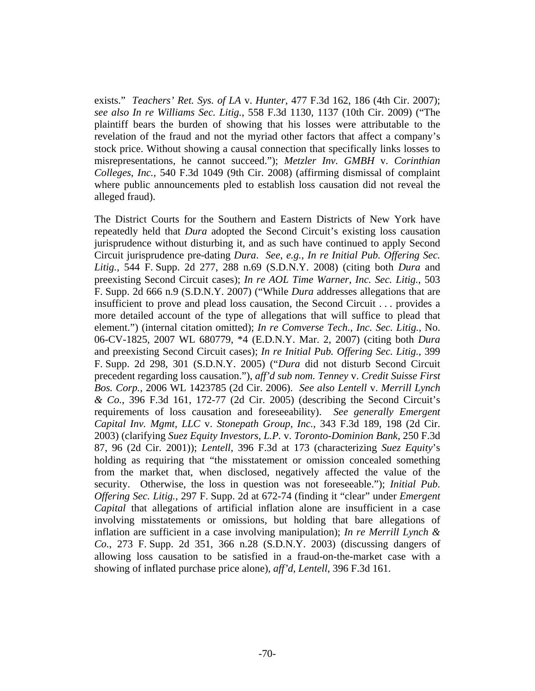exists." *Teachers' Ret. Sys. of LA* v. *Hunter*, 477 F.3d 162, 186 (4th Cir. 2007); *see also In re Williams Sec. Litig.*, 558 F.3d 1130, 1137 (10th Cir. 2009) ("The plaintiff bears the burden of showing that his losses were attributable to the revelation of the fraud and not the myriad other factors that affect a company's stock price. Without showing a causal connection that specifically links losses to misrepresentations, he cannot succeed."); *Metzler Inv. GMBH* v. *Corinthian Colleges*, *Inc.*, 540 F.3d 1049 (9th Cir. 2008) (affirming dismissal of complaint where public announcements pled to establish loss causation did not reveal the alleged fraud).

The District Courts for the Southern and Eastern Districts of New York have repeatedly held that *Dura* adopted the Second Circuit's existing loss causation jurisprudence without disturbing it, and as such have continued to apply Second Circuit jurisprudence pre-dating *Dura*. *See*, *e.g.*, *In re Initial Pub. Offering Sec. Litig.*, 544 F. Supp. 2d 277, 288 n.69 (S.D.N.Y. 2008) (citing both *Dura* and preexisting Second Circuit cases); *In re AOL Time Warner*, *Inc. Sec. Litig.*, 503 F. Supp. 2d 666 n.9 (S.D.N.Y. 2007) ("While *Dura* addresses allegations that are insufficient to prove and plead loss causation, the Second Circuit . . . provides a more detailed account of the type of allegations that will suffice to plead that element.") (internal citation omitted); *In re Comverse Tech.*, *Inc. Sec. Litig.*, No. 06-CV-1825, 2007 WL 680779, \*4 (E.D.N.Y. Mar. 2, 2007) (citing both *Dura* and preexisting Second Circuit cases); *In re Initial Pub. Offering Sec. Litig.*, 399 F. Supp. 2d 298, 301 (S.D.N.Y. 2005) ("*Dura* did not disturb Second Circuit precedent regarding loss causation."), *aff'd sub nom. Tenney* v. *Credit Suisse First Bos. Corp.*, 2006 WL 1423785 (2d Cir. 2006). *See also Lentell* v. *Merrill Lynch & Co.*, 396 F.3d 161, 172-77 (2d Cir. 2005) (describing the Second Circuit's requirements of loss causation and foreseeability). *See generally Emergent Capital Inv. Mgmt*, *LLC* v. *Stonepath Group*, *Inc.*, 343 F.3d 189, 198 (2d Cir. 2003) (clarifying *Suez Equity Investors*, *L.P.* v. *Toronto-Dominion Bank*, 250 F.3d 87, 96 (2d Cir. 2001)); *Lentell*, 396 F.3d at 173 (characterizing *Suez Equity*'s holding as requiring that "the misstatement or omission concealed something from the market that, when disclosed, negatively affected the value of the security. Otherwise, the loss in question was not foreseeable."); *Initial Pub. Offering Sec. Litig.*, 297 F. Supp. 2d at 672-74 (finding it "clear" under *Emergent Capital* that allegations of artificial inflation alone are insufficient in a case involving misstatements or omissions, but holding that bare allegations of inflation are sufficient in a case involving manipulation); *In re Merrill Lynch & Co.*, 273 F. Supp. 2d 351, 366 n.28 (S.D.N.Y. 2003) (discussing dangers of allowing loss causation to be satisfied in a fraud-on-the-market case with a showing of inflated purchase price alone), *aff'd*, *Lentell*, 396 F.3d 161.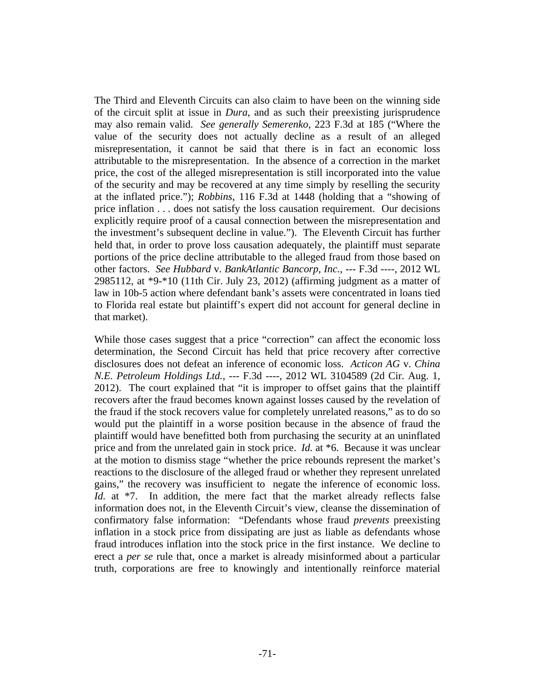The Third and Eleventh Circuits can also claim to have been on the winning side of the circuit split at issue in *Dura*, and as such their preexisting jurisprudence may also remain valid. *See generally Semerenko*, 223 F.3d at 185 ("Where the value of the security does not actually decline as a result of an alleged misrepresentation, it cannot be said that there is in fact an economic loss attributable to the misrepresentation. In the absence of a correction in the market price, the cost of the alleged misrepresentation is still incorporated into the value of the security and may be recovered at any time simply by reselling the security at the inflated price."); *Robbins*, 116 F.3d at 1448 (holding that a "showing of price inflation . . . does not satisfy the loss causation requirement. Our decisions explicitly require proof of a causal connection between the misrepresentation and the investment's subsequent decline in value."). The Eleventh Circuit has further held that, in order to prove loss causation adequately, the plaintiff must separate portions of the price decline attributable to the alleged fraud from those based on other factors. *See Hubbard* v. *BankAtlantic Bancorp, Inc.*, --- F.3d ----, 2012 WL 2985112, at \*9-\*10 (11th Cir. July 23, 2012) (affirming judgment as a matter of law in 10b-5 action where defendant bank's assets were concentrated in loans tied to Florida real estate but plaintiff's expert did not account for general decline in that market).

While those cases suggest that a price "correction" can affect the economic loss determination, the Second Circuit has held that price recovery after corrective disclosures does not defeat an inference of economic loss. *Acticon AG* v. *China N.E. Petroleum Holdings Ltd.*, --- F.3d ----, 2012 WL 3104589 (2d Cir. Aug. 1, 2012). The court explained that "it is improper to offset gains that the plaintiff recovers after the fraud becomes known against losses caused by the revelation of the fraud if the stock recovers value for completely unrelated reasons," as to do so would put the plaintiff in a worse position because in the absence of fraud the plaintiff would have benefitted both from purchasing the security at an uninflated price and from the unrelated gain in stock price. *Id.* at \*6. Because it was unclear at the motion to dismiss stage "whether the price rebounds represent the market's reactions to the disclosure of the alleged fraud or whether they represent unrelated gains," the recovery was insufficient to negate the inference of economic loss. *Id.* at \*7. In addition, the mere fact that the market already reflects false information does not, in the Eleventh Circuit's view, cleanse the dissemination of confirmatory false information: "Defendants whose fraud *prevents* preexisting inflation in a stock price from dissipating are just as liable as defendants whose fraud introduces inflation into the stock price in the first instance. We decline to erect a *per se* rule that, once a market is already misinformed about a particular truth, corporations are free to knowingly and intentionally reinforce material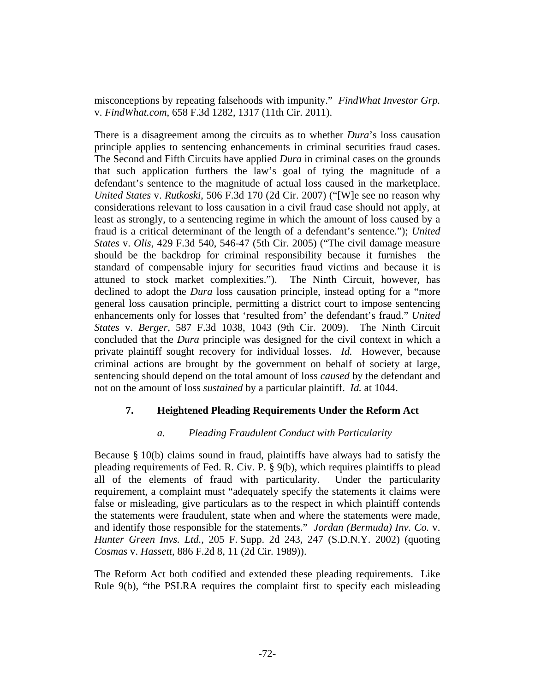misconceptions by repeating falsehoods with impunity." *FindWhat Investor Grp.* v. *FindWhat.com*, 658 F.3d 1282, 1317 (11th Cir. 2011).

There is a disagreement among the circuits as to whether *Dura*'s loss causation principle applies to sentencing enhancements in criminal securities fraud cases. The Second and Fifth Circuits have applied *Dura* in criminal cases on the grounds that such application furthers the law's goal of tying the magnitude of a defendant's sentence to the magnitude of actual loss caused in the marketplace. *United States* v. *Rutkoski*, 506 F.3d 170 (2d Cir. 2007) ("[W]e see no reason why considerations relevant to loss causation in a civil fraud case should not apply, at least as strongly, to a sentencing regime in which the amount of loss caused by a fraud is a critical determinant of the length of a defendant's sentence."); *United States* v. *Olis*, 429 F.3d 540, 546-47 (5th Cir. 2005) ("The civil damage measure should be the backdrop for criminal responsibility because it furnishes the standard of compensable injury for securities fraud victims and because it is attuned to stock market complexities."). The Ninth Circuit, however, has declined to adopt the *Dura* loss causation principle, instead opting for a "more general loss causation principle, permitting a district court to impose sentencing enhancements only for losses that 'resulted from' the defendant's fraud." *United States* v. *Berger*, 587 F.3d 1038, 1043 (9th Cir. 2009). The Ninth Circuit concluded that the *Dura* principle was designed for the civil context in which a private plaintiff sought recovery for individual losses. *Id.* However, because criminal actions are brought by the government on behalf of society at large, sentencing should depend on the total amount of loss *caused* by the defendant and not on the amount of loss *sustained* by a particular plaintiff. *Id.* at 1044.

# **7. Heightened Pleading Requirements Under the Reform Act**

# *a. Pleading Fraudulent Conduct with Particularity*

Because § 10(b) claims sound in fraud, plaintiffs have always had to satisfy the pleading requirements of Fed. R. Civ. P. § 9(b), which requires plaintiffs to plead all of the elements of fraud with particularity. Under the particularity requirement, a complaint must "adequately specify the statements it claims were false or misleading, give particulars as to the respect in which plaintiff contends the statements were fraudulent, state when and where the statements were made, and identify those responsible for the statements." *Jordan (Bermuda) Inv. Co.* v. *Hunter Green Invs. Ltd.*, 205 F. Supp. 2d 243, 247 (S.D.N.Y. 2002) (quoting *Cosmas* v. *Hassett*, 886 F.2d 8, 11 (2d Cir. 1989)).

The Reform Act both codified and extended these pleading requirements. Like Rule 9(b), "the PSLRA requires the complaint first to specify each misleading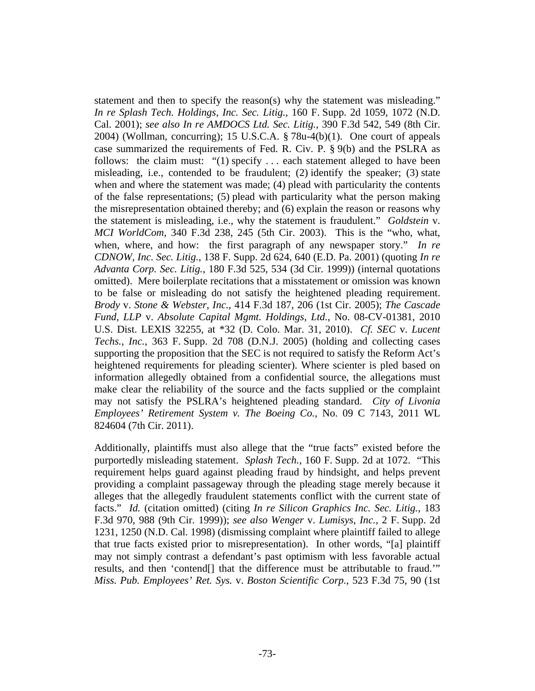statement and then to specify the reason(s) why the statement was misleading." *In re Splash Tech. Holdings*, *Inc. Sec. Litig.*, 160 F. Supp. 2d 1059, 1072 (N.D. Cal. 2001); *see also In re AMDOCS Ltd. Sec. Litig.*, 390 F.3d 542, 549 (8th Cir. 2004) (Wollman, concurring); 15 U.S.C.A. § 78u-4(b)(1). One court of appeals case summarized the requirements of Fed. R. Civ. P. § 9(b) and the PSLRA as follows: the claim must: "(1) specify . . . each statement alleged to have been misleading, i.e., contended to be fraudulent; (2) identify the speaker; (3) state when and where the statement was made; (4) plead with particularity the contents of the false representations; (5) plead with particularity what the person making the misrepresentation obtained thereby; and (6) explain the reason or reasons why the statement is misleading, i.e., why the statement is fraudulent." *Goldstein* v. *MCI WorldCom*, 340 F.3d 238, 245 (5th Cir. 2003). This is the "who, what, when, where, and how: the first paragraph of any newspaper story." *In re CDNOW*, *Inc. Sec. Litig.*, 138 F. Supp. 2d 624, 640 (E.D. Pa. 2001) (quoting *In re Advanta Corp. Sec. Litig.*, 180 F.3d 525, 534 (3d Cir. 1999)) (internal quotations omitted). Mere boilerplate recitations that a misstatement or omission was known to be false or misleading do not satisfy the heightened pleading requirement. *Brody* v. *Stone & Webster*, *Inc.*, 414 F.3d 187, 206 (1st Cir. 2005); *The Cascade Fund*, *LLP* v. *Absolute Capital Mgmt. Holdings*, *Ltd.*, No. 08-CV-01381, 2010 U.S. Dist. LEXIS 32255, at \*32 (D. Colo. Mar. 31, 2010). *Cf. SEC* v. *Lucent Techs.*, *Inc.*, 363 F. Supp. 2d 708 (D.N.J. 2005) (holding and collecting cases supporting the proposition that the SEC is not required to satisfy the Reform Act's heightened requirements for pleading scienter). Where scienter is pled based on information allegedly obtained from a confidential source, the allegations must make clear the reliability of the source and the facts supplied or the complaint may not satisfy the PSLRA's heightened pleading standard. *City of Livonia Employees' Retirement System v. The Boeing Co.*, No. 09 C 7143, 2011 WL 824604 (7th Cir. 2011).

Additionally, plaintiffs must also allege that the "true facts" existed before the purportedly misleading statement. *Splash Tech.*, 160 F. Supp. 2d at 1072. "This requirement helps guard against pleading fraud by hindsight, and helps prevent providing a complaint passageway through the pleading stage merely because it alleges that the allegedly fraudulent statements conflict with the current state of facts." *Id.* (citation omitted) (citing *In re Silicon Graphics Inc. Sec. Litig.*, 183 F.3d 970, 988 (9th Cir. 1999)); *see also Wenger* v. *Lumisys*, *Inc.*, 2 F. Supp. 2d 1231, 1250 (N.D. Cal. 1998) (dismissing complaint where plaintiff failed to allege that true facts existed prior to misrepresentation). In other words, "[a] plaintiff may not simply contrast a defendant's past optimism with less favorable actual results, and then 'contend[] that the difference must be attributable to fraud.'" *Miss. Pub. Employees' Ret. Sys.* v. *Boston Scientific Corp.*, 523 F.3d 75, 90 (1st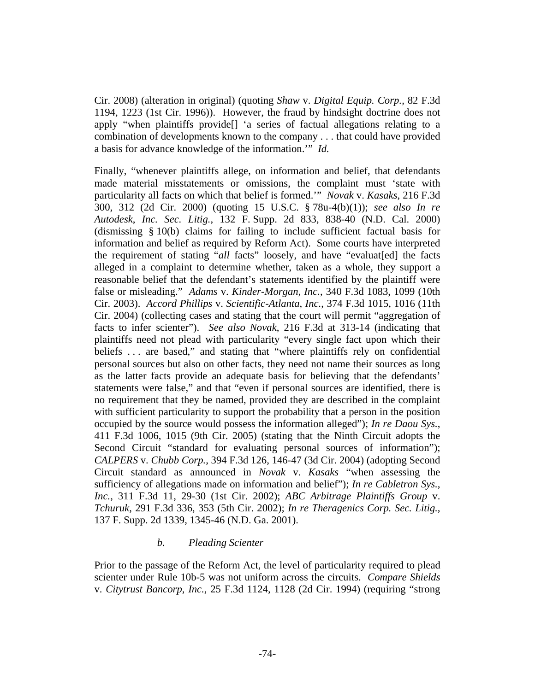Cir. 2008) (alteration in original) (quoting *Shaw* v. *Digital Equip. Corp.*, 82 F.3d 1194, 1223 (1st Cir. 1996)). However, the fraud by hindsight doctrine does not apply "when plaintiffs provide[] 'a series of factual allegations relating to a combination of developments known to the company . . . that could have provided a basis for advance knowledge of the information.'" *Id.*

Finally, "whenever plaintiffs allege, on information and belief, that defendants made material misstatements or omissions, the complaint must 'state with particularity all facts on which that belief is formed.'" *Novak* v. *Kasaks*, 216 F.3d 300, 312 (2d Cir. 2000) (quoting 15 U.S.C. § 78u-4(b)(1)); *see also In re Autodesk*, *Inc. Sec. Litig.*, 132 F. Supp. 2d 833, 838-40 (N.D. Cal. 2000) (dismissing § 10(b) claims for failing to include sufficient factual basis for information and belief as required by Reform Act). Some courts have interpreted the requirement of stating "*all* facts" loosely, and have "evaluat[ed] the facts alleged in a complaint to determine whether, taken as a whole, they support a reasonable belief that the defendant's statements identified by the plaintiff were false or misleading." *Adams* v. *Kinder-Morgan*, *Inc.*, 340 F.3d 1083, 1099 (10th Cir. 2003). *Accord Phillips* v. *Scientific-Atlanta*, *Inc.*, 374 F.3d 1015, 1016 (11th Cir. 2004) (collecting cases and stating that the court will permit "aggregation of facts to infer scienter"). *See also Novak*, 216 F.3d at 313-14 (indicating that plaintiffs need not plead with particularity "every single fact upon which their beliefs ... are based," and stating that "where plaintiffs rely on confidential personal sources but also on other facts, they need not name their sources as long as the latter facts provide an adequate basis for believing that the defendants' statements were false," and that "even if personal sources are identified, there is no requirement that they be named, provided they are described in the complaint with sufficient particularity to support the probability that a person in the position occupied by the source would possess the information alleged"); *In re Daou Sys.*, 411 F.3d 1006, 1015 (9th Cir. 2005) (stating that the Ninth Circuit adopts the Second Circuit "standard for evaluating personal sources of information"); *CALPERS* v. *Chubb Corp.*, 394 F.3d 126, 146-47 (3d Cir. 2004) (adopting Second Circuit standard as announced in *Novak* v. *Kasaks* "when assessing the sufficiency of allegations made on information and belief"); *In re Cabletron Sys.*, *Inc.*, 311 F.3d 11, 29-30 (1st Cir. 2002); *ABC Arbitrage Plaintiffs Group* v. *Tchuruk*, 291 F.3d 336, 353 (5th Cir. 2002); *In re Theragenics Corp. Sec. Litig.*, 137 F. Supp. 2d 1339, 1345-46 (N.D. Ga. 2001).

### *b. Pleading Scienter*

Prior to the passage of the Reform Act, the level of particularity required to plead scienter under Rule 10b-5 was not uniform across the circuits. *Compare Shields* v. *Citytrust Bancorp*, *Inc.*, 25 F.3d 1124, 1128 (2d Cir. 1994) (requiring "strong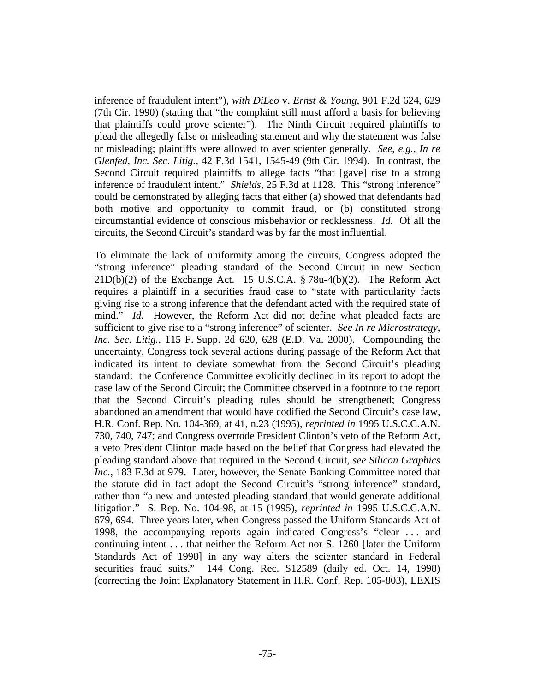inference of fraudulent intent"), *with DiLeo* v. *Ernst & Young*, 901 F.2d 624, 629 (7th Cir. 1990) (stating that "the complaint still must afford a basis for believing that plaintiffs could prove scienter"). The Ninth Circuit required plaintiffs to plead the allegedly false or misleading statement and why the statement was false or misleading; plaintiffs were allowed to aver scienter generally. *See*, *e.g.*, *In re Glenfed*, *Inc. Sec. Litig.*, 42 F.3d 1541, 1545-49 (9th Cir. 1994). In contrast, the Second Circuit required plaintiffs to allege facts "that [gave] rise to a strong inference of fraudulent intent." *Shields*, 25 F.3d at 1128. This "strong inference" could be demonstrated by alleging facts that either (a) showed that defendants had both motive and opportunity to commit fraud, or (b) constituted strong circumstantial evidence of conscious misbehavior or recklessness. *Id.* Of all the circuits, the Second Circuit's standard was by far the most influential.

To eliminate the lack of uniformity among the circuits, Congress adopted the "strong inference" pleading standard of the Second Circuit in new Section  $21D(b)(2)$  of the Exchange Act. 15 U.S.C.A. § 78u-4(b)(2). The Reform Act requires a plaintiff in a securities fraud case to "state with particularity facts giving rise to a strong inference that the defendant acted with the required state of mind." *Id.* However, the Reform Act did not define what pleaded facts are sufficient to give rise to a "strong inference" of scienter. *See In re Microstrategy*, *Inc. Sec. Litig.*, 115 F. Supp. 2d 620, 628 (E.D. Va. 2000). Compounding the uncertainty, Congress took several actions during passage of the Reform Act that indicated its intent to deviate somewhat from the Second Circuit's pleading standard: the Conference Committee explicitly declined in its report to adopt the case law of the Second Circuit; the Committee observed in a footnote to the report that the Second Circuit's pleading rules should be strengthened; Congress abandoned an amendment that would have codified the Second Circuit's case law, H.R. Conf. Rep. No. 104-369, at 41, n.23 (1995), *reprinted in* 1995 U.S.C.C.A.N. 730, 740, 747; and Congress overrode President Clinton's veto of the Reform Act, a veto President Clinton made based on the belief that Congress had elevated the pleading standard above that required in the Second Circuit, *see Silicon Graphics Inc.*, 183 F.3d at 979. Later, however, the Senate Banking Committee noted that the statute did in fact adopt the Second Circuit's "strong inference" standard, rather than "a new and untested pleading standard that would generate additional litigation." S. Rep. No. 104-98, at 15 (1995), *reprinted in* 1995 U.S.C.C.A.N. 679, 694. Three years later, when Congress passed the Uniform Standards Act of 1998, the accompanying reports again indicated Congress's "clear . . . and continuing intent . . . that neither the Reform Act nor S. 1260 [later the Uniform Standards Act of 1998] in any way alters the scienter standard in Federal securities fraud suits." 144 Cong. Rec. S12589 (daily ed. Oct. 14, 1998) (correcting the Joint Explanatory Statement in H.R. Conf. Rep. 105-803), LEXIS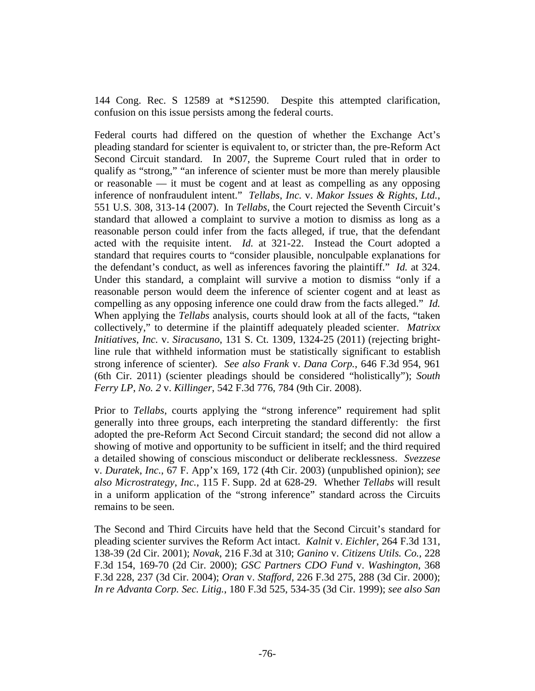144 Cong. Rec. S 12589 at \*S12590. Despite this attempted clarification, confusion on this issue persists among the federal courts.

Federal courts had differed on the question of whether the Exchange Act's pleading standard for scienter is equivalent to, or stricter than, the pre-Reform Act Second Circuit standard. In 2007, the Supreme Court ruled that in order to qualify as "strong," "an inference of scienter must be more than merely plausible or reasonable — it must be cogent and at least as compelling as any opposing inference of nonfraudulent intent." *Tellabs*, *Inc.* v. *Makor Issues & Rights*, *Ltd.*, 551 U.S. 308, 313-14 (2007). In *Tellabs*, the Court rejected the Seventh Circuit's standard that allowed a complaint to survive a motion to dismiss as long as a reasonable person could infer from the facts alleged, if true, that the defendant acted with the requisite intent. *Id.* at 321-22. Instead the Court adopted a standard that requires courts to "consider plausible, nonculpable explanations for the defendant's conduct, as well as inferences favoring the plaintiff." *Id.* at 324. Under this standard, a complaint will survive a motion to dismiss "only if a reasonable person would deem the inference of scienter cogent and at least as compelling as any opposing inference one could draw from the facts alleged." *Id.* When applying the *Tellabs* analysis, courts should look at all of the facts, "taken collectively," to determine if the plaintiff adequately pleaded scienter. *Matrixx Initiatives*, *Inc.* v. *Siracusano*, 131 S. Ct. 1309, 1324-25 (2011) (rejecting brightline rule that withheld information must be statistically significant to establish strong inference of scienter). *See also Frank* v. *Dana Corp.*, 646 F.3d 954, 961 (6th Cir. 2011) (scienter pleadings should be considered "holistically"); *South Ferry LP*, *No. 2* v. *Killinger*, 542 F.3d 776, 784 (9th Cir. 2008).

Prior to *Tellabs*, courts applying the "strong inference" requirement had split generally into three groups, each interpreting the standard differently: the first adopted the pre-Reform Act Second Circuit standard; the second did not allow a showing of motive and opportunity to be sufficient in itself; and the third required a detailed showing of conscious misconduct or deliberate recklessness. *Svezzese* v. *Duratek*, *Inc.*, 67 F. App'x 169, 172 (4th Cir. 2003) (unpublished opinion); *see also Microstrategy*, *Inc.*, 115 F. Supp. 2d at 628-29. Whether *Tellabs* will result in a uniform application of the "strong inference" standard across the Circuits remains to be seen.

The Second and Third Circuits have held that the Second Circuit's standard for pleading scienter survives the Reform Act intact. *Kalnit* v. *Eichler*, 264 F.3d 131, 138-39 (2d Cir. 2001); *Novak*, 216 F.3d at 310; *Ganino* v. *Citizens Utils. Co.*, 228 F.3d 154, 169-70 (2d Cir. 2000); *GSC Partners CDO Fund* v. *Washington*, 368 F.3d 228, 237 (3d Cir. 2004); *Oran* v. *Stafford*, 226 F.3d 275, 288 (3d Cir. 2000); *In re Advanta Corp. Sec. Litig.*, 180 F.3d 525, 534-35 (3d Cir. 1999); *see also San*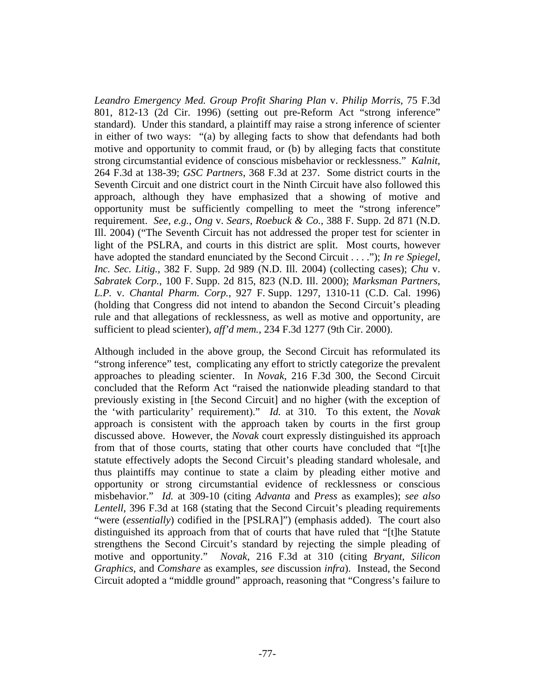*Leandro Emergency Med. Group Profit Sharing Plan* v. *Philip Morris*, 75 F.3d 801, 812-13 (2d Cir. 1996) (setting out pre-Reform Act "strong inference" standard). Under this standard, a plaintiff may raise a strong inference of scienter in either of two ways: "(a) by alleging facts to show that defendants had both motive and opportunity to commit fraud, or (b) by alleging facts that constitute strong circumstantial evidence of conscious misbehavior or recklessness." *Kalnit*, 264 F.3d at 138-39; *GSC Partners*, 368 F.3d at 237. Some district courts in the Seventh Circuit and one district court in the Ninth Circuit have also followed this approach, although they have emphasized that a showing of motive and opportunity must be sufficiently compelling to meet the "strong inference" requirement. *See*, *e.g.*, *Ong* v. *Sears*, *Roebuck & Co.*, 388 F. Supp. 2d 871 (N.D. Ill. 2004) ("The Seventh Circuit has not addressed the proper test for scienter in light of the PSLRA, and courts in this district are split. Most courts, however have adopted the standard enunciated by the Second Circuit . . . ."); *In re Spiegel*, *Inc. Sec. Litig.*, 382 F. Supp. 2d 989 (N.D. Ill. 2004) (collecting cases); *Chu* v. *Sabratek Corp.*, 100 F. Supp. 2d 815, 823 (N.D. Ill. 2000); *Marksman Partners*, *L.P.* v. *Chantal Pharm. Corp.*, 927 F. Supp. 1297, 1310-11 (C.D. Cal. 1996) (holding that Congress did not intend to abandon the Second Circuit's pleading rule and that allegations of recklessness, as well as motive and opportunity, are sufficient to plead scienter), *aff'd mem.*, 234 F.3d 1277 (9th Cir. 2000).

Although included in the above group, the Second Circuit has reformulated its "strong inference" test, complicating any effort to strictly categorize the prevalent approaches to pleading scienter. In *Novak*, 216 F.3d 300, the Second Circuit concluded that the Reform Act "raised the nationwide pleading standard to that previously existing in [the Second Circuit] and no higher (with the exception of the 'with particularity' requirement)." *Id.* at 310. To this extent, the *Novak* approach is consistent with the approach taken by courts in the first group discussed above. However, the *Novak* court expressly distinguished its approach from that of those courts, stating that other courts have concluded that "[t]he statute effectively adopts the Second Circuit's pleading standard wholesale, and thus plaintiffs may continue to state a claim by pleading either motive and opportunity or strong circumstantial evidence of recklessness or conscious misbehavior." *Id.* at 309-10 (citing *Advanta* and *Press* as examples); *see also Lentell*, 396 F.3d at 168 (stating that the Second Circuit's pleading requirements "were (*essentially*) codified in the [PSLRA]") (emphasis added). The court also distinguished its approach from that of courts that have ruled that "[t]he Statute strengthens the Second Circuit's standard by rejecting the simple pleading of motive and opportunity." *Novak*, 216 F.3d at 310 (citing *Bryant*, *Silicon Graphics*, and *Comshare* as examples, *see* discussion *infra*). Instead, the Second Circuit adopted a "middle ground" approach, reasoning that "Congress's failure to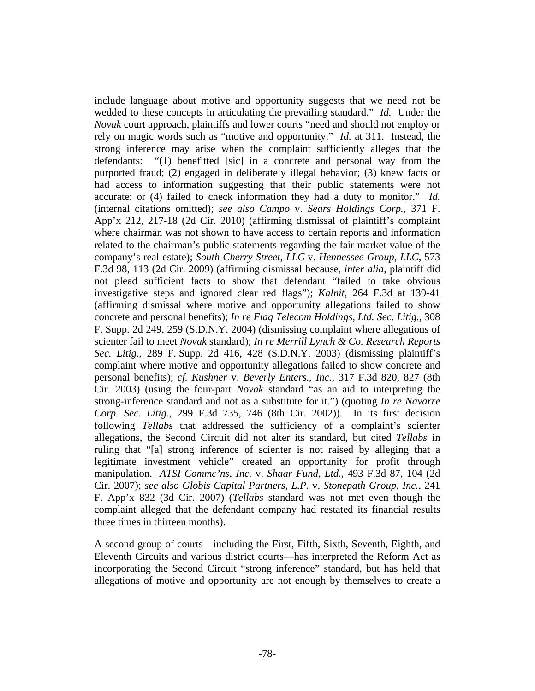include language about motive and opportunity suggests that we need not be wedded to these concepts in articulating the prevailing standard." *Id.* Under the *Novak* court approach, plaintiffs and lower courts "need and should not employ or rely on magic words such as "motive and opportunity." *Id.* at 311. Instead, the strong inference may arise when the complaint sufficiently alleges that the defendants: "(1) benefitted [sic] in a concrete and personal way from the purported fraud; (2) engaged in deliberately illegal behavior; (3) knew facts or had access to information suggesting that their public statements were not accurate; or (4) failed to check information they had a duty to monitor." *Id.* (internal citations omitted); *see also Campo* v. *Sears Holdings Corp.*, 371 F. App'x 212, 217-18 (2d Cir. 2010) (affirming dismissal of plaintiff's complaint where chairman was not shown to have access to certain reports and information related to the chairman's public statements regarding the fair market value of the company's real estate); *South Cherry Street*, *LLC* v. *Hennessee Group*, *LLC*, 573 F.3d 98, 113 (2d Cir. 2009) (affirming dismissal because, *inter alia*, plaintiff did not plead sufficient facts to show that defendant "failed to take obvious investigative steps and ignored clear red flags"); *Kalnit*, 264 F.3d at 139-41 (affirming dismissal where motive and opportunity allegations failed to show concrete and personal benefits); *In re Flag Telecom Holdings*, *Ltd. Sec. Litig.*, 308 F. Supp. 2d 249, 259 (S.D.N.Y. 2004) (dismissing complaint where allegations of scienter fail to meet *Novak* standard); *In re Merrill Lynch & Co. Research Reports Sec. Litig.*, 289 F. Supp. 2d 416, 428 (S.D.N.Y. 2003) (dismissing plaintiff's complaint where motive and opportunity allegations failed to show concrete and personal benefits); *cf. Kushner* v. *Beverly Enters.*, *Inc.*, 317 F.3d 820, 827 (8th Cir. 2003) (using the four-part *Novak* standard "as an aid to interpreting the strong-inference standard and not as a substitute for it.") (quoting *In re Navarre Corp. Sec. Litig.*, 299 F.3d 735, 746 (8th Cir. 2002)). In its first decision following *Tellabs* that addressed the sufficiency of a complaint's scienter allegations, the Second Circuit did not alter its standard, but cited *Tellabs* in ruling that "[a] strong inference of scienter is not raised by alleging that a legitimate investment vehicle" created an opportunity for profit through manipulation. *ATSI Commc'ns*, *Inc.* v. *Shaar Fund*, *Ltd.*, 493 F.3d 87, 104 (2d Cir. 2007); *see also Globis Capital Partners*, *L.P.* v. *Stonepath Group*, *Inc.*, 241 F. App'x 832 (3d Cir. 2007) (*Tellabs* standard was not met even though the complaint alleged that the defendant company had restated its financial results three times in thirteen months).

A second group of courts—including the First, Fifth, Sixth, Seventh, Eighth, and Eleventh Circuits and various district courts—has interpreted the Reform Act as incorporating the Second Circuit "strong inference" standard, but has held that allegations of motive and opportunity are not enough by themselves to create a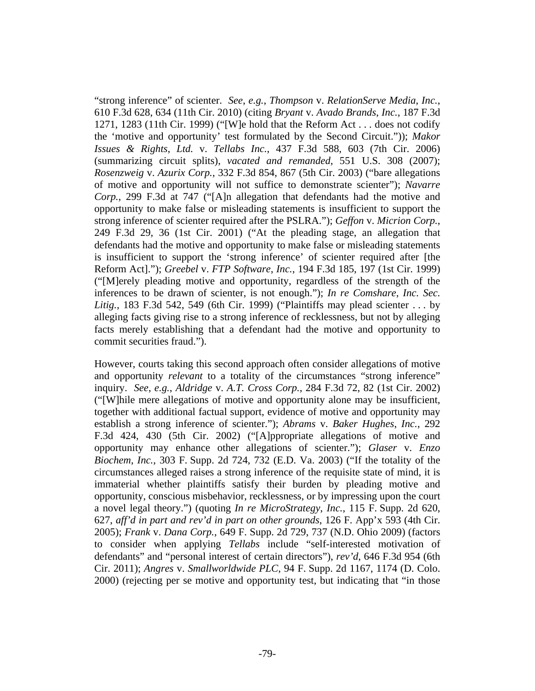"strong inference" of scienter. *See*, *e.g.*, *Thompson* v. *RelationServe Media*, *Inc.*, 610 F.3d 628, 634 (11th Cir. 2010) (citing *Bryant* v. *Avado Brands*, *Inc.*, 187 F.3d 1271, 1283 (11th Cir. 1999) ("[W]e hold that the Reform Act . . . does not codify the 'motive and opportunity' test formulated by the Second Circuit.")); *Makor Issues & Rights*, *Ltd.* v. *Tellabs Inc.*, 437 F.3d 588, 603 (7th Cir. 2006) (summarizing circuit splits), *vacated and remanded*, 551 U.S. 308 (2007); *Rosenzweig* v. *Azurix Corp.*, 332 F.3d 854, 867 (5th Cir. 2003) ("bare allegations of motive and opportunity will not suffice to demonstrate scienter"); *Navarre Corp.*, 299 F.3d at 747 ("[A]n allegation that defendants had the motive and opportunity to make false or misleading statements is insufficient to support the strong inference of scienter required after the PSLRA."); *Geffon* v. *Micrion Corp.*, 249 F.3d 29, 36 (1st Cir. 2001) ("At the pleading stage, an allegation that defendants had the motive and opportunity to make false or misleading statements is insufficient to support the 'strong inference' of scienter required after [the Reform Act]."); *Greebel* v. *FTP Software*, *Inc.*, 194 F.3d 185, 197 (1st Cir. 1999) ("[M]erely pleading motive and opportunity, regardless of the strength of the inferences to be drawn of scienter, is not enough."); *In re Comshare*, *Inc. Sec. Litig.*, 183 F.3d 542, 549 (6th Cir. 1999) ("Plaintiffs may plead scienter . . . by alleging facts giving rise to a strong inference of recklessness, but not by alleging facts merely establishing that a defendant had the motive and opportunity to commit securities fraud.").

However, courts taking this second approach often consider allegations of motive and opportunity *relevant* to a totality of the circumstances "strong inference" inquiry. *See*, *e.g.*, *Aldridge* v. *A.T. Cross Corp.*, 284 F.3d 72, 82 (1st Cir. 2002) ("[W]hile mere allegations of motive and opportunity alone may be insufficient, together with additional factual support, evidence of motive and opportunity may establish a strong inference of scienter."); *Abrams* v. *Baker Hughes*, *Inc.*, 292 F.3d 424, 430 (5th Cir. 2002) ("[A]ppropriate allegations of motive and opportunity may enhance other allegations of scienter."); *Glaser* v. *Enzo Biochem*, *Inc.*, 303 F. Supp. 2d 724, 732 (E.D. Va. 2003) ("If the totality of the circumstances alleged raises a strong inference of the requisite state of mind, it is immaterial whether plaintiffs satisfy their burden by pleading motive and opportunity, conscious misbehavior, recklessness, or by impressing upon the court a novel legal theory.") (quoting *In re MicroStrategy*, *Inc.*, 115 F. Supp. 2d 620, 627, *aff'd in part and rev'd in part on other grounds*, 126 F. App'x 593 (4th Cir. 2005); *Frank* v. *Dana Corp.*, 649 F. Supp. 2d 729, 737 (N.D. Ohio 2009) (factors to consider when applying *Tellabs* include "self-interested motivation of defendants" and "personal interest of certain directors"), *rev'd*, 646 F.3d 954 (6th Cir. 2011); *Angres* v. *Smallworldwide PLC*, 94 F. Supp. 2d 1167, 1174 (D. Colo. 2000) (rejecting per se motive and opportunity test, but indicating that "in those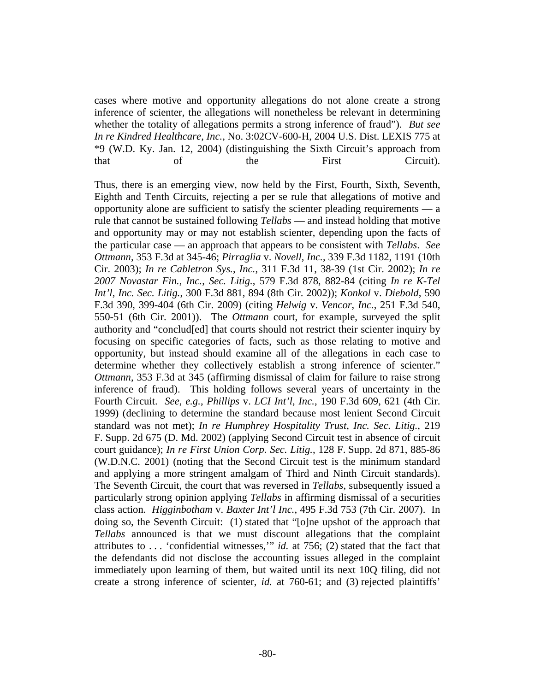cases where motive and opportunity allegations do not alone create a strong inference of scienter, the allegations will nonetheless be relevant in determining whether the totality of allegations permits a strong inference of fraud"). *But see In re Kindred Healthcare*, *Inc.*, No. 3:02CV-600-H, 2004 U.S. Dist. LEXIS 775 at \*9 (W.D. Ky. Jan. 12, 2004) (distinguishing the Sixth Circuit's approach from that of the First Circuit).

Thus, there is an emerging view, now held by the First, Fourth, Sixth, Seventh, Eighth and Tenth Circuits, rejecting a per se rule that allegations of motive and opportunity alone are sufficient to satisfy the scienter pleading requirements — a rule that cannot be sustained following *Tellabs* — and instead holding that motive and opportunity may or may not establish scienter, depending upon the facts of the particular case — an approach that appears to be consistent with *Tellabs*. *See Ottmann*, 353 F.3d at 345-46; *Pirraglia* v. *Novell*, *Inc.*, 339 F.3d 1182, 1191 (10th Cir. 2003); *In re Cabletron Sys.*, *Inc.*, 311 F.3d 11, 38-39 (1st Cir. 2002); *In re 2007 Novastar Fin.*, *Inc.*, *Sec. Litig.*, 579 F.3d 878, 882-84 (citing *In re K-Tel Int'l*, *Inc. Sec. Litig.*, 300 F.3d 881, 894 (8th Cir. 2002)); *Konkol* v. *Diebold*, 590 F.3d 390, 399-404 (6th Cir. 2009) (citing *Helwig* v. *Vencor*, *Inc.*, 251 F.3d 540, 550-51 (6th Cir. 2001)). The *Ottmann* court, for example, surveyed the split authority and "conclud[ed] that courts should not restrict their scienter inquiry by focusing on specific categories of facts, such as those relating to motive and opportunity, but instead should examine all of the allegations in each case to determine whether they collectively establish a strong inference of scienter." *Ottmann*, 353 F.3d at 345 (affirming dismissal of claim for failure to raise strong inference of fraud). This holding follows several years of uncertainty in the Fourth Circuit. *See*, *e.g.*, *Phillips* v. *LCI Int'l*, *Inc.*, 190 F.3d 609, 621 (4th Cir. 1999) (declining to determine the standard because most lenient Second Circuit standard was not met); *In re Humphrey Hospitality Trust*, *Inc. Sec. Litig.*, 219 F. Supp. 2d 675 (D. Md. 2002) (applying Second Circuit test in absence of circuit court guidance); *In re First Union Corp. Sec. Litig.*, 128 F. Supp. 2d 871, 885-86 (W.D.N.C. 2001) (noting that the Second Circuit test is the minimum standard and applying a more stringent amalgam of Third and Ninth Circuit standards). The Seventh Circuit, the court that was reversed in *Tellabs*, subsequently issued a particularly strong opinion applying *Tellabs* in affirming dismissal of a securities class action. *Higginbotham* v. *Baxter Int'l Inc.*, 495 F.3d 753 (7th Cir. 2007). In doing so, the Seventh Circuit: (1) stated that "[o]ne upshot of the approach that *Tellabs* announced is that we must discount allegations that the complaint attributes to . . . 'confidential witnesses,'" *id.* at 756; (2) stated that the fact that the defendants did not disclose the accounting issues alleged in the complaint immediately upon learning of them, but waited until its next 10Q filing, did not create a strong inference of scienter, *id.* at 760-61; and (3) rejected plaintiffs'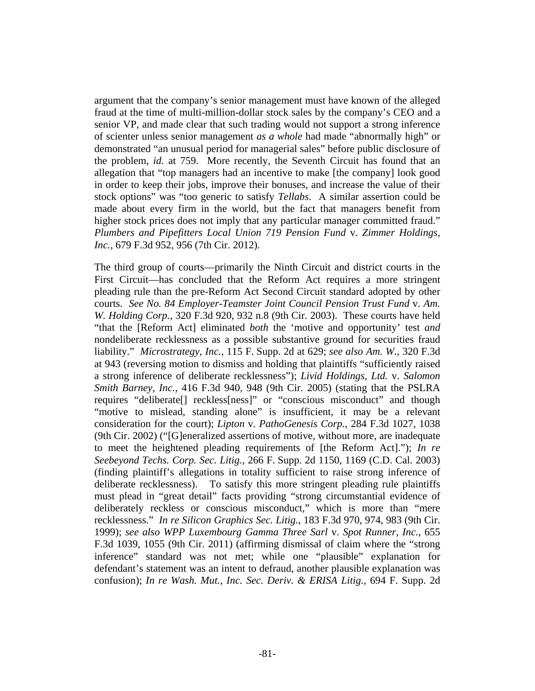argument that the company's senior management must have known of the alleged fraud at the time of multi-million-dollar stock sales by the company's CEO and a senior VP, and made clear that such trading would not support a strong inference of scienter unless senior management *as a whole* had made "abnormally high" or demonstrated "an unusual period for managerial sales" before public disclosure of the problem, *id.* at 759. More recently, the Seventh Circuit has found that an allegation that "top managers had an incentive to make [the company] look good in order to keep their jobs, improve their bonuses, and increase the value of their stock options" was "too generic to satisfy *Tellabs*. A similar assertion could be made about every firm in the world, but the fact that managers benefit from higher stock prices does not imply that any particular manager committed fraud." *Plumbers and Pipefitters Local Union 719 Pension Fund* v. *Zimmer Holdings, Inc.*, 679 F.3d 952, 956 (7th Cir. 2012).

The third group of courts—primarily the Ninth Circuit and district courts in the First Circuit—has concluded that the Reform Act requires a more stringent pleading rule than the pre-Reform Act Second Circuit standard adopted by other courts. *See No. 84 Employer-Teamster Joint Council Pension Trust Fund* v. *Am. W. Holding Corp.*, 320 F.3d 920, 932 n.8 (9th Cir. 2003). These courts have held "that the [Reform Act] eliminated *both* the 'motive and opportunity' test *and* nondeliberate recklessness as a possible substantive ground for securities fraud liability." *Microstrategy*, *Inc.*, 115 F. Supp. 2d at 629; *see also Am. W.*, 320 F.3d at 943 (reversing motion to dismiss and holding that plaintiffs "sufficiently raised a strong inference of deliberate recklessness"); *Livid Holdings*, *Ltd.* v. *Salomon Smith Barney*, *Inc.*, 416 F.3d 940, 948 (9th Cir. 2005) (stating that the PSLRA requires "deliberate[] reckless[ness]" or "conscious misconduct" and though "motive to mislead, standing alone" is insufficient, it may be a relevant consideration for the court); *Lipton* v. *PathoGenesis Corp.*, 284 F.3d 1027, 1038 (9th Cir. 2002) ("[G]eneralized assertions of motive, without more, are inadequate to meet the heightened pleading requirements of [the Reform Act]."); *In re Seebeyond Techs. Corp. Sec. Litig.*, 266 F. Supp. 2d 1150, 1169 (C.D. Cal. 2003) (finding plaintiff's allegations in totality sufficient to raise strong inference of deliberate recklessness). To satisfy this more stringent pleading rule plaintiffs must plead in "great detail" facts providing "strong circumstantial evidence of deliberately reckless or conscious misconduct," which is more than "mere recklessness." *In re Silicon Graphics Sec. Litig.*, 183 F.3d 970, 974, 983 (9th Cir. 1999); *see also WPP Luxembourg Gamma Three Sarl* v. *Spot Runner, Inc.*, 655 F.3d 1039, 1055 (9th Cir. 2011) (affirming dismissal of claim where the "strong inference" standard was not met; while one "plausible" explanation for defendant's statement was an intent to defraud, another plausible explanation was confusion); *In re Wash. Mut.*, *Inc. Sec. Deriv. & ERISA Litig.*, 694 F. Supp. 2d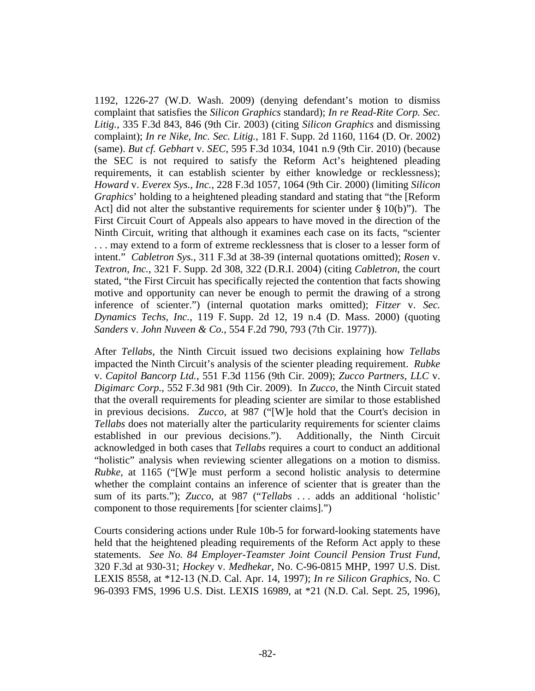1192, 1226-27 (W.D. Wash. 2009) (denying defendant's motion to dismiss complaint that satisfies the *Silicon Graphics* standard); *In re Read-Rite Corp. Sec. Litig.*, 335 F.3d 843, 846 (9th Cir. 2003) (citing *Silicon Graphics* and dismissing complaint); *In re Nike*, *Inc. Sec. Litig.*, 181 F. Supp. 2d 1160, 1164 (D. Or. 2002) (same). *But cf. Gebhart* v. *SEC*, 595 F.3d 1034, 1041 n.9 (9th Cir. 2010) (because the SEC is not required to satisfy the Reform Act's heightened pleading requirements, it can establish scienter by either knowledge or recklessness); *Howard* v. *Everex Sys.*, *Inc.*, 228 F.3d 1057, 1064 (9th Cir. 2000) (limiting *Silicon Graphics*' holding to a heightened pleading standard and stating that "the [Reform Act] did not alter the substantive requirements for scienter under  $\S 10(b)$ "). The First Circuit Court of Appeals also appears to have moved in the direction of the Ninth Circuit, writing that although it examines each case on its facts, "scienter . . . may extend to a form of extreme recklessness that is closer to a lesser form of intent." *Cabletron Sys.*, 311 F.3d at 38-39 (internal quotations omitted); *Rosen* v. *Textron*, *Inc.*, 321 F. Supp. 2d 308, 322 (D.R.I. 2004) (citing *Cabletron*, the court stated, "the First Circuit has specifically rejected the contention that facts showing motive and opportunity can never be enough to permit the drawing of a strong inference of scienter.") (internal quotation marks omitted); *Fitzer* v. *Sec. Dynamics Techs*, *Inc.*, 119 F. Supp. 2d 12, 19 n.4 (D. Mass. 2000) (quoting *Sanders* v. *John Nuveen & Co.*, 554 F.2d 790, 793 (7th Cir. 1977)).

After *Tellabs*, the Ninth Circuit issued two decisions explaining how *Tellabs* impacted the Ninth Circuit's analysis of the scienter pleading requirement. *Rubke* v. *Capitol Bancorp Ltd.*, 551 F.3d 1156 (9th Cir. 2009); *Zucco Partners*, *LLC* v. *Digimarc Corp.*, 552 F.3d 981 (9th Cir. 2009). In *Zucco*, the Ninth Circuit stated that the overall requirements for pleading scienter are similar to those established in previous decisions. *Zucco*, at 987 ("[W]e hold that the Court's decision in *Tellabs* does not materially alter the particularity requirements for scienter claims established in our previous decisions."). Additionally, the Ninth Circuit acknowledged in both cases that *Tellabs* requires a court to conduct an additional "holistic" analysis when reviewing scienter allegations on a motion to dismiss. *Rubke*, at 1165 ("[W]e must perform a second holistic analysis to determine whether the complaint contains an inference of scienter that is greater than the sum of its parts."); *Zucco*, at 987 ("*Tellabs* . . . adds an additional 'holistic' component to those requirements [for scienter claims].")

Courts considering actions under Rule 10b-5 for forward-looking statements have held that the heightened pleading requirements of the Reform Act apply to these statements. *See No. 84 Employer-Teamster Joint Council Pension Trust Fund*, 320 F.3d at 930-31; *Hockey* v. *Medhekar*, No. C-96-0815 MHP, 1997 U.S. Dist. LEXIS 8558, at \*12-13 (N.D. Cal. Apr. 14, 1997); *In re Silicon Graphics*, No. C 96-0393 FMS, 1996 U.S. Dist. LEXIS 16989, at \*21 (N.D. Cal. Sept. 25, 1996),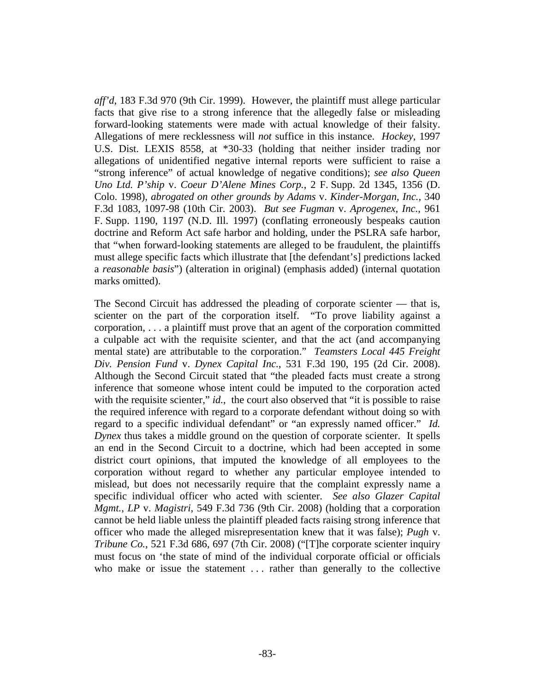*aff'd*, 183 F.3d 970 (9th Cir. 1999). However, the plaintiff must allege particular facts that give rise to a strong inference that the allegedly false or misleading forward-looking statements were made with actual knowledge of their falsity. Allegations of mere recklessness will *not* suffice in this instance. *Hockey*, 1997 U.S. Dist. LEXIS 8558, at \*30-33 (holding that neither insider trading nor allegations of unidentified negative internal reports were sufficient to raise a "strong inference" of actual knowledge of negative conditions); *see also Queen Uno Ltd. P'ship* v. *Coeur D'Alene Mines Corp.*, 2 F. Supp. 2d 1345, 1356 (D. Colo. 1998), *abrogated on other grounds by Adams* v. *Kinder-Morgan*, *Inc.*, 340 F.3d 1083, 1097-98 (10th Cir. 2003). *But see Fugman* v. *Aprogenex*, *Inc.*, 961 F. Supp. 1190, 1197 (N.D. Ill. 1997) (conflating erroneously bespeaks caution doctrine and Reform Act safe harbor and holding, under the PSLRA safe harbor, that "when forward-looking statements are alleged to be fraudulent, the plaintiffs must allege specific facts which illustrate that [the defendant's] predictions lacked a *reasonable basis*") (alteration in original) (emphasis added) (internal quotation marks omitted).

The Second Circuit has addressed the pleading of corporate scienter — that is, scienter on the part of the corporation itself. "To prove liability against a corporation, . . . a plaintiff must prove that an agent of the corporation committed a culpable act with the requisite scienter, and that the act (and accompanying mental state) are attributable to the corporation." *Teamsters Local 445 Freight Div. Pension Fund* v. *Dynex Capital Inc.*, 531 F.3d 190, 195 (2d Cir. 2008). Although the Second Circuit stated that "the pleaded facts must create a strong inference that someone whose intent could be imputed to the corporation acted with the requisite scienter," *id.*, the court also observed that "it is possible to raise" the required inference with regard to a corporate defendant without doing so with regard to a specific individual defendant" or "an expressly named officer." *Id. Dynex* thus takes a middle ground on the question of corporate scienter. It spells an end in the Second Circuit to a doctrine, which had been accepted in some district court opinions, that imputed the knowledge of all employees to the corporation without regard to whether any particular employee intended to mislead, but does not necessarily require that the complaint expressly name a specific individual officer who acted with scienter. *See also Glazer Capital Mgmt.*, *LP* v. *Magistri*, 549 F.3d 736 (9th Cir. 2008) (holding that a corporation cannot be held liable unless the plaintiff pleaded facts raising strong inference that officer who made the alleged misrepresentation knew that it was false); *Pugh* v. *Tribune Co.*, 521 F.3d 686, 697 (7th Cir. 2008) ("[T]he corporate scienter inquiry must focus on 'the state of mind of the individual corporate official or officials who make or issue the statement ... rather than generally to the collective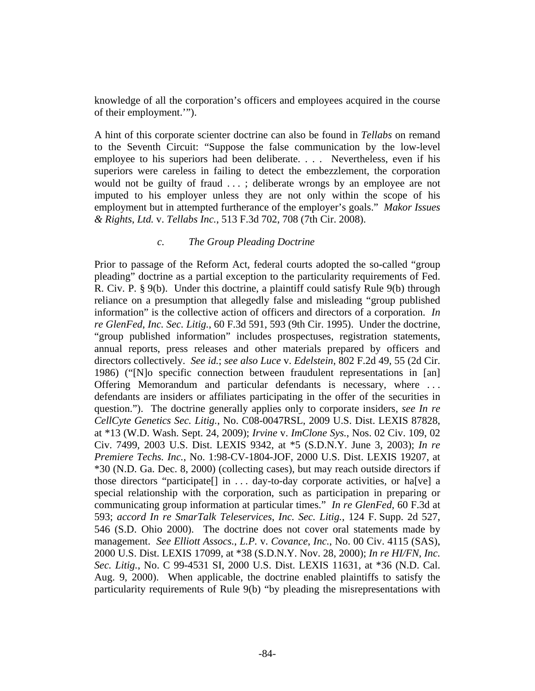knowledge of all the corporation's officers and employees acquired in the course of their employment.'").

A hint of this corporate scienter doctrine can also be found in *Tellabs* on remand to the Seventh Circuit: "Suppose the false communication by the low-level employee to his superiors had been deliberate. . . . Nevertheless, even if his superiors were careless in failing to detect the embezzlement, the corporation would not be guilty of fraud . . . ; deliberate wrongs by an employee are not imputed to his employer unless they are not only within the scope of his employment but in attempted furtherance of the employer's goals." *Makor Issues & Rights*, *Ltd.* v. *Tellabs Inc.*, 513 F.3d 702, 708 (7th Cir. 2008).

#### *c. The Group Pleading Doctrine*

Prior to passage of the Reform Act, federal courts adopted the so-called "group pleading" doctrine as a partial exception to the particularity requirements of Fed. R. Civ. P. § 9(b). Under this doctrine, a plaintiff could satisfy Rule 9(b) through reliance on a presumption that allegedly false and misleading "group published information" is the collective action of officers and directors of a corporation. *In re GlenFed*, *Inc. Sec. Litig.*, 60 F.3d 591, 593 (9th Cir. 1995). Under the doctrine, "group published information" includes prospectuses, registration statements, annual reports, press releases and other materials prepared by officers and directors collectively. *See id.*; *see also Luce* v. *Edelstein*, 802 F.2d 49, 55 (2d Cir. 1986) ("[N]o specific connection between fraudulent representations in [an] Offering Memorandum and particular defendants is necessary, where . . . defendants are insiders or affiliates participating in the offer of the securities in question."). The doctrine generally applies only to corporate insiders, *see In re CellCyte Genetics Sec. Litig.*, No. C08-0047RSL, 2009 U.S. Dist. LEXIS 87828, at \*13 (W.D. Wash. Sept. 24, 2009); *Irvine* v. *ImClone Sys.*, Nos. 02 Civ. 109, 02 Civ. 7499, 2003 U.S. Dist. LEXIS 9342, at \*5 (S.D.N.Y. June 3, 2003); *In re Premiere Techs. Inc.*, No. 1:98-CV-1804-JOF, 2000 U.S. Dist. LEXIS 19207, at \*30 (N.D. Ga. Dec. 8, 2000) (collecting cases), but may reach outside directors if those directors "participate[] in . . . day-to-day corporate activities, or ha[ve] a special relationship with the corporation, such as participation in preparing or communicating group information at particular times." *In re GlenFed*, 60 F.3d at 593; *accord In re SmarTalk Teleservices*, *Inc. Sec. Litig.*, 124 F. Supp. 2d 527, 546 (S.D. Ohio 2000). The doctrine does not cover oral statements made by management. *See Elliott Assocs.*, *L.P.* v. *Covance*, *Inc.*, No. 00 Civ. 4115 (SAS), 2000 U.S. Dist. LEXIS 17099, at \*38 (S.D.N.Y. Nov. 28, 2000); *In re HI/FN*, *Inc. Sec. Litig.*, No. C 99-4531 SI, 2000 U.S. Dist. LEXIS 11631, at \*36 (N.D. Cal. Aug. 9, 2000). When applicable, the doctrine enabled plaintiffs to satisfy the particularity requirements of Rule 9(b) "by pleading the misrepresentations with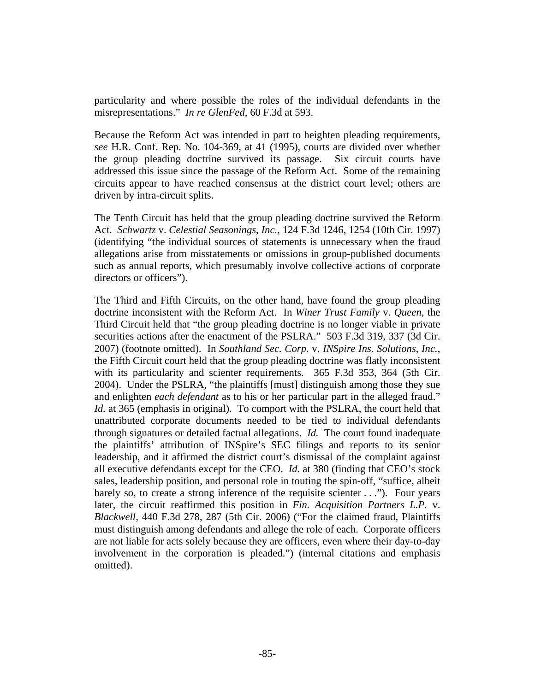particularity and where possible the roles of the individual defendants in the misrepresentations." *In re GlenFed*, 60 F.3d at 593.

Because the Reform Act was intended in part to heighten pleading requirements, *see* H.R. Conf. Rep. No. 104-369, at 41 (1995), courts are divided over whether the group pleading doctrine survived its passage. Six circuit courts have addressed this issue since the passage of the Reform Act. Some of the remaining circuits appear to have reached consensus at the district court level; others are driven by intra-circuit splits.

The Tenth Circuit has held that the group pleading doctrine survived the Reform Act. *Schwartz* v. *Celestial Seasonings*, *Inc.*, 124 F.3d 1246, 1254 (10th Cir. 1997) (identifying "the individual sources of statements is unnecessary when the fraud allegations arise from misstatements or omissions in group-published documents such as annual reports, which presumably involve collective actions of corporate directors or officers").

The Third and Fifth Circuits, on the other hand, have found the group pleading doctrine inconsistent with the Reform Act. In *Winer Trust Family* v. *Queen*, the Third Circuit held that "the group pleading doctrine is no longer viable in private securities actions after the enactment of the PSLRA." 503 F.3d 319, 337 (3d Cir. 2007) (footnote omitted). In *Southland Sec. Corp.* v. *INSpire Ins. Solutions*, *Inc.*, the Fifth Circuit court held that the group pleading doctrine was flatly inconsistent with its particularity and scienter requirements. 365 F.3d 353, 364 (5th Cir. 2004). Under the PSLRA, "the plaintiffs [must] distinguish among those they sue and enlighten *each defendant* as to his or her particular part in the alleged fraud." *Id.* at 365 (emphasis in original). To comport with the PSLRA, the court held that unattributed corporate documents needed to be tied to individual defendants through signatures or detailed factual allegations. *Id.* The court found inadequate the plaintiffs' attribution of INSpire's SEC filings and reports to its senior leadership, and it affirmed the district court's dismissal of the complaint against all executive defendants except for the CEO. *Id.* at 380 (finding that CEO's stock sales, leadership position, and personal role in touting the spin-off, "suffice, albeit barely so, to create a strong inference of the requisite scienter . . ."). Four years later, the circuit reaffirmed this position in *Fin. Acquisition Partners L.P.* v. *Blackwell*, 440 F.3d 278, 287 (5th Cir. 2006) ("For the claimed fraud, Plaintiffs must distinguish among defendants and allege the role of each. Corporate officers are not liable for acts solely because they are officers, even where their day-to-day involvement in the corporation is pleaded.") (internal citations and emphasis omitted).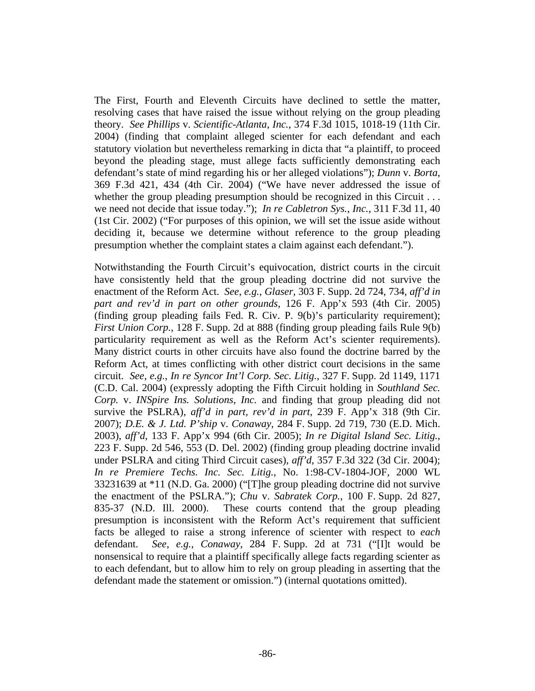The First, Fourth and Eleventh Circuits have declined to settle the matter, resolving cases that have raised the issue without relying on the group pleading theory. *See Phillips* v. *Scientific-Atlanta*, *Inc.*, 374 F.3d 1015, 1018-19 (11th Cir. 2004) (finding that complaint alleged scienter for each defendant and each statutory violation but nevertheless remarking in dicta that "a plaintiff, to proceed beyond the pleading stage, must allege facts sufficiently demonstrating each defendant's state of mind regarding his or her alleged violations"); *Dunn* v. *Borta*, 369 F.3d 421, 434 (4th Cir. 2004) ("We have never addressed the issue of whether the group pleading presumption should be recognized in this Circuit ... we need not decide that issue today."); *In re Cabletron Sys.*, *Inc.*, 311 F.3d 11, 40 (1st Cir. 2002) ("For purposes of this opinion, we will set the issue aside without deciding it, because we determine without reference to the group pleading presumption whether the complaint states a claim against each defendant.").

Notwithstanding the Fourth Circuit's equivocation, district courts in the circuit have consistently held that the group pleading doctrine did not survive the enactment of the Reform Act. *See*, *e.g.*, *Glaser*, 303 F. Supp. 2d 724, 734, *aff'd in part and rev'd in part on other grounds*, 126 F. App'x 593 (4th Cir. 2005) (finding group pleading fails Fed. R. Civ. P. 9(b)'s particularity requirement); *First Union Corp.*, 128 F. Supp. 2d at 888 (finding group pleading fails Rule 9(b) particularity requirement as well as the Reform Act's scienter requirements). Many district courts in other circuits have also found the doctrine barred by the Reform Act, at times conflicting with other district court decisions in the same circuit. *See*, *e.g.*, *In re Syncor Int'l Corp. Sec. Litig.*, 327 F. Supp. 2d 1149, 1171 (C.D. Cal. 2004) (expressly adopting the Fifth Circuit holding in *Southland Sec. Corp.* v. *INSpire Ins. Solutions*, *Inc.* and finding that group pleading did not survive the PSLRA), *aff'd in part, rev'd in part*, 239 F. App'x 318 (9th Cir. 2007); *D.E. & J. Ltd. P'ship* v. *Conaway*, 284 F. Supp. 2d 719, 730 (E.D. Mich. 2003), *aff'd*, 133 F. App'x 994 (6th Cir. 2005); *In re Digital Island Sec. Litig.*, 223 F. Supp. 2d 546, 553 (D. Del. 2002) (finding group pleading doctrine invalid under PSLRA and citing Third Circuit cases), *aff'd*, 357 F.3d 322 (3d Cir. 2004); *In re Premiere Techs. Inc. Sec. Litig.*, No. 1:98-CV-1804-JOF, 2000 WL 33231639 at \*11 (N.D. Ga. 2000) ("[T]he group pleading doctrine did not survive the enactment of the PSLRA."); *Chu* v. *Sabratek Corp.*, 100 F. Supp. 2d 827, 835-37 (N.D. Ill. 2000). These courts contend that the group pleading presumption is inconsistent with the Reform Act's requirement that sufficient facts be alleged to raise a strong inference of scienter with respect to *each* defendant. *See*, *e.g.*, *Conaway*, 284 F. Supp. 2d at 731 ("[I]t would be nonsensical to require that a plaintiff specifically allege facts regarding scienter as to each defendant, but to allow him to rely on group pleading in asserting that the defendant made the statement or omission.") (internal quotations omitted).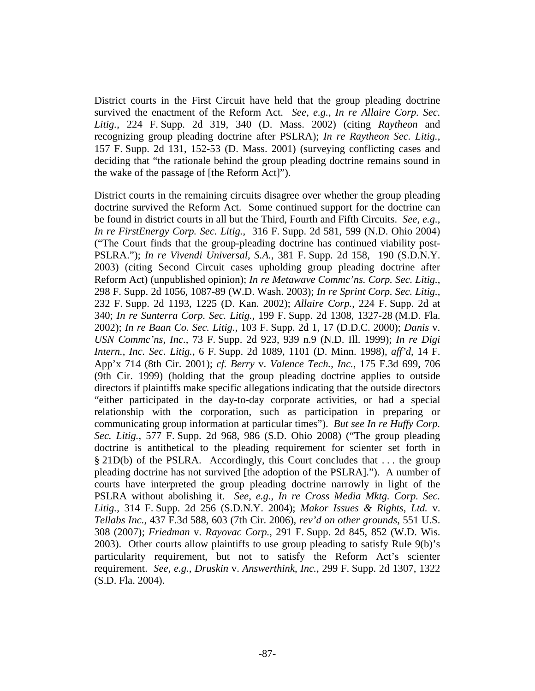District courts in the First Circuit have held that the group pleading doctrine survived the enactment of the Reform Act. *See*, *e.g.*, *In re Allaire Corp. Sec. Litig.*, 224 F. Supp. 2d 319, 340 (D. Mass. 2002) (citing *Raytheon* and recognizing group pleading doctrine after PSLRA); *In re Raytheon Sec. Litig.*, 157 F. Supp. 2d 131, 152-53 (D. Mass. 2001) (surveying conflicting cases and deciding that "the rationale behind the group pleading doctrine remains sound in the wake of the passage of [the Reform Act]").

District courts in the remaining circuits disagree over whether the group pleading doctrine survived the Reform Act. Some continued support for the doctrine can be found in district courts in all but the Third, Fourth and Fifth Circuits. *See*, *e.g.*, *In re FirstEnergy Corp. Sec. Litig.*, 316 F. Supp. 2d 581, 599 (N.D. Ohio 2004) ("The Court finds that the group-pleading doctrine has continued viability post-PSLRA."); *In re Vivendi Universal*, *S.A.*, 381 F. Supp. 2d 158, 190 (S.D.N.Y. 2003) (citing Second Circuit cases upholding group pleading doctrine after Reform Act) (unpublished opinion); *In re Metawave Commc'ns. Corp. Sec. Litig.*, 298 F. Supp. 2d 1056, 1087-89 (W.D. Wash. 2003); *In re Sprint Corp. Sec. Litig.*, 232 F. Supp. 2d 1193, 1225 (D. Kan. 2002); *Allaire Corp.*, 224 F. Supp. 2d at 340; *In re Sunterra Corp. Sec. Litig.*, 199 F. Supp. 2d 1308, 1327-28 (M.D. Fla. 2002); *In re Baan Co. Sec. Litig.*, 103 F. Supp. 2d 1, 17 (D.D.C. 2000); *Danis* v. *USN Commc'ns*, *Inc.*, 73 F. Supp. 2d 923, 939 n.9 (N.D. Ill. 1999); *In re Digi Intern.*, *Inc. Sec. Litig.*, 6 F. Supp. 2d 1089, 1101 (D. Minn. 1998), *aff'd*, 14 F. App'x 714 (8th Cir. 2001); *cf. Berry* v. *Valence Tech.*, *Inc.*, 175 F.3d 699, 706 (9th Cir. 1999) (holding that the group pleading doctrine applies to outside directors if plaintiffs make specific allegations indicating that the outside directors "either participated in the day-to-day corporate activities, or had a special relationship with the corporation, such as participation in preparing or communicating group information at particular times"). *But see In re Huffy Corp. Sec. Litig.*, 577 F. Supp. 2d 968, 986 (S.D. Ohio 2008) ("The group pleading doctrine is antithetical to the pleading requirement for scienter set forth in § 21D(b) of the PSLRA. Accordingly, this Court concludes that . . . the group pleading doctrine has not survived [the adoption of the PSLRA]."). A number of courts have interpreted the group pleading doctrine narrowly in light of the PSLRA without abolishing it. *See*, *e.g.*, *In re Cross Media Mktg. Corp. Sec. Litig.*, 314 F. Supp. 2d 256 (S.D.N.Y. 2004); *Makor Issues & Rights*, *Ltd.* v. *Tellabs Inc.*, 437 F.3d 588, 603 (7th Cir. 2006), *rev'd on other grounds*, 551 U.S. 308 (2007); *Friedman* v. *Rayovac Corp.*, 291 F. Supp. 2d 845, 852 (W.D. Wis. 2003). Other courts allow plaintiffs to use group pleading to satisfy Rule 9(b)'s particularity requirement, but not to satisfy the Reform Act's scienter requirement. *See*, *e.g.*, *Druskin* v. *Answerthink*, *Inc.*, 299 F. Supp. 2d 1307, 1322 (S.D. Fla. 2004).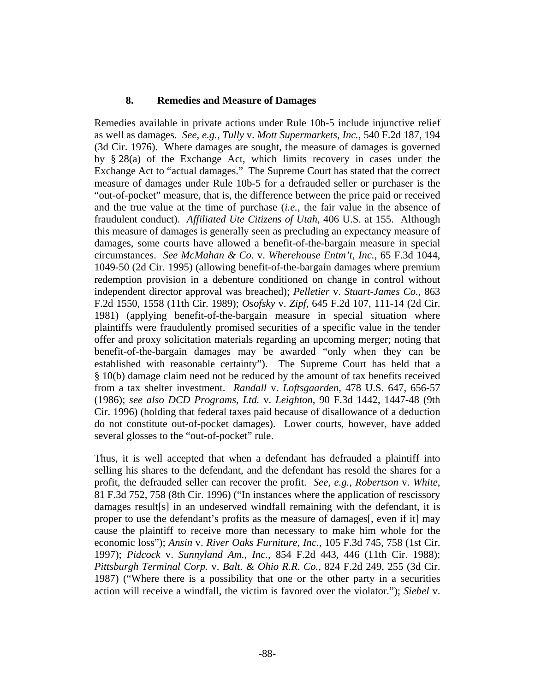#### **8. Remedies and Measure of Damages**

Remedies available in private actions under Rule 10b-5 include injunctive relief as well as damages. *See*, *e.g.*, *Tully* v. *Mott Supermarkets*, *Inc.*, 540 F.2d 187, 194 (3d Cir. 1976). Where damages are sought, the measure of damages is governed by § 28(a) of the Exchange Act, which limits recovery in cases under the Exchange Act to "actual damages." The Supreme Court has stated that the correct measure of damages under Rule 10b-5 for a defrauded seller or purchaser is the "out-of-pocket" measure, that is, the difference between the price paid or received and the true value at the time of purchase (*i.e.*, the fair value in the absence of fraudulent conduct). *Affiliated Ute Citizens of Utah*, 406 U.S. at 155. Although this measure of damages is generally seen as precluding an expectancy measure of damages, some courts have allowed a benefit-of-the-bargain measure in special circumstances. *See McMahan & Co.* v. *Wherehouse Entm't*, *Inc.*, 65 F.3d 1044, 1049-50 (2d Cir. 1995) (allowing benefit-of-the-bargain damages where premium redemption provision in a debenture conditioned on change in control without independent director approval was breached); *Pelletier* v. *Stuart-James Co.*, 863 F.2d 1550, 1558 (11th Cir. 1989); *Osofsky* v. *Zipf*, 645 F.2d 107, 111-14 (2d Cir. 1981) (applying benefit-of-the-bargain measure in special situation where plaintiffs were fraudulently promised securities of a specific value in the tender offer and proxy solicitation materials regarding an upcoming merger; noting that benefit-of-the-bargain damages may be awarded "only when they can be established with reasonable certainty"). The Supreme Court has held that a § 10(b) damage claim need not be reduced by the amount of tax benefits received from a tax shelter investment. *Randall* v. *Loftsgaarden*, 478 U.S. 647, 656-57 (1986); *see also DCD Programs*, *Ltd.* v. *Leighton*, 90 F.3d 1442, 1447-48 (9th Cir. 1996) (holding that federal taxes paid because of disallowance of a deduction do not constitute out-of-pocket damages). Lower courts, however, have added several glosses to the "out-of-pocket" rule.

Thus, it is well accepted that when a defendant has defrauded a plaintiff into selling his shares to the defendant, and the defendant has resold the shares for a profit, the defrauded seller can recover the profit. *See*, *e.g.*, *Robertson* v. *White*, 81 F.3d 752, 758 (8th Cir. 1996) ("In instances where the application of rescissory damages result[s] in an undeserved windfall remaining with the defendant, it is proper to use the defendant's profits as the measure of damages[, even if it] may cause the plaintiff to receive more than necessary to make him whole for the economic loss"); *Ansin* v. *River Oaks Furniture*, *Inc.*, 105 F.3d 745, 758 (1st Cir. 1997); *Pidcock* v. *Sunnyland Am.*, *Inc.*, 854 F.2d 443, 446 (11th Cir. 1988); *Pittsburgh Terminal Corp.* v. *Balt. & Ohio R.R. Co.*, 824 F.2d 249, 255 (3d Cir. 1987) ("Where there is a possibility that one or the other party in a securities action will receive a windfall, the victim is favored over the violator."); *Siebel* v.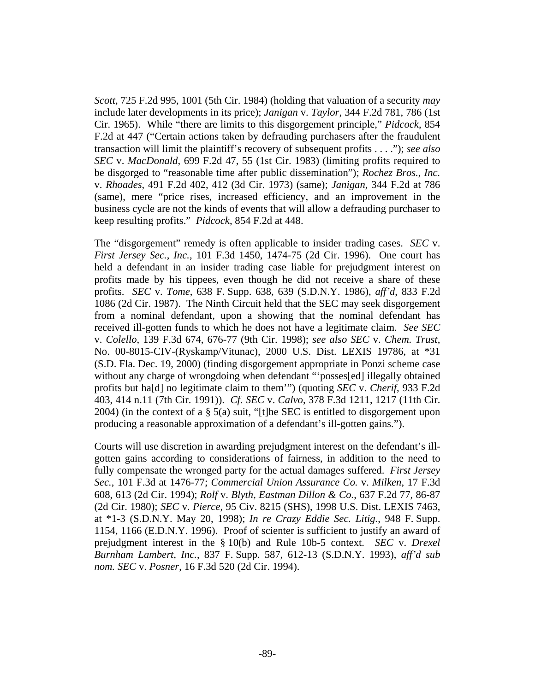*Scott*, 725 F.2d 995, 1001 (5th Cir. 1984) (holding that valuation of a security *may* include later developments in its price); *Janigan* v. *Taylor*, 344 F.2d 781, 786 (1st Cir. 1965). While "there are limits to this disgorgement principle," *Pidcock*, 854 F.2d at 447 ("Certain actions taken by defrauding purchasers after the fraudulent transaction will limit the plaintiff's recovery of subsequent profits . . . ."); *see also SEC* v. *MacDonald*, 699 F.2d 47, 55 (1st Cir. 1983) (limiting profits required to be disgorged to "reasonable time after public dissemination"); *Rochez Bros.*, *Inc.* v. *Rhoades*, 491 F.2d 402, 412 (3d Cir. 1973) (same); *Janigan*, 344 F.2d at 786 (same), mere "price rises, increased efficiency, and an improvement in the business cycle are not the kinds of events that will allow a defrauding purchaser to keep resulting profits." *Pidcock*, 854 F.2d at 448.

The "disgorgement" remedy is often applicable to insider trading cases. *SEC* v. *First Jersey Sec.*, *Inc.*, 101 F.3d 1450, 1474-75 (2d Cir. 1996). One court has held a defendant in an insider trading case liable for prejudgment interest on profits made by his tippees, even though he did not receive a share of these profits. *SEC* v. *Tome*, 638 F. Supp. 638, 639 (S.D.N.Y. 1986), *aff'd*, 833 F.2d 1086 (2d Cir. 1987). The Ninth Circuit held that the SEC may seek disgorgement from a nominal defendant, upon a showing that the nominal defendant has received ill-gotten funds to which he does not have a legitimate claim. *See SEC* v. *Colello*, 139 F.3d 674, 676-77 (9th Cir. 1998); *see also SEC* v. *Chem. Trust*, No. 00-8015-CIV-(Ryskamp/Vitunac), 2000 U.S. Dist. LEXIS 19786, at \*31 (S.D. Fla. Dec. 19, 2000) (finding disgorgement appropriate in Ponzi scheme case without any charge of wrongdoing when defendant "'posses[ed] illegally obtained profits but ha[d] no legitimate claim to them'") (quoting *SEC* v. *Cherif*, 933 F.2d 403, 414 n.11 (7th Cir. 1991)). *Cf. SEC* v. *Calvo*, 378 F.3d 1211, 1217 (11th Cir. 2004) (in the context of a § 5(a) suit, "[t]he SEC is entitled to disgorgement upon producing a reasonable approximation of a defendant's ill-gotten gains.").

Courts will use discretion in awarding prejudgment interest on the defendant's illgotten gains according to considerations of fairness, in addition to the need to fully compensate the wronged party for the actual damages suffered. *First Jersey Sec.*, 101 F.3d at 1476-77; *Commercial Union Assurance Co.* v. *Milken*, 17 F.3d 608, 613 (2d Cir. 1994); *Rolf* v. *Blyth*, *Eastman Dillon & Co.*, 637 F.2d 77, 86-87 (2d Cir. 1980); *SEC* v. *Pierce*, 95 Civ. 8215 (SHS), 1998 U.S. Dist. LEXIS 7463, at \*1-3 (S.D.N.Y. May 20, 1998); *In re Crazy Eddie Sec. Litig.*, 948 F. Supp. 1154, 1166 (E.D.N.Y. 1996). Proof of scienter is sufficient to justify an award of prejudgment interest in the § 10(b) and Rule 10b-5 context. *SEC* v. *Drexel Burnham Lambert*, *Inc.*, 837 F. Supp. 587, 612-13 (S.D.N.Y. 1993), *aff'd sub nom. SEC* v. *Posner*, 16 F.3d 520 (2d Cir. 1994).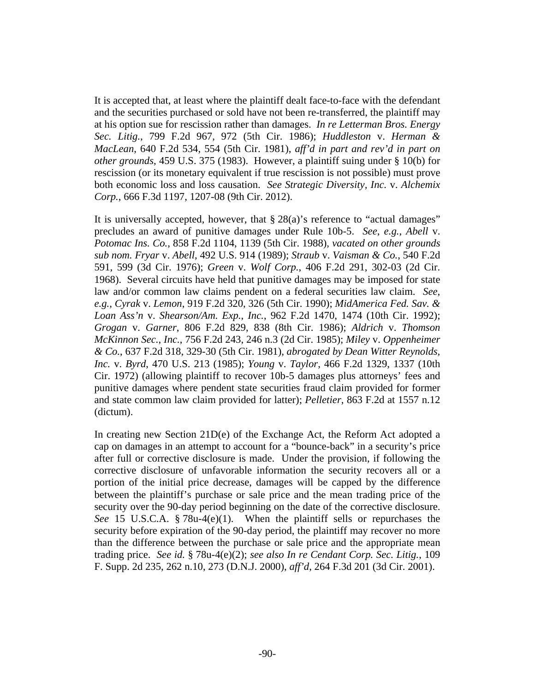It is accepted that, at least where the plaintiff dealt face-to-face with the defendant and the securities purchased or sold have not been re-transferred, the plaintiff may at his option sue for rescission rather than damages. *In re Letterman Bros. Energy Sec. Litig.*, 799 F.2d 967, 972 (5th Cir. 1986); *Huddleston* v. *Herman & MacLean*, 640 F.2d 534, 554 (5th Cir. 1981), *aff'd in part and rev'd in part on other grounds*, 459 U.S. 375 (1983). However, a plaintiff suing under § 10(b) for rescission (or its monetary equivalent if true rescission is not possible) must prove both economic loss and loss causation. *See Strategic Diversity, Inc.* v. *Alchemix Corp.*, 666 F.3d 1197, 1207-08 (9th Cir. 2012).

It is universally accepted, however, that  $\S 28(a)$ 's reference to "actual damages" precludes an award of punitive damages under Rule 10b-5. *See*, *e.g.*, *Abell* v. *Potomac Ins. Co.*, 858 F.2d 1104, 1139 (5th Cir. 1988), *vacated on other grounds sub nom. Fryar* v. *Abell*, 492 U.S. 914 (1989); *Straub* v. *Vaisman & Co.*, 540 F.2d 591, 599 (3d Cir. 1976); *Green* v. *Wolf Corp.*, 406 F.2d 291, 302-03 (2d Cir. 1968). Several circuits have held that punitive damages may be imposed for state law and/or common law claims pendent on a federal securities law claim. *See*, *e.g.*, *Cyrak* v. *Lemon*, 919 F.2d 320, 326 (5th Cir. 1990); *MidAmerica Fed. Sav. & Loan Ass'n* v. *Shearson/Am. Exp.*, *Inc.*, 962 F.2d 1470, 1474 (10th Cir. 1992); *Grogan* v. *Garner*, 806 F.2d 829, 838 (8th Cir. 1986); *Aldrich* v. *Thomson McKinnon Sec.*, *Inc.*, 756 F.2d 243, 246 n.3 (2d Cir. 1985); *Miley* v. *Oppenheimer & Co.*, 637 F.2d 318, 329-30 (5th Cir. 1981), *abrogated by Dean Witter Reynolds, Inc.* v. *Byrd*, 470 U.S. 213 (1985); *Young* v. *Taylor*, 466 F.2d 1329, 1337 (10th Cir. 1972) (allowing plaintiff to recover 10b-5 damages plus attorneys' fees and punitive damages where pendent state securities fraud claim provided for former and state common law claim provided for latter); *Pelletier*, 863 F.2d at 1557 n.12 (dictum).

In creating new Section 21D(e) of the Exchange Act, the Reform Act adopted a cap on damages in an attempt to account for a "bounce-back" in a security's price after full or corrective disclosure is made. Under the provision, if following the corrective disclosure of unfavorable information the security recovers all or a portion of the initial price decrease, damages will be capped by the difference between the plaintiff's purchase or sale price and the mean trading price of the security over the 90-day period beginning on the date of the corrective disclosure. *See* 15 U.S.C.A. § 78u-4(e)(1). When the plaintiff sells or repurchases the security before expiration of the 90-day period, the plaintiff may recover no more than the difference between the purchase or sale price and the appropriate mean trading price. *See id.* § 78u-4(e)(2); *see also In re Cendant Corp. Sec. Litig.*, 109 F. Supp. 2d 235, 262 n.10, 273 (D.N.J. 2000), *aff'd*, 264 F.3d 201 (3d Cir. 2001).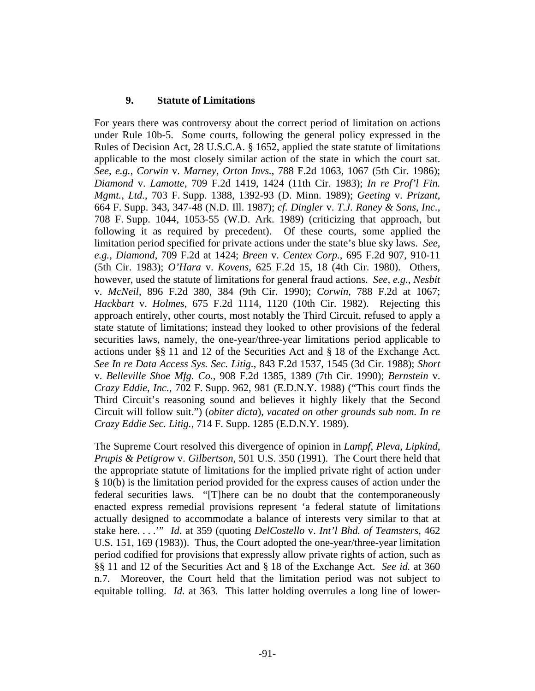### **9. Statute of Limitations**

For years there was controversy about the correct period of limitation on actions under Rule 10b-5. Some courts, following the general policy expressed in the Rules of Decision Act, 28 U.S.C.A. § 1652, applied the state statute of limitations applicable to the most closely similar action of the state in which the court sat. *See*, *e.g.*, *Corwin* v. *Marney*, *Orton Invs.*, 788 F.2d 1063, 1067 (5th Cir. 1986); *Diamond* v. *Lamotte*, 709 F.2d 1419, 1424 (11th Cir. 1983); *In re Prof'l Fin. Mgmt.*, *Ltd.*, 703 F. Supp. 1388, 1392-93 (D. Minn. 1989); *Geeting* v. *Prizant*, 664 F. Supp. 343, 347-48 (N.D. Ill. 1987); *cf. Dingler* v. *T.J. Raney & Sons*, *Inc.*, 708 F. Supp. 1044, 1053-55 (W.D. Ark. 1989) (criticizing that approach, but following it as required by precedent). Of these courts, some applied the limitation period specified for private actions under the state's blue sky laws. *See*, *e.g.*, *Diamond*, 709 F.2d at 1424; *Breen* v. *Centex Corp.*, 695 F.2d 907, 910-11 (5th Cir. 1983); *O'Hara* v. *Kovens*, 625 F.2d 15, 18 (4th Cir. 1980). Others, however, used the statute of limitations for general fraud actions. *See*, *e.g.*, *Nesbit* v. *McNeil*, 896 F.2d 380, 384 (9th Cir. 1990); *Corwin*, 788 F.2d at 1067; *Hackbart* v. *Holmes*, 675 F.2d 1114, 1120 (10th Cir. 1982). Rejecting this approach entirely, other courts, most notably the Third Circuit, refused to apply a state statute of limitations; instead they looked to other provisions of the federal securities laws, namely, the one-year/three-year limitations period applicable to actions under §§ 11 and 12 of the Securities Act and § 18 of the Exchange Act. *See In re Data Access Sys. Sec. Litig.*, 843 F.2d 1537, 1545 (3d Cir. 1988); *Short* v. *Belleville Shoe Mfg. Co.*, 908 F.2d 1385, 1389 (7th Cir. 1990); *Bernstein* v. *Crazy Eddie*, *Inc.*, 702 F. Supp. 962, 981 (E.D.N.Y. 1988) ("This court finds the Third Circuit's reasoning sound and believes it highly likely that the Second Circuit will follow suit.") (*obiter dicta*), *vacated on other grounds sub nom. In re Crazy Eddie Sec. Litig.*, 714 F. Supp. 1285 (E.D.N.Y. 1989).

The Supreme Court resolved this divergence of opinion in *Lampf*, *Pleva*, *Lipkind*, *Prupis & Petigrow* v. *Gilbertson*, 501 U.S. 350 (1991). The Court there held that the appropriate statute of limitations for the implied private right of action under § 10(b) is the limitation period provided for the express causes of action under the federal securities laws. "[T]here can be no doubt that the contemporaneously enacted express remedial provisions represent 'a federal statute of limitations actually designed to accommodate a balance of interests very similar to that at stake here. . . .'" *Id.* at 359 (quoting *DelCostello* v. *Int'l Bhd. of Teamsters*, 462 U.S. 151, 169 (1983)). Thus, the Court adopted the one-year/three-year limitation period codified for provisions that expressly allow private rights of action, such as §§ 11 and 12 of the Securities Act and § 18 of the Exchange Act. *See id.* at 360 n.7. Moreover, the Court held that the limitation period was not subject to equitable tolling. *Id.* at 363. This latter holding overrules a long line of lower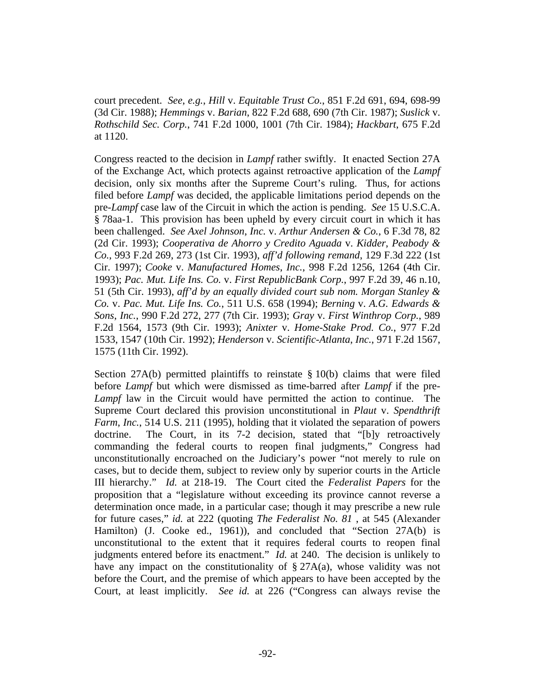court precedent. *See*, *e.g.*, *Hill* v. *Equitable Trust Co.*, 851 F.2d 691, 694, 698-99 (3d Cir. 1988); *Hemmings* v. *Barian*, 822 F.2d 688, 690 (7th Cir. 1987); *Suslick* v. *Rothschild Sec. Corp.*, 741 F.2d 1000, 1001 (7th Cir. 1984); *Hackbart*, 675 F.2d at 1120.

Congress reacted to the decision in *Lampf* rather swiftly. It enacted Section 27A of the Exchange Act, which protects against retroactive application of the *Lampf* decision, only six months after the Supreme Court's ruling. Thus, for actions filed before *Lampf* was decided, the applicable limitations period depends on the pre-*Lampf* case law of the Circuit in which the action is pending. *See* 15 U.S.C.A. § 78aa-1. This provision has been upheld by every circuit court in which it has been challenged. *See Axel Johnson*, *Inc.* v. *Arthur Andersen & Co.*, 6 F.3d 78, 82 (2d Cir. 1993); *Cooperativa de Ahorro y Credito Aguada* v. *Kidder*, *Peabody & Co.*, 993 F.2d 269, 273 (1st Cir. 1993), *aff'd following remand*, 129 F.3d 222 (1st Cir. 1997); *Cooke* v. *Manufactured Homes*, *Inc.*, 998 F.2d 1256, 1264 (4th Cir. 1993); *Pac. Mut. Life Ins. Co.* v. *First RepublicBank Corp.*, 997 F.2d 39, 46 n.10, 51 (5th Cir. 1993), *aff'd by an equally divided court sub nom. Morgan Stanley & Co.* v. *Pac. Mut. Life Ins. Co.*, 511 U.S. 658 (1994); *Berning* v. *A.G. Edwards & Sons*, *Inc.*, 990 F.2d 272, 277 (7th Cir. 1993); *Gray* v. *First Winthrop Corp.*, 989 F.2d 1564, 1573 (9th Cir. 1993); *Anixter* v. *Home-Stake Prod. Co.*, 977 F.2d 1533, 1547 (10th Cir. 1992); *Henderson* v. *Scientific-Atlanta*, *Inc.*, 971 F.2d 1567, 1575 (11th Cir. 1992).

Section 27A(b) permitted plaintiffs to reinstate  $\S 10(b)$  claims that were filed before *Lampf* but which were dismissed as time-barred after *Lampf* if the pre-*Lampf* law in the Circuit would have permitted the action to continue. The Supreme Court declared this provision unconstitutional in *Plaut* v. *Spendthrift Farm*, *Inc.*, 514 U.S. 211 (1995), holding that it violated the separation of powers doctrine. The Court, in its 7-2 decision, stated that "[b]y retroactively commanding the federal courts to reopen final judgments," Congress had unconstitutionally encroached on the Judiciary's power "not merely to rule on cases, but to decide them, subject to review only by superior courts in the Article III hierarchy." *Id.* at 218-19. The Court cited the *Federalist Papers* for the proposition that a "legislature without exceeding its province cannot reverse a determination once made, in a particular case; though it may prescribe a new rule for future cases," *id.* at 222 (quoting *The Federalist No. 81* , at 545 (Alexander Hamilton) (J. Cooke ed., 1961)), and concluded that "Section 27A(b) is unconstitutional to the extent that it requires federal courts to reopen final judgments entered before its enactment." *Id.* at 240. The decision is unlikely to have any impact on the constitutionality of  $\S 27A(a)$ , whose validity was not before the Court, and the premise of which appears to have been accepted by the Court, at least implicitly. *See id.* at 226 ("Congress can always revise the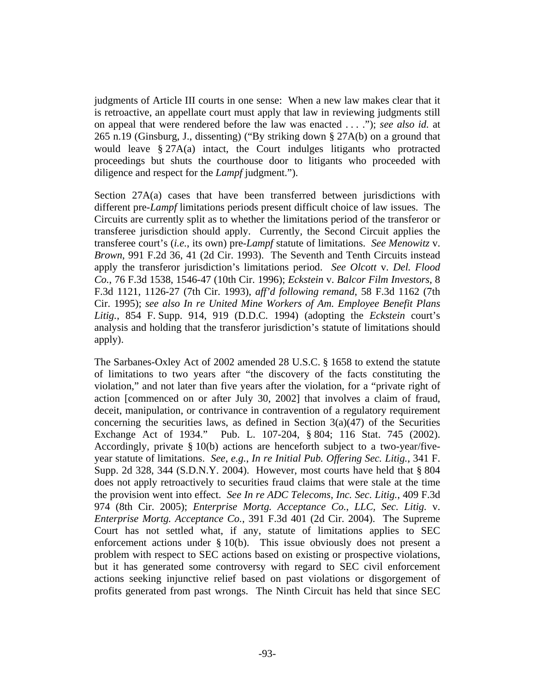judgments of Article III courts in one sense: When a new law makes clear that it is retroactive, an appellate court must apply that law in reviewing judgments still on appeal that were rendered before the law was enacted . . . ."); *see also id.* at 265 n.19 (Ginsburg, J., dissenting) ("By striking down § 27A(b) on a ground that would leave § 27A(a) intact, the Court indulges litigants who protracted proceedings but shuts the courthouse door to litigants who proceeded with diligence and respect for the *Lampf* judgment.").

Section 27A(a) cases that have been transferred between jurisdictions with different pre-*Lampf* limitations periods present difficult choice of law issues. The Circuits are currently split as to whether the limitations period of the transferor or transferee jurisdiction should apply. Currently, the Second Circuit applies the transferee court's (*i.e.*, its own) pre-*Lampf* statute of limitations. *See Menowitz* v. *Brown*, 991 F.2d 36, 41 (2d Cir. 1993). The Seventh and Tenth Circuits instead apply the transferor jurisdiction's limitations period. *See Olcott* v. *Del. Flood Co.*, 76 F.3d 1538, 1546-47 (10th Cir. 1996); *Eckstein* v. *Balcor Film Investors*, 8 F.3d 1121, 1126-27 (7th Cir. 1993), *aff'd following remand*, 58 F.3d 1162 (7th Cir. 1995); *see also In re United Mine Workers of Am. Employee Benefit Plans Litig.*, 854 F. Supp. 914, 919 (D.D.C. 1994) (adopting the *Eckstein* court's analysis and holding that the transferor jurisdiction's statute of limitations should apply).

The Sarbanes-Oxley Act of 2002 amended 28 U.S.C. § 1658 to extend the statute of limitations to two years after "the discovery of the facts constituting the violation," and not later than five years after the violation, for a "private right of action [commenced on or after July 30, 2002] that involves a claim of fraud, deceit, manipulation, or contrivance in contravention of a regulatory requirement concerning the securities laws, as defined in Section  $3(a)(47)$  of the Securities Exchange Act of 1934." Pub. L. 107-204, § 804; 116 Stat. 745 (2002). Accordingly, private § 10(b) actions are henceforth subject to a two-year/fiveyear statute of limitations. *See*, *e.g.*, *In re Initial Pub. Offering Sec. Litig.*, 341 F. Supp. 2d 328, 344 (S.D.N.Y. 2004). However, most courts have held that § 804 does not apply retroactively to securities fraud claims that were stale at the time the provision went into effect. *See In re ADC Telecoms*, *Inc. Sec. Litig.*, 409 F.3d 974 (8th Cir. 2005); *Enterprise Mortg. Acceptance Co.*, *LLC*, *Sec. Litig.* v. *Enterprise Mortg. Acceptance Co.*, 391 F.3d 401 (2d Cir. 2004). The Supreme Court has not settled what, if any, statute of limitations applies to SEC enforcement actions under § 10(b). This issue obviously does not present a problem with respect to SEC actions based on existing or prospective violations, but it has generated some controversy with regard to SEC civil enforcement actions seeking injunctive relief based on past violations or disgorgement of profits generated from past wrongs. The Ninth Circuit has held that since SEC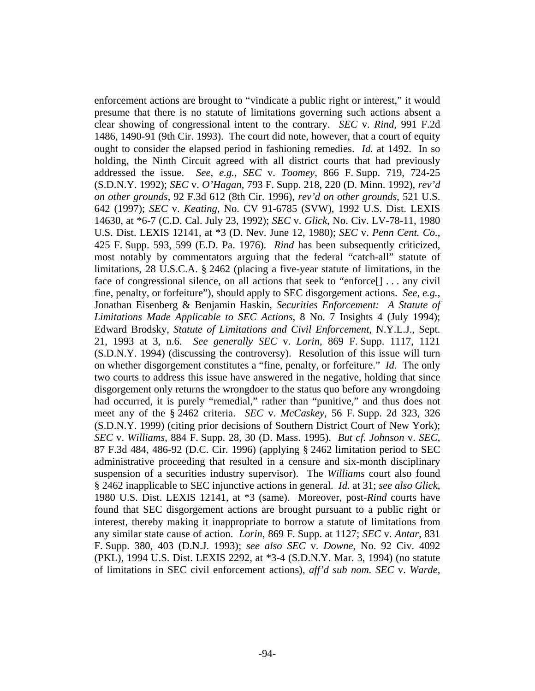enforcement actions are brought to "vindicate a public right or interest," it would presume that there is no statute of limitations governing such actions absent a clear showing of congressional intent to the contrary. *SEC* v. *Rind*, 991 F.2d 1486, 1490-91 (9th Cir. 1993). The court did note, however, that a court of equity ought to consider the elapsed period in fashioning remedies. *Id.* at 1492. In so holding, the Ninth Circuit agreed with all district courts that had previously addressed the issue. *See*, *e.g.*, *SEC* v. *Toomey*, 866 F. Supp. 719, 724-25 (S.D.N.Y. 1992); *SEC* v. *O'Hagan*, 793 F. Supp. 218, 220 (D. Minn. 1992), *rev'd on other grounds*, 92 F.3d 612 (8th Cir. 1996), *rev'd on other grounds*, 521 U.S. 642 (1997); *SEC* v. *Keating*, No. CV 91-6785 (SVW), 1992 U.S. Dist. LEXIS 14630, at \*6-7 (C.D. Cal. July 23, 1992); *SEC* v. *Glick*, No. Civ. LV-78-11, 1980 U.S. Dist. LEXIS 12141, at \*3 (D. Nev. June 12, 1980); *SEC* v. *Penn Cent. Co.*, 425 F. Supp. 593, 599 (E.D. Pa. 1976). *Rind* has been subsequently criticized, most notably by commentators arguing that the federal "catch-all" statute of limitations, 28 U.S.C.A. § 2462 (placing a five-year statute of limitations, in the face of congressional silence, on all actions that seek to "enforce[] . . . any civil fine, penalty, or forfeiture"), should apply to SEC disgorgement actions. *See*, *e.g.*, Jonathan Eisenberg & Benjamin Haskin, *Securities Enforcement: A Statute of Limitations Made Applicable to SEC Actions*, 8 No. 7 Insights 4 (July 1994); Edward Brodsky, *Statute of Limitations and Civil Enforcement*, N.Y.L.J., Sept. 21, 1993 at 3, n.6. *See generally SEC* v. *Lorin*, 869 F. Supp. 1117, 1121 (S.D.N.Y. 1994) (discussing the controversy). Resolution of this issue will turn on whether disgorgement constitutes a "fine, penalty, or forfeiture." *Id.* The only two courts to address this issue have answered in the negative, holding that since disgorgement only returns the wrongdoer to the status quo before any wrongdoing had occurred, it is purely "remedial," rather than "punitive," and thus does not meet any of the § 2462 criteria. *SEC* v. *McCaskey*, 56 F. Supp. 2d 323, 326 (S.D.N.Y. 1999) (citing prior decisions of Southern District Court of New York); *SEC* v. *Williams*, 884 F. Supp. 28, 30 (D. Mass. 1995). *But cf. Johnson* v. *SEC*, 87 F.3d 484, 486-92 (D.C. Cir. 1996) (applying § 2462 limitation period to SEC administrative proceeding that resulted in a censure and six-month disciplinary suspension of a securities industry supervisor). The *Williams* court also found § 2462 inapplicable to SEC injunctive actions in general. *Id.* at 31; *see also Glick*, 1980 U.S. Dist. LEXIS 12141, at \*3 (same). Moreover, post-*Rind* courts have found that SEC disgorgement actions are brought pursuant to a public right or interest, thereby making it inappropriate to borrow a statute of limitations from any similar state cause of action. *Lorin*, 869 F. Supp. at 1127; *SEC* v. *Antar*, 831 F. Supp. 380, 403 (D.N.J. 1993); *see also SEC* v. *Downe*, No. 92 Civ. 4092 (PKL), 1994 U.S. Dist. LEXIS 2292, at \*3-4 (S.D.N.Y. Mar. 3, 1994) (no statute of limitations in SEC civil enforcement actions), *aff'd sub nom. SEC* v. *Warde*,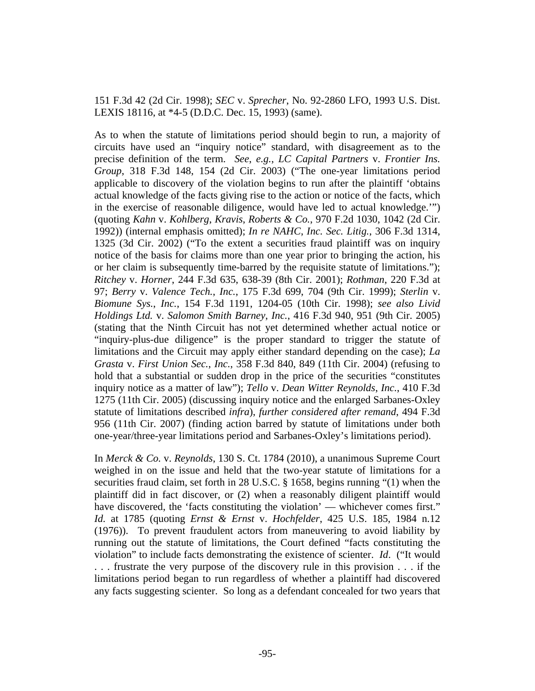151 F.3d 42 (2d Cir. 1998); *SEC* v. *Sprecher*, No. 92-2860 LFO, 1993 U.S. Dist. LEXIS 18116, at \*4-5 (D.D.C. Dec. 15, 1993) (same).

As to when the statute of limitations period should begin to run, a majority of circuits have used an "inquiry notice" standard, with disagreement as to the precise definition of the term. *See*, *e.g.*, *LC Capital Partners* v. *Frontier Ins. Group*, 318 F.3d 148, 154 (2d Cir. 2003) ("The one-year limitations period applicable to discovery of the violation begins to run after the plaintiff 'obtains actual knowledge of the facts giving rise to the action or notice of the facts, which in the exercise of reasonable diligence, would have led to actual knowledge.'") (quoting *Kahn* v. *Kohlberg*, *Kravis*, *Roberts & Co.*, 970 F.2d 1030, 1042 (2d Cir. 1992)) (internal emphasis omitted); *In re NAHC*, *Inc. Sec. Litig.*, 306 F.3d 1314, 1325 (3d Cir. 2002) ("To the extent a securities fraud plaintiff was on inquiry notice of the basis for claims more than one year prior to bringing the action, his or her claim is subsequently time-barred by the requisite statute of limitations."); *Ritchey* v. *Horner*, 244 F.3d 635, 638-39 (8th Cir. 2001); *Rothman*, 220 F.3d at 97; *Berry* v. *Valence Tech.*, *Inc.*, 175 F.3d 699, 704 (9th Cir. 1999); *Sterlin* v. *Biomune Sys.*, *Inc.*, 154 F.3d 1191, 1204-05 (10th Cir. 1998); *see also Livid Holdings Ltd.* v. *Salomon Smith Barney*, *Inc.*, 416 F.3d 940, 951 (9th Cir. 2005) (stating that the Ninth Circuit has not yet determined whether actual notice or "inquiry-plus-due diligence" is the proper standard to trigger the statute of limitations and the Circuit may apply either standard depending on the case); *La Grasta* v. *First Union Sec.*, *Inc.*, 358 F.3d 840, 849 (11th Cir. 2004) (refusing to hold that a substantial or sudden drop in the price of the securities "constitutes inquiry notice as a matter of law"); *Tello* v. *Dean Witter Reynolds*, *Inc.*, 410 F.3d 1275 (11th Cir. 2005) (discussing inquiry notice and the enlarged Sarbanes-Oxley statute of limitations described *infra*), *further considered after remand*, 494 F.3d 956 (11th Cir. 2007) (finding action barred by statute of limitations under both one-year/three-year limitations period and Sarbanes-Oxley's limitations period).

In *Merck & Co.* v. *Reynolds*, 130 S. Ct. 1784 (2010), a unanimous Supreme Court weighed in on the issue and held that the two-year statute of limitations for a securities fraud claim, set forth in 28 U.S.C. § 1658, begins running "(1) when the plaintiff did in fact discover, or (2) when a reasonably diligent plaintiff would have discovered, the 'facts constituting the violation' — whichever comes first." *Id.* at 1785 (quoting *Ernst & Ernst* v. *Hochfelder*, 425 U.S. 185, 1984 n.12 (1976)). To prevent fraudulent actors from maneuvering to avoid liability by running out the statute of limitations, the Court defined "facts constituting the violation" to include facts demonstrating the existence of scienter. *Id*. ("It would . . . frustrate the very purpose of the discovery rule in this provision . . . if the limitations period began to run regardless of whether a plaintiff had discovered any facts suggesting scienter. So long as a defendant concealed for two years that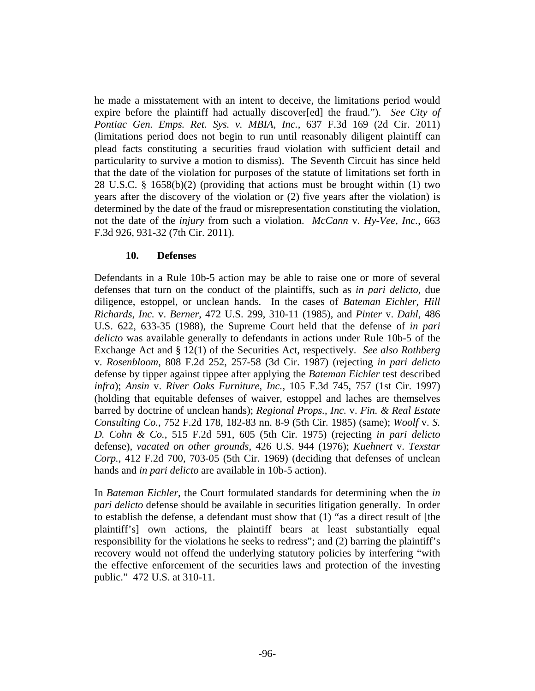he made a misstatement with an intent to deceive, the limitations period would expire before the plaintiff had actually discover[ed] the fraud."). *See City of Pontiac Gen. Emps. Ret. Sys. v. MBIA, Inc.*, 637 F.3d 169 (2d Cir. 2011) (limitations period does not begin to run until reasonably diligent plaintiff can plead facts constituting a securities fraud violation with sufficient detail and particularity to survive a motion to dismiss). The Seventh Circuit has since held that the date of the violation for purposes of the statute of limitations set forth in 28 U.S.C. § 1658(b)(2) (providing that actions must be brought within (1) two years after the discovery of the violation or (2) five years after the violation) is determined by the date of the fraud or misrepresentation constituting the violation, not the date of the *injury* from such a violation. *McCann* v. *Hy-Vee, Inc.*, 663 F.3d 926, 931-32 (7th Cir. 2011).

## **10. Defenses**

Defendants in a Rule 10b-5 action may be able to raise one or more of several defenses that turn on the conduct of the plaintiffs, such as *in pari delicto*, due diligence, estoppel, or unclean hands. In the cases of *Bateman Eichler*, *Hill Richards*, *Inc.* v. *Berner*, 472 U.S. 299, 310-11 (1985), and *Pinter* v. *Dahl*, 486 U.S. 622, 633-35 (1988), the Supreme Court held that the defense of *in pari delicto* was available generally to defendants in actions under Rule 10b-5 of the Exchange Act and § 12(1) of the Securities Act, respectively. *See also Rothberg* v. *Rosenbloom*, 808 F.2d 252, 257-58 (3d Cir. 1987) (rejecting *in pari delicto* defense by tipper against tippee after applying the *Bateman Eichler* test described *infra*); *Ansin* v. *River Oaks Furniture*, *Inc.*, 105 F.3d 745, 757 (1st Cir. 1997) (holding that equitable defenses of waiver, estoppel and laches are themselves barred by doctrine of unclean hands); *Regional Props.*, *Inc.* v. *Fin. & Real Estate Consulting Co.*, 752 F.2d 178, 182-83 nn. 8-9 (5th Cir. 1985) (same); *Woolf* v. *S. D. Cohn & Co.*, 515 F.2d 591, 605 (5th Cir. 1975) (rejecting *in pari delicto* defense), *vacated on other grounds*, 426 U.S. 944 (1976); *Kuehnert* v. *Texstar Corp.*, 412 F.2d 700, 703-05 (5th Cir. 1969) (deciding that defenses of unclean hands and *in pari delicto* are available in 10b-5 action).

In *Bateman Eichler*, the Court formulated standards for determining when the *in pari delicto* defense should be available in securities litigation generally. In order to establish the defense, a defendant must show that (1) "as a direct result of [the plaintiff's] own actions, the plaintiff bears at least substantially equal responsibility for the violations he seeks to redress"; and (2) barring the plaintiff's recovery would not offend the underlying statutory policies by interfering "with the effective enforcement of the securities laws and protection of the investing public." 472 U.S. at 310-11.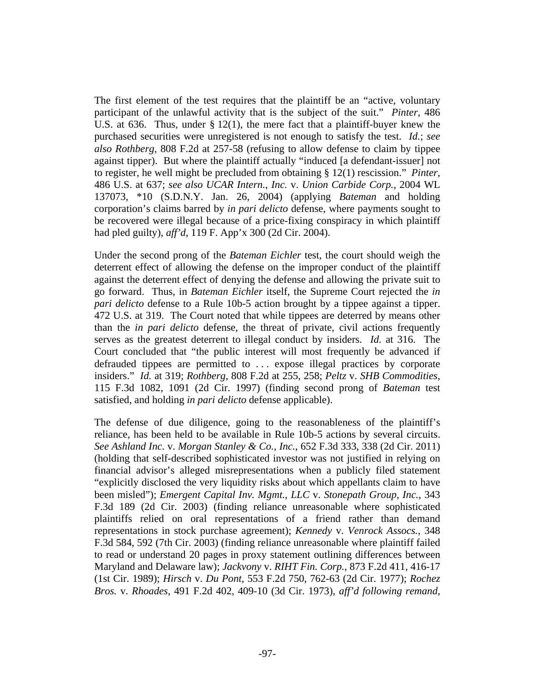The first element of the test requires that the plaintiff be an "active, voluntary participant of the unlawful activity that is the subject of the suit." *Pinter*, 486 U.S. at 636. Thus, under § 12(1), the mere fact that a plaintiff-buyer knew the purchased securities were unregistered is not enough to satisfy the test. *Id.*; *see also Rothberg*, 808 F.2d at 257-58 (refusing to allow defense to claim by tippee against tipper). But where the plaintiff actually "induced [a defendant-issuer] not to register, he well might be precluded from obtaining § 12(1) rescission." *Pinter*, 486 U.S. at 637; *see also UCAR Intern.*, *Inc.* v. *Union Carbide Corp.*, 2004 WL 137073, \*10 (S.D.N.Y. Jan. 26, 2004) (applying *Bateman* and holding corporation's claims barred by *in pari delicto* defense, where payments sought to be recovered were illegal because of a price-fixing conspiracy in which plaintiff had pled guilty), *aff'd*, 119 F. App'x 300 (2d Cir. 2004).

Under the second prong of the *Bateman Eichler* test, the court should weigh the deterrent effect of allowing the defense on the improper conduct of the plaintiff against the deterrent effect of denying the defense and allowing the private suit to go forward. Thus, in *Bateman Eichler* itself, the Supreme Court rejected the *in pari delicto* defense to a Rule 10b-5 action brought by a tippee against a tipper. 472 U.S. at 319. The Court noted that while tippees are deterred by means other than the *in pari delicto* defense, the threat of private, civil actions frequently serves as the greatest deterrent to illegal conduct by insiders. *Id.* at 316. The Court concluded that "the public interest will most frequently be advanced if defrauded tippees are permitted to . . . expose illegal practices by corporate insiders." *Id.* at 319; *Rothberg*, 808 F.2d at 255, 258; *Peltz* v. *SHB Commodities*, 115 F.3d 1082, 1091 (2d Cir. 1997) (finding second prong of *Bateman* test satisfied, and holding *in pari delicto* defense applicable).

The defense of due diligence, going to the reasonableness of the plaintiff's reliance, has been held to be available in Rule 10b-5 actions by several circuits. *See Ashland Inc.* v. *Morgan Stanley & Co., Inc.*, 652 F.3d 333, 338 (2d Cir. 2011) (holding that self-described sophisticated investor was not justified in relying on financial advisor's alleged misrepresentations when a publicly filed statement "explicitly disclosed the very liquidity risks about which appellants claim to have been misled"); *Emergent Capital Inv. Mgmt.*, *LLC* v. *Stonepath Group*, *Inc.*, 343 F.3d 189 (2d Cir. 2003) (finding reliance unreasonable where sophisticated plaintiffs relied on oral representations of a friend rather than demand representations in stock purchase agreement); *Kennedy* v. *Venrock Assocs.*, 348 F.3d 584, 592 (7th Cir. 2003) (finding reliance unreasonable where plaintiff failed to read or understand 20 pages in proxy statement outlining differences between Maryland and Delaware law); *Jackvony* v. *RIHT Fin. Corp.*, 873 F.2d 411, 416-17 (1st Cir. 1989); *Hirsch* v. *Du Pont*, 553 F.2d 750, 762-63 (2d Cir. 1977); *Rochez Bros.* v. *Rhoades*, 491 F.2d 402, 409-10 (3d Cir. 1973), *aff'd following remand*,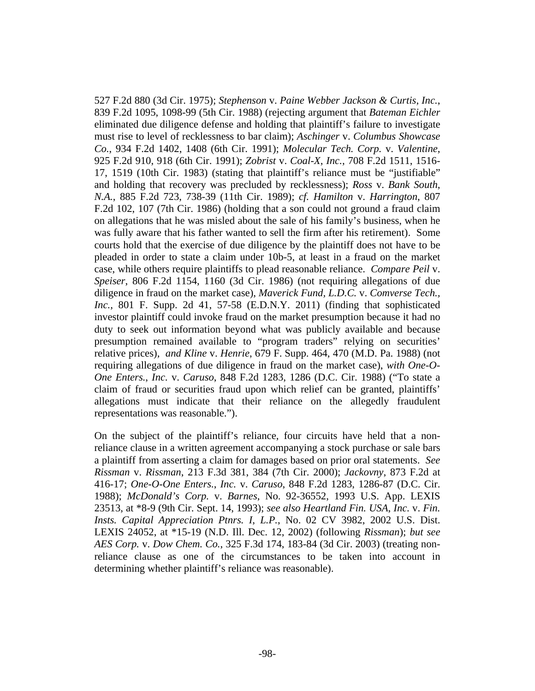527 F.2d 880 (3d Cir. 1975); *Stephenson* v. *Paine Webber Jackson & Curtis*, *Inc.*, 839 F.2d 1095, 1098-99 (5th Cir. 1988) (rejecting argument that *Bateman Eichler* eliminated due diligence defense and holding that plaintiff's failure to investigate must rise to level of recklessness to bar claim); *Aschinger* v. *Columbus Showcase Co.*, 934 F.2d 1402, 1408 (6th Cir. 1991); *Molecular Tech. Corp.* v. *Valentine*, 925 F.2d 910, 918 (6th Cir. 1991); *Zobrist* v. *Coal-X*, *Inc.*, 708 F.2d 1511, 1516- 17, 1519 (10th Cir. 1983) (stating that plaintiff's reliance must be "justifiable" and holding that recovery was precluded by recklessness); *Ross* v. *Bank South*, *N.A.*, 885 F.2d 723, 738-39 (11th Cir. 1989); *cf. Hamilton* v. *Harrington*, 807 F.2d 102, 107 (7th Cir. 1986) (holding that a son could not ground a fraud claim on allegations that he was misled about the sale of his family's business, when he was fully aware that his father wanted to sell the firm after his retirement). Some courts hold that the exercise of due diligence by the plaintiff does not have to be pleaded in order to state a claim under 10b-5, at least in a fraud on the market case, while others require plaintiffs to plead reasonable reliance. *Compare Peil* v. *Speiser*, 806 F.2d 1154, 1160 (3d Cir. 1986) (not requiring allegations of due diligence in fraud on the market case), *Maverick Fund, L.D.C.* v. *Comverse Tech., Inc.*, 801 F. Supp. 2d 41, 57-58 (E.D.N.Y. 2011) (finding that sophisticated investor plaintiff could invoke fraud on the market presumption because it had no duty to seek out information beyond what was publicly available and because presumption remained available to "program traders" relying on securities' relative prices), *and Kline* v. *Henrie*, 679 F. Supp. 464, 470 (M.D. Pa. 1988) (not requiring allegations of due diligence in fraud on the market case), *with One-O-One Enters.*, *Inc.* v. *Caruso*, 848 F.2d 1283, 1286 (D.C. Cir. 1988) ("To state a claim of fraud or securities fraud upon which relief can be granted, plaintiffs' allegations must indicate that their reliance on the allegedly fraudulent representations was reasonable.").

On the subject of the plaintiff's reliance, four circuits have held that a nonreliance clause in a written agreement accompanying a stock purchase or sale bars a plaintiff from asserting a claim for damages based on prior oral statements. *See Rissman* v. *Rissman*, 213 F.3d 381, 384 (7th Cir. 2000); *Jackovny*, 873 F.2d at 416-17; *One-O-One Enters.*, *Inc.* v. *Caruso*, 848 F.2d 1283, 1286-87 (D.C. Cir. 1988); *McDonald's Corp.* v. *Barnes*, No. 92-36552, 1993 U.S. App. LEXIS 23513, at \*8-9 (9th Cir. Sept. 14, 1993); *see also Heartland Fin. USA*, *Inc.* v. *Fin. Insts. Capital Appreciation Ptnrs. I*, *L.P.*, No. 02 CV 3982, 2002 U.S. Dist. LEXIS 24052, at \*15-19 (N.D. Ill. Dec. 12, 2002) (following *Rissman*); *but see AES Corp.* v. *Dow Chem. Co.*, 325 F.3d 174, 183-84 (3d Cir. 2003) (treating nonreliance clause as one of the circumstances to be taken into account in determining whether plaintiff's reliance was reasonable).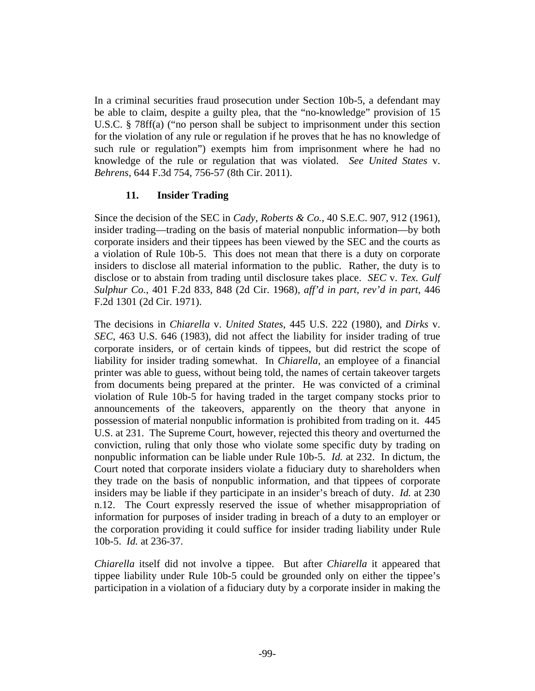In a criminal securities fraud prosecution under Section 10b-5, a defendant may be able to claim, despite a guilty plea, that the "no-knowledge" provision of 15 U.S.C. § 78ff(a) ("no person shall be subject to imprisonment under this section for the violation of any rule or regulation if he proves that he has no knowledge of such rule or regulation") exempts him from imprisonment where he had no knowledge of the rule or regulation that was violated. *See United States* v. *Behrens*, 644 F.3d 754, 756-57 (8th Cir. 2011).

## **11. Insider Trading**

Since the decision of the SEC in *Cady*, *Roberts & Co.*, 40 S.E.C. 907, 912 (1961), insider trading—trading on the basis of material nonpublic information—by both corporate insiders and their tippees has been viewed by the SEC and the courts as a violation of Rule 10b-5. This does not mean that there is a duty on corporate insiders to disclose all material information to the public. Rather, the duty is to disclose or to abstain from trading until disclosure takes place. *SEC* v. *Tex. Gulf Sulphur Co.*, 401 F.2d 833, 848 (2d Cir. 1968), *aff'd in part, rev'd in part*, 446 F.2d 1301 (2d Cir. 1971).

The decisions in *Chiarella* v. *United States*, 445 U.S. 222 (1980), and *Dirks* v. *SEC*, 463 U.S. 646 (1983), did not affect the liability for insider trading of true corporate insiders, or of certain kinds of tippees, but did restrict the scope of liability for insider trading somewhat. In *Chiarella*, an employee of a financial printer was able to guess, without being told, the names of certain takeover targets from documents being prepared at the printer. He was convicted of a criminal violation of Rule 10b-5 for having traded in the target company stocks prior to announcements of the takeovers, apparently on the theory that anyone in possession of material nonpublic information is prohibited from trading on it. 445 U.S. at 231. The Supreme Court, however, rejected this theory and overturned the conviction, ruling that only those who violate some specific duty by trading on nonpublic information can be liable under Rule 10b-5. *Id.* at 232. In dictum, the Court noted that corporate insiders violate a fiduciary duty to shareholders when they trade on the basis of nonpublic information, and that tippees of corporate insiders may be liable if they participate in an insider's breach of duty. *Id.* at 230 n.12. The Court expressly reserved the issue of whether misappropriation of information for purposes of insider trading in breach of a duty to an employer or the corporation providing it could suffice for insider trading liability under Rule 10b-5. *Id.* at 236-37.

*Chiarella* itself did not involve a tippee. But after *Chiarella* it appeared that tippee liability under Rule 10b-5 could be grounded only on either the tippee's participation in a violation of a fiduciary duty by a corporate insider in making the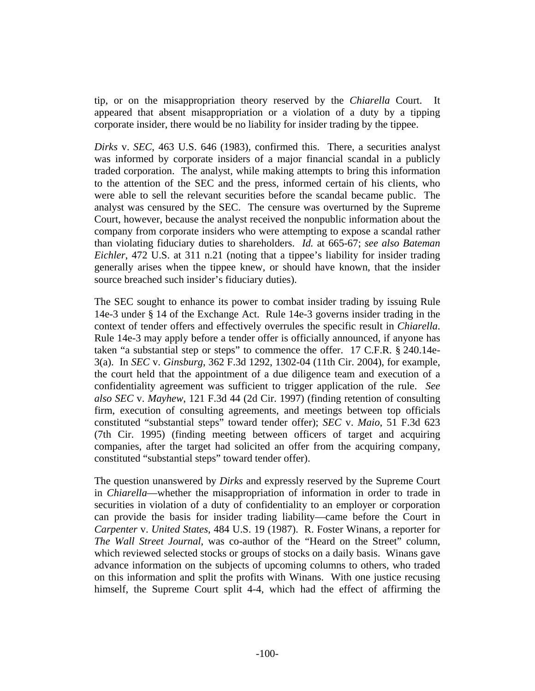tip, or on the misappropriation theory reserved by the *Chiarella* Court. It appeared that absent misappropriation or a violation of a duty by a tipping corporate insider, there would be no liability for insider trading by the tippee.

*Dirks* v. *SEC*, 463 U.S. 646 (1983), confirmed this. There, a securities analyst was informed by corporate insiders of a major financial scandal in a publicly traded corporation. The analyst, while making attempts to bring this information to the attention of the SEC and the press, informed certain of his clients, who were able to sell the relevant securities before the scandal became public. The analyst was censured by the SEC. The censure was overturned by the Supreme Court, however, because the analyst received the nonpublic information about the company from corporate insiders who were attempting to expose a scandal rather than violating fiduciary duties to shareholders. *Id.* at 665-67; *see also Bateman Eichler*, 472 U.S. at 311 n.21 (noting that a tippee's liability for insider trading generally arises when the tippee knew, or should have known, that the insider source breached such insider's fiduciary duties).

The SEC sought to enhance its power to combat insider trading by issuing Rule 14e-3 under § 14 of the Exchange Act. Rule 14e-3 governs insider trading in the context of tender offers and effectively overrules the specific result in *Chiarella*. Rule 14e-3 may apply before a tender offer is officially announced, if anyone has taken "a substantial step or steps" to commence the offer. 17 C.F.R. § 240.14e-3(a). In *SEC* v. *Ginsburg*, 362 F.3d 1292, 1302-04 (11th Cir. 2004), for example, the court held that the appointment of a due diligence team and execution of a confidentiality agreement was sufficient to trigger application of the rule. *See also SEC* v. *Mayhew*, 121 F.3d 44 (2d Cir. 1997) (finding retention of consulting firm, execution of consulting agreements, and meetings between top officials constituted "substantial steps" toward tender offer); *SEC* v. *Maio*, 51 F.3d 623 (7th Cir. 1995) (finding meeting between officers of target and acquiring companies, after the target had solicited an offer from the acquiring company, constituted "substantial steps" toward tender offer).

The question unanswered by *Dirks* and expressly reserved by the Supreme Court in *Chiarella*—whether the misappropriation of information in order to trade in securities in violation of a duty of confidentiality to an employer or corporation can provide the basis for insider trading liability—came before the Court in *Carpenter* v. *United States*, 484 U.S. 19 (1987). R. Foster Winans, a reporter for *The Wall Street Journal*, was co-author of the "Heard on the Street" column, which reviewed selected stocks or groups of stocks on a daily basis. Winans gave advance information on the subjects of upcoming columns to others, who traded on this information and split the profits with Winans. With one justice recusing himself, the Supreme Court split 4-4, which had the effect of affirming the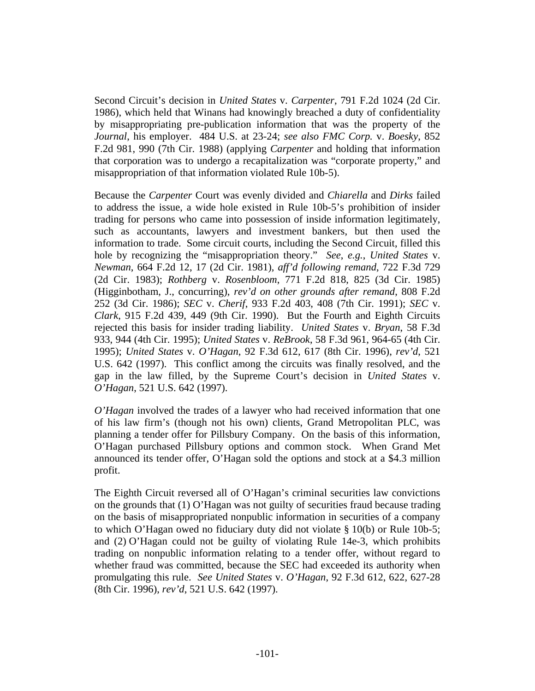Second Circuit's decision in *United States* v. *Carpenter*, 791 F.2d 1024 (2d Cir. 1986), which held that Winans had knowingly breached a duty of confidentiality by misappropriating pre-publication information that was the property of the *Journal*, his employer. 484 U.S. at 23-24; *see also FMC Corp.* v. *Boesky*, 852 F.2d 981, 990 (7th Cir. 1988) (applying *Carpenter* and holding that information that corporation was to undergo a recapitalization was "corporate property," and misappropriation of that information violated Rule 10b-5).

Because the *Carpenter* Court was evenly divided and *Chiarella* and *Dirks* failed to address the issue, a wide hole existed in Rule 10b-5's prohibition of insider trading for persons who came into possession of inside information legitimately, such as accountants, lawyers and investment bankers, but then used the information to trade. Some circuit courts, including the Second Circuit, filled this hole by recognizing the "misappropriation theory." *See*, *e.g.*, *United States* v. *Newman*, 664 F.2d 12, 17 (2d Cir. 1981), *aff'd following remand*, 722 F.3d 729 (2d Cir. 1983); *Rothberg* v. *Rosenbloom*, 771 F.2d 818, 825 (3d Cir. 1985) (Higginbotham, J., concurring), *rev'd on other grounds after remand*, 808 F.2d 252 (3d Cir. 1986); *SEC* v. *Cherif*, 933 F.2d 403, 408 (7th Cir. 1991); *SEC* v. *Clark*, 915 F.2d 439, 449 (9th Cir. 1990). But the Fourth and Eighth Circuits rejected this basis for insider trading liability. *United States* v. *Bryan*, 58 F.3d 933, 944 (4th Cir. 1995); *United States* v. *ReBrook*, 58 F.3d 961, 964-65 (4th Cir. 1995); *United States* v. *O'Hagan*, 92 F.3d 612, 617 (8th Cir. 1996), *rev'd*, 521 U.S. 642 (1997). This conflict among the circuits was finally resolved, and the gap in the law filled, by the Supreme Court's decision in *United States* v. *O'Hagan*, 521 U.S. 642 (1997).

*O'Hagan* involved the trades of a lawyer who had received information that one of his law firm's (though not his own) clients, Grand Metropolitan PLC, was planning a tender offer for Pillsbury Company. On the basis of this information, O'Hagan purchased Pillsbury options and common stock. When Grand Met announced its tender offer, O'Hagan sold the options and stock at a \$4.3 million profit.

The Eighth Circuit reversed all of O'Hagan's criminal securities law convictions on the grounds that (1) O'Hagan was not guilty of securities fraud because trading on the basis of misappropriated nonpublic information in securities of a company to which O'Hagan owed no fiduciary duty did not violate § 10(b) or Rule 10b-5; and (2) O'Hagan could not be guilty of violating Rule 14e-3, which prohibits trading on nonpublic information relating to a tender offer, without regard to whether fraud was committed, because the SEC had exceeded its authority when promulgating this rule. *See United States* v. *O'Hagan*, 92 F.3d 612, 622, 627-28 (8th Cir. 1996), *rev'd*, 521 U.S. 642 (1997).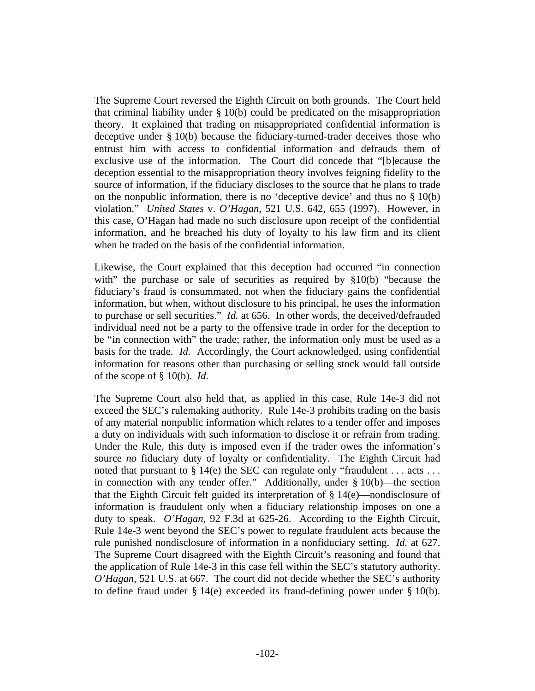The Supreme Court reversed the Eighth Circuit on both grounds. The Court held that criminal liability under § 10(b) could be predicated on the misappropriation theory. It explained that trading on misappropriated confidential information is deceptive under § 10(b) because the fiduciary-turned-trader deceives those who entrust him with access to confidential information and defrauds them of exclusive use of the information. The Court did concede that "[b]ecause the deception essential to the misappropriation theory involves feigning fidelity to the source of information, if the fiduciary discloses to the source that he plans to trade on the nonpublic information, there is no 'deceptive device' and thus no § 10(b) violation." *United States* v. *O'Hagan*, 521 U.S. 642, 655 (1997). However, in this case, O'Hagan had made no such disclosure upon receipt of the confidential information, and he breached his duty of loyalty to his law firm and its client when he traded on the basis of the confidential information.

Likewise, the Court explained that this deception had occurred "in connection with" the purchase or sale of securities as required by §10(b) "because the fiduciary's fraud is consummated, not when the fiduciary gains the confidential information, but when, without disclosure to his principal, he uses the information to purchase or sell securities." *Id.* at 656. In other words, the deceived/defrauded individual need not be a party to the offensive trade in order for the deception to be "in connection with" the trade; rather, the information only must be used as a basis for the trade. *Id.* Accordingly, the Court acknowledged, using confidential information for reasons other than purchasing or selling stock would fall outside of the scope of § 10(b). *Id.*

The Supreme Court also held that, as applied in this case, Rule 14e-3 did not exceed the SEC's rulemaking authority. Rule 14e-3 prohibits trading on the basis of any material nonpublic information which relates to a tender offer and imposes a duty on individuals with such information to disclose it or refrain from trading. Under the Rule, this duty is imposed even if the trader owes the information's source *no* fiduciary duty of loyalty or confidentiality. The Eighth Circuit had noted that pursuant to § 14(e) the SEC can regulate only "fraudulent . . . acts . . . in connection with any tender offer." Additionally, under § 10(b)—the section that the Eighth Circuit felt guided its interpretation of § 14(e)—nondisclosure of information is fraudulent only when a fiduciary relationship imposes on one a duty to speak. *O'Hagan*, 92 F.3d at 625-26. According to the Eighth Circuit, Rule 14e-3 went beyond the SEC's power to regulate fraudulent acts because the rule punished nondisclosure of information in a nonfiduciary setting. *Id.* at 627. The Supreme Court disagreed with the Eighth Circuit's reasoning and found that the application of Rule 14e-3 in this case fell within the SEC's statutory authority. *O'Hagan*, 521 U.S. at 667. The court did not decide whether the SEC's authority to define fraud under  $\S 14(e)$  exceeded its fraud-defining power under  $\S 10(b)$ .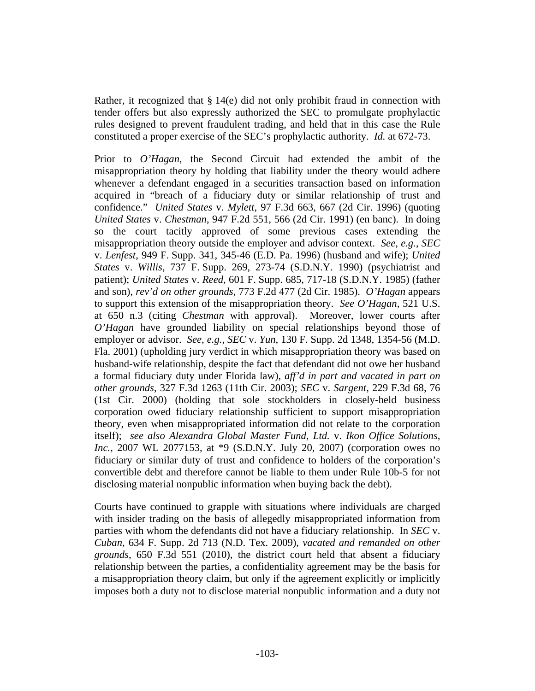Rather, it recognized that § 14(e) did not only prohibit fraud in connection with tender offers but also expressly authorized the SEC to promulgate prophylactic rules designed to prevent fraudulent trading, and held that in this case the Rule constituted a proper exercise of the SEC's prophylactic authority. *Id.* at 672-73.

Prior to *O'Hagan*, the Second Circuit had extended the ambit of the misappropriation theory by holding that liability under the theory would adhere whenever a defendant engaged in a securities transaction based on information acquired in "breach of a fiduciary duty or similar relationship of trust and confidence." *United States* v. *Mylett*, 97 F.3d 663, 667 (2d Cir. 1996) (quoting *United States* v. *Chestman*, 947 F.2d 551, 566 (2d Cir. 1991) (en banc). In doing so the court tacitly approved of some previous cases extending the misappropriation theory outside the employer and advisor context. *See*, *e.g.*, *SEC* v. *Lenfest*, 949 F. Supp. 341, 345-46 (E.D. Pa. 1996) (husband and wife); *United States* v. *Willis*, 737 F. Supp. 269, 273-74 (S.D.N.Y. 1990) (psychiatrist and patient); *United States* v. *Reed*, 601 F. Supp. 685, 717-18 (S.D.N.Y. 1985) (father and son), *rev'd on other grounds*, 773 F.2d 477 (2d Cir. 1985). *O'Hagan* appears to support this extension of the misappropriation theory. *See O'Hagan*, 521 U.S. at 650 n.3 (citing *Chestman* with approval). Moreover, lower courts after *O'Hagan* have grounded liability on special relationships beyond those of employer or advisor. *See*, *e.g.*, *SEC* v. *Yun*, 130 F. Supp. 2d 1348, 1354-56 (M.D. Fla. 2001) (upholding jury verdict in which misappropriation theory was based on husband-wife relationship, despite the fact that defendant did not owe her husband a formal fiduciary duty under Florida law), *aff'd in part and vacated in part on other grounds*, 327 F.3d 1263 (11th Cir. 2003); *SEC* v. *Sargent*, 229 F.3d 68, 76 (1st Cir. 2000) (holding that sole stockholders in closely-held business corporation owed fiduciary relationship sufficient to support misappropriation theory, even when misappropriated information did not relate to the corporation itself); *see also Alexandra Global Master Fund*, *Ltd.* v. *Ikon Office Solutions*, *Inc.*, 2007 WL 2077153, at \*9 (S.D.N.Y. July 20, 2007) (corporation owes no fiduciary or similar duty of trust and confidence to holders of the corporation's convertible debt and therefore cannot be liable to them under Rule 10b-5 for not disclosing material nonpublic information when buying back the debt).

Courts have continued to grapple with situations where individuals are charged with insider trading on the basis of allegedly misappropriated information from parties with whom the defendants did not have a fiduciary relationship. In *SEC* v. *Cuban*, 634 F. Supp. 2d 713 (N.D. Tex. 2009), *vacated and remanded on other grounds*, 650 F.3d 551 (2010), the district court held that absent a fiduciary relationship between the parties, a confidentiality agreement may be the basis for a misappropriation theory claim, but only if the agreement explicitly or implicitly imposes both a duty not to disclose material nonpublic information and a duty not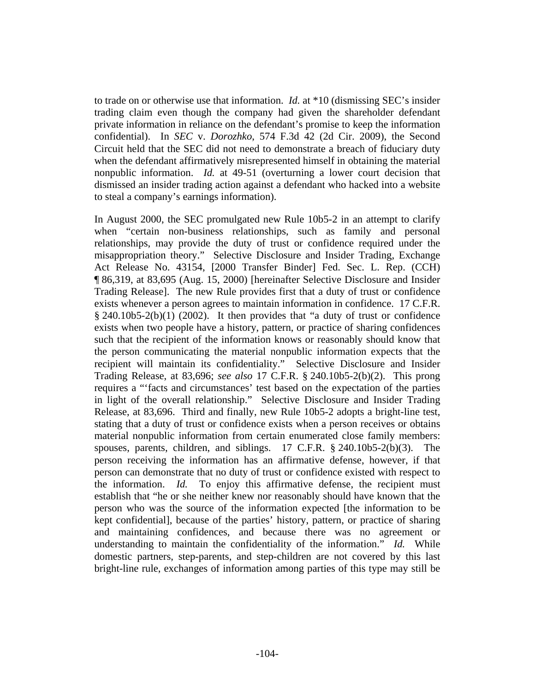to trade on or otherwise use that information. *Id.* at \*10 (dismissing SEC's insider trading claim even though the company had given the shareholder defendant private information in reliance on the defendant's promise to keep the information confidential). In *SEC* v. *Dorozhko*, 574 F.3d 42 (2d Cir. 2009), the Second Circuit held that the SEC did not need to demonstrate a breach of fiduciary duty when the defendant affirmatively misrepresented himself in obtaining the material nonpublic information. *Id.* at 49-51 (overturning a lower court decision that dismissed an insider trading action against a defendant who hacked into a website to steal a company's earnings information).

In August 2000, the SEC promulgated new Rule 10b5-2 in an attempt to clarify when "certain non-business relationships, such as family and personal relationships, may provide the duty of trust or confidence required under the misappropriation theory." Selective Disclosure and Insider Trading, Exchange Act Release No. 43154, [2000 Transfer Binder] Fed. Sec. L. Rep. (CCH) ¶ 86,319, at 83,695 (Aug. 15, 2000) [hereinafter Selective Disclosure and Insider Trading Release]. The new Rule provides first that a duty of trust or confidence exists whenever a person agrees to maintain information in confidence. 17 C.F.R.  $§$  240.10b5-2(b)(1) (2002). It then provides that "a duty of trust or confidence exists when two people have a history, pattern, or practice of sharing confidences such that the recipient of the information knows or reasonably should know that the person communicating the material nonpublic information expects that the recipient will maintain its confidentiality." Selective Disclosure and Insider Trading Release, at 83,696; *see also* 17 C.F.R. § 240.10b5-2(b)(2). This prong requires a "'facts and circumstances' test based on the expectation of the parties in light of the overall relationship." Selective Disclosure and Insider Trading Release, at 83,696. Third and finally, new Rule 10b5-2 adopts a bright-line test, stating that a duty of trust or confidence exists when a person receives or obtains material nonpublic information from certain enumerated close family members: spouses, parents, children, and siblings. 17 C.F.R. § 240.10b5-2(b)(3). The person receiving the information has an affirmative defense, however, if that person can demonstrate that no duty of trust or confidence existed with respect to the information. *Id.* To enjoy this affirmative defense, the recipient must establish that "he or she neither knew nor reasonably should have known that the person who was the source of the information expected [the information to be kept confidential], because of the parties' history, pattern, or practice of sharing and maintaining confidences, and because there was no agreement or understanding to maintain the confidentiality of the information." *Id.* While domestic partners, step-parents, and step-children are not covered by this last bright-line rule, exchanges of information among parties of this type may still be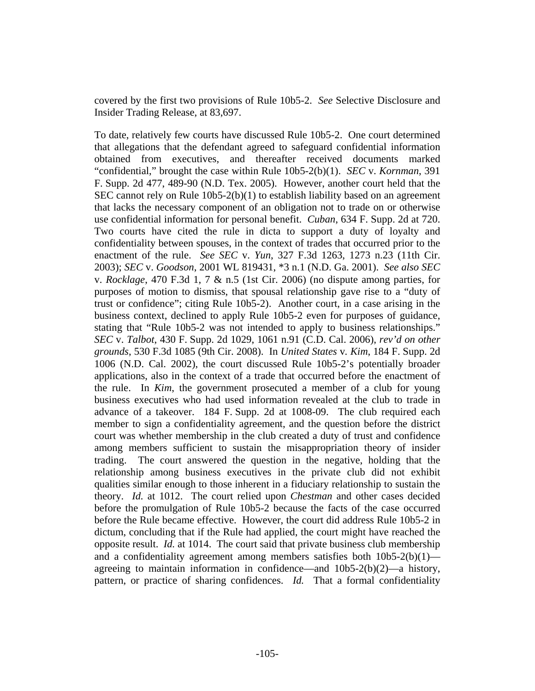covered by the first two provisions of Rule 10b5-2. *See* Selective Disclosure and Insider Trading Release, at 83,697.

To date, relatively few courts have discussed Rule 10b5-2. One court determined that allegations that the defendant agreed to safeguard confidential information obtained from executives, and thereafter received documents marked "confidential," brought the case within Rule 10b5-2(b)(1). *SEC* v. *Kornman*, 391 F. Supp. 2d 477, 489-90 (N.D. Tex. 2005). However, another court held that the SEC cannot rely on Rule 10b5-2(b)(1) to establish liability based on an agreement that lacks the necessary component of an obligation not to trade on or otherwise use confidential information for personal benefit. *Cuban*, 634 F. Supp. 2d at 720. Two courts have cited the rule in dicta to support a duty of loyalty and confidentiality between spouses, in the context of trades that occurred prior to the enactment of the rule. *See SEC* v. *Yun*, 327 F.3d 1263, 1273 n.23 (11th Cir. 2003); *SEC* v. *Goodson*, 2001 WL 819431, \*3 n.1 (N.D. Ga. 2001). *See also SEC* v. *Rocklage*, 470 F.3d 1, 7 & n.5 (1st Cir. 2006) (no dispute among parties, for purposes of motion to dismiss, that spousal relationship gave rise to a "duty of trust or confidence"; citing Rule 10b5-2). Another court, in a case arising in the business context, declined to apply Rule 10b5-2 even for purposes of guidance, stating that "Rule 10b5-2 was not intended to apply to business relationships." *SEC* v. *Talbot*, 430 F. Supp. 2d 1029, 1061 n.91 (C.D. Cal. 2006), *rev'd on other grounds*, 530 F.3d 1085 (9th Cir. 2008). In *United States* v*. Kim*, 184 F. Supp. 2d 1006 (N.D. Cal. 2002), the court discussed Rule 10b5-2's potentially broader applications, also in the context of a trade that occurred before the enactment of the rule. In *Kim*, the government prosecuted a member of a club for young business executives who had used information revealed at the club to trade in advance of a takeover. 184 F. Supp. 2d at 1008-09. The club required each member to sign a confidentiality agreement, and the question before the district court was whether membership in the club created a duty of trust and confidence among members sufficient to sustain the misappropriation theory of insider trading. The court answered the question in the negative, holding that the relationship among business executives in the private club did not exhibit qualities similar enough to those inherent in a fiduciary relationship to sustain the theory. *Id.* at 1012. The court relied upon *Chestman* and other cases decided before the promulgation of Rule 10b5-2 because the facts of the case occurred before the Rule became effective. However, the court did address Rule 10b5-2 in dictum, concluding that if the Rule had applied, the court might have reached the opposite result. *Id.* at 1014. The court said that private business club membership and a confidentiality agreement among members satisfies both 10b5-2(b)(1) agreeing to maintain information in confidence—and 10b5-2(b)(2)—a history, pattern, or practice of sharing confidences. *Id.* That a formal confidentiality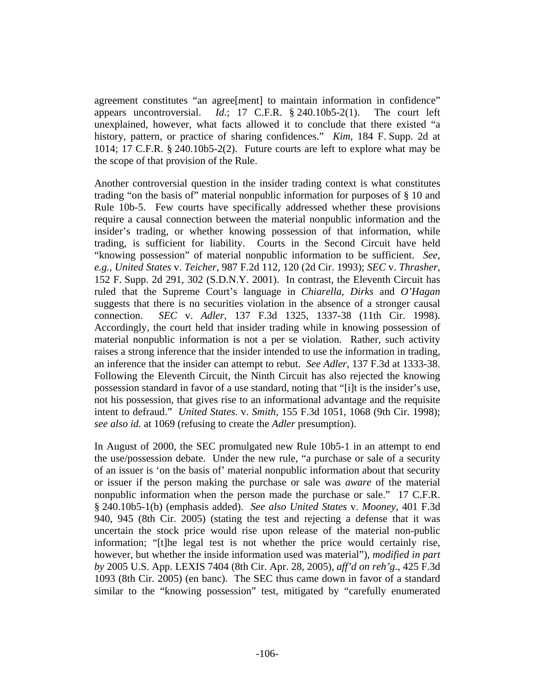agreement constitutes "an agree[ment] to maintain information in confidence" appears uncontroversial. *Id.*; 17 C.F.R. § 240.10b5-2(1). The court left unexplained, however, what facts allowed it to conclude that there existed "a history, pattern, or practice of sharing confidences." *Kim*, 184 F. Supp. 2d at 1014; 17 C.F.R. § 240.10b5-2(2). Future courts are left to explore what may be the scope of that provision of the Rule.

Another controversial question in the insider trading context is what constitutes trading "on the basis of" material nonpublic information for purposes of § 10 and Rule 10b-5. Few courts have specifically addressed whether these provisions require a causal connection between the material nonpublic information and the insider's trading, or whether knowing possession of that information, while trading, is sufficient for liability. Courts in the Second Circuit have held "knowing possession" of material nonpublic information to be sufficient. *See*, *e.g.*, *United States* v. *Teicher*, 987 F.2d 112, 120 (2d Cir. 1993); *SEC* v. *Thrasher*, 152 F. Supp. 2d 291, 302 (S.D.N.Y. 2001). In contrast, the Eleventh Circuit has ruled that the Supreme Court's language in *Chiarella*, *Dirks* and *O'Hagan* suggests that there is no securities violation in the absence of a stronger causal connection. *SEC* v. *Adler*, 137 F.3d 1325, 1337-38 (11th Cir. 1998). Accordingly, the court held that insider trading while in knowing possession of material nonpublic information is not a per se violation. Rather, such activity raises a strong inference that the insider intended to use the information in trading, an inference that the insider can attempt to rebut. *See Adler*, 137 F.3d at 1333-38. Following the Eleventh Circuit, the Ninth Circuit has also rejected the knowing possession standard in favor of a use standard, noting that "[i]t is the insider's use, not his possession, that gives rise to an informational advantage and the requisite intent to defraud." *United States*. v. *Smith*, 155 F.3d 1051, 1068 (9th Cir. 1998); *see also id.* at 1069 (refusing to create the *Adler* presumption).

In August of 2000, the SEC promulgated new Rule 10b5-1 in an attempt to end the use/possession debate. Under the new rule, "a purchase or sale of a security of an issuer is 'on the basis of' material nonpublic information about that security or issuer if the person making the purchase or sale was *aware* of the material nonpublic information when the person made the purchase or sale." 17 C.F.R. § 240.10b5-1(b) (emphasis added). *See also United States* v. *Mooney*, 401 F.3d 940, 945 (8th Cir. 2005) (stating the test and rejecting a defense that it was uncertain the stock price would rise upon release of the material non-public information; "[t]he legal test is not whether the price would certainly rise, however, but whether the inside information used was material"), *modified in part by* 2005 U.S. App. LEXIS 7404 (8th Cir. Apr. 28, 2005), *aff'd on reh'g.*, 425 F.3d 1093 (8th Cir. 2005) (en banc). The SEC thus came down in favor of a standard similar to the "knowing possession" test, mitigated by "carefully enumerated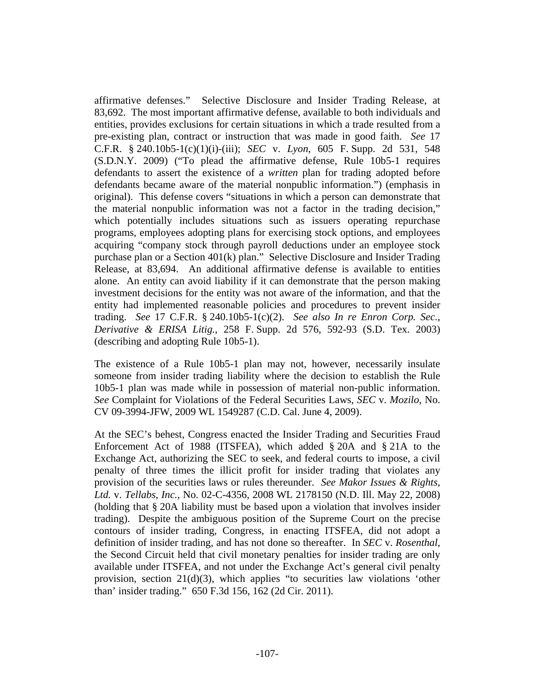affirmative defenses." Selective Disclosure and Insider Trading Release, at 83,692. The most important affirmative defense, available to both individuals and entities, provides exclusions for certain situations in which a trade resulted from a pre-existing plan, contract or instruction that was made in good faith. *See* 17 C.F.R. § 240.10b5-1(c)(1)(i)-(iii); *SEC* v. *Lyon*, 605 F. Supp. 2d 531, 548 (S.D.N.Y. 2009) ("To plead the affirmative defense, Rule 10b5-1 requires defendants to assert the existence of a *written* plan for trading adopted before defendants became aware of the material nonpublic information.") (emphasis in original). This defense covers "situations in which a person can demonstrate that the material nonpublic information was not a factor in the trading decision," which potentially includes situations such as issuers operating repurchase programs, employees adopting plans for exercising stock options, and employees acquiring "company stock through payroll deductions under an employee stock purchase plan or a Section 401(k) plan." Selective Disclosure and Insider Trading Release, at 83,694. An additional affirmative defense is available to entities alone. An entity can avoid liability if it can demonstrate that the person making investment decisions for the entity was not aware of the information, and that the entity had implemented reasonable policies and procedures to prevent insider trading. *See* 17 C.F.R. § 240.10b5-1(c)(2). *See also In re Enron Corp. Sec.*, *Derivative & ERISA Litig.*, 258 F. Supp. 2d 576, 592-93 (S.D. Tex. 2003) (describing and adopting Rule 10b5-1).

The existence of a Rule 10b5-1 plan may not, however, necessarily insulate someone from insider trading liability where the decision to establish the Rule 10b5-1 plan was made while in possession of material non-public information. *See* Complaint for Violations of the Federal Securities Laws, *SEC* v. *Mozilo*, No. CV 09-3994-JFW, 2009 WL 1549287 (C.D. Cal. June 4, 2009).

At the SEC's behest, Congress enacted the Insider Trading and Securities Fraud Enforcement Act of 1988 (ITSFEA), which added § 20A and § 21A to the Exchange Act, authorizing the SEC to seek, and federal courts to impose, a civil penalty of three times the illicit profit for insider trading that violates any provision of the securities laws or rules thereunder. *See Makor Issues & Rights*, *Ltd.* v. *Tellabs*, *Inc.*, No. 02-C-4356, 2008 WL 2178150 (N.D. Ill. May 22, 2008) (holding that § 20A liability must be based upon a violation that involves insider trading). Despite the ambiguous position of the Supreme Court on the precise contours of insider trading, Congress, in enacting ITSFEA, did not adopt a definition of insider trading, and has not done so thereafter. In *SEC* v. *Rosenthal*, the Second Circuit held that civil monetary penalties for insider trading are only available under ITSFEA, and not under the Exchange Act's general civil penalty provision, section 21(d)(3), which applies "to securities law violations 'other than' insider trading." 650 F.3d 156, 162 (2d Cir. 2011).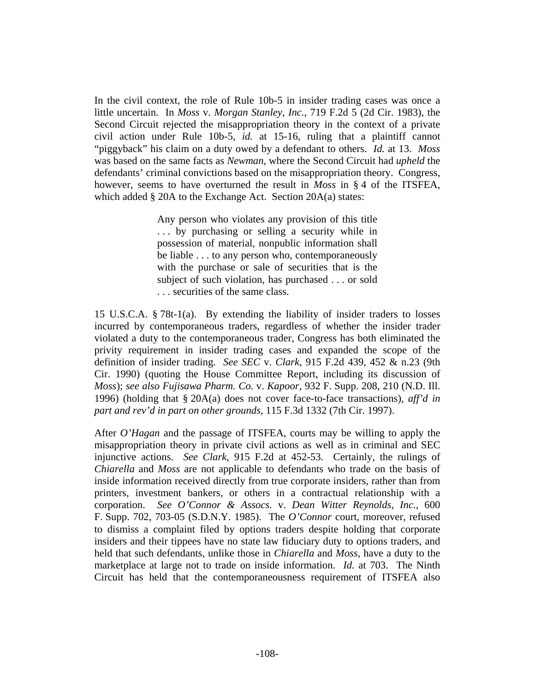In the civil context, the role of Rule 10b-5 in insider trading cases was once a little uncertain. In *Moss* v. *Morgan Stanley*, *Inc.*, 719 F.2d 5 (2d Cir. 1983), the Second Circuit rejected the misappropriation theory in the context of a private civil action under Rule 10b-5, *id.* at 15-16, ruling that a plaintiff cannot "piggyback" his claim on a duty owed by a defendant to others. *Id.* at 13. *Moss* was based on the same facts as *Newman*, where the Second Circuit had *upheld* the defendants' criminal convictions based on the misappropriation theory. Congress, however, seems to have overturned the result in *Moss* in § 4 of the ITSFEA, which added § 20A to the Exchange Act. Section 20A(a) states:

> Any person who violates any provision of this title . . . by purchasing or selling a security while in possession of material, nonpublic information shall be liable . . . to any person who, contemporaneously with the purchase or sale of securities that is the subject of such violation, has purchased . . . or sold . . . securities of the same class.

15 U.S.C.A. § 78t-1(a). By extending the liability of insider traders to losses incurred by contemporaneous traders, regardless of whether the insider trader violated a duty to the contemporaneous trader, Congress has both eliminated the privity requirement in insider trading cases and expanded the scope of the definition of insider trading. *See SEC* v. *Clark*, 915 F.2d 439, 452 & n.23 (9th Cir. 1990) (quoting the House Committee Report, including its discussion of *Moss*); *see also Fujisawa Pharm. Co.* v. *Kapoor*, 932 F. Supp. 208, 210 (N.D. Ill. 1996) (holding that § 20A(a) does not cover face-to-face transactions), *aff'd in part and rev'd in part on other grounds*, 115 F.3d 1332 (7th Cir. 1997).

After *O'Hagan* and the passage of ITSFEA, courts may be willing to apply the misappropriation theory in private civil actions as well as in criminal and SEC injunctive actions. *See Clark*, 915 F.2d at 452-53. Certainly, the rulings of *Chiarella* and *Moss* are not applicable to defendants who trade on the basis of inside information received directly from true corporate insiders, rather than from printers, investment bankers, or others in a contractual relationship with a corporation. *See O'Connor & Assocs.* v. *Dean Witter Reynolds*, *Inc.*, 600 F. Supp. 702, 703-05 (S.D.N.Y. 1985). The *O'Connor* court, moreover, refused to dismiss a complaint filed by options traders despite holding that corporate insiders and their tippees have no state law fiduciary duty to options traders, and held that such defendants, unlike those in *Chiarella* and *Moss*, have a duty to the marketplace at large not to trade on inside information. *Id.* at 703. The Ninth Circuit has held that the contemporaneousness requirement of ITSFEA also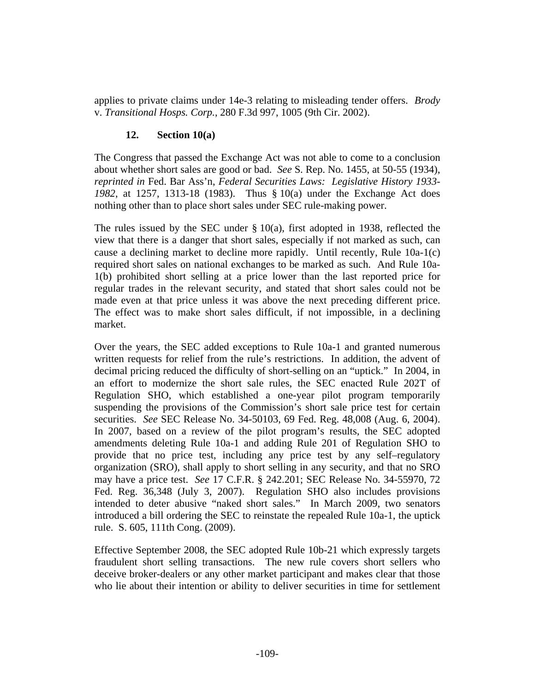applies to private claims under 14e-3 relating to misleading tender offers. *Brody* v. *Transitional Hosps. Corp.*, 280 F.3d 997, 1005 (9th Cir. 2002).

### **12. Section 10(a)**

The Congress that passed the Exchange Act was not able to come to a conclusion about whether short sales are good or bad. *See* S. Rep. No. 1455, at 50-55 (1934), *reprinted in* Fed. Bar Ass'n, *Federal Securities Laws: Legislative History 1933- 1982*, at 1257, 1313-18 (1983). Thus § 10(a) under the Exchange Act does nothing other than to place short sales under SEC rule-making power.

The rules issued by the SEC under  $\S 10(a)$ , first adopted in 1938, reflected the view that there is a danger that short sales, especially if not marked as such, can cause a declining market to decline more rapidly. Until recently, Rule 10a-1(c) required short sales on national exchanges to be marked as such. And Rule 10a-1(b) prohibited short selling at a price lower than the last reported price for regular trades in the relevant security, and stated that short sales could not be made even at that price unless it was above the next preceding different price. The effect was to make short sales difficult, if not impossible, in a declining market.

Over the years, the SEC added exceptions to Rule 10a-1 and granted numerous written requests for relief from the rule's restrictions. In addition, the advent of decimal pricing reduced the difficulty of short-selling on an "uptick." In 2004, in an effort to modernize the short sale rules, the SEC enacted Rule 202T of Regulation SHO, which established a one-year pilot program temporarily suspending the provisions of the Commission's short sale price test for certain securities. *See* SEC Release No. 34-50103, 69 Fed. Reg. 48,008 (Aug. 6, 2004). In 2007, based on a review of the pilot program's results, the SEC adopted amendments deleting Rule 10a-1 and adding Rule 201 of Regulation SHO to provide that no price test, including any price test by any self–regulatory organization (SRO), shall apply to short selling in any security, and that no SRO may have a price test. *See* 17 C.F.R. § 242.201; SEC Release No. 34-55970, 72 Fed. Reg. 36,348 (July 3, 2007). Regulation SHO also includes provisions intended to deter abusive "naked short sales." In March 2009, two senators introduced a bill ordering the SEC to reinstate the repealed Rule 10a-1, the uptick rule. S. 605, 111th Cong. (2009).

Effective September 2008, the SEC adopted Rule 10b-21 which expressly targets fraudulent short selling transactions. The new rule covers short sellers who deceive broker-dealers or any other market participant and makes clear that those who lie about their intention or ability to deliver securities in time for settlement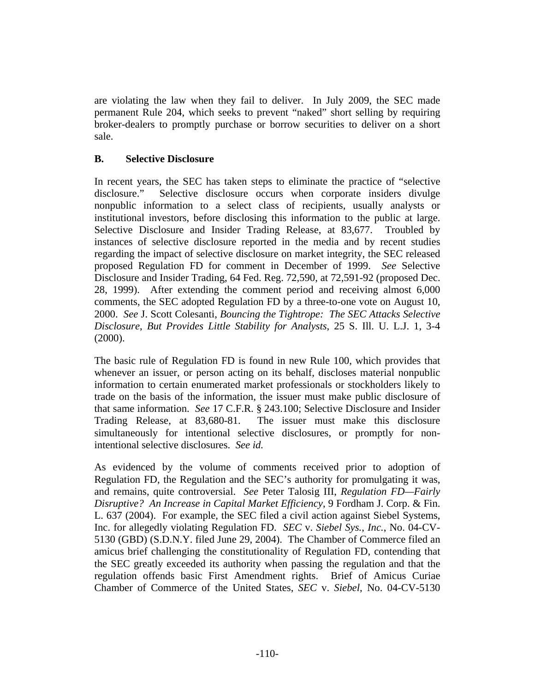are violating the law when they fail to deliver. In July 2009, the SEC made permanent Rule 204, which seeks to prevent "naked" short selling by requiring broker-dealers to promptly purchase or borrow securities to deliver on a short sale.

# **B. Selective Disclosure**

In recent years, the SEC has taken steps to eliminate the practice of "selective disclosure." Selective disclosure occurs when corporate insiders divulge nonpublic information to a select class of recipients, usually analysts or institutional investors, before disclosing this information to the public at large. Selective Disclosure and Insider Trading Release, at 83,677. Troubled by instances of selective disclosure reported in the media and by recent studies regarding the impact of selective disclosure on market integrity, the SEC released proposed Regulation FD for comment in December of 1999. *See* Selective Disclosure and Insider Trading, 64 Fed. Reg. 72,590, at 72,591-92 (proposed Dec. 28, 1999). After extending the comment period and receiving almost 6,000 comments, the SEC adopted Regulation FD by a three-to-one vote on August 10, 2000. *See* J. Scott Colesanti, *Bouncing the Tightrope: The SEC Attacks Selective Disclosure*, *But Provides Little Stability for Analysts*, 25 S. Ill. U. L.J. 1, 3-4 (2000).

The basic rule of Regulation FD is found in new Rule 100, which provides that whenever an issuer, or person acting on its behalf, discloses material nonpublic information to certain enumerated market professionals or stockholders likely to trade on the basis of the information, the issuer must make public disclosure of that same information. *See* 17 C.F.R. § 243.100; Selective Disclosure and Insider Trading Release, at 83,680-81. The issuer must make this disclosure simultaneously for intentional selective disclosures, or promptly for nonintentional selective disclosures. *See id.*

As evidenced by the volume of comments received prior to adoption of Regulation FD, the Regulation and the SEC's authority for promulgating it was, and remains, quite controversial. *See* Peter Talosig III, *Regulation FD—Fairly Disruptive? An Increase in Capital Market Efficiency*, 9 Fordham J. Corp. & Fin. L. 637 (2004). For example, the SEC filed a civil action against Siebel Systems, Inc. for allegedly violating Regulation FD. *SEC* v. *Siebel Sys.*, *Inc.*, No. 04-CV-5130 (GBD) (S.D.N.Y. filed June 29, 2004). The Chamber of Commerce filed an amicus brief challenging the constitutionality of Regulation FD, contending that the SEC greatly exceeded its authority when passing the regulation and that the regulation offends basic First Amendment rights. Brief of Amicus Curiae Chamber of Commerce of the United States, *SEC* v. *Siebel*, No. 04-CV-5130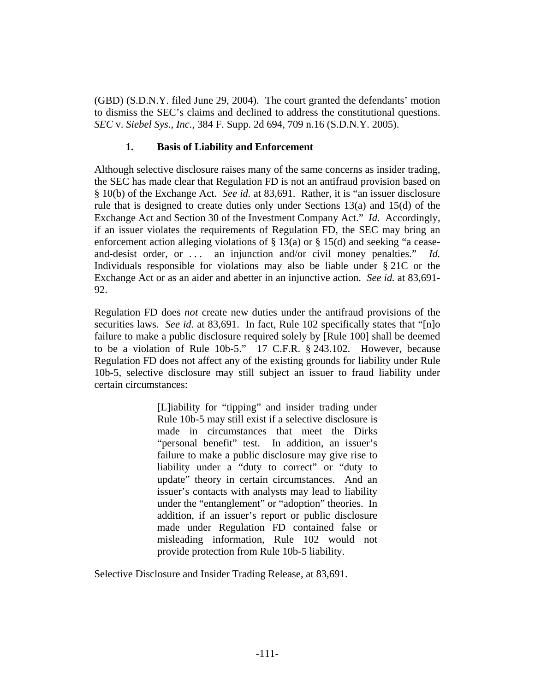(GBD) (S.D.N.Y. filed June 29, 2004). The court granted the defendants' motion to dismiss the SEC's claims and declined to address the constitutional questions. *SEC* v. *Siebel Sys.*, *Inc.*, 384 F. Supp. 2d 694, 709 n.16 (S.D.N.Y. 2005).

### **1. Basis of Liability and Enforcement**

Although selective disclosure raises many of the same concerns as insider trading, the SEC has made clear that Regulation FD is not an antifraud provision based on § 10(b) of the Exchange Act. *See id.* at 83,691. Rather, it is "an issuer disclosure rule that is designed to create duties only under Sections  $13(a)$  and  $15(d)$  of the Exchange Act and Section 30 of the Investment Company Act." *Id.* Accordingly, if an issuer violates the requirements of Regulation FD, the SEC may bring an enforcement action alleging violations of § 13(a) or § 15(d) and seeking "a ceaseand-desist order, or ... an injunction and/or civil money penalties." *Id.* Individuals responsible for violations may also be liable under § 21C or the Exchange Act or as an aider and abetter in an injunctive action. *See id.* at 83,691- 92.

Regulation FD does *not* create new duties under the antifraud provisions of the securities laws. *See id.* at 83,691. In fact, Rule 102 specifically states that "[n]o failure to make a public disclosure required solely by [Rule 100] shall be deemed to be a violation of Rule 10b-5." 17 C.F.R. § 243.102. However, because Regulation FD does not affect any of the existing grounds for liability under Rule 10b-5, selective disclosure may still subject an issuer to fraud liability under certain circumstances:

> [L]iability for "tipping" and insider trading under Rule 10b-5 may still exist if a selective disclosure is made in circumstances that meet the Dirks "personal benefit" test. In addition, an issuer's failure to make a public disclosure may give rise to liability under a "duty to correct" or "duty to update" theory in certain circumstances. And an issuer's contacts with analysts may lead to liability under the "entanglement" or "adoption" theories. In addition, if an issuer's report or public disclosure made under Regulation FD contained false or misleading information, Rule 102 would not provide protection from Rule 10b-5 liability.

Selective Disclosure and Insider Trading Release, at 83,691.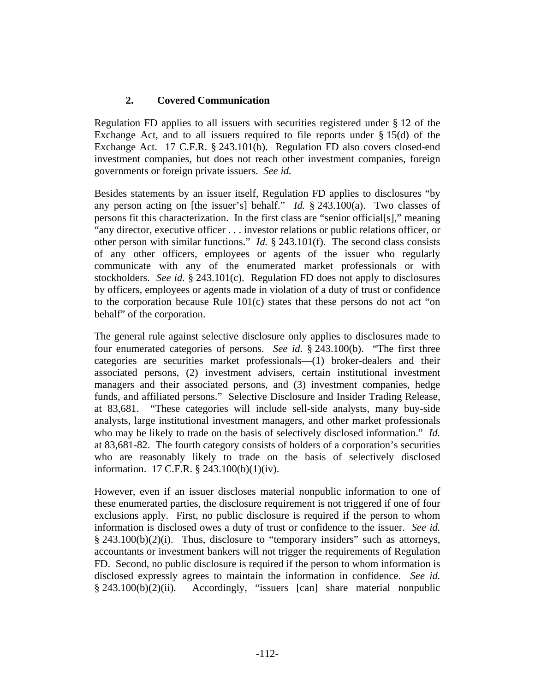# **2. Covered Communication**

Regulation FD applies to all issuers with securities registered under § 12 of the Exchange Act, and to all issuers required to file reports under § 15(d) of the Exchange Act. 17 C.F.R. § 243.101(b). Regulation FD also covers closed-end investment companies, but does not reach other investment companies, foreign governments or foreign private issuers. *See id.*

Besides statements by an issuer itself, Regulation FD applies to disclosures "by any person acting on [the issuer's] behalf." *Id.* § 243.100(a). Two classes of persons fit this characterization. In the first class are "senior official[s]," meaning "any director, executive officer . . . investor relations or public relations officer, or other person with similar functions." *Id.* § 243.101(f). The second class consists of any other officers, employees or agents of the issuer who regularly communicate with any of the enumerated market professionals or with stockholders. *See id.* § 243.101(c). Regulation FD does not apply to disclosures by officers, employees or agents made in violation of a duty of trust or confidence to the corporation because Rule 101(c) states that these persons do not act "on behalf" of the corporation.

The general rule against selective disclosure only applies to disclosures made to four enumerated categories of persons. *See id.* § 243.100(b). "The first three categories are securities market professionals—(1) broker-dealers and their associated persons, (2) investment advisers, certain institutional investment managers and their associated persons, and (3) investment companies, hedge funds, and affiliated persons." Selective Disclosure and Insider Trading Release, at 83,681. "These categories will include sell-side analysts, many buy-side analysts, large institutional investment managers, and other market professionals who may be likely to trade on the basis of selectively disclosed information." *Id.* at 83,681-82. The fourth category consists of holders of a corporation's securities who are reasonably likely to trade on the basis of selectively disclosed information. 17 C.F.R. § 243.100(b)(1)(iv).

However, even if an issuer discloses material nonpublic information to one of these enumerated parties, the disclosure requirement is not triggered if one of four exclusions apply. First, no public disclosure is required if the person to whom information is disclosed owes a duty of trust or confidence to the issuer. *See id.*  $§$  243.100(b)(2)(i). Thus, disclosure to "temporary insiders" such as attorneys, accountants or investment bankers will not trigger the requirements of Regulation FD. Second, no public disclosure is required if the person to whom information is disclosed expressly agrees to maintain the information in confidence. *See id.* § 243.100(b)(2)(ii). Accordingly, "issuers [can] share material nonpublic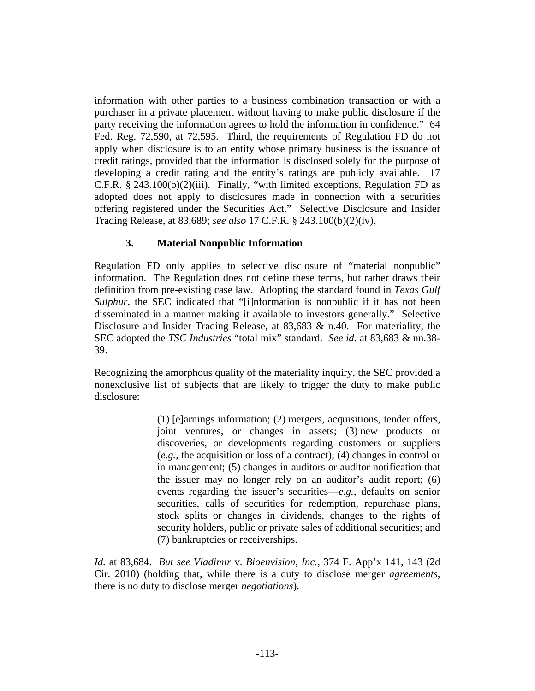information with other parties to a business combination transaction or with a purchaser in a private placement without having to make public disclosure if the party receiving the information agrees to hold the information in confidence." 64 Fed. Reg. 72,590, at 72,595. Third, the requirements of Regulation FD do not apply when disclosure is to an entity whose primary business is the issuance of credit ratings, provided that the information is disclosed solely for the purpose of developing a credit rating and the entity's ratings are publicly available. 17 C.F.R. § 243.100(b)(2)(iii). Finally, "with limited exceptions, Regulation FD as adopted does not apply to disclosures made in connection with a securities offering registered under the Securities Act." Selective Disclosure and Insider Trading Release, at 83,689; *see also* 17 C.F.R. § 243.100(b)(2)(iv).

# **3. Material Nonpublic Information**

Regulation FD only applies to selective disclosure of "material nonpublic" information. The Regulation does not define these terms, but rather draws their definition from pre-existing case law. Adopting the standard found in *Texas Gulf Sulphur*, the SEC indicated that "[i]nformation is nonpublic if it has not been disseminated in a manner making it available to investors generally." Selective Disclosure and Insider Trading Release, at 83,683 & n.40. For materiality, the SEC adopted the *TSC Industries* "total mix" standard. *See id.* at 83,683 & nn.38- 39.

Recognizing the amorphous quality of the materiality inquiry, the SEC provided a nonexclusive list of subjects that are likely to trigger the duty to make public disclosure:

> (1) [e]arnings information; (2) mergers, acquisitions, tender offers, joint ventures, or changes in assets; (3) new products or discoveries, or developments regarding customers or suppliers (*e.g.*, the acquisition or loss of a contract); (4) changes in control or in management; (5) changes in auditors or auditor notification that the issuer may no longer rely on an auditor's audit report; (6) events regarding the issuer's securities—*e.g.*, defaults on senior securities, calls of securities for redemption, repurchase plans, stock splits or changes in dividends, changes to the rights of security holders, public or private sales of additional securities; and (7) bankruptcies or receiverships.

*Id.* at 83,684. *But see Vladimir* v. *Bioenvision*, *Inc.*, 374 F. App'x 141, 143 (2d Cir. 2010) (holding that, while there is a duty to disclose merger *agreements*, there is no duty to disclose merger *negotiations*).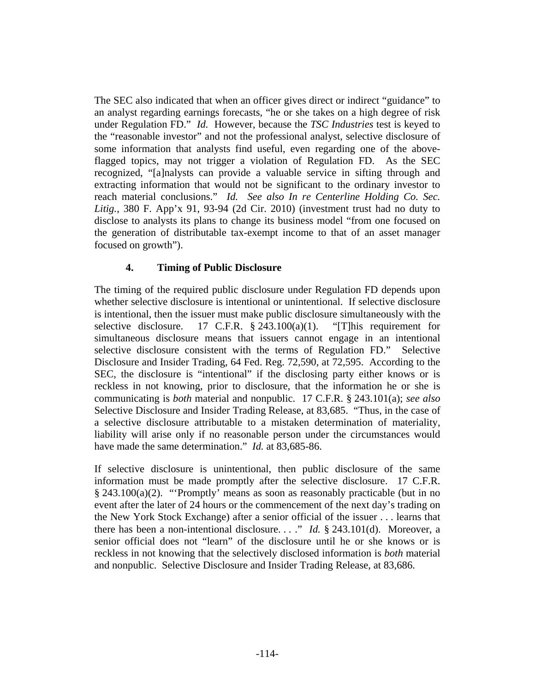The SEC also indicated that when an officer gives direct or indirect "guidance" to an analyst regarding earnings forecasts, "he or she takes on a high degree of risk under Regulation FD." *Id.* However, because the *TSC Industries* test is keyed to the "reasonable investor" and not the professional analyst, selective disclosure of some information that analysts find useful, even regarding one of the aboveflagged topics, may not trigger a violation of Regulation FD. As the SEC recognized, "[a]nalysts can provide a valuable service in sifting through and extracting information that would not be significant to the ordinary investor to reach material conclusions." *Id. See also In re Centerline Holding Co. Sec. Litig.*, 380 F. App'x 91, 93-94 (2d Cir. 2010) (investment trust had no duty to disclose to analysts its plans to change its business model "from one focused on the generation of distributable tax-exempt income to that of an asset manager focused on growth").

# **4. Timing of Public Disclosure**

The timing of the required public disclosure under Regulation FD depends upon whether selective disclosure is intentional or unintentional. If selective disclosure is intentional, then the issuer must make public disclosure simultaneously with the selective disclosure. 17 C.F.R.  $\S$  243.100(a)(1). "[T]his requirement for simultaneous disclosure means that issuers cannot engage in an intentional selective disclosure consistent with the terms of Regulation FD." Selective Disclosure and Insider Trading, 64 Fed. Reg. 72,590, at 72,595. According to the SEC, the disclosure is "intentional" if the disclosing party either knows or is reckless in not knowing, prior to disclosure, that the information he or she is communicating is *both* material and nonpublic. 17 C.F.R. § 243.101(a); *see also* Selective Disclosure and Insider Trading Release, at 83,685. "Thus, in the case of a selective disclosure attributable to a mistaken determination of materiality, liability will arise only if no reasonable person under the circumstances would have made the same determination." *Id.* at 83,685-86.

If selective disclosure is unintentional, then public disclosure of the same information must be made promptly after the selective disclosure. 17 C.F.R. § 243.100(a)(2). "'Promptly' means as soon as reasonably practicable (but in no event after the later of 24 hours or the commencement of the next day's trading on the New York Stock Exchange) after a senior official of the issuer . . . learns that there has been a non-intentional disclosure. . . ." *Id.* § 243.101(d). Moreover, a senior official does not "learn" of the disclosure until he or she knows or is reckless in not knowing that the selectively disclosed information is *both* material and nonpublic. Selective Disclosure and Insider Trading Release, at 83,686.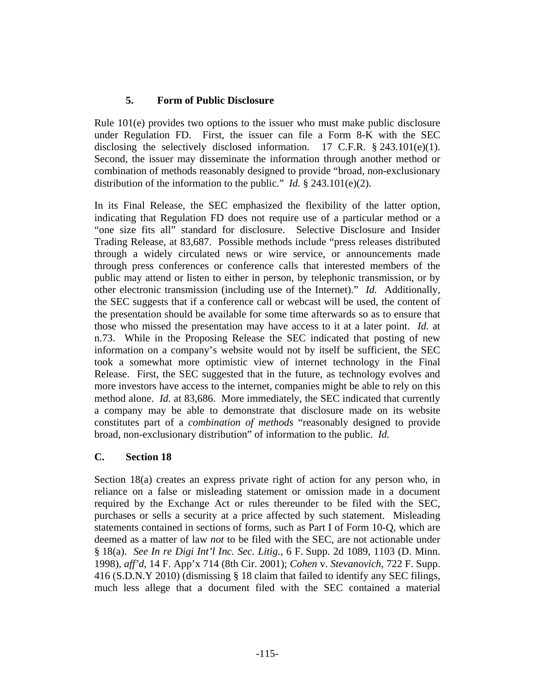### **5. Form of Public Disclosure**

Rule 101(e) provides two options to the issuer who must make public disclosure under Regulation FD. First, the issuer can file a Form 8-K with the SEC disclosing the selectively disclosed information. 17 C.F.R. § 243.101(e)(1). Second, the issuer may disseminate the information through another method or combination of methods reasonably designed to provide "broad, non-exclusionary distribution of the information to the public." *Id.* § 243.101(e)(2).

In its Final Release, the SEC emphasized the flexibility of the latter option, indicating that Regulation FD does not require use of a particular method or a "one size fits all" standard for disclosure. Selective Disclosure and Insider Trading Release, at 83,687. Possible methods include "press releases distributed through a widely circulated news or wire service, or announcements made through press conferences or conference calls that interested members of the public may attend or listen to either in person, by telephonic transmission, or by other electronic transmission (including use of the Internet)." *Id.* Additionally, the SEC suggests that if a conference call or webcast will be used, the content of the presentation should be available for some time afterwards so as to ensure that those who missed the presentation may have access to it at a later point. *Id.* at n.73. While in the Proposing Release the SEC indicated that posting of new information on a company's website would not by itself be sufficient, the SEC took a somewhat more optimistic view of internet technology in the Final Release. First, the SEC suggested that in the future, as technology evolves and more investors have access to the internet, companies might be able to rely on this method alone. *Id.* at 83,686. More immediately, the SEC indicated that currently a company may be able to demonstrate that disclosure made on its website constitutes part of a *combination of methods* "reasonably designed to provide broad, non-exclusionary distribution" of information to the public. *Id.*

#### **C. Section 18**

Section 18(a) creates an express private right of action for any person who, in reliance on a false or misleading statement or omission made in a document required by the Exchange Act or rules thereunder to be filed with the SEC, purchases or sells a security at a price affected by such statement. Misleading statements contained in sections of forms, such as Part I of Form 10-Q, which are deemed as a matter of law *not* to be filed with the SEC, are not actionable under § 18(a). *See In re Digi Int'l Inc. Sec. Litig.*, 6 F. Supp. 2d 1089, 1103 (D. Minn. 1998), *aff'd*, 14 F. App'x 714 (8th Cir. 2001); *Cohen* v. *Stevanovich*, 722 F. Supp. 416 (S.D.N.Y 2010) (dismissing § 18 claim that failed to identify any SEC filings, much less allege that a document filed with the SEC contained a material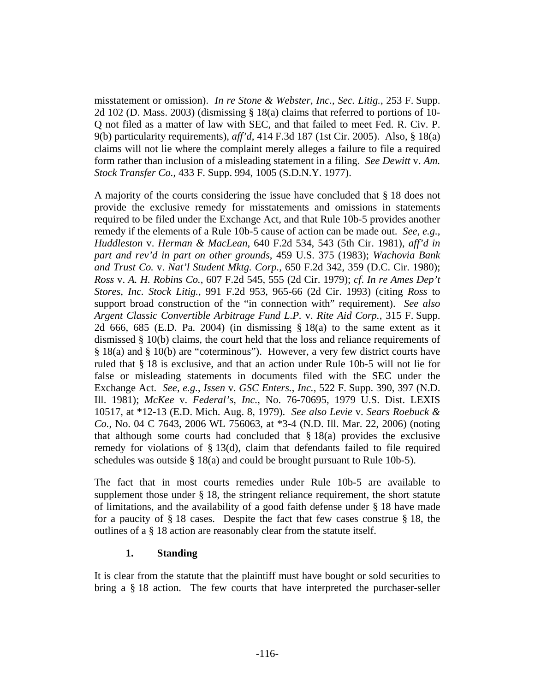misstatement or omission). *In re Stone & Webster*, *Inc.*, *Sec. Litig.*, 253 F. Supp. 2d 102 (D. Mass. 2003) (dismissing § 18(a) claims that referred to portions of 10- Q not filed as a matter of law with SEC, and that failed to meet Fed. R. Civ. P. 9(b) particularity requirements), *aff'd*, 414 F.3d 187 (1st Cir. 2005). Also, § 18(a) claims will not lie where the complaint merely alleges a failure to file a required form rather than inclusion of a misleading statement in a filing. *See Dewitt* v. *Am. Stock Transfer Co.*, 433 F. Supp. 994, 1005 (S.D.N.Y. 1977).

A majority of the courts considering the issue have concluded that § 18 does not provide the exclusive remedy for misstatements and omissions in statements required to be filed under the Exchange Act, and that Rule 10b-5 provides another remedy if the elements of a Rule 10b-5 cause of action can be made out. *See*, *e.g.*, *Huddleston* v. *Herman & MacLean*, 640 F.2d 534, 543 (5th Cir. 1981), *aff'd in part and rev'd in part on other grounds*, 459 U.S. 375 (1983); *Wachovia Bank and Trust Co.* v. *Nat'l Student Mktg. Corp.*, 650 F.2d 342, 359 (D.C. Cir. 1980); *Ross* v. *A. H. Robins Co.*, 607 F.2d 545, 555 (2d Cir. 1979); *cf*. *In re Ames Dep't Stores*, *Inc. Stock Litig.*, 991 F.2d 953, 965-66 (2d Cir. 1993) (citing *Ross* to support broad construction of the "in connection with" requirement). *See also Argent Classic Convertible Arbitrage Fund L.P.* v. *Rite Aid Corp.*, 315 F. Supp. 2d 666, 685 (E.D. Pa. 2004) (in dismissing § 18(a) to the same extent as it dismissed § 10(b) claims, the court held that the loss and reliance requirements of § 18(a) and § 10(b) are "coterminous"). However, a very few district courts have ruled that § 18 is exclusive, and that an action under Rule 10b-5 will not lie for false or misleading statements in documents filed with the SEC under the Exchange Act. *See*, *e.g.*, *Issen* v. *GSC Enters.*, *Inc.*, 522 F. Supp. 390, 397 (N.D. Ill. 1981); *McKee* v. *Federal's*, *Inc.*, No. 76-70695, 1979 U.S. Dist. LEXIS 10517, at \*12-13 (E.D. Mich. Aug. 8, 1979). *See also Levie* v. *Sears Roebuck & Co.*, No. 04 C 7643, 2006 WL 756063, at \*3-4 (N.D. Ill. Mar. 22, 2006) (noting that although some courts had concluded that  $\S 18(a)$  provides the exclusive remedy for violations of § 13(d), claim that defendants failed to file required schedules was outside  $\S 18(a)$  and could be brought pursuant to Rule 10b-5).

The fact that in most courts remedies under Rule 10b-5 are available to supplement those under  $\S$  18, the stringent reliance requirement, the short statute of limitations, and the availability of a good faith defense under § 18 have made for a paucity of § 18 cases. Despite the fact that few cases construe § 18, the outlines of a § 18 action are reasonably clear from the statute itself.

#### **1. Standing**

It is clear from the statute that the plaintiff must have bought or sold securities to bring a § 18 action. The few courts that have interpreted the purchaser-seller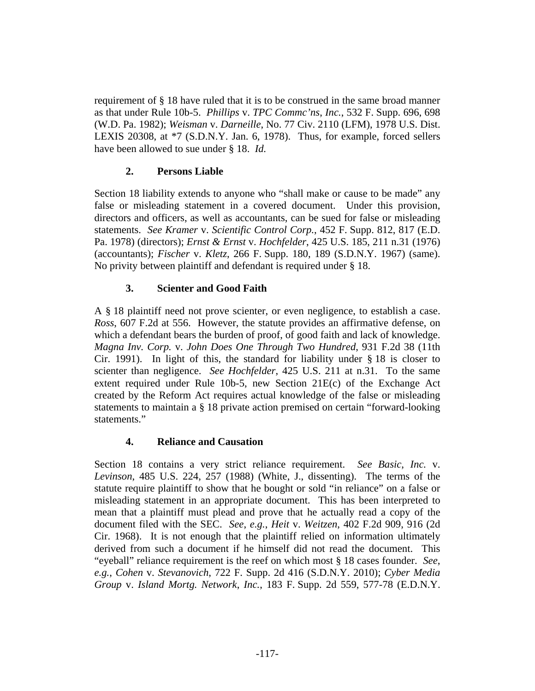requirement of § 18 have ruled that it is to be construed in the same broad manner as that under Rule 10b-5. *Phillips* v. *TPC Commc'ns*, *Inc.*, 532 F. Supp. 696, 698 (W.D. Pa. 1982); *Weisman* v. *Darneille*, No. 77 Civ. 2110 (LFM), 1978 U.S. Dist. LEXIS 20308, at \*7 (S.D.N.Y. Jan. 6, 1978). Thus, for example, forced sellers have been allowed to sue under § 18. *Id.*

# **2. Persons Liable**

Section 18 liability extends to anyone who "shall make or cause to be made" any false or misleading statement in a covered document. Under this provision, directors and officers, as well as accountants, can be sued for false or misleading statements. *See Kramer* v. *Scientific Control Corp.*, 452 F. Supp. 812, 817 (E.D. Pa. 1978) (directors); *Ernst & Ernst* v. *Hochfelder*, 425 U.S. 185, 211 n.31 (1976) (accountants); *Fischer* v. *Kletz*, 266 F. Supp. 180, 189 (S.D.N.Y. 1967) (same). No privity between plaintiff and defendant is required under § 18.

# **3. Scienter and Good Faith**

A § 18 plaintiff need not prove scienter, or even negligence, to establish a case. *Ross*, 607 F.2d at 556. However, the statute provides an affirmative defense, on which a defendant bears the burden of proof, of good faith and lack of knowledge. *Magna Inv. Corp.* v. *John Does One Through Two Hundred*, 931 F.2d 38 (11th Cir. 1991). In light of this, the standard for liability under  $\S$  18 is closer to scienter than negligence. *See Hochfelder*, 425 U.S. 211 at n.31. To the same extent required under Rule 10b-5, new Section 21E(c) of the Exchange Act created by the Reform Act requires actual knowledge of the false or misleading statements to maintain a § 18 private action premised on certain "forward-looking statements."

# **4. Reliance and Causation**

Section 18 contains a very strict reliance requirement. *See Basic*, *Inc.* v. *Levinson*, 485 U.S. 224, 257 (1988) (White, J., dissenting). The terms of the statute require plaintiff to show that he bought or sold "in reliance" on a false or misleading statement in an appropriate document. This has been interpreted to mean that a plaintiff must plead and prove that he actually read a copy of the document filed with the SEC. *See*, *e.g.*, *Heit* v. *Weitzen*, 402 F.2d 909, 916 (2d Cir. 1968). It is not enough that the plaintiff relied on information ultimately derived from such a document if he himself did not read the document. This "eyeball" reliance requirement is the reef on which most § 18 cases founder. *See*, *e.g.*, *Cohen* v. *Stevanovich*, 722 F. Supp. 2d 416 (S.D.N.Y. 2010); *Cyber Media Group* v. *Island Mortg. Network*, *Inc.*, 183 F. Supp. 2d 559, 577-78 (E.D.N.Y.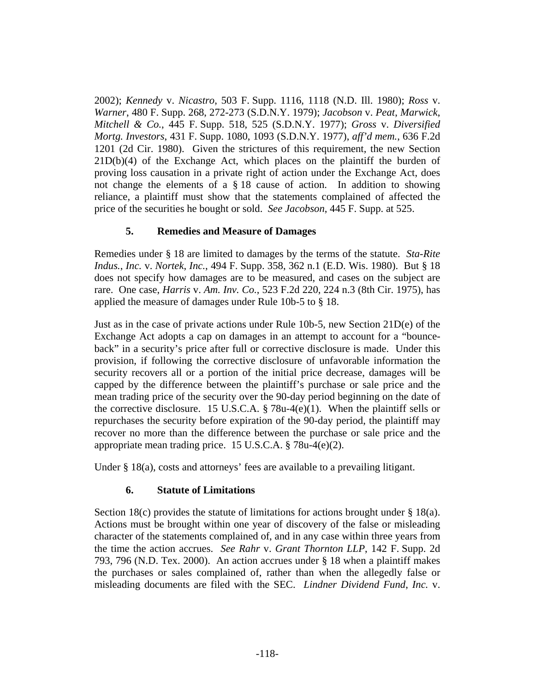2002); *Kennedy* v. *Nicastro*, 503 F. Supp. 1116, 1118 (N.D. Ill. 1980); *Ross* v. *Warner*, 480 F. Supp. 268, 272-273 (S.D.N.Y. 1979); *Jacobson* v. *Peat*, *Marwick*, *Mitchell & Co.*, 445 F. Supp. 518, 525 (S.D.N.Y. 1977); *Gross* v. *Diversified Mortg. Investors*, 431 F. Supp. 1080, 1093 (S.D.N.Y. 1977), *aff'd mem.*, 636 F.2d 1201 (2d Cir. 1980). Given the strictures of this requirement, the new Section  $21D(b)(4)$  of the Exchange Act, which places on the plaintiff the burden of proving loss causation in a private right of action under the Exchange Act, does not change the elements of a § 18 cause of action. In addition to showing reliance, a plaintiff must show that the statements complained of affected the price of the securities he bought or sold. *See Jacobson*, 445 F. Supp. at 525.

### **5. Remedies and Measure of Damages**

Remedies under § 18 are limited to damages by the terms of the statute. *Sta-Rite Indus.*, *Inc.* v. *Nortek*, *Inc.*, 494 F. Supp. 358, 362 n.1 (E.D. Wis. 1980). But § 18 does not specify how damages are to be measured, and cases on the subject are rare. One case, *Harris* v. *Am. Inv. Co.*, 523 F.2d 220, 224 n.3 (8th Cir. 1975), has applied the measure of damages under Rule 10b-5 to § 18.

Just as in the case of private actions under Rule 10b-5, new Section 21D(e) of the Exchange Act adopts a cap on damages in an attempt to account for a "bounceback" in a security's price after full or corrective disclosure is made. Under this provision, if following the corrective disclosure of unfavorable information the security recovers all or a portion of the initial price decrease, damages will be capped by the difference between the plaintiff's purchase or sale price and the mean trading price of the security over the 90-day period beginning on the date of the corrective disclosure. 15 U.S.C.A.  $\S$  78u-4(e)(1). When the plaintiff sells or repurchases the security before expiration of the 90-day period, the plaintiff may recover no more than the difference between the purchase or sale price and the appropriate mean trading price. 15 U.S.C.A. § 78u-4(e)(2).

Under § 18(a), costs and attorneys' fees are available to a prevailing litigant.

#### **6. Statute of Limitations**

Section 18(c) provides the statute of limitations for actions brought under  $\S 18(a)$ . Actions must be brought within one year of discovery of the false or misleading character of the statements complained of, and in any case within three years from the time the action accrues. *See Rahr* v. *Grant Thornton LLP*, 142 F. Supp. 2d 793, 796 (N.D. Tex. 2000). An action accrues under § 18 when a plaintiff makes the purchases or sales complained of, rather than when the allegedly false or misleading documents are filed with the SEC. *Lindner Dividend Fund*, *Inc.* v.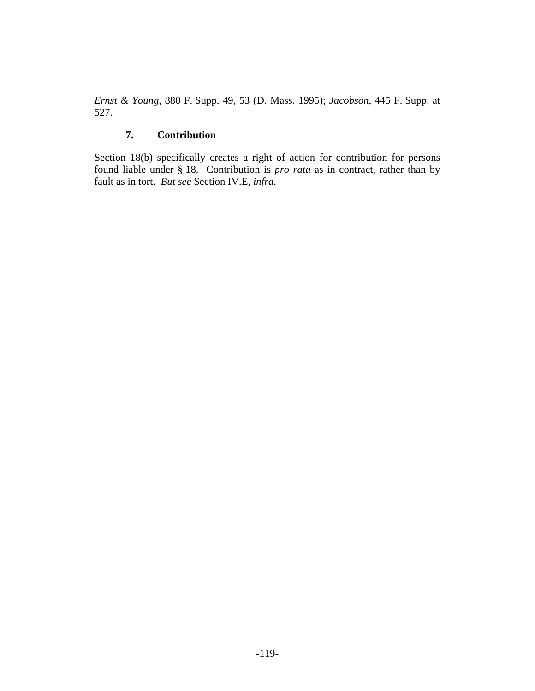*Ernst & Young*, 880 F. Supp. 49, 53 (D. Mass. 1995); *Jacobson*, 445 F. Supp. at 527.

# **7. Contribution**

Section 18(b) specifically creates a right of action for contribution for persons found liable under § 18. Contribution is *pro rata* as in contract, rather than by fault as in tort. *But see* Section IV.E, *infra*.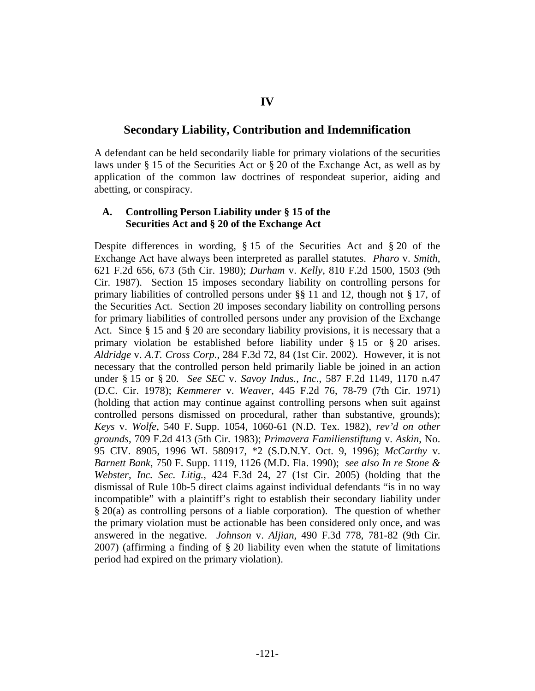# **IV**

### **Secondary Liability, Contribution and Indemnification**

A defendant can be held secondarily liable for primary violations of the securities laws under § 15 of the Securities Act or § 20 of the Exchange Act, as well as by application of the common law doctrines of respondeat superior, aiding and abetting, or conspiracy.

#### **A. Controlling Person Liability under § 15 of the Securities Act and § 20 of the Exchange Act**

Despite differences in wording, § 15 of the Securities Act and § 20 of the Exchange Act have always been interpreted as parallel statutes. *Pharo* v. *Smith*, 621 F.2d 656, 673 (5th Cir. 1980); *Durham* v. *Kelly*, 810 F.2d 1500, 1503 (9th Cir. 1987). Section 15 imposes secondary liability on controlling persons for primary liabilities of controlled persons under §§ 11 and 12, though not § 17, of the Securities Act. Section 20 imposes secondary liability on controlling persons for primary liabilities of controlled persons under any provision of the Exchange Act. Since § 15 and § 20 are secondary liability provisions, it is necessary that a primary violation be established before liability under § 15 or § 20 arises. *Aldridge* v. *A.T. Cross Corp.*, 284 F.3d 72, 84 (1st Cir. 2002). However, it is not necessary that the controlled person held primarily liable be joined in an action under § 15 or § 20. *See SEC* v. *Savoy Indus.*, *Inc.*, 587 F.2d 1149, 1170 n.47 (D.C. Cir. 1978); *Kemmerer* v. *Weaver*, 445 F.2d 76, 78-79 (7th Cir. 1971) (holding that action may continue against controlling persons when suit against controlled persons dismissed on procedural, rather than substantive, grounds); *Keys* v. *Wolfe*, 540 F. Supp. 1054, 1060-61 (N.D. Tex. 1982), *rev'd on other grounds*, 709 F.2d 413 (5th Cir. 1983); *Primavera Familienstiftung* v. *Askin*, No. 95 CIV. 8905, 1996 WL 580917, \*2 (S.D.N.Y. Oct. 9, 1996); *McCarthy* v. *Barnett Bank*, 750 F. Supp. 1119, 1126 (M.D. Fla. 1990); *see also In re Stone & Webster*, *Inc. Sec. Litig.*, 424 F.3d 24, 27 (1st Cir. 2005) (holding that the dismissal of Rule 10b-5 direct claims against individual defendants "is in no way incompatible" with a plaintiff's right to establish their secondary liability under § 20(a) as controlling persons of a liable corporation). The question of whether the primary violation must be actionable has been considered only once, and was answered in the negative. *Johnson* v. *Aljian*, 490 F.3d 778, 781-82 (9th Cir. 2007) (affirming a finding of § 20 liability even when the statute of limitations period had expired on the primary violation).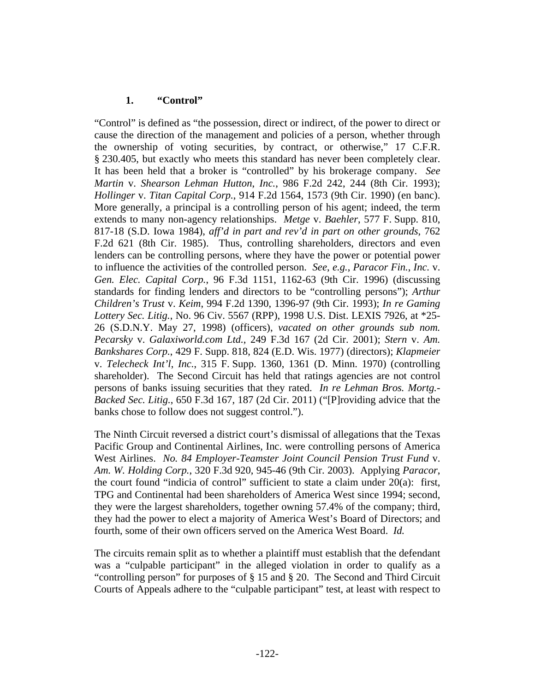### **1. "Control"**

"Control" is defined as "the possession, direct or indirect, of the power to direct or cause the direction of the management and policies of a person, whether through the ownership of voting securities, by contract, or otherwise," 17 C.F.R. § 230.405, but exactly who meets this standard has never been completely clear. It has been held that a broker is "controlled" by his brokerage company. *See Martin* v. *Shearson Lehman Hutton*, *Inc.*, 986 F.2d 242, 244 (8th Cir. 1993); *Hollinger* v. *Titan Capital Corp.*, 914 F.2d 1564, 1573 (9th Cir. 1990) (en banc). More generally, a principal is a controlling person of his agent; indeed, the term extends to many non-agency relationships. *Metge* v. *Baehler*, 577 F. Supp. 810, 817-18 (S.D. Iowa 1984), *aff'd in part and rev'd in part on other grounds*, 762 F.2d 621 (8th Cir. 1985). Thus, controlling shareholders, directors and even lenders can be controlling persons, where they have the power or potential power to influence the activities of the controlled person. *See*, *e.g.*, *Paracor Fin.*, *Inc.* v. *Gen. Elec. Capital Corp.*, 96 F.3d 1151, 1162-63 (9th Cir. 1996) (discussing standards for finding lenders and directors to be "controlling persons"); *Arthur Children's Trust* v. *Keim*, 994 F.2d 1390, 1396-97 (9th Cir. 1993); *In re Gaming Lottery Sec. Litig.*, No. 96 Civ. 5567 (RPP), 1998 U.S. Dist. LEXIS 7926, at \*25- 26 (S.D.N.Y. May 27, 1998) (officers), *vacated on other grounds sub nom. Pecarsky* v. *Galaxiworld.com Ltd.*, 249 F.3d 167 (2d Cir. 2001); *Stern* v. *Am. Bankshares Corp.*, 429 F. Supp. 818, 824 (E.D. Wis. 1977) (directors); *Klapmeier* v. *Telecheck Int'l*, *Inc.*, 315 F. Supp. 1360, 1361 (D. Minn. 1970) (controlling shareholder). The Second Circuit has held that ratings agencies are not control persons of banks issuing securities that they rated. *In re Lehman Bros. Mortg.- Backed Sec. Litig.*, 650 F.3d 167, 187 (2d Cir. 2011) ("[P]roviding advice that the banks chose to follow does not suggest control.").

The Ninth Circuit reversed a district court's dismissal of allegations that the Texas Pacific Group and Continental Airlines, Inc. were controlling persons of America West Airlines. *No. 84 Employer-Teamster Joint Council Pension Trust Fund* v. *Am. W. Holding Corp.*, 320 F.3d 920, 945-46 (9th Cir. 2003). Applying *Paracor*, the court found "indicia of control" sufficient to state a claim under  $20(a)$ : first, TPG and Continental had been shareholders of America West since 1994; second, they were the largest shareholders, together owning 57.4% of the company; third, they had the power to elect a majority of America West's Board of Directors; and fourth, some of their own officers served on the America West Board. *Id.*

The circuits remain split as to whether a plaintiff must establish that the defendant was a "culpable participant" in the alleged violation in order to qualify as a "controlling person" for purposes of § 15 and § 20. The Second and Third Circuit Courts of Appeals adhere to the "culpable participant" test, at least with respect to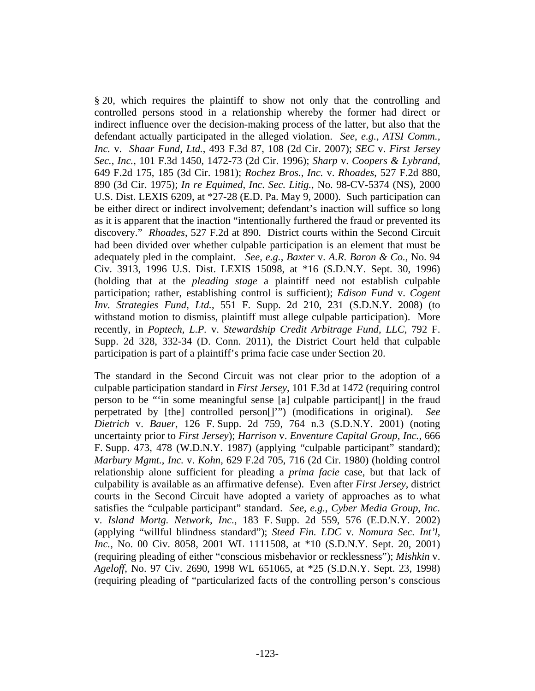§ 20, which requires the plaintiff to show not only that the controlling and controlled persons stood in a relationship whereby the former had direct or indirect influence over the decision-making process of the latter, but also that the defendant actually participated in the alleged violation. *See*, *e.g.*, *ATSI Comm., Inc.* v. *Shaar Fund, Ltd.*, 493 F.3d 87, 108 (2d Cir. 2007); *SEC* v. *First Jersey Sec.*, *Inc.*, 101 F.3d 1450, 1472-73 (2d Cir. 1996); *Sharp* v. *Coopers & Lybrand*, 649 F.2d 175, 185 (3d Cir. 1981); *Rochez Bros.*, *Inc.* v. *Rhoades*, 527 F.2d 880, 890 (3d Cir. 1975); *In re Equimed*, *Inc. Sec. Litig.*, No. 98-CV-5374 (NS), 2000 U.S. Dist. LEXIS 6209, at \*27-28 (E.D. Pa. May 9, 2000). Such participation can be either direct or indirect involvement; defendant's inaction will suffice so long as it is apparent that the inaction "intentionally furthered the fraud or prevented its discovery." *Rhoades*, 527 F.2d at 890. District courts within the Second Circuit had been divided over whether culpable participation is an element that must be adequately pled in the complaint. *See, e.g.*, *Baxter* v. *A.R. Baron & Co.*, No. 94 Civ. 3913, 1996 U.S. Dist. LEXIS 15098, at \*16 (S.D.N.Y. Sept. 30, 1996) (holding that at the *pleading stage* a plaintiff need not establish culpable participation; rather, establishing control is sufficient); *Edison Fund* v. *Cogent Inv. Strategies Fund, Ltd.*, 551 F. Supp. 2d 210, 231 (S.D.N.Y. 2008) (to withstand motion to dismiss, plaintiff must allege culpable participation). More recently, in *Poptech, L.P.* v. *Stewardship Credit Arbitrage Fund, LLC*, 792 F. Supp. 2d 328, 332-34 (D. Conn. 2011), the District Court held that culpable participation is part of a plaintiff's prima facie case under Section 20.

The standard in the Second Circuit was not clear prior to the adoption of a culpable participation standard in *First Jersey*, 101 F.3d at 1472 (requiring control person to be "'in some meaningful sense [a] culpable participant[] in the fraud perpetrated by [the] controlled person[]'") (modifications in original). *See Dietrich* v. *Bauer*, 126 F. Supp. 2d 759, 764 n.3 (S.D.N.Y. 2001) (noting uncertainty prior to *First Jersey*); *Harrison* v. *Enventure Capital Group*, *Inc.*, 666 F. Supp. 473, 478 (W.D.N.Y. 1987) (applying "culpable participant" standard); *Marbury Mgmt.*, *Inc.* v. *Kohn*, 629 F.2d 705, 716 (2d Cir. 1980) (holding control relationship alone sufficient for pleading a *prima facie* case, but that lack of culpability is available as an affirmative defense). Even after *First Jersey*, district courts in the Second Circuit have adopted a variety of approaches as to what satisfies the "culpable participant" standard. *See*, *e.g.*, *Cyber Media Group*, *Inc.* v. *Island Mortg. Network*, *Inc.*, 183 F. Supp. 2d 559, 576 (E.D.N.Y. 2002) (applying "willful blindness standard"); *Steed Fin. LDC* v. *Nomura Sec. Int'l*, *Inc.*, No. 00 Civ. 8058, 2001 WL 1111508, at \*10 (S.D.N.Y. Sept. 20, 2001) (requiring pleading of either "conscious misbehavior or recklessness"); *Mishkin* v. *Ageloff*, No. 97 Civ. 2690, 1998 WL 651065, at \*25 (S.D.N.Y. Sept. 23, 1998) (requiring pleading of "particularized facts of the controlling person's conscious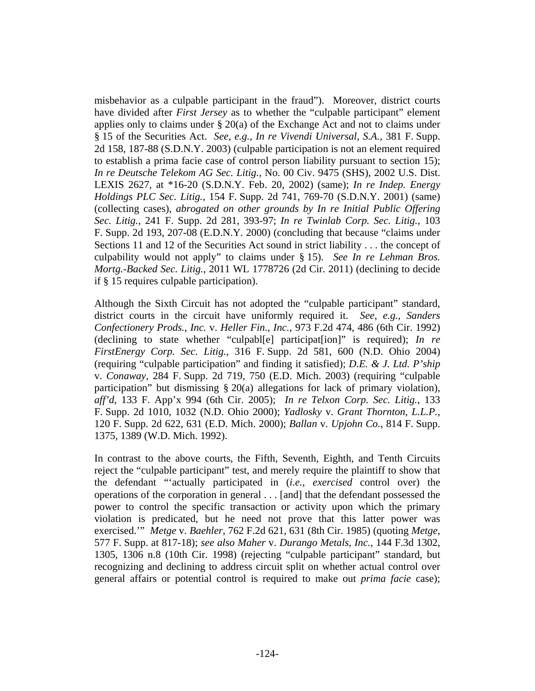misbehavior as a culpable participant in the fraud"). Moreover, district courts have divided after *First Jersey* as to whether the "culpable participant" element applies only to claims under § 20(a) of the Exchange Act and not to claims under § 15 of the Securities Act. *See*, *e.g.*, *In re Vivendi Universal*, *S.A.*, 381 F. Supp. 2d 158, 187-88 (S.D.N.Y. 2003) (culpable participation is not an element required to establish a prima facie case of control person liability pursuant to section 15); *In re Deutsche Telekom AG Sec. Litig.*, No. 00 Civ. 9475 (SHS), 2002 U.S. Dist. LEXIS 2627, at \*16-20 (S.D.N.Y. Feb. 20, 2002) (same); *In re Indep. Energy Holdings PLC Sec. Litig.*, 154 F. Supp. 2d 741, 769-70 (S.D.N.Y. 2001) (same) (collecting cases), *abrogated on other grounds by In re Initial Public Offering Sec. Litig.*, 241 F. Supp. 2d 281, 393-97; *In re Twinlab Corp. Sec. Litig.*, 103 F. Supp. 2d 193, 207-08 (E.D.N.Y. 2000) (concluding that because "claims under Sections 11 and 12 of the Securities Act sound in strict liability . . . the concept of culpability would not apply" to claims under § 15). *See In re Lehman Bros. Mortg.-Backed Sec. Litig.*, 2011 WL 1778726 (2d Cir. 2011) (declining to decide if § 15 requires culpable participation).

Although the Sixth Circuit has not adopted the "culpable participant" standard, district courts in the circuit have uniformly required it. *See*, *e.g.*, *Sanders Confectionery Prods.*, *Inc.* v. *Heller Fin.*, *Inc.*, 973 F.2d 474, 486 (6th Cir. 1992) (declining to state whether "culpabl[e] participat[ion]" is required); *In re FirstEnergy Corp. Sec. Litig.*, 316 F. Supp. 2d 581, 600 (N.D. Ohio 2004) (requiring "culpable participation" and finding it satisfied); *D.E. & J. Ltd. P'ship* v. *Conaway*, 284 F. Supp. 2d 719, 750 (E.D. Mich. 2003) (requiring "culpable participation" but dismissing § 20(a) allegations for lack of primary violation), *aff'd*, 133 F. App'x 994 (6th Cir. 2005); *In re Telxon Corp. Sec. Litig.*, 133 F. Supp. 2d 1010, 1032 (N.D. Ohio 2000); *Yadlosky* v. *Grant Thornton*, *L.L.P.*, 120 F. Supp. 2d 622, 631 (E.D. Mich. 2000); *Ballan* v. *Upjohn Co.*, 814 F. Supp. 1375, 1389 (W.D. Mich. 1992).

In contrast to the above courts, the Fifth, Seventh, Eighth, and Tenth Circuits reject the "culpable participant" test, and merely require the plaintiff to show that the defendant "'actually participated in (*i.e.*, *exercised* control over) the operations of the corporation in general . . . [and] that the defendant possessed the power to control the specific transaction or activity upon which the primary violation is predicated, but he need not prove that this latter power was exercised.'" *Metge* v. *Baehler*, 762 F.2d 621, 631 (8th Cir. 1985) (quoting *Metge*, 577 F. Supp. at 817-18); *see also Maher* v. *Durango Metals*, *Inc.*, 144 F.3d 1302, 1305, 1306 n.8 (10th Cir. 1998) (rejecting "culpable participant" standard, but recognizing and declining to address circuit split on whether actual control over general affairs or potential control is required to make out *prima facie* case);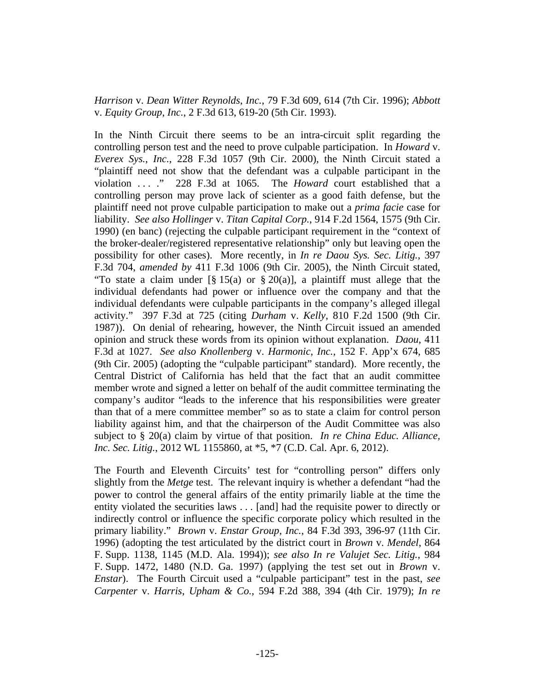*Harrison* v. *Dean Witter Reynolds*, *Inc.*, 79 F.3d 609, 614 (7th Cir. 1996); *Abbott* v. *Equity Group*, *Inc.*, 2 F.3d 613, 619-20 (5th Cir. 1993).

In the Ninth Circuit there seems to be an intra-circuit split regarding the controlling person test and the need to prove culpable participation. In *Howard* v. *Everex Sys.*, *Inc.*, 228 F.3d 1057 (9th Cir. 2000), the Ninth Circuit stated a "plaintiff need not show that the defendant was a culpable participant in the violation . . . ." 228 F.3d at 1065. The *Howard* court established that a controlling person may prove lack of scienter as a good faith defense, but the plaintiff need not prove culpable participation to make out a *prima facie* case for liability. *See also Hollinger* v. *Titan Capital Corp.*, 914 F.2d 1564, 1575 (9th Cir. 1990) (en banc) (rejecting the culpable participant requirement in the "context of the broker-dealer/registered representative relationship" only but leaving open the possibility for other cases). More recently, in *In re Daou Sys. Sec. Litig.*, 397 F.3d 704, *amended by* 411 F.3d 1006 (9th Cir. 2005), the Ninth Circuit stated, "To state a claim under  $\lceil \frac{8}{9} \rceil 5(a)$  or  $\frac{8}{9} \cdot 20(a)$ ], a plaintiff must allege that the individual defendants had power or influence over the company and that the individual defendants were culpable participants in the company's alleged illegal activity." 397 F.3d at 725 (citing *Durham* v. *Kelly*, 810 F.2d 1500 (9th Cir. 1987)). On denial of rehearing, however, the Ninth Circuit issued an amended opinion and struck these words from its opinion without explanation. *Daou*, 411 F.3d at 1027. *See also Knollenberg* v. *Harmonic*, *Inc.*, 152 F. App'x 674, 685 (9th Cir. 2005) (adopting the "culpable participant" standard). More recently, the Central District of California has held that the fact that an audit committee member wrote and signed a letter on behalf of the audit committee terminating the company's auditor "leads to the inference that his responsibilities were greater than that of a mere committee member" so as to state a claim for control person liability against him, and that the chairperson of the Audit Committee was also subject to § 20(a) claim by virtue of that position. *In re China Educ. Alliance, Inc. Sec. Litig.*, 2012 WL 1155860, at \*5, \*7 (C.D. Cal. Apr. 6, 2012).

The Fourth and Eleventh Circuits' test for "controlling person" differs only slightly from the *Metge* test. The relevant inquiry is whether a defendant "had the power to control the general affairs of the entity primarily liable at the time the entity violated the securities laws . . . [and] had the requisite power to directly or indirectly control or influence the specific corporate policy which resulted in the primary liability." *Brown* v. *Enstar Group*, *Inc.*, 84 F.3d 393, 396-97 (11th Cir. 1996) (adopting the test articulated by the district court in *Brown* v. *Mendel*, 864 F. Supp. 1138, 1145 (M.D. Ala. 1994)); *see also In re Valujet Sec. Litig.*, 984 F. Supp. 1472, 1480 (N.D. Ga. 1997) (applying the test set out in *Brown* v. *Enstar*). The Fourth Circuit used a "culpable participant" test in the past, *see Carpenter* v. *Harris*, *Upham & Co.*, 594 F.2d 388, 394 (4th Cir. 1979); *In re*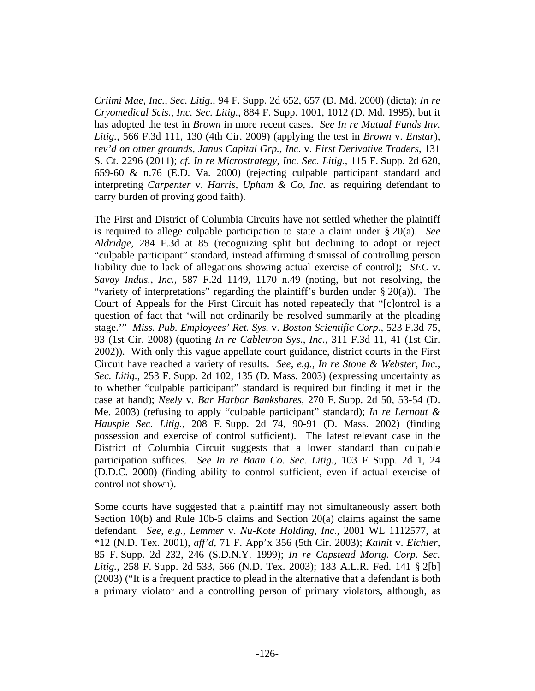*Criimi Mae*, *Inc.*, *Sec. Litig.*, 94 F. Supp. 2d 652, 657 (D. Md. 2000) (dicta); *In re Cryomedical Scis.*, *Inc. Sec. Litig.*, 884 F. Supp. 1001, 1012 (D. Md. 1995), but it has adopted the test in *Brown* in more recent cases. *See In re Mutual Funds Inv. Litig.*, 566 F.3d 111, 130 (4th Cir. 2009) (applying the test in *Brown* v. *Enstar*), *rev'd on other grounds*, *Janus Capital Grp., Inc.* v. *First Derivative Traders*, 131 S. Ct. 2296 (2011); *cf. In re Microstrategy*, *Inc. Sec. Litig.*, 115 F. Supp. 2d 620, 659-60 & n.76 (E.D. Va. 2000) (rejecting culpable participant standard and interpreting *Carpenter* v. *Harris*, *Upham & Co*, *Inc.* as requiring defendant to carry burden of proving good faith).

The First and District of Columbia Circuits have not settled whether the plaintiff is required to allege culpable participation to state a claim under § 20(a). *See Aldridge*, 284 F.3d at 85 (recognizing split but declining to adopt or reject "culpable participant" standard, instead affirming dismissal of controlling person liability due to lack of allegations showing actual exercise of control); *SEC* v. *Savoy Indus.*, *Inc.*, 587 F.2d 1149, 1170 n.49 (noting, but not resolving, the "variety of interpretations" regarding the plaintiff's burden under  $\S 20(a)$ ). The Court of Appeals for the First Circuit has noted repeatedly that "[c]ontrol is a question of fact that 'will not ordinarily be resolved summarily at the pleading stage.'" *Miss. Pub. Employees' Ret. Sys.* v. *Boston Scientific Corp.*, 523 F.3d 75, 93 (1st Cir. 2008) (quoting *In re Cabletron Sys.*, *Inc.*, 311 F.3d 11, 41 (1st Cir. 2002)). With only this vague appellate court guidance, district courts in the First Circuit have reached a variety of results. *See*, *e.g.*, *In re Stone & Webster*, *Inc.*, *Sec. Litig.*, 253 F. Supp. 2d 102, 135 (D. Mass. 2003) (expressing uncertainty as to whether "culpable participant" standard is required but finding it met in the case at hand); *Neely* v. *Bar Harbor Bankshares*, 270 F. Supp. 2d 50, 53-54 (D. Me. 2003) (refusing to apply "culpable participant" standard); *In re Lernout & Hauspie Sec. Litig.*, 208 F. Supp. 2d 74, 90-91 (D. Mass. 2002) (finding possession and exercise of control sufficient). The latest relevant case in the District of Columbia Circuit suggests that a lower standard than culpable participation suffices. *See In re Baan Co. Sec. Litig.*, 103 F. Supp. 2d 1, 24 (D.D.C. 2000) (finding ability to control sufficient, even if actual exercise of control not shown).

Some courts have suggested that a plaintiff may not simultaneously assert both Section 10(b) and Rule 10b-5 claims and Section 20(a) claims against the same defendant. *See*, *e.g.*, *Lemmer* v. *Nu-Kote Holding*, *Inc.*, 2001 WL 1112577, at \*12 (N.D. Tex. 2001), *aff'd*, 71 F. App'x 356 (5th Cir. 2003); *Kalnit* v. *Eichler*, 85 F. Supp. 2d 232, 246 (S.D.N.Y. 1999); *In re Capstead Mortg. Corp. Sec. Litig.*, 258 F. Supp. 2d 533, 566 (N.D. Tex. 2003); 183 A.L.R. Fed. 141 § 2[b] (2003) ("It is a frequent practice to plead in the alternative that a defendant is both a primary violator and a controlling person of primary violators, although, as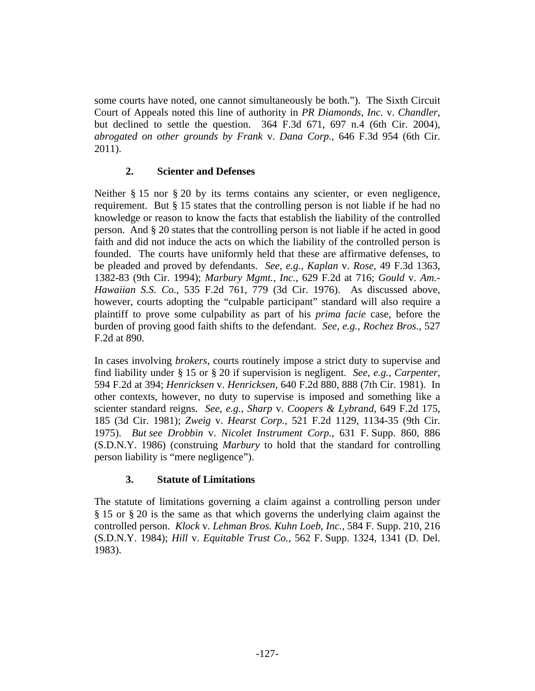some courts have noted, one cannot simultaneously be both."). The Sixth Circuit Court of Appeals noted this line of authority in *PR Diamonds*, *Inc.* v. *Chandler*, but declined to settle the question. 364 F.3d 671, 697 n.4 (6th Cir. 2004), *abrogated on other grounds by Frank* v. *Dana Corp.*, 646 F.3d 954 (6th Cir. 2011).

# **2. Scienter and Defenses**

Neither § 15 nor § 20 by its terms contains any scienter, or even negligence, requirement. But § 15 states that the controlling person is not liable if he had no knowledge or reason to know the facts that establish the liability of the controlled person. And § 20 states that the controlling person is not liable if he acted in good faith and did not induce the acts on which the liability of the controlled person is founded. The courts have uniformly held that these are affirmative defenses, to be pleaded and proved by defendants. *See*, *e.g.*, *Kaplan* v. *Rose*, 49 F.3d 1363, 1382-83 (9th Cir. 1994); *Marbury Mgmt.*, *Inc.*, 629 F.2d at 716; *Gould* v. *Am.- Hawaiian S.S. Co.*, 535 F.2d 761, 779 (3d Cir. 1976). As discussed above, however, courts adopting the "culpable participant" standard will also require a plaintiff to prove some culpability as part of his *prima facie* case, before the burden of proving good faith shifts to the defendant. *See*, *e.g.*, *Rochez Bros.*, 527 F.2d at 890.

In cases involving *brokers*, courts routinely impose a strict duty to supervise and find liability under § 15 or § 20 if supervision is negligent. *See*, *e.g.*, *Carpenter*, 594 F.2d at 394; *Henricksen* v. *Henricksen*, 640 F.2d 880, 888 (7th Cir. 1981). In other contexts, however, no duty to supervise is imposed and something like a scienter standard reigns. *See*, *e.g.*, *Sharp* v. *Coopers & Lybrand*, 649 F.2d 175, 185 (3d Cir. 1981); *Zweig* v. *Hearst Corp.*, 521 F.2d 1129, 1134-35 (9th Cir. 1975). *But see Drobbin* v. *Nicolet Instrument Corp.*, 631 F. Supp. 860, 886 (S.D.N.Y. 1986) (construing *Marbury* to hold that the standard for controlling person liability is "mere negligence").

# **3. Statute of Limitations**

The statute of limitations governing a claim against a controlling person under § 15 or § 20 is the same as that which governs the underlying claim against the controlled person. *Klock* v. *Lehman Bros. Kuhn Loeb*, *Inc.*, 584 F. Supp. 210, 216 (S.D.N.Y. 1984); *Hill* v. *Equitable Trust Co.*, 562 F. Supp. 1324, 1341 (D. Del. 1983).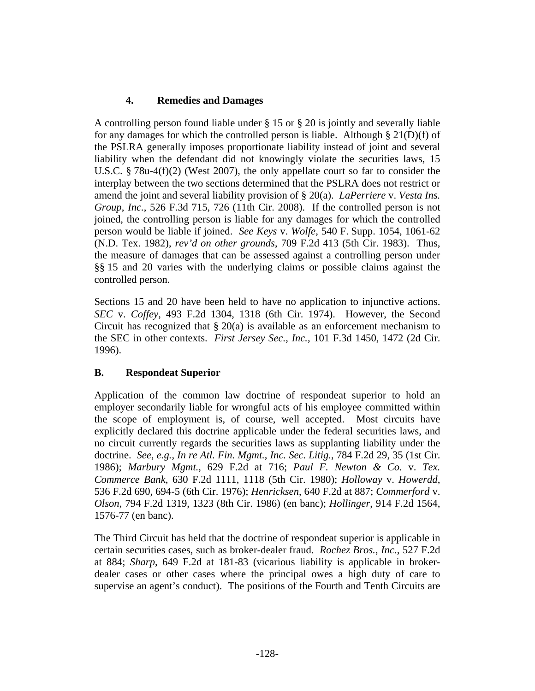# **4. Remedies and Damages**

A controlling person found liable under § 15 or § 20 is jointly and severally liable for any damages for which the controlled person is liable. Although  $\S 21(D)(f)$  of the PSLRA generally imposes proportionate liability instead of joint and several liability when the defendant did not knowingly violate the securities laws, 15 U.S.C. § 78u-4(f)(2) (West 2007), the only appellate court so far to consider the interplay between the two sections determined that the PSLRA does not restrict or amend the joint and several liability provision of § 20(a). *LaPerriere* v. *Vesta Ins. Group*, *Inc.*, 526 F.3d 715, 726 (11th Cir. 2008). If the controlled person is not joined, the controlling person is liable for any damages for which the controlled person would be liable if joined. *See Keys* v. *Wolfe*, 540 F. Supp. 1054, 1061-62 (N.D. Tex. 1982), *rev'd on other grounds*, 709 F.2d 413 (5th Cir. 1983). Thus, the measure of damages that can be assessed against a controlling person under §§ 15 and 20 varies with the underlying claims or possible claims against the controlled person.

Sections 15 and 20 have been held to have no application to injunctive actions. *SEC* v. *Coffey*, 493 F.2d 1304, 1318 (6th Cir. 1974). However, the Second Circuit has recognized that § 20(a) is available as an enforcement mechanism to the SEC in other contexts. *First Jersey Sec.*, *Inc.*, 101 F.3d 1450, 1472 (2d Cir. 1996).

# **B. Respondeat Superior**

Application of the common law doctrine of respondeat superior to hold an employer secondarily liable for wrongful acts of his employee committed within the scope of employment is, of course, well accepted. Most circuits have explicitly declared this doctrine applicable under the federal securities laws, and no circuit currently regards the securities laws as supplanting liability under the doctrine. *See*, *e.g.*, *In re Atl. Fin. Mgmt.*, *Inc. Sec. Litig.*, 784 F.2d 29, 35 (1st Cir. 1986); *Marbury Mgmt.*, 629 F.2d at 716; *Paul F. Newton & Co.* v. *Tex. Commerce Bank*, 630 F.2d 1111, 1118 (5th Cir. 1980); *Holloway* v. *Howerdd*, 536 F.2d 690, 694-5 (6th Cir. 1976); *Henricksen*, 640 F.2d at 887; *Commerford* v. *Olson*, 794 F.2d 1319, 1323 (8th Cir. 1986) (en banc); *Hollinger*, 914 F.2d 1564, 1576-77 (en banc).

The Third Circuit has held that the doctrine of respondeat superior is applicable in certain securities cases, such as broker-dealer fraud. *Rochez Bros.*, *Inc.*, 527 F.2d at 884; *Sharp*, 649 F.2d at 181-83 (vicarious liability is applicable in brokerdealer cases or other cases where the principal owes a high duty of care to supervise an agent's conduct). The positions of the Fourth and Tenth Circuits are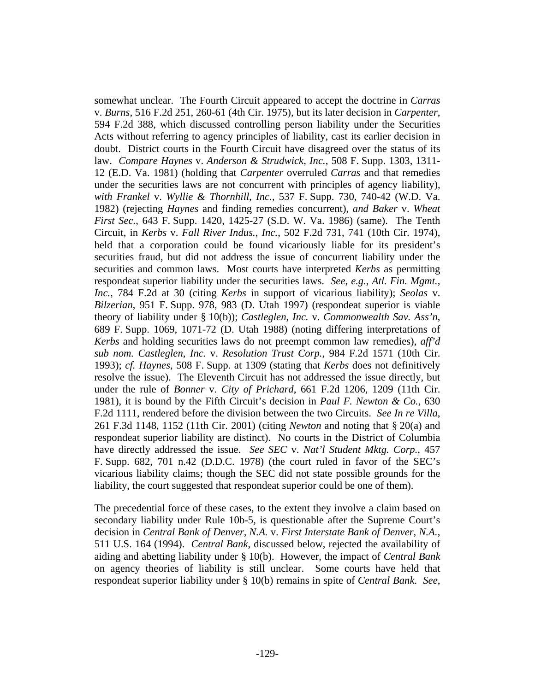somewhat unclear. The Fourth Circuit appeared to accept the doctrine in *Carras* v. *Burns*, 516 F.2d 251, 260-61 (4th Cir. 1975), but its later decision in *Carpenter*, 594 F.2d 388, which discussed controlling person liability under the Securities Acts without referring to agency principles of liability, cast its earlier decision in doubt. District courts in the Fourth Circuit have disagreed over the status of its law. *Compare Haynes* v. *Anderson & Strudwick*, *Inc.*, 508 F. Supp. 1303, 1311- 12 (E.D. Va. 1981) (holding that *Carpenter* overruled *Carras* and that remedies under the securities laws are not concurrent with principles of agency liability), *with Frankel* v. *Wyllie & Thornhill*, *Inc.*, 537 F. Supp. 730, 740-42 (W.D. Va. 1982) (rejecting *Haynes* and finding remedies concurrent), *and Baker* v. *Wheat First Sec.*, 643 F. Supp. 1420, 1425-27 (S.D. W. Va. 1986) (same). The Tenth Circuit, in *Kerbs* v. *Fall River Indus.*, *Inc.*, 502 F.2d 731, 741 (10th Cir. 1974), held that a corporation could be found vicariously liable for its president's securities fraud, but did not address the issue of concurrent liability under the securities and common laws. Most courts have interpreted *Kerbs* as permitting respondeat superior liability under the securities laws. *See*, *e.g.*, *Atl. Fin. Mgmt.*, *Inc.*, 784 F.2d at 30 (citing *Kerbs* in support of vicarious liability); *Seolas* v. *Bilzerian*, 951 F. Supp. 978, 983 (D. Utah 1997) (respondeat superior is viable theory of liability under § 10(b)); *Castleglen*, *Inc.* v. *Commonwealth Sav. Ass'n*, 689 F. Supp. 1069, 1071-72 (D. Utah 1988) (noting differing interpretations of *Kerbs* and holding securities laws do not preempt common law remedies), *aff'd sub nom. Castleglen*, *Inc.* v. *Resolution Trust Corp.*, 984 F.2d 1571 (10th Cir. 1993); *cf. Haynes*, 508 F. Supp. at 1309 (stating that *Kerbs* does not definitively resolve the issue). The Eleventh Circuit has not addressed the issue directly, but under the rule of *Bonner* v. *City of Prichard*, 661 F.2d 1206, 1209 (11th Cir. 1981), it is bound by the Fifth Circuit's decision in *Paul F. Newton & Co.*, 630 F.2d 1111, rendered before the division between the two Circuits. *See In re Villa*, 261 F.3d 1148, 1152 (11th Cir. 2001) (citing *Newton* and noting that § 20(a) and respondeat superior liability are distinct). No courts in the District of Columbia have directly addressed the issue. *See SEC* v. *Nat'l Student Mktg. Corp.*, 457 F. Supp. 682, 701 n.42 (D.D.C. 1978) (the court ruled in favor of the SEC's vicarious liability claims; though the SEC did not state possible grounds for the liability, the court suggested that respondeat superior could be one of them).

The precedential force of these cases, to the extent they involve a claim based on secondary liability under Rule 10b-5, is questionable after the Supreme Court's decision in *Central Bank of Denver*, *N.A.* v. *First Interstate Bank of Denver*, *N.A.*, 511 U.S. 164 (1994). *Central Bank*, discussed below, rejected the availability of aiding and abetting liability under § 10(b). However, the impact of *Central Bank* on agency theories of liability is still unclear. Some courts have held that respondeat superior liability under § 10(b) remains in spite of *Central Bank*. *See*,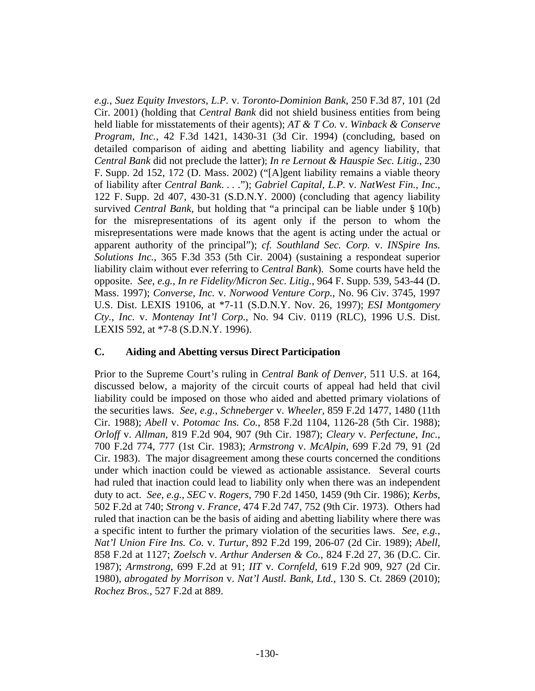*e.g.*, *Suez Equity Investors*, *L.P.* v. *Toronto-Dominion Bank*, 250 F.3d 87, 101 (2d Cir. 2001) (holding that *Central Bank* did not shield business entities from being held liable for misstatements of their agents); *AT & T Co.* v. *Winback & Conserve Program*, *Inc.*, 42 F.3d 1421, 1430-31 (3d Cir. 1994) (concluding, based on detailed comparison of aiding and abetting liability and agency liability, that *Central Bank* did not preclude the latter); *In re Lernout & Hauspie Sec. Litig.*, 230 F. Supp. 2d 152, 172 (D. Mass. 2002) ("[A]gent liability remains a viable theory of liability after *Central Bank*. . . ."); *Gabriel Capital*, *L.P.* v. *NatWest Fin.*, *Inc.*, 122 F. Supp. 2d 407, 430-31 (S.D.N.Y. 2000) (concluding that agency liability survived *Central Bank*, but holding that "a principal can be liable under § 10(b) for the misrepresentations of its agent only if the person to whom the misrepresentations were made knows that the agent is acting under the actual or apparent authority of the principal"); *cf. Southland Sec. Corp.* v. *INSpire Ins. Solutions Inc.*, 365 F.3d 353 (5th Cir. 2004) (sustaining a respondeat superior liability claim without ever referring to *Central Bank*). Some courts have held the opposite. *See*, *e.g.*, *In re Fidelity/Micron Sec. Litig.*, 964 F. Supp. 539, 543-44 (D. Mass. 1997); *Converse*, *Inc.* v. *Norwood Venture Corp.*, No. 96 Civ. 3745, 1997 U.S. Dist. LEXIS 19106, at \*7-11 (S.D.N.Y. Nov. 26, 1997); *ESI Montgomery Cty.*, *Inc.* v. *Montenay Int'l Corp.*, No. 94 Civ. 0119 (RLC), 1996 U.S. Dist. LEXIS 592, at \*7-8 (S.D.N.Y. 1996).

# **C. Aiding and Abetting versus Direct Participation**

Prior to the Supreme Court's ruling in *Central Bank of Denver*, 511 U.S. at 164, discussed below, a majority of the circuit courts of appeal had held that civil liability could be imposed on those who aided and abetted primary violations of the securities laws. *See*, *e.g.*, *Schneberger* v. *Wheeler*, 859 F.2d 1477, 1480 (11th Cir. 1988); *Abell* v. *Potomac Ins. Co.*, 858 F.2d 1104, 1126-28 (5th Cir. 1988); *Orloff* v. *Allman*, 819 F.2d 904, 907 (9th Cir. 1987); *Cleary* v. *Perfectune*, *Inc.*, 700 F.2d 774, 777 (1st Cir. 1983); *Armstrong* v. *McAlpin*, 699 F.2d 79, 91 (2d Cir. 1983). The major disagreement among these courts concerned the conditions under which inaction could be viewed as actionable assistance. Several courts had ruled that inaction could lead to liability only when there was an independent duty to act. *See*, *e.g.*, *SEC* v. *Rogers*, 790 F.2d 1450, 1459 (9th Cir. 1986); *Kerbs*, 502 F.2d at 740; *Strong* v. *France*, 474 F.2d 747, 752 (9th Cir. 1973). Others had ruled that inaction can be the basis of aiding and abetting liability where there was a specific intent to further the primary violation of the securities laws. *See*, *e.g.*, *Nat'l Union Fire Ins. Co.* v. *Turtur*, 892 F.2d 199, 206-07 (2d Cir. 1989); *Abell*, 858 F.2d at 1127; *Zoelsch* v. *Arthur Andersen & Co.*, 824 F.2d 27, 36 (D.C. Cir. 1987); *Armstrong*, 699 F.2d at 91; *IIT* v. *Cornfeld*, 619 F.2d 909, 927 (2d Cir. 1980), *abrogated by Morrison* v. *Nat'l Austl. Bank, Ltd.*, 130 S. Ct. 2869 (2010); *Rochez Bros.*, 527 F.2d at 889.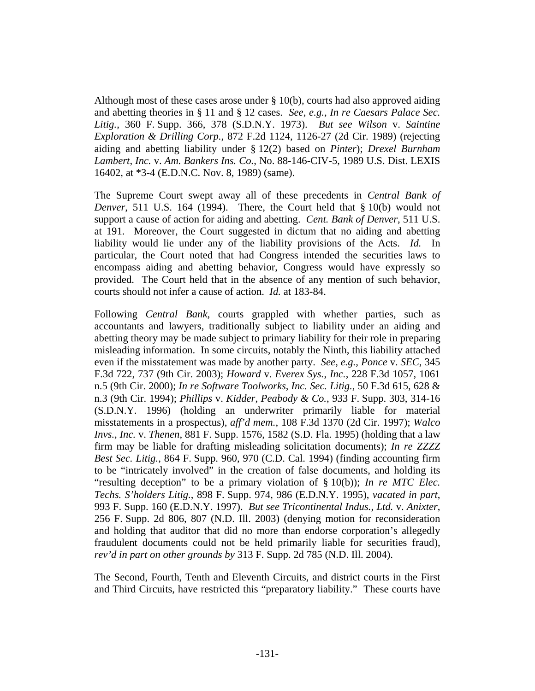Although most of these cases arose under § 10(b), courts had also approved aiding and abetting theories in § 11 and § 12 cases. *See*, *e.g.*, *In re Caesars Palace Sec. Litig.*, 360 F. Supp. 366, 378 (S.D.N.Y. 1973). *But see Wilson* v. *Saintine Exploration & Drilling Corp.*, 872 F.2d 1124, 1126-27 (2d Cir. 1989) (rejecting aiding and abetting liability under § 12(2) based on *Pinter*); *Drexel Burnham Lambert*, *Inc.* v. *Am. Bankers Ins. Co.*, No. 88-146-CIV-5, 1989 U.S. Dist. LEXIS 16402, at \*3-4 (E.D.N.C. Nov. 8, 1989) (same).

The Supreme Court swept away all of these precedents in *Central Bank of Denver*, 511 U.S. 164 (1994). There, the Court held that § 10(b) would not support a cause of action for aiding and abetting. *Cent. Bank of Denver*, 511 U.S. at 191. Moreover, the Court suggested in dictum that no aiding and abetting liability would lie under any of the liability provisions of the Acts. *Id.* In particular, the Court noted that had Congress intended the securities laws to encompass aiding and abetting behavior, Congress would have expressly so provided. The Court held that in the absence of any mention of such behavior, courts should not infer a cause of action. *Id.* at 183-84.

Following *Central Bank*, courts grappled with whether parties, such as accountants and lawyers, traditionally subject to liability under an aiding and abetting theory may be made subject to primary liability for their role in preparing misleading information. In some circuits, notably the Ninth, this liability attached even if the misstatement was made by another party. *See*, *e.g.*, *Ponce* v. *SEC*, 345 F.3d 722, 737 (9th Cir. 2003); *Howard* v. *Everex Sys.*, *Inc.*, 228 F.3d 1057, 1061 n.5 (9th Cir. 2000); *In re Software Toolworks*, *Inc. Sec. Litig.*, 50 F.3d 615, 628 & n.3 (9th Cir. 1994); *Phillips* v. *Kidder*, *Peabody & Co.*, 933 F. Supp. 303, 314-16 (S.D.N.Y. 1996) (holding an underwriter primarily liable for material misstatements in a prospectus), *aff'd mem.*, 108 F.3d 1370 (2d Cir. 1997); *Walco Invs.*, *Inc.* v. *Thenen*, 881 F. Supp. 1576, 1582 (S.D. Fla. 1995) (holding that a law firm may be liable for drafting misleading solicitation documents); *In re ZZZZ Best Sec. Litig.*, 864 F. Supp. 960, 970 (C.D. Cal. 1994) (finding accounting firm to be "intricately involved" in the creation of false documents, and holding its "resulting deception" to be a primary violation of § 10(b)); *In re MTC Elec. Techs. S'holders Litig.*, 898 F. Supp. 974, 986 (E.D.N.Y. 1995), *vacated in part*, 993 F. Supp. 160 (E.D.N.Y. 1997). *But see Tricontinental Indus.*, *Ltd.* v. *Anixter*, 256 F. Supp. 2d 806, 807 (N.D. Ill. 2003) (denying motion for reconsideration and holding that auditor that did no more than endorse corporation's allegedly fraudulent documents could not be held primarily liable for securities fraud), *rev'd in part on other grounds by* 313 F. Supp. 2d 785 (N.D. Ill. 2004).

The Second, Fourth, Tenth and Eleventh Circuits, and district courts in the First and Third Circuits, have restricted this "preparatory liability." These courts have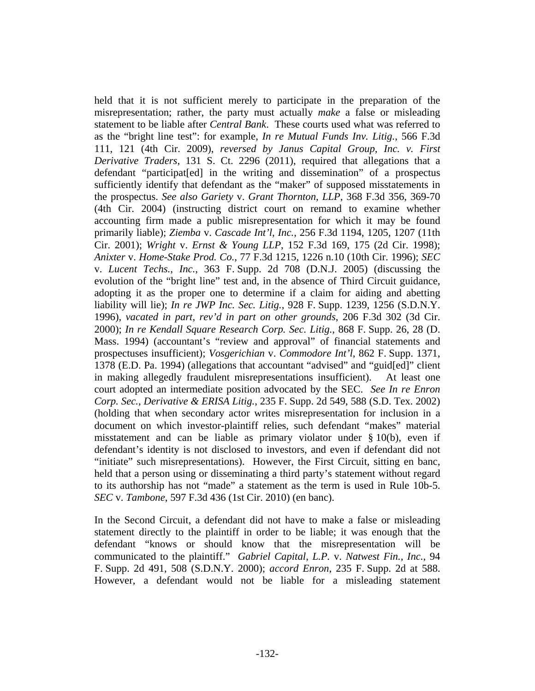held that it is not sufficient merely to participate in the preparation of the misrepresentation; rather, the party must actually *make* a false or misleading statement to be liable after *Central Bank*. These courts used what was referred to as the "bright line test": for example, *In re Mutual Funds Inv. Litig.*, 566 F.3d 111, 121 (4th Cir. 2009), *reversed by Janus Capital Group, Inc. v. First Derivative Traders*, 131 S. Ct. 2296 (2011), required that allegations that a defendant "participat[ed] in the writing and dissemination" of a prospectus sufficiently identify that defendant as the "maker" of supposed misstatements in the prospectus. *See also Gariety* v. *Grant Thornton*, *LLP*, 368 F.3d 356, 369-70 (4th Cir. 2004) (instructing district court on remand to examine whether accounting firm made a public misrepresentation for which it may be found primarily liable); *Ziemba* v. *Cascade Int'l*, *Inc.*, 256 F.3d 1194, 1205, 1207 (11th Cir. 2001); *Wright* v. *Ernst & Young LLP*, 152 F.3d 169, 175 (2d Cir. 1998); *Anixter* v. *Home-Stake Prod. Co.*, 77 F.3d 1215, 1226 n.10 (10th Cir. 1996); *SEC* v. *Lucent Techs.*, *Inc.*, 363 F. Supp. 2d 708 (D.N.J. 2005) (discussing the evolution of the "bright line" test and, in the absence of Third Circuit guidance, adopting it as the proper one to determine if a claim for aiding and abetting liability will lie); *In re JWP Inc. Sec. Litig.*, 928 F. Supp. 1239, 1256 (S.D.N.Y. 1996), *vacated in part*, *rev'd in part on other grounds*, 206 F.3d 302 (3d Cir. 2000); *In re Kendall Square Research Corp. Sec. Litig.*, 868 F. Supp. 26, 28 (D. Mass. 1994) (accountant's "review and approval" of financial statements and prospectuses insufficient); *Vosgerichian* v. *Commodore Int'l*, 862 F. Supp. 1371, 1378 (E.D. Pa. 1994) (allegations that accountant "advised" and "guid[ed]" client in making allegedly fraudulent misrepresentations insufficient). At least one court adopted an intermediate position advocated by the SEC. *See In re Enron Corp. Sec.*, *Derivative & ERISA Litig.*, 235 F. Supp. 2d 549, 588 (S.D. Tex. 2002) (holding that when secondary actor writes misrepresentation for inclusion in a document on which investor-plaintiff relies, such defendant "makes" material misstatement and can be liable as primary violator under § 10(b), even if defendant's identity is not disclosed to investors, and even if defendant did not "initiate" such misrepresentations). However, the First Circuit, sitting en banc, held that a person using or disseminating a third party's statement without regard to its authorship has not "made" a statement as the term is used in Rule 10b-5. *SEC* v. *Tambone*, 597 F.3d 436 (1st Cir. 2010) (en banc).

In the Second Circuit, a defendant did not have to make a false or misleading statement directly to the plaintiff in order to be liable; it was enough that the defendant "knows or should know that the misrepresentation will be communicated to the plaintiff." *Gabriel Capital*, *L.P.* v. *Natwest Fin.*, *Inc.*, 94 F. Supp. 2d 491, 508 (S.D.N.Y. 2000); *accord Enron*, 235 F. Supp. 2d at 588. However, a defendant would not be liable for a misleading statement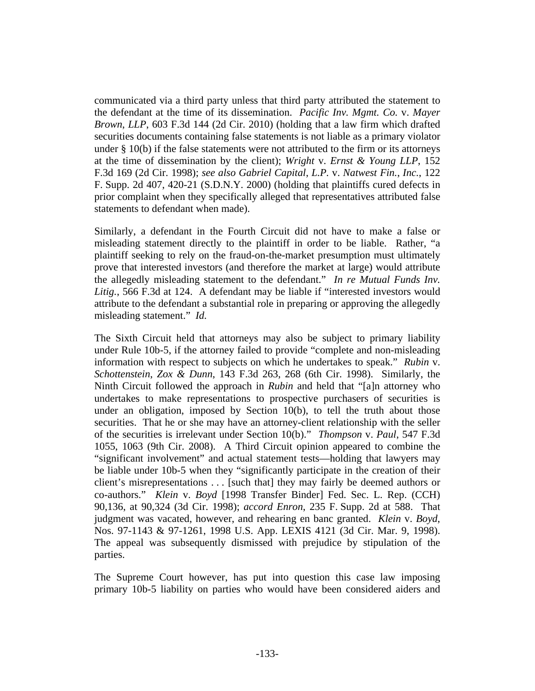communicated via a third party unless that third party attributed the statement to the defendant at the time of its dissemination. *Pacific Inv. Mgmt. Co.* v. *Mayer Brown*, *LLP*, 603 F.3d 144 (2d Cir. 2010) (holding that a law firm which drafted securities documents containing false statements is not liable as a primary violator under  $\S$  10(b) if the false statements were not attributed to the firm or its attorneys at the time of dissemination by the client); *Wright* v. *Ernst & Young LLP*, 152 F.3d 169 (2d Cir. 1998); *see also Gabriel Capital*, *L.P.* v. *Natwest Fin.*, *Inc.*, 122 F. Supp. 2d 407, 420-21 (S.D.N.Y. 2000) (holding that plaintiffs cured defects in prior complaint when they specifically alleged that representatives attributed false statements to defendant when made).

Similarly, a defendant in the Fourth Circuit did not have to make a false or misleading statement directly to the plaintiff in order to be liable. Rather, "a plaintiff seeking to rely on the fraud-on-the-market presumption must ultimately prove that interested investors (and therefore the market at large) would attribute the allegedly misleading statement to the defendant." *In re Mutual Funds Inv. Litig.*, 566 F.3d at 124. A defendant may be liable if "interested investors would attribute to the defendant a substantial role in preparing or approving the allegedly misleading statement." *Id.*

The Sixth Circuit held that attorneys may also be subject to primary liability under Rule 10b-5, if the attorney failed to provide "complete and non-misleading information with respect to subjects on which he undertakes to speak." *Rubin* v. *Schottenstein*, *Zox & Dunn*, 143 F.3d 263, 268 (6th Cir. 1998). Similarly, the Ninth Circuit followed the approach in *Rubin* and held that "[a]n attorney who undertakes to make representations to prospective purchasers of securities is under an obligation, imposed by Section 10(b), to tell the truth about those securities. That he or she may have an attorney-client relationship with the seller of the securities is irrelevant under Section 10(b)." *Thompson* v. *Paul*, 547 F.3d 1055, 1063 (9th Cir. 2008). A Third Circuit opinion appeared to combine the "significant involvement" and actual statement tests—holding that lawyers may be liable under 10b-5 when they "significantly participate in the creation of their client's misrepresentations . . . [such that] they may fairly be deemed authors or co-authors." *Klein* v. *Boyd* [1998 Transfer Binder] Fed. Sec. L. Rep. (CCH) 90,136, at 90,324 (3d Cir. 1998); *accord Enron*, 235 F. Supp. 2d at 588. That judgment was vacated, however, and rehearing en banc granted. *Klein* v. *Boyd*, Nos. 97-1143 & 97-1261, 1998 U.S. App. LEXIS 4121 (3d Cir. Mar. 9, 1998). The appeal was subsequently dismissed with prejudice by stipulation of the parties.

The Supreme Court however, has put into question this case law imposing primary 10b-5 liability on parties who would have been considered aiders and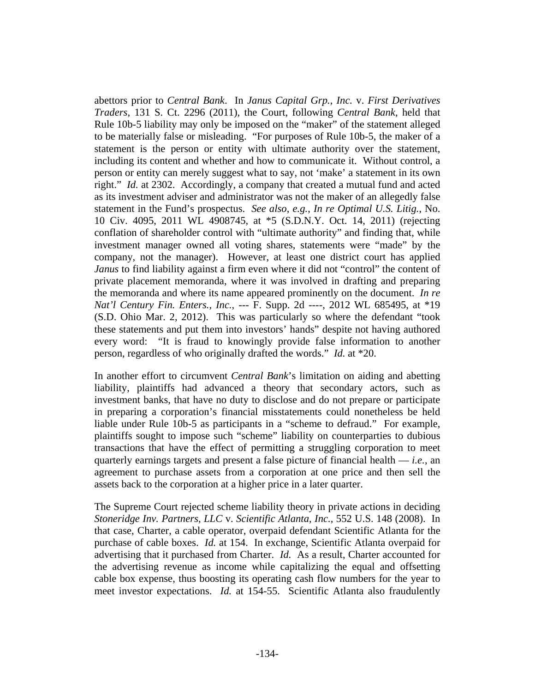abettors prior to *Central Bank*. In *Janus Capital Grp., Inc.* v. *First Derivatives Traders*, 131 S. Ct. 2296 (2011), the Court, following *Central Bank*, held that Rule 10b-5 liability may only be imposed on the "maker" of the statement alleged to be materially false or misleading. "For purposes of Rule 10b-5, the maker of a statement is the person or entity with ultimate authority over the statement, including its content and whether and how to communicate it. Without control, a person or entity can merely suggest what to say, not 'make' a statement in its own right." *Id.* at 2302. Accordingly, a company that created a mutual fund and acted as its investment adviser and administrator was not the maker of an allegedly false statement in the Fund's prospectus. *See also, e.g.*, *In re Optimal U.S. Litig.*, No. 10 Civ. 4095, 2011 WL 4908745, at \*5 (S.D.N.Y. Oct. 14, 2011) (rejecting conflation of shareholder control with "ultimate authority" and finding that, while investment manager owned all voting shares, statements were "made" by the company, not the manager). However, at least one district court has applied *Janus* to find liability against a firm even where it did not "control" the content of private placement memoranda, where it was involved in drafting and preparing the memoranda and where its name appeared prominently on the document. *In re Nat'l Century Fin. Enters., Inc.*, --- F. Supp. 2d ----, 2012 WL 685495, at \*19 (S.D. Ohio Mar. 2, 2012). This was particularly so where the defendant "took these statements and put them into investors' hands" despite not having authored every word: "It is fraud to knowingly provide false information to another person, regardless of who originally drafted the words." *Id.* at \*20.

In another effort to circumvent *Central Bank*'s limitation on aiding and abetting liability, plaintiffs had advanced a theory that secondary actors, such as investment banks, that have no duty to disclose and do not prepare or participate in preparing a corporation's financial misstatements could nonetheless be held liable under Rule 10b-5 as participants in a "scheme to defraud." For example, plaintiffs sought to impose such "scheme" liability on counterparties to dubious transactions that have the effect of permitting a struggling corporation to meet quarterly earnings targets and present a false picture of financial health — *i.e.*, an agreement to purchase assets from a corporation at one price and then sell the assets back to the corporation at a higher price in a later quarter.

The Supreme Court rejected scheme liability theory in private actions in deciding *Stoneridge Inv. Partners*, *LLC* v. *Scientific Atlanta*, *Inc.*, 552 U.S. 148 (2008). In that case, Charter, a cable operator, overpaid defendant Scientific Atlanta for the purchase of cable boxes. *Id.* at 154. In exchange, Scientific Atlanta overpaid for advertising that it purchased from Charter. *Id.* As a result, Charter accounted for the advertising revenue as income while capitalizing the equal and offsetting cable box expense, thus boosting its operating cash flow numbers for the year to meet investor expectations. *Id.* at 154-55. Scientific Atlanta also fraudulently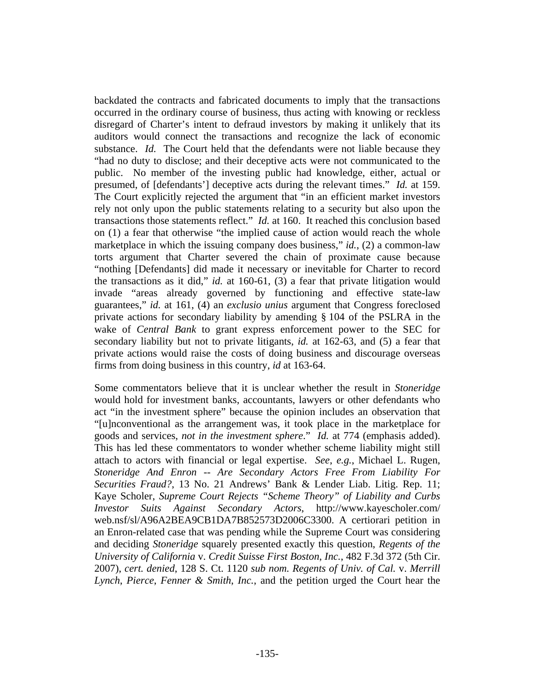backdated the contracts and fabricated documents to imply that the transactions occurred in the ordinary course of business, thus acting with knowing or reckless disregard of Charter's intent to defraud investors by making it unlikely that its auditors would connect the transactions and recognize the lack of economic substance. *Id.* The Court held that the defendants were not liable because they "had no duty to disclose; and their deceptive acts were not communicated to the public. No member of the investing public had knowledge, either, actual or presumed, of [defendants'] deceptive acts during the relevant times." *Id.* at 159. The Court explicitly rejected the argument that "in an efficient market investors rely not only upon the public statements relating to a security but also upon the transactions those statements reflect." *Id.* at 160. It reached this conclusion based on (1) a fear that otherwise "the implied cause of action would reach the whole marketplace in which the issuing company does business," *id.*, (2) a common-law torts argument that Charter severed the chain of proximate cause because "nothing [Defendants] did made it necessary or inevitable for Charter to record the transactions as it did," *id.* at 160-61, (3) a fear that private litigation would invade "areas already governed by functioning and effective state-law guarantees," *id.* at 161, (4) an *exclusio unius* argument that Congress foreclosed private actions for secondary liability by amending § 104 of the PSLRA in the wake of *Central Bank* to grant express enforcement power to the SEC for secondary liability but not to private litigants, *id.* at 162-63, and (5) a fear that private actions would raise the costs of doing business and discourage overseas firms from doing business in this country, *id* at 163-64.

Some commentators believe that it is unclear whether the result in *Stoneridge* would hold for investment banks, accountants, lawyers or other defendants who act "in the investment sphere" because the opinion includes an observation that "[u]nconventional as the arrangement was, it took place in the marketplace for goods and services, *not in the investment sphere*." *Id.* at 774 (emphasis added). This has led these commentators to wonder whether scheme liability might still attach to actors with financial or legal expertise. *See*, *e.g.*, Michael L. Rugen, *Stoneridge And Enron -- Are Secondary Actors Free From Liability For Securities Fraud?*, 13 No. 21 Andrews' Bank & Lender Liab. Litig. Rep. 11; Kaye Scholer, *Supreme Court Rejects "Scheme Theory" of Liability and Curbs Investor Suits Against Secondary Actors*, http://www.kayescholer.com/ web.nsf/sl/A96A2BEA9CB1DA7B852573D2006C3300. A certiorari petition in an Enron-related case that was pending while the Supreme Court was considering and deciding *Stoneridge* squarely presented exactly this question, *Regents of the University of California* v. *Credit Suisse First Boston*, *Inc.*, 482 F.3d 372 (5th Cir. 2007), *cert. denied*, 128 S. Ct. 1120 *sub nom. Regents of Univ. of Cal.* v. *Merrill Lynch*, *Pierce*, *Fenner & Smith*, *Inc.*, and the petition urged the Court hear the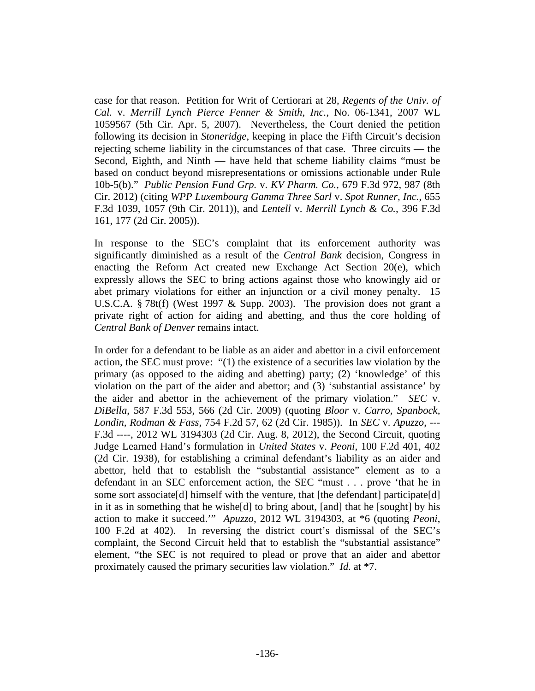case for that reason. Petition for Writ of Certiorari at 28, *Regents of the Univ. of Cal.* v. *Merrill Lynch Pierce Fenner & Smith*, *Inc.*, No. 06-1341, 2007 WL 1059567 (5th Cir. Apr. 5, 2007). Nevertheless, the Court denied the petition following its decision in *Stoneridge*, keeping in place the Fifth Circuit's decision rejecting scheme liability in the circumstances of that case. Three circuits — the Second, Eighth, and Ninth — have held that scheme liability claims "must be based on conduct beyond misrepresentations or omissions actionable under Rule 10b-5(b)." *Public Pension Fund Grp.* v. *KV Pharm. Co.*, 679 F.3d 972, 987 (8th Cir. 2012) (citing *WPP Luxembourg Gamma Three Sarl* v. *Spot Runner, Inc.*, 655 F.3d 1039, 1057 (9th Cir. 2011)), and *Lentell* v. *Merrill Lynch & Co.*, 396 F.3d 161, 177 (2d Cir. 2005)).

In response to the SEC's complaint that its enforcement authority was significantly diminished as a result of the *Central Bank* decision, Congress in enacting the Reform Act created new Exchange Act Section 20(e), which expressly allows the SEC to bring actions against those who knowingly aid or abet primary violations for either an injunction or a civil money penalty. 15 U.S.C.A. § 78t(f) (West 1997 & Supp. 2003). The provision does not grant a private right of action for aiding and abetting, and thus the core holding of *Central Bank of Denver* remains intact.

In order for a defendant to be liable as an aider and abettor in a civil enforcement action, the SEC must prove: "(1) the existence of a securities law violation by the primary (as opposed to the aiding and abetting) party; (2) 'knowledge' of this violation on the part of the aider and abettor; and (3) 'substantial assistance' by the aider and abettor in the achievement of the primary violation." *SEC* v. *DiBella*, 587 F.3d 553, 566 (2d Cir. 2009) (quoting *Bloor* v. *Carro, Spanbock, Londin, Rodman & Fass*, 754 F.2d 57, 62 (2d Cir. 1985)). In *SEC* v. *Apuzzo*, --- F.3d ----, 2012 WL 3194303 (2d Cir. Aug. 8, 2012), the Second Circuit, quoting Judge Learned Hand's formulation in *United States* v. *Peoni*, 100 F.2d 401, 402 (2d Cir. 1938), for establishing a criminal defendant's liability as an aider and abettor, held that to establish the "substantial assistance" element as to a defendant in an SEC enforcement action, the SEC "must . . . prove 'that he in some sort associate<sup>[d]</sup> himself with the venture, that [the defendant] participate<sup>[d]</sup> in it as in something that he wishe[d] to bring about, [and] that he [sought] by his action to make it succeed.'" *Apuzzo*, 2012 WL 3194303, at \*6 (quoting *Peoni*, 100 F.2d at 402). In reversing the district court's dismissal of the SEC's complaint, the Second Circuit held that to establish the "substantial assistance" element, "the SEC is not required to plead or prove that an aider and abettor proximately caused the primary securities law violation." *Id.* at \*7.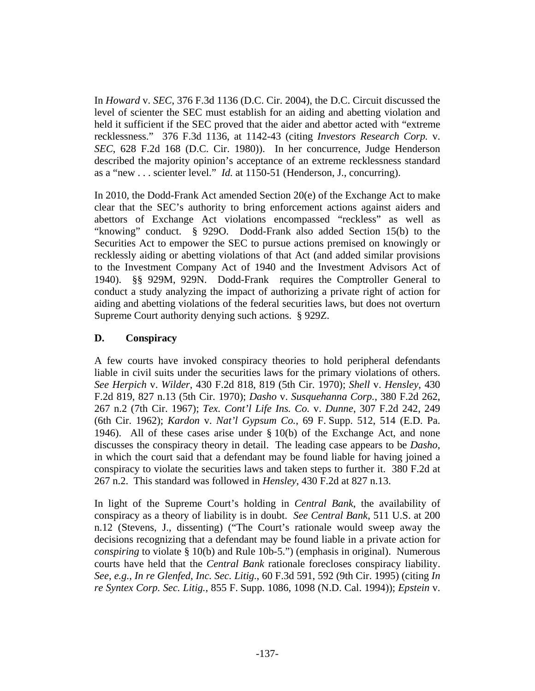In *Howard* v. *SEC*, 376 F.3d 1136 (D.C. Cir. 2004), the D.C. Circuit discussed the level of scienter the SEC must establish for an aiding and abetting violation and held it sufficient if the SEC proved that the aider and abettor acted with "extreme recklessness." 376 F.3d 1136, at 1142-43 (citing *Investors Research Corp.* v. *SEC*, 628 F.2d 168 (D.C. Cir. 1980)). In her concurrence, Judge Henderson described the majority opinion's acceptance of an extreme recklessness standard as a "new . . . scienter level." *Id.* at 1150-51 (Henderson, J., concurring).

In 2010, the Dodd-Frank Act amended Section 20(e) of the Exchange Act to make clear that the SEC's authority to bring enforcement actions against aiders and abettors of Exchange Act violations encompassed "reckless" as well as "knowing" conduct. § 929O. Dodd-Frank also added Section 15(b) to the Securities Act to empower the SEC to pursue actions premised on knowingly or recklessly aiding or abetting violations of that Act (and added similar provisions to the Investment Company Act of 1940 and the Investment Advisors Act of 1940). §§ 929M, 929N. Dodd-Frank requires the Comptroller General to conduct a study analyzing the impact of authorizing a private right of action for aiding and abetting violations of the federal securities laws, but does not overturn Supreme Court authority denying such actions. § 929Z.

## **D. Conspiracy**

A few courts have invoked conspiracy theories to hold peripheral defendants liable in civil suits under the securities laws for the primary violations of others. *See Herpich* v. *Wilder*, 430 F.2d 818, 819 (5th Cir. 1970); *Shell* v. *Hensley*, 430 F.2d 819, 827 n.13 (5th Cir. 1970); *Dasho* v. *Susquehanna Corp.*, 380 F.2d 262, 267 n.2 (7th Cir. 1967); *Tex. Cont'l Life Ins. Co.* v. *Dunne*, 307 F.2d 242, 249 (6th Cir. 1962); *Kardon* v. *Nat'l Gypsum Co.*, 69 F. Supp. 512, 514 (E.D. Pa. 1946). All of these cases arise under § 10(b) of the Exchange Act, and none discusses the conspiracy theory in detail. The leading case appears to be *Dasho*, in which the court said that a defendant may be found liable for having joined a conspiracy to violate the securities laws and taken steps to further it. 380 F.2d at 267 n.2. This standard was followed in *Hensley*, 430 F.2d at 827 n.13.

In light of the Supreme Court's holding in *Central Bank*, the availability of conspiracy as a theory of liability is in doubt. *See Central Bank*, 511 U.S. at 200 n.12 (Stevens, J., dissenting) ("The Court's rationale would sweep away the decisions recognizing that a defendant may be found liable in a private action for *conspiring* to violate § 10(b) and Rule 10b-5.") (emphasis in original). Numerous courts have held that the *Central Bank* rationale forecloses conspiracy liability. *See*, *e.g.*, *In re Glenfed*, *Inc. Sec. Litig.*, 60 F.3d 591, 592 (9th Cir. 1995) (citing *In re Syntex Corp. Sec. Litig.*, 855 F. Supp. 1086, 1098 (N.D. Cal. 1994)); *Epstein* v.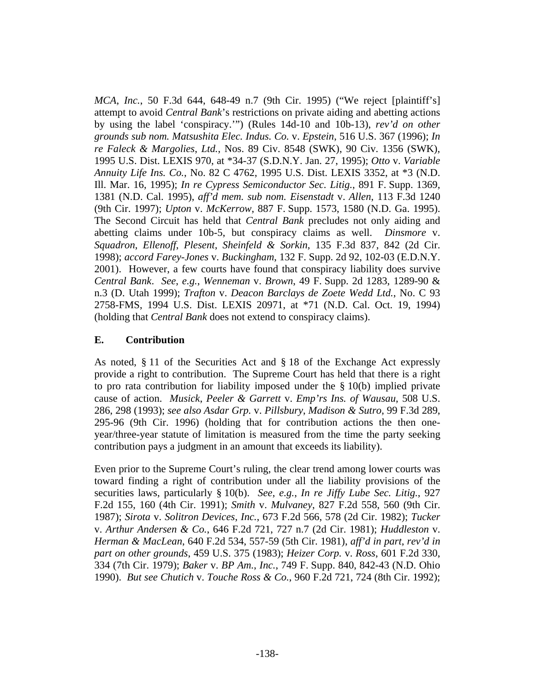*MCA*, *Inc.*, 50 F.3d 644, 648-49 n.7 (9th Cir. 1995) ("We reject [plaintiff's] attempt to avoid *Central Bank*'s restrictions on private aiding and abetting actions by using the label 'conspiracy.'") (Rules 14d-10 and 10b-13), *rev'd on other grounds sub nom. Matsushita Elec. Indus. Co.* v. *Epstein*, 516 U.S. 367 (1996); *In re Faleck & Margolies*, *Ltd.*, Nos. 89 Civ. 8548 (SWK), 90 Civ. 1356 (SWK), 1995 U.S. Dist. LEXIS 970, at \*34-37 (S.D.N.Y. Jan. 27, 1995); *Otto* v. *Variable Annuity Life Ins. Co.*, No. 82 C 4762, 1995 U.S. Dist. LEXIS 3352, at \*3 (N.D. Ill. Mar. 16, 1995); *In re Cypress Semiconductor Sec. Litig.*, 891 F. Supp. 1369, 1381 (N.D. Cal. 1995), *aff'd mem. sub nom. Eisenstadt* v. *Allen*, 113 F.3d 1240 (9th Cir. 1997); *Upton* v. *McKerrow*, 887 F. Supp. 1573, 1580 (N.D. Ga. 1995). The Second Circuit has held that *Central Bank* precludes not only aiding and abetting claims under 10b-5, but conspiracy claims as well. *Dinsmore* v. *Squadron*, *Ellenoff*, *Plesent*, *Sheinfeld & Sorkin*, 135 F.3d 837, 842 (2d Cir. 1998); *accord Farey-Jones* v. *Buckingham*, 132 F. Supp. 2d 92, 102-03 (E.D.N.Y. 2001). However, a few courts have found that conspiracy liability does survive *Central Bank*. *See*, *e.g.*, *Wenneman* v. *Brown*, 49 F. Supp. 2d 1283, 1289-90 & n.3 (D. Utah 1999); *Trafton* v. *Deacon Barclays de Zoete Wedd Ltd.*, No. C 93 2758-FMS, 1994 U.S. Dist. LEXIS 20971, at \*71 (N.D. Cal. Oct. 19, 1994) (holding that *Central Bank* does not extend to conspiracy claims).

## **E. Contribution**

As noted, § 11 of the Securities Act and § 18 of the Exchange Act expressly provide a right to contribution. The Supreme Court has held that there is a right to pro rata contribution for liability imposed under the § 10(b) implied private cause of action. *Musick*, *Peeler & Garrett* v. *Emp'rs Ins. of Wausau*, 508 U.S. 286, 298 (1993); *see also Asdar Grp.* v. *Pillsbury*, *Madison & Sutro*, 99 F.3d 289, 295-96 (9th Cir. 1996) (holding that for contribution actions the then oneyear/three-year statute of limitation is measured from the time the party seeking contribution pays a judgment in an amount that exceeds its liability).

Even prior to the Supreme Court's ruling, the clear trend among lower courts was toward finding a right of contribution under all the liability provisions of the securities laws, particularly § 10(b). *See*, *e.g.*, *In re Jiffy Lube Sec. Litig.*, 927 F.2d 155, 160 (4th Cir. 1991); *Smith* v. *Mulvaney*, 827 F.2d 558, 560 (9th Cir. 1987); *Sirota* v. *Solitron Devices*, *Inc.*, 673 F.2d 566, 578 (2d Cir. 1982); *Tucker* v. *Arthur Andersen & Co.*, 646 F.2d 721, 727 n.7 (2d Cir. 1981); *Huddleston* v. *Herman & MacLean*, 640 F.2d 534, 557-59 (5th Cir. 1981), *aff'd in part*, *rev'd in part on other grounds*, 459 U.S. 375 (1983); *Heizer Corp.* v. *Ross*, 601 F.2d 330, 334 (7th Cir. 1979); *Baker* v. *BP Am.*, *Inc.*, 749 F. Supp. 840, 842-43 (N.D. Ohio 1990). *But see Chutich* v. *Touche Ross & Co.*, 960 F.2d 721, 724 (8th Cir. 1992);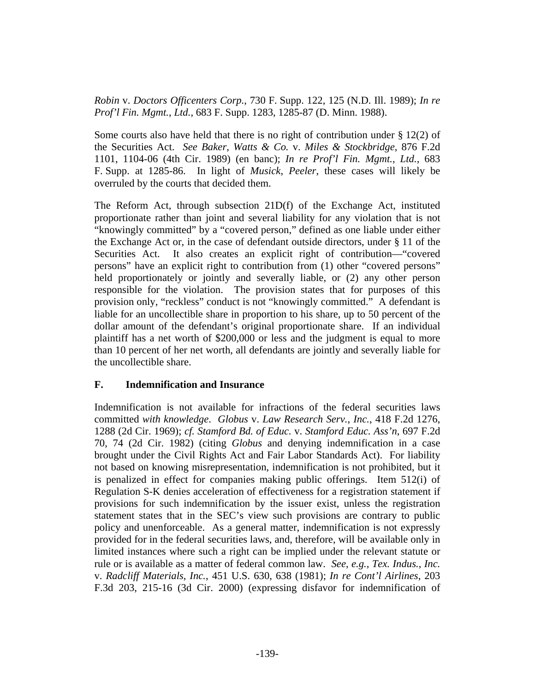*Robin* v. *Doctors Officenters Corp.*, 730 F. Supp. 122, 125 (N.D. Ill. 1989); *In re Prof'l Fin. Mgmt.*, *Ltd.*, 683 F. Supp. 1283, 1285-87 (D. Minn. 1988).

Some courts also have held that there is no right of contribution under  $\S 12(2)$  of the Securities Act. *See Baker*, *Watts & Co.* v. *Miles & Stockbridge*, 876 F.2d 1101, 1104-06 (4th Cir. 1989) (en banc); *In re Prof'l Fin. Mgmt.*, *Ltd.*, 683 F. Supp. at 1285-86. In light of *Musick*, *Peeler*, these cases will likely be overruled by the courts that decided them.

The Reform Act, through subsection 21D(f) of the Exchange Act, instituted proportionate rather than joint and several liability for any violation that is not "knowingly committed" by a "covered person," defined as one liable under either the Exchange Act or, in the case of defendant outside directors, under § 11 of the Securities Act. It also creates an explicit right of contribution—"covered persons" have an explicit right to contribution from (1) other "covered persons" held proportionately or jointly and severally liable, or (2) any other person responsible for the violation. The provision states that for purposes of this provision only, "reckless" conduct is not "knowingly committed." A defendant is liable for an uncollectible share in proportion to his share, up to 50 percent of the dollar amount of the defendant's original proportionate share. If an individual plaintiff has a net worth of \$200,000 or less and the judgment is equal to more than 10 percent of her net worth, all defendants are jointly and severally liable for the uncollectible share.

## **F. Indemnification and Insurance**

Indemnification is not available for infractions of the federal securities laws committed *with knowledge*. *Globus* v. *Law Research Serv.*, *Inc.*, 418 F.2d 1276, 1288 (2d Cir. 1969); *cf. Stamford Bd. of Educ.* v. *Stamford Educ. Ass'n*, 697 F.2d 70, 74 (2d Cir. 1982) (citing *Globus* and denying indemnification in a case brought under the Civil Rights Act and Fair Labor Standards Act). For liability not based on knowing misrepresentation, indemnification is not prohibited, but it is penalized in effect for companies making public offerings. Item 512(i) of Regulation S-K denies acceleration of effectiveness for a registration statement if provisions for such indemnification by the issuer exist, unless the registration statement states that in the SEC's view such provisions are contrary to public policy and unenforceable. As a general matter, indemnification is not expressly provided for in the federal securities laws, and, therefore, will be available only in limited instances where such a right can be implied under the relevant statute or rule or is available as a matter of federal common law. *See*, *e.g.*, *Tex. Indus.*, *Inc.* v. *Radcliff Materials*, *Inc.*, 451 U.S. 630, 638 (1981); *In re Cont'l Airlines*, 203 F.3d 203, 215-16 (3d Cir. 2000) (expressing disfavor for indemnification of